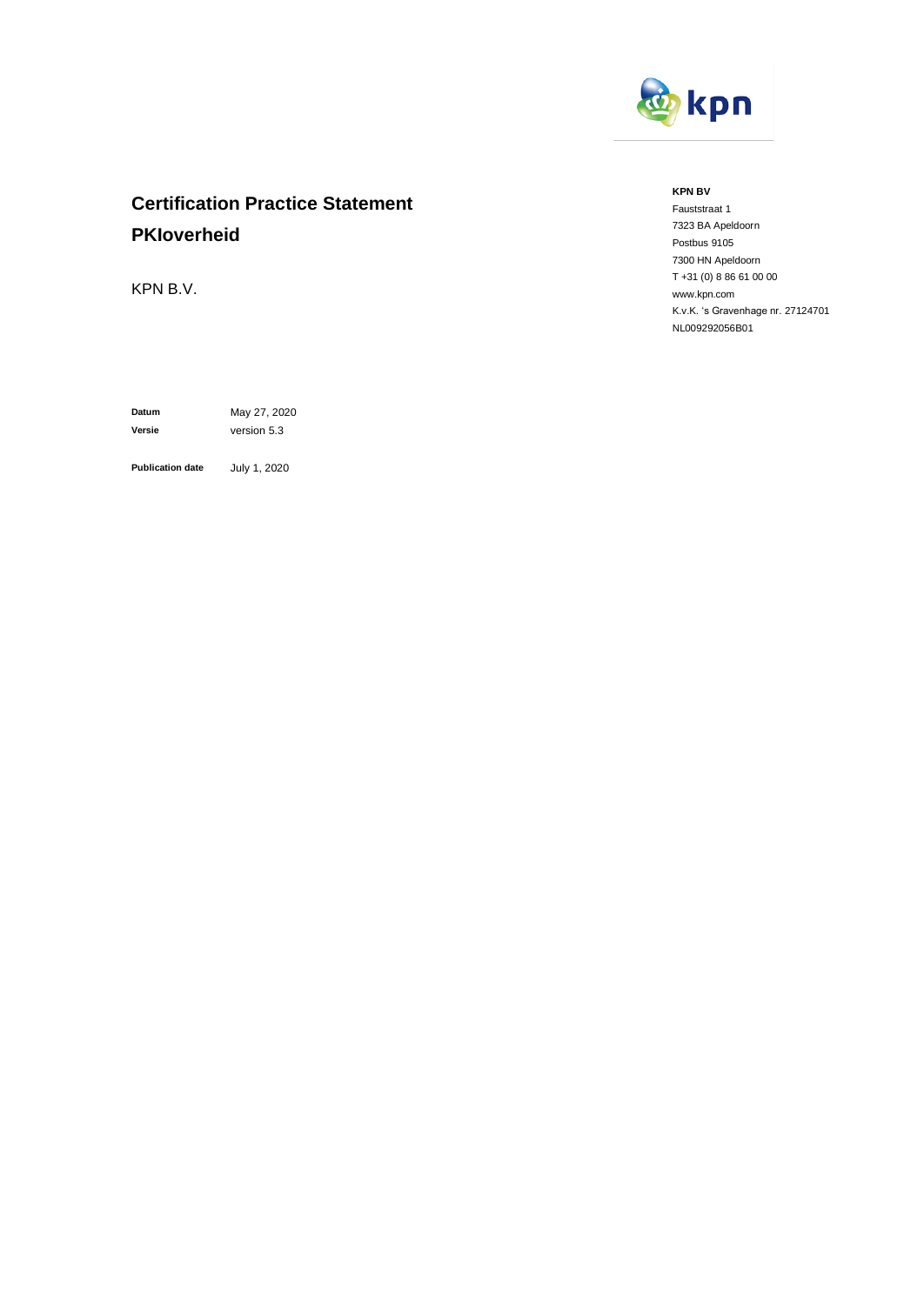

# **Certification Practice Statement PKIoverheid**

KPN B.V.

**Datum** May 27, 2020 **Versie** version 5.3

**Publication date** July 1, 2020

#### **KPN BV**

Fauststraat 1 7323 BA Apeldoorn Postbus 9105 7300 HN Apeldoorn T +31 (0) 8 86 61 00 00 www.kpn.com K.v.K. 's Gravenhage nr. 27124701 NL009292056B01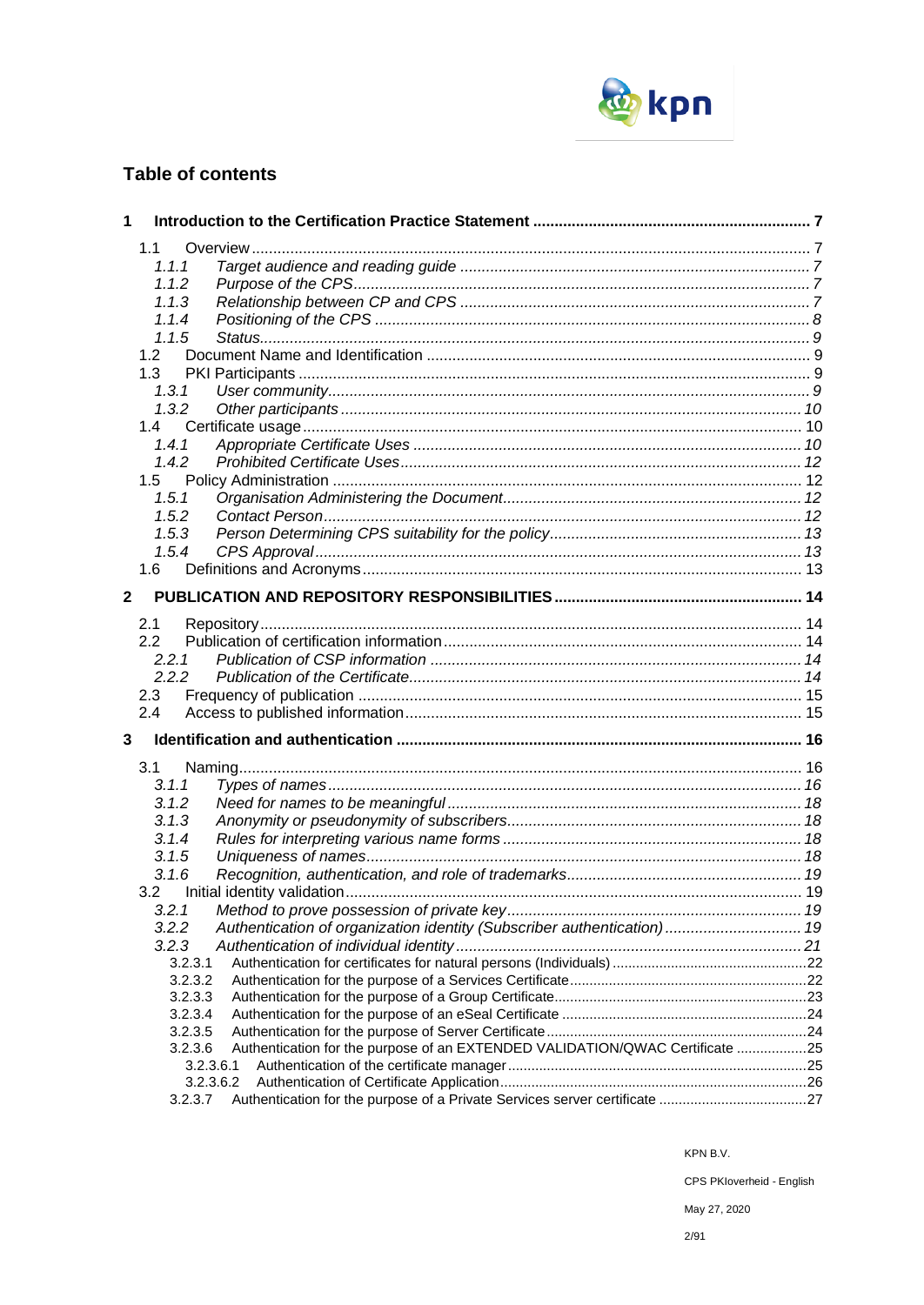

# **Table of contents**

| 1            |                                                                                         |  |
|--------------|-----------------------------------------------------------------------------------------|--|
|              | 1.1                                                                                     |  |
|              | 1.1.1                                                                                   |  |
|              | 1.1.2                                                                                   |  |
|              | 1.1.3                                                                                   |  |
|              | 1.1.4                                                                                   |  |
|              | 1.1.5                                                                                   |  |
|              | 1.2                                                                                     |  |
|              | 1.3                                                                                     |  |
|              | 1.3.1                                                                                   |  |
|              | 1.3.2                                                                                   |  |
|              | 1.4                                                                                     |  |
|              | 1.4.1                                                                                   |  |
|              | 1.4.2                                                                                   |  |
|              | 1.5                                                                                     |  |
|              | 1.5.1                                                                                   |  |
|              | 1.5.2                                                                                   |  |
|              | 1.5.3                                                                                   |  |
|              | 1.5.4                                                                                   |  |
|              | 1.6                                                                                     |  |
|              |                                                                                         |  |
| $\mathbf{2}$ |                                                                                         |  |
|              | 2.1                                                                                     |  |
|              | 2.2                                                                                     |  |
|              | 2.2.1                                                                                   |  |
|              | 2.2.2                                                                                   |  |
|              | 2.3                                                                                     |  |
|              | 2.4                                                                                     |  |
| 3            |                                                                                         |  |
|              |                                                                                         |  |
|              | 3.1                                                                                     |  |
|              | 3.1.1                                                                                   |  |
|              | 3.1.2                                                                                   |  |
|              | 3.1.3                                                                                   |  |
|              | 3.1.4                                                                                   |  |
|              | 3.1.5                                                                                   |  |
|              | 3.1.6                                                                                   |  |
|              | 3.2                                                                                     |  |
|              | 3.2.1                                                                                   |  |
|              | Authentication of organization identity (Subscriber authentication)  19<br>3.2.2        |  |
|              | 3.2.3                                                                                   |  |
|              | 3.2.3.1                                                                                 |  |
|              | 3.2.3.2                                                                                 |  |
|              | 3.2.3.3                                                                                 |  |
|              | 3.2.3.4                                                                                 |  |
|              | 3.2.3.5<br>Authentication for the purpose of an EXTENDED VALIDATION/QWAC Certificate 25 |  |
|              | 3.2.3.6<br>3.2.3.6.1                                                                    |  |
|              | 3.2.3.6.2                                                                               |  |
|              | Authentication for the purpose of a Private Services server certificate 27<br>3.2.3.7   |  |
|              |                                                                                         |  |

KPN B.V.

CPS PKloverheid - English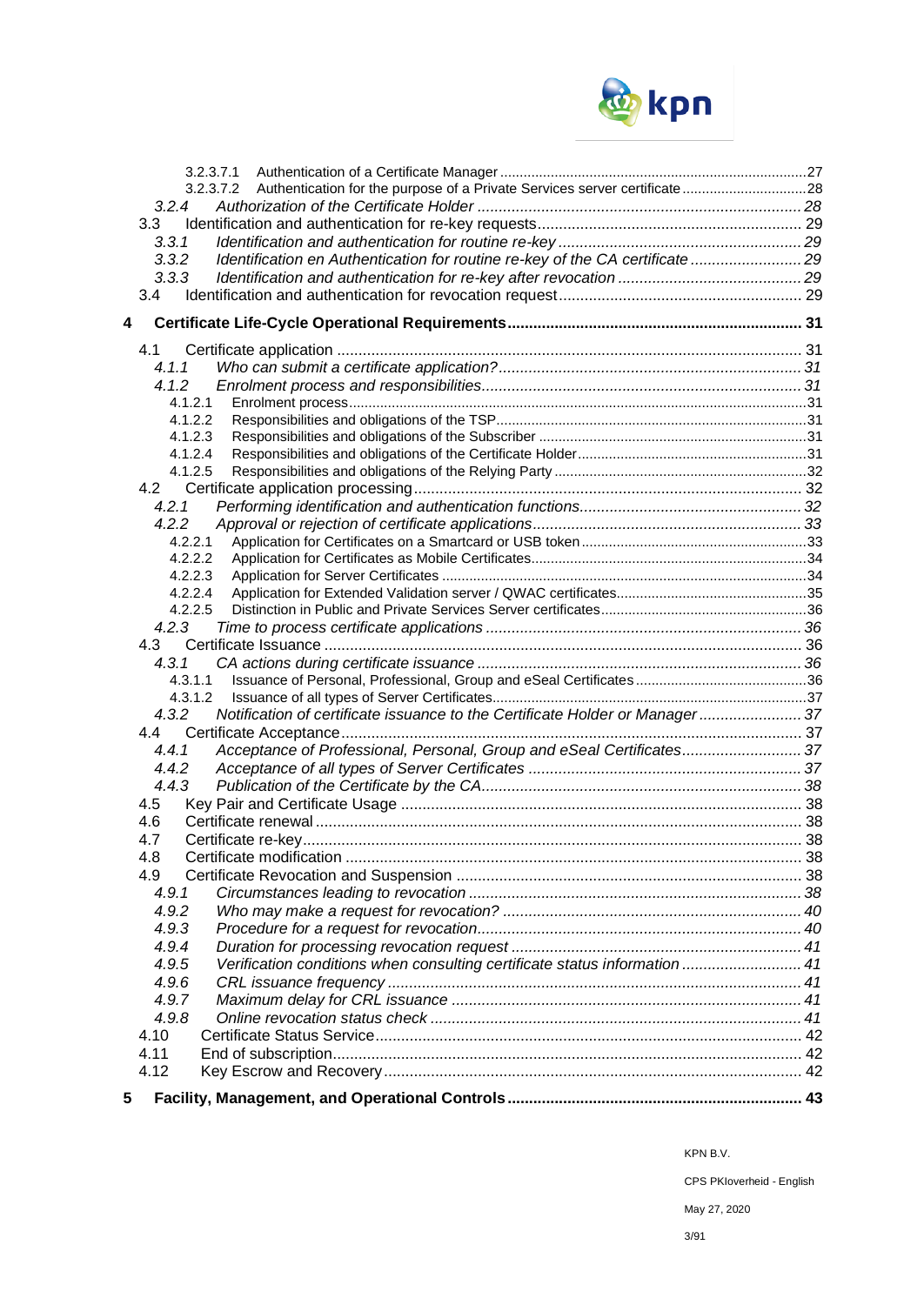

| 3.2.3.7.1                                                                              |  |
|----------------------------------------------------------------------------------------|--|
| 3.2.3.7.2 Authentication for the purpose of a Private Services server certificate28    |  |
| 3.2.4                                                                                  |  |
| 3.3                                                                                    |  |
| 3.3.1                                                                                  |  |
| Identification en Authentication for routine re-key of the CA certificate  29<br>3.3.2 |  |
| 3.3.3                                                                                  |  |
| 3.4                                                                                    |  |
| 4                                                                                      |  |
| 4.1                                                                                    |  |
| 4.1.1                                                                                  |  |
| 4.1.2                                                                                  |  |
| 4.1.2.1                                                                                |  |
| 4.1.2.2                                                                                |  |
| 4.1.2.3                                                                                |  |
| 4.1.2.4                                                                                |  |
| 4.1.2.5                                                                                |  |
|                                                                                        |  |
| 4.2.1                                                                                  |  |
| 4.2.2                                                                                  |  |
| 4.2.2.1                                                                                |  |
| 4.2.2.2                                                                                |  |
| 4.2.2.3                                                                                |  |
| 4.2.2.4                                                                                |  |
| 4.2.2.5                                                                                |  |
| 4.2.3                                                                                  |  |
| 4.3                                                                                    |  |
| 4.3.1                                                                                  |  |
| 4.3.1.1                                                                                |  |
| 4.3.1.2                                                                                |  |
| Notification of certificate issuance to the Certificate Holder or Manager 37<br>4.3.2  |  |
| 4.4                                                                                    |  |
| Acceptance of Professional, Personal, Group and eSeal Certificates37<br>4.4.1          |  |
| 4.4.2                                                                                  |  |
| 4.4.3                                                                                  |  |
| 4.5                                                                                    |  |
| 4.6                                                                                    |  |
| 4.7                                                                                    |  |
| 4.8                                                                                    |  |
| 4.9                                                                                    |  |
| 4.9.1                                                                                  |  |
| 4.9.2                                                                                  |  |
| 4.9.3                                                                                  |  |
| 4.9.4                                                                                  |  |
| 4.9.5<br>Verification conditions when consulting certificate status information  41    |  |
| 4.9.6                                                                                  |  |
| 4.9.7                                                                                  |  |
| 4.9.8                                                                                  |  |
| 4.10                                                                                   |  |
| 4.11                                                                                   |  |
| 4.12                                                                                   |  |
| 5                                                                                      |  |

KPN B.V.

CPS PKIoverheid - English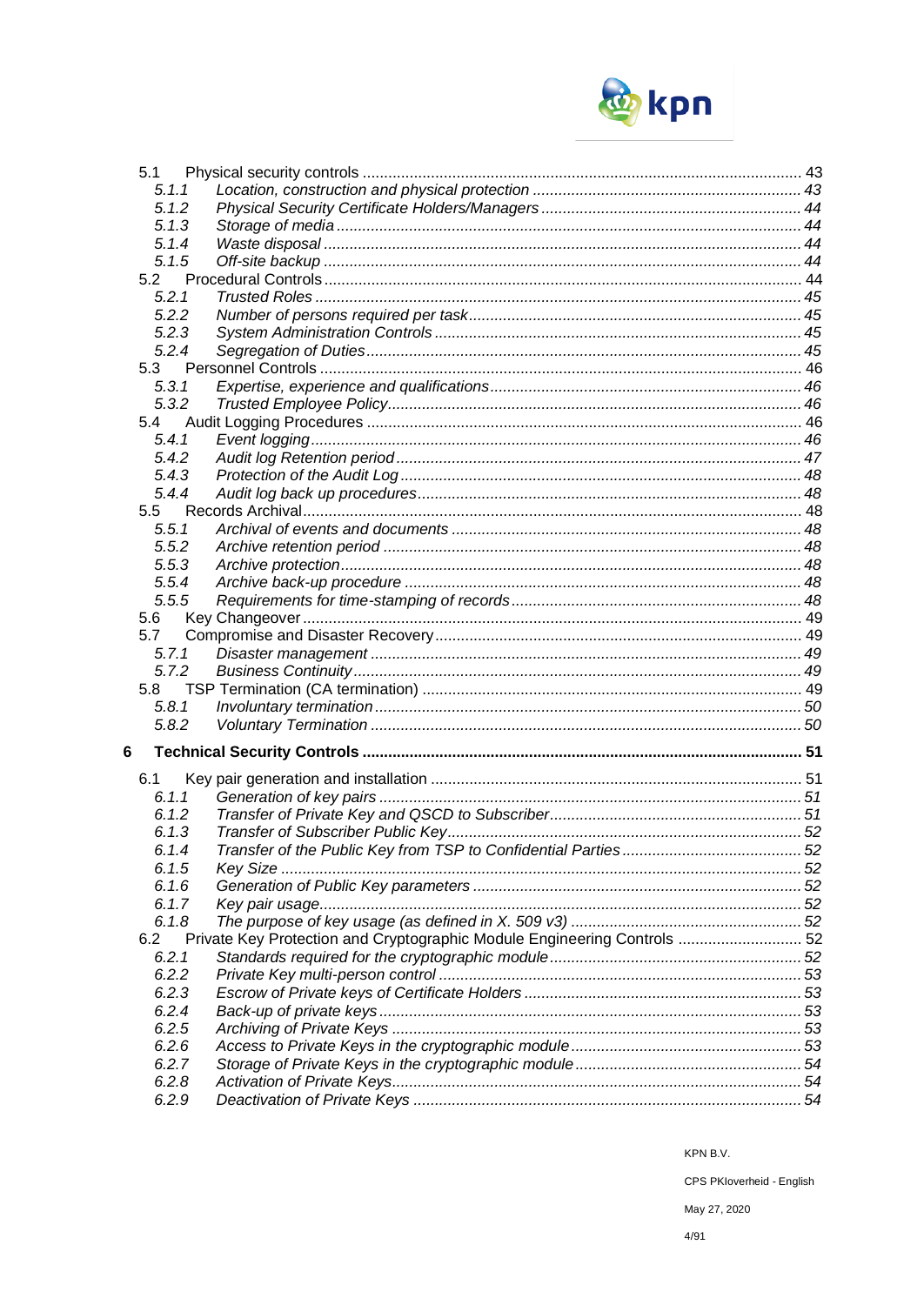

|   | 5.1            |                                                                          |  |
|---|----------------|--------------------------------------------------------------------------|--|
|   | 5.1.1          |                                                                          |  |
|   | 5.1.2          |                                                                          |  |
|   | 5.1.3          |                                                                          |  |
|   | 5.1.4          |                                                                          |  |
|   | 5.1.5          |                                                                          |  |
|   | 5.2            |                                                                          |  |
|   | 5.2.1          |                                                                          |  |
|   | 5.2.2          |                                                                          |  |
|   | 5.2.3          |                                                                          |  |
|   | 5.2.4          |                                                                          |  |
|   | 5.3            |                                                                          |  |
|   | 5.3.1          |                                                                          |  |
|   | 5.3.2          |                                                                          |  |
|   | 5.4            |                                                                          |  |
|   | 5.4.1          |                                                                          |  |
|   | 5.4.2          |                                                                          |  |
|   | 5.4.3          |                                                                          |  |
|   | 5.4.4          |                                                                          |  |
|   | 5.5            |                                                                          |  |
|   | 5.5.1          |                                                                          |  |
|   | 5.5.2          |                                                                          |  |
|   | 5.5.3          |                                                                          |  |
|   | 5.5.4          |                                                                          |  |
|   | 5.5.5          |                                                                          |  |
|   | 5.6            |                                                                          |  |
|   | 5.7            |                                                                          |  |
|   | 5.7.1          |                                                                          |  |
|   | 5.7.2          |                                                                          |  |
|   | 5.8            |                                                                          |  |
|   | 5.8.1          |                                                                          |  |
|   | 5.8.2          |                                                                          |  |
| 6 |                |                                                                          |  |
|   |                |                                                                          |  |
|   | 6.1            |                                                                          |  |
|   | 6.1.1<br>6.1.2 |                                                                          |  |
|   |                |                                                                          |  |
|   | 6.1.3          |                                                                          |  |
|   | 6.1.4          |                                                                          |  |
|   | 6.1.5          |                                                                          |  |
|   | 6.1.6          |                                                                          |  |
|   | 6.1.7<br>6.1.8 |                                                                          |  |
|   | 6.2            | Private Key Protection and Cryptographic Module Engineering Controls  52 |  |
|   |                |                                                                          |  |
|   | 6.2.1          |                                                                          |  |
|   | 6.2.2<br>6.2.3 |                                                                          |  |
|   |                |                                                                          |  |
|   | 6.2.4          |                                                                          |  |
|   | 6.2.5          |                                                                          |  |
|   | 6.2.6          |                                                                          |  |
|   | 6.2.7          |                                                                          |  |
|   | 6.2.8          |                                                                          |  |
|   | 6.2.9          |                                                                          |  |

KPN B.V.

CPS PKloverheid - English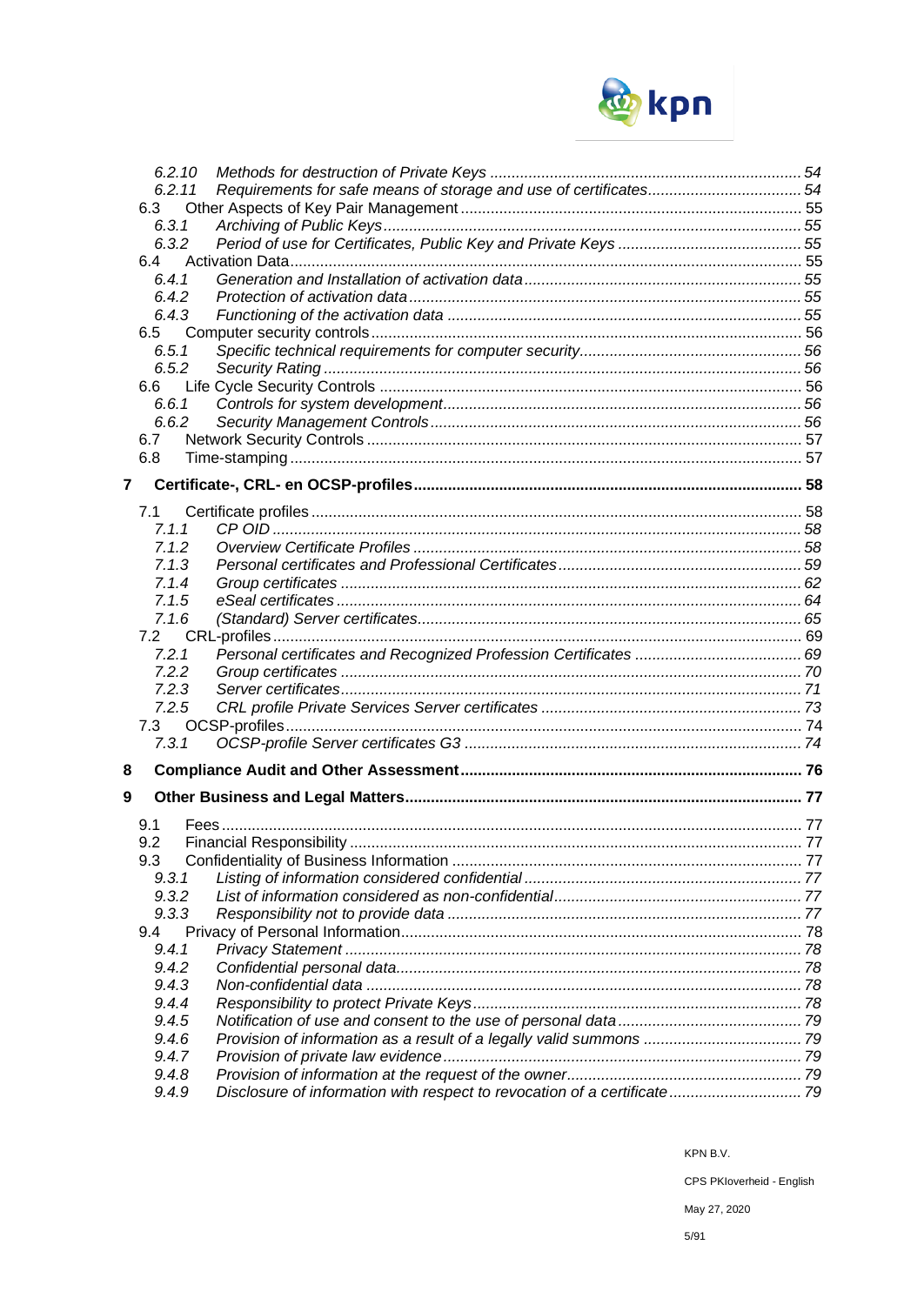

|   | 6.2.10         |  |
|---|----------------|--|
|   | 6.2.11         |  |
|   | 6.3            |  |
|   | 6.3.1          |  |
|   | 6.3.2          |  |
|   | 6.4            |  |
|   | 6.4.1          |  |
|   | 6.4.2          |  |
|   | 6.4.3          |  |
|   | 6.5            |  |
|   | 6.5.1          |  |
|   | 6.5.2          |  |
|   | 6.6            |  |
|   | 6.6.1          |  |
|   | 6.6.2          |  |
|   | 6.7            |  |
|   | 6.8            |  |
| 7 |                |  |
|   |                |  |
|   | 7.1            |  |
|   | 7.1.1          |  |
|   | 7.1.2          |  |
|   | 7.1.3          |  |
|   | 7.1.4          |  |
|   | 7.1.5          |  |
|   | 7.1.6          |  |
|   | 7.2            |  |
|   | 7.2.1<br>7.2.2 |  |
|   | 7.2.3          |  |
|   | 7.2.5          |  |
|   | 7.3            |  |
|   | 7.3.1          |  |
|   |                |  |
| 8 |                |  |
| 9 |                |  |
|   |                |  |
|   | 9.1<br>9.2     |  |
|   | 9.3            |  |
|   | 9.3.1          |  |
|   | 9.3.2          |  |
|   | 9.3.3          |  |
|   | 9.4            |  |
|   | 9.4.1          |  |
|   | 9.4.2          |  |
|   | 9.4.3          |  |
|   | 9.4.4          |  |
|   | 9.4.5          |  |
|   | 9.4.6          |  |
|   | 9.4.7          |  |
|   | 9.4.8          |  |
|   | 9.4.9          |  |

KPN B.V.

CPS PKloverheid - English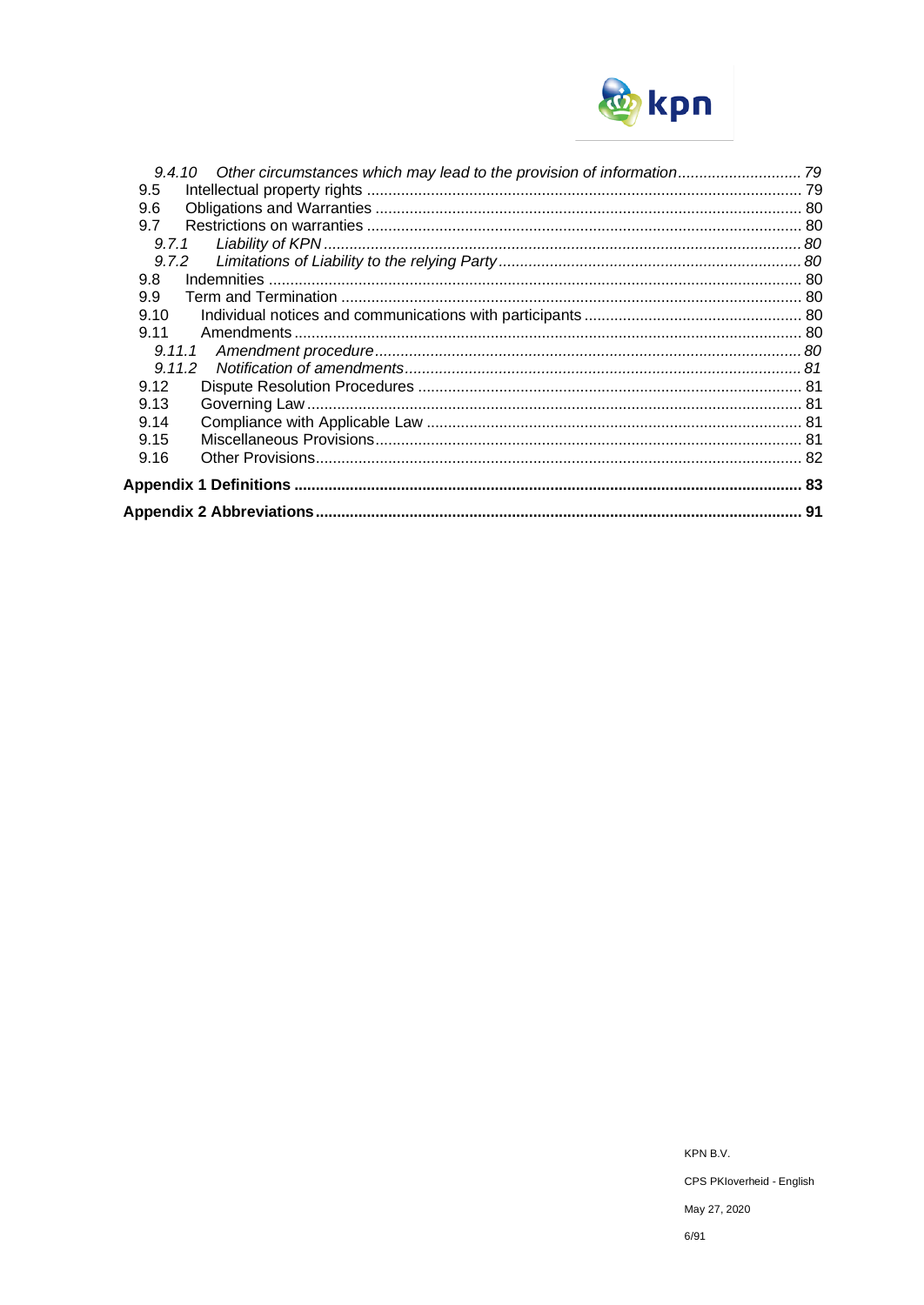

| 9.4.10 Other circumstances which may lead to the provision of information 79 |  |
|------------------------------------------------------------------------------|--|
| 9.5                                                                          |  |
| 9.6                                                                          |  |
| 9.7                                                                          |  |
| 9.7.1                                                                        |  |
| 9.7.2                                                                        |  |
| 9.8                                                                          |  |
| 9.9                                                                          |  |
| 9.10                                                                         |  |
| 9.11                                                                         |  |
| 9.11.1                                                                       |  |
| 9.11.2                                                                       |  |
| 9.12                                                                         |  |
| 9.13                                                                         |  |
| 9.14                                                                         |  |
| 9.15                                                                         |  |
| 9.16                                                                         |  |
|                                                                              |  |
|                                                                              |  |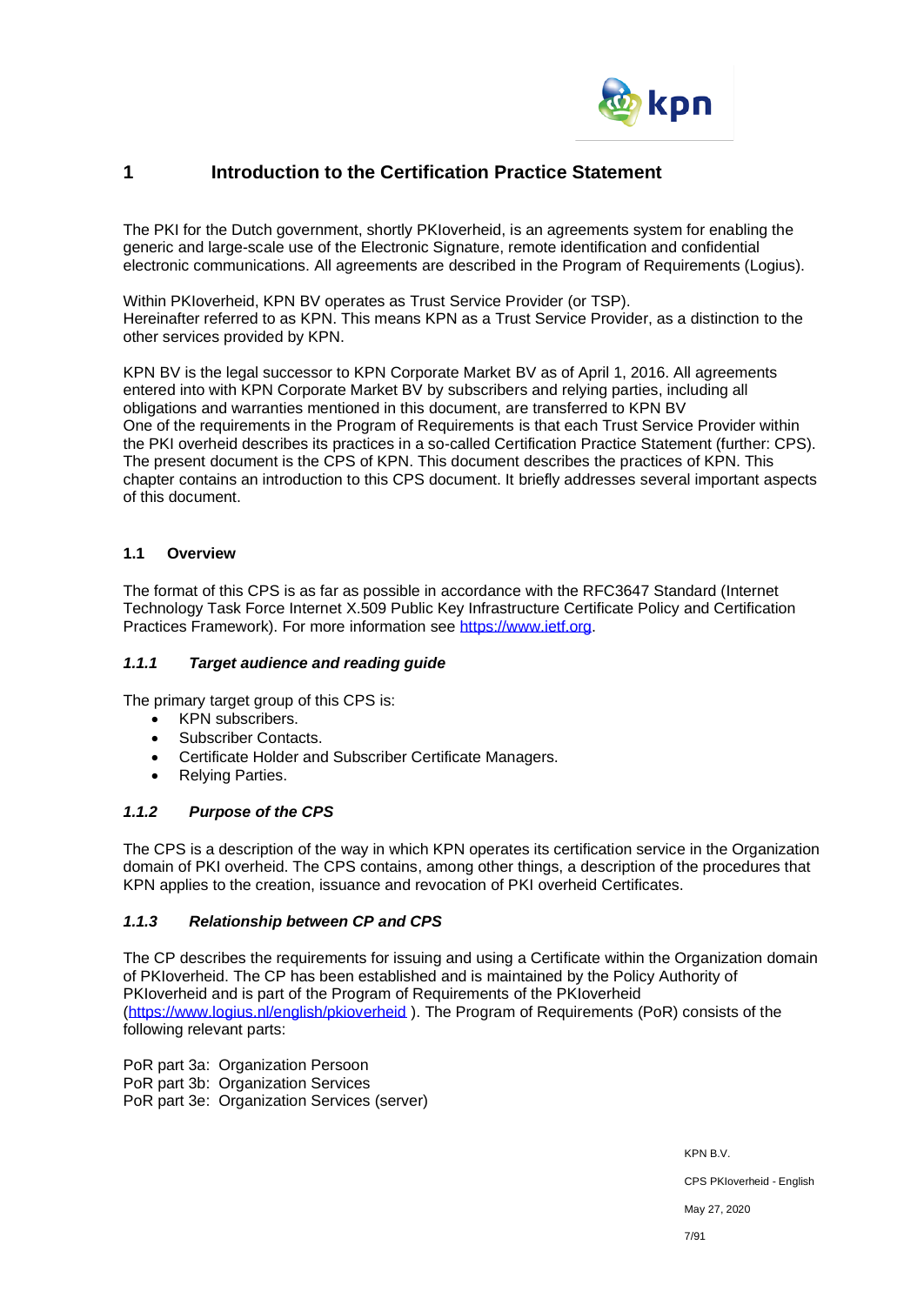

# **1 Introduction to the Certification Practice Statement**

The PKI for the Dutch government, shortly PKIoverheid, is an agreements system for enabling the generic and large-scale use of the Electronic Signature, remote identification and confidential electronic communications. All agreements are described in the Program of Requirements (Logius).

Within PKIoverheid, KPN BV operates as Trust Service Provider (or TSP). Hereinafter referred to as KPN. This means KPN as a Trust Service Provider, as a distinction to the other services provided by KPN.

KPN BV is the legal successor to KPN Corporate Market BV as of April 1, 2016. All agreements entered into with KPN Corporate Market BV by subscribers and relying parties, including all obligations and warranties mentioned in this document, are transferred to KPN BV One of the requirements in the Program of Requirements is that each Trust Service Provider within the PKI overheid describes its practices in a so-called Certification Practice Statement (further: CPS). The present document is the CPS of KPN. This document describes the practices of KPN. This chapter contains an introduction to this CPS document. It briefly addresses several important aspects of this document.

# **1.1 Overview**

The format of this CPS is as far as possible in accordance with the RFC3647 Standard (Internet Technology Task Force Internet X.509 Public Key Infrastructure Certificate Policy and Certification Practices Framework). For more information see [https://www.ietf.org.](https://www.ietf.org/)

#### *1.1.1 Target audience and reading guide*

The primary target group of this CPS is:

- KPN subscribers.
- Subscriber Contacts.
- Certificate Holder and Subscriber Certificate Managers.
- Relying Parties.

### *1.1.2 Purpose of the CPS*

The CPS is a description of the way in which KPN operates its certification service in the Organization domain of PKI overheid. The CPS contains, among other things, a description of the procedures that KPN applies to the creation, issuance and revocation of PKI overheid Certificates.

# *1.1.3 Relationship between CP and CPS*

The CP describes the requirements for issuing and using a Certificate within the Organization domain of PKIoverheid. The CP has been established and is maintained by the Policy Authority of PKIoverheid and is part of the Program of Requirements of the PKIoverheid [\(https://www.logius.nl/english/pkioverheid](https://www.logius.nl/english/pkioverheid) ). The Program of Requirements (PoR) consists of the following relevant parts:

PoR part 3a: Organization Persoon PoR part 3b: Organization Services PoR part 3e: Organization Services (server)

KPN B.V.

CPS PKIoverheid - English

May 27, 2020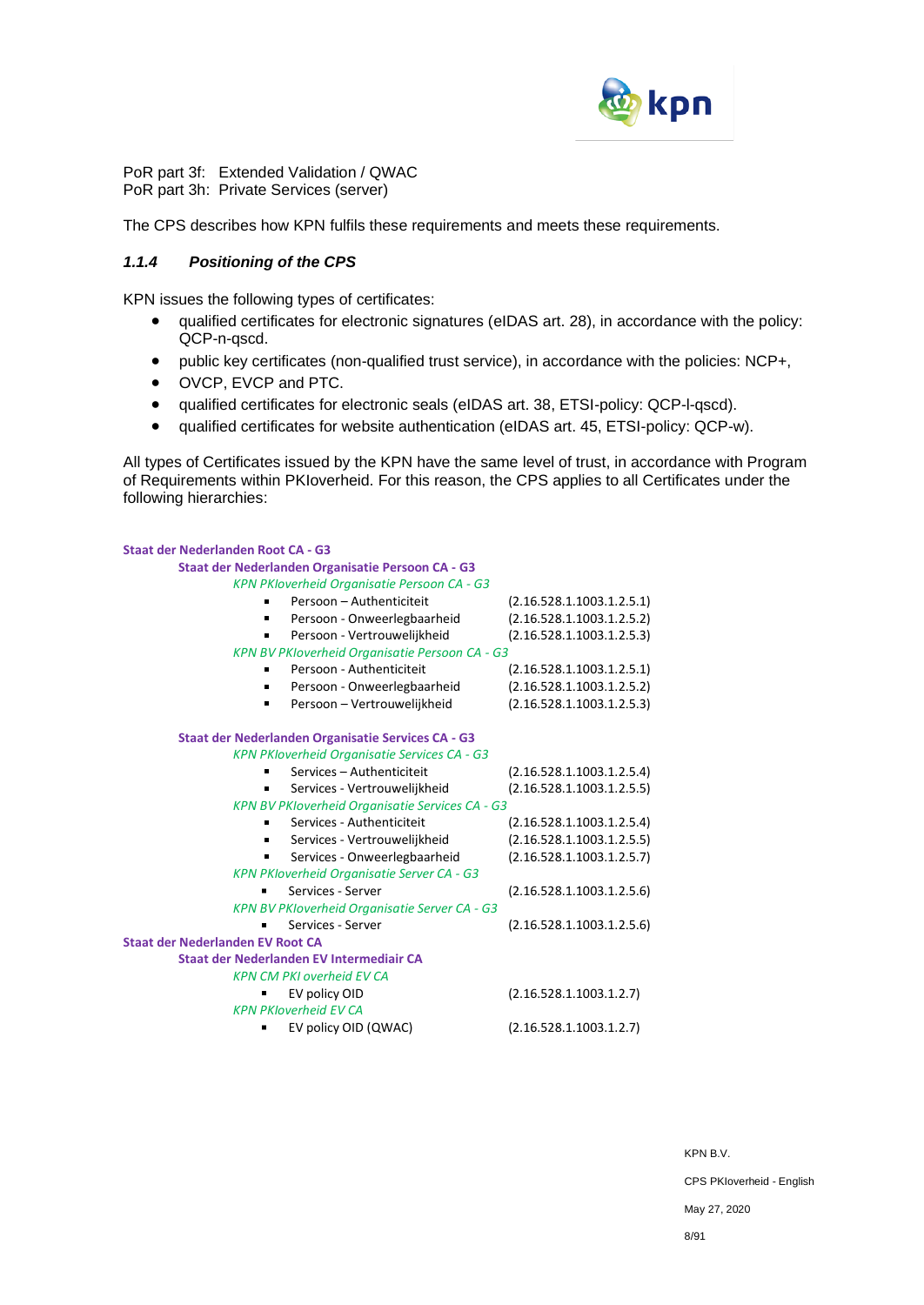

PoR part 3f: Extended Validation / QWAC PoR part 3h: Private Services (server)

The CPS describes how KPN fulfils these requirements and meets these requirements.

# *1.1.4 Positioning of the CPS*

KPN issues the following types of certificates:

- qualified certificates for electronic signatures (eIDAS art. 28), in accordance with the policy: QCP-n-qscd.
- public key certificates (non-qualified trust service), in accordance with the policies: NCP+,
- OVCP, EVCP and PTC.
- qualified certificates for electronic seals (eIDAS art. 38, ETSI-policy: QCP-l-qscd).
- qualified certificates for website authentication (eIDAS art. 45, ETSI-policy: QCP-w).

All types of Certificates issued by the KPN have the same level of trust, in accordance with Program of Requirements within PKIoverheid. For this reason, the CPS applies to all Certificates under the following hierarchies:

| <b>Staat der Nederlanden Root CA - G3</b>              |                           |  |  |  |
|--------------------------------------------------------|---------------------------|--|--|--|
| Staat der Nederlanden Organisatie Persoon CA - G3      |                           |  |  |  |
| KPN PKloverheid Organisatie Persoon CA - G3            |                           |  |  |  |
| Persoon - Authenticiteit                               | (2.16.528.1.1003.1.2.5.1) |  |  |  |
| Persoon - Onweerlegbaarheid                            | (2.16.528.1.1003.1.2.5.2) |  |  |  |
| Persoon - Vertrouwelijkheid<br>٠                       | (2.16.528.1.1003.1.2.5.3) |  |  |  |
| <b>KPN BV PKIoverheid Organisatie Persoon CA - G3</b>  |                           |  |  |  |
| Persoon - Authenticiteit                               | (2.16.528.1.1003.1.2.5.1) |  |  |  |
| Persoon - Onweerlegbaarheid                            | (2.16.528.1.1003.1.2.5.2) |  |  |  |
| Persoon - Vertrouwelijkheid                            | (2.16.528.1.1003.1.2.5.3) |  |  |  |
| Staat der Nederlanden Organisatie Services CA - G3     |                           |  |  |  |
| <b>KPN PKloverheid Organisatie Services CA - G3</b>    |                           |  |  |  |
| Services - Authenticiteit                              | (2.16.528.1.1003.1.2.5.4) |  |  |  |
| Services - Vertrouwelijkheid                           | (2.16.528.1.1003.1.2.5.5) |  |  |  |
| <b>KPN BV PKIoverheid Organisatie Services CA - G3</b> |                           |  |  |  |
| Services - Authenticiteit                              | (2.16.528.1.1003.1.2.5.4) |  |  |  |
| Services - Vertrouwelijkheid                           | (2.16.528.1.1003.1.2.5.5) |  |  |  |
| Services - Onweerlegbaarheid                           | (2.16.528.1.1003.1.2.5.7) |  |  |  |
| <b>KPN PKloverheid Organisatie Server CA - G3</b>      |                           |  |  |  |
| Services - Server                                      | (2.16.528.1.1003.1.2.5.6) |  |  |  |
| KPN BV PKIoverheid Organisatie Server CA - G3          |                           |  |  |  |
| Services - Server                                      | (2.16.528.1.1003.1.2.5.6) |  |  |  |
| <b>Staat der Nederlanden EV Root CA</b>                |                           |  |  |  |
| Staat der Nederlanden EV Intermediair CA               |                           |  |  |  |
| <b>KPN CM PKI overheid EV CA</b>                       |                           |  |  |  |
| EV policy OID                                          | (2.16.528.1.1003.1.2.7)   |  |  |  |
| <b>KPN PKloverheid EV CA</b>                           |                           |  |  |  |
| EV policy OID (QWAC)                                   | (2.16.528.1.1003.1.2.7)   |  |  |  |

KPN B.V. CPS PKIoverheid - English May 27, 2020 8/91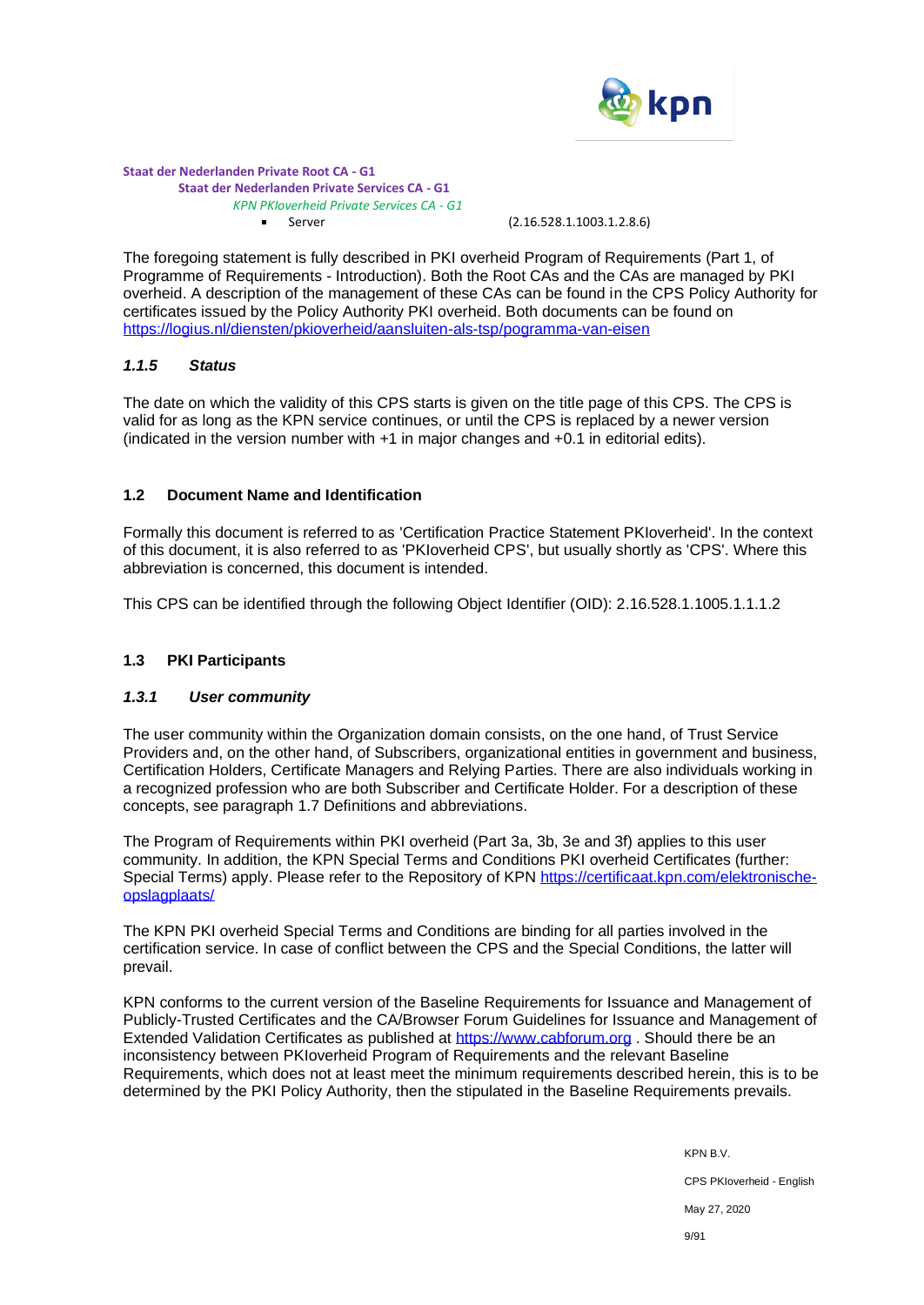

#### **Staat der Nederlanden Private Root CA - G1 Staat der Nederlanden Private Services CA - G1**  *KPN PKIoverheid Private Services CA - G1* ■ Server (2.16.528.1.1003.1.2.8.6)

The foregoing statement is fully described in PKI overheid Program of Requirements (Part 1, of Programme of Requirements - Introduction). Both the Root CAs and the CAs are managed by PKI overheid. A description of the management of these CAs can be found in the CPS Policy Authority for certificates issued by the Policy Authority PKI overheid. Both documents can be found on <https://logius.nl/diensten/pkioverheid/aansluiten-als-tsp/pogramma-van-eisen>

#### *1.1.5 Status*

The date on which the validity of this CPS starts is given on the title page of this CPS. The CPS is valid for as long as the KPN service continues, or until the CPS is replaced by a newer version (indicated in the version number with +1 in major changes and +0.1 in editorial edits).

# **1.2 Document Name and Identification**

Formally this document is referred to as 'Certification Practice Statement PKIoverheid'. In the context of this document, it is also referred to as 'PKIoverheid CPS', but usually shortly as 'CPS'. Where this abbreviation is concerned, this document is intended.

This CPS can be identified through the following Object Identifier (OID): 2.16.528.1.1005.1.1.1.2

# **1.3 PKI Participants**

# *1.3.1 User community*

The user community within the Organization domain consists, on the one hand, of Trust Service Providers and, on the other hand, of Subscribers, organizational entities in government and business, Certification Holders, Certificate Managers and Relying Parties. There are also individuals working in a recognized profession who are both Subscriber and Certificate Holder. For a description of these concepts, see paragraph 1.7 Definitions and abbreviations.

The Program of Requirements within PKI overheid (Part 3a, 3b, 3e and 3f) applies to this user community. In addition, the KPN Special Terms and Conditions PKI overheid Certificates (further: Special Terms) apply. Please refer to the Repository of KPN [https://certificaat.kpn.com/elektronische](https://certificaat.kpn.com/elektronische-opslagplaats/)[opslagplaats/](https://certificaat.kpn.com/elektronische-opslagplaats/)

The KPN PKI overheid Special Terms and Conditions are binding for all parties involved in the certification service. In case of conflict between the CPS and the Special Conditions, the latter will prevail.

KPN conforms to the current version of the Baseline Requirements for Issuance and Management of Publicly-Trusted Certificates and the CA/Browser Forum Guidelines for Issuance and Management of Extended Validation Certificates as published at [https://www.cabforum.org](https://www.cabforum.org/). Should there be an inconsistency between PKIoverheid Program of Requirements and the relevant Baseline Requirements, which does not at least meet the minimum requirements described herein, this is to be determined by the PKI Policy Authority, then the stipulated in the Baseline Requirements prevails.

> KPN B.V. CPS PKIoverheid - English May 27, 2020 9/91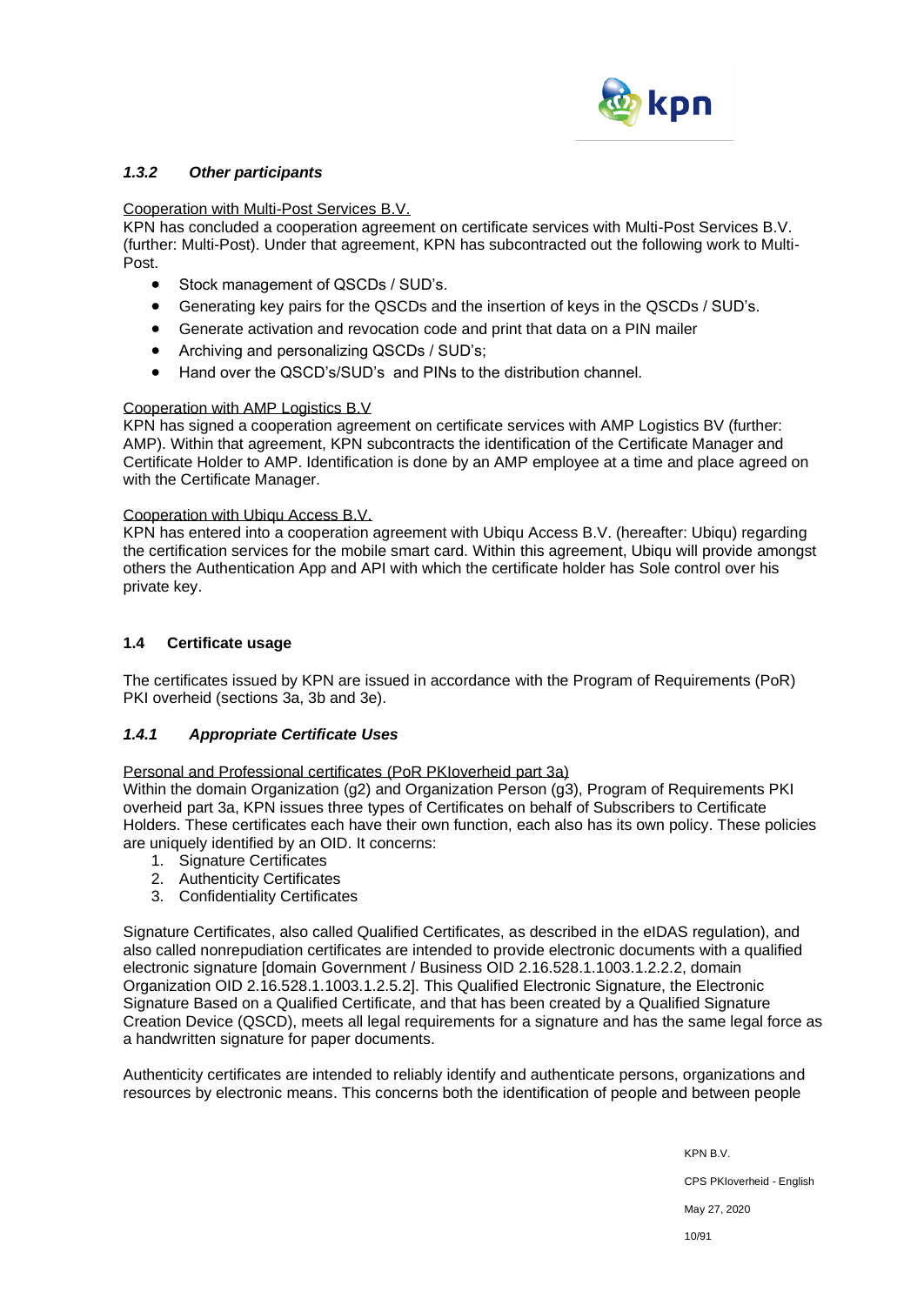

# *1.3.2 Other participants*

### Cooperation with Multi-Post Services B.V.

KPN has concluded a cooperation agreement on certificate services with Multi-Post Services B.V. (further: Multi-Post). Under that agreement, KPN has subcontracted out the following work to Multi-Post.

- Stock management of QSCDs / SUD's.
- Generating key pairs for the QSCDs and the insertion of keys in the QSCDs / SUD's.
- Generate activation and revocation code and print that data on a PIN mailer
- Archiving and personalizing QSCDs / SUD's;
- Hand over the QSCD's/SUD's and PINs to the distribution channel.

# Cooperation with AMP Logistics B.V

KPN has signed a cooperation agreement on certificate services with AMP Logistics BV (further: AMP). Within that agreement, KPN subcontracts the identification of the Certificate Manager and Certificate Holder to AMP. Identification is done by an AMP employee at a time and place agreed on with the Certificate Manager.

#### Cooperation with Ubiqu Access B.V.

KPN has entered into a cooperation agreement with Ubiqu Access B.V. (hereafter: Ubiqu) regarding the certification services for the mobile smart card. Within this agreement, Ubiqu will provide amongst others the Authentication App and API with which the certificate holder has Sole control over his private key.

# **1.4 Certificate usage**

The certificates issued by KPN are issued in accordance with the Program of Requirements (PoR) PKI overheid (sections 3a, 3b and 3e).

# *1.4.1 Appropriate Certificate Uses*

Personal and Professional certificates (PoR PKIoverheid part 3a)

Within the domain Organization (g2) and Organization Person (g3), Program of Requirements PKI overheid part 3a, KPN issues three types of Certificates on behalf of Subscribers to Certificate Holders. These certificates each have their own function, each also has its own policy. These policies are uniquely identified by an OID. It concerns:

- 1. Signature Certificates
- 2. Authenticity Certificates
- 3. Confidentiality Certificates

Signature Certificates, also called Qualified Certificates, as described in the eIDAS regulation), and also called nonrepudiation certificates are intended to provide electronic documents with a qualified electronic signature [domain Government / Business OID 2.16.528.1.1003.1.2.2.2, domain Organization OID 2.16.528.1.1003.1.2.5.2]. This Qualified Electronic Signature, the Electronic Signature Based on a Qualified Certificate, and that has been created by a Qualified Signature Creation Device (QSCD), meets all legal requirements for a signature and has the same legal force as a handwritten signature for paper documents.

Authenticity certificates are intended to reliably identify and authenticate persons, organizations and resources by electronic means. This concerns both the identification of people and between people

> KPN B.V. CPS PKIoverheid - English May 27, 2020 10/91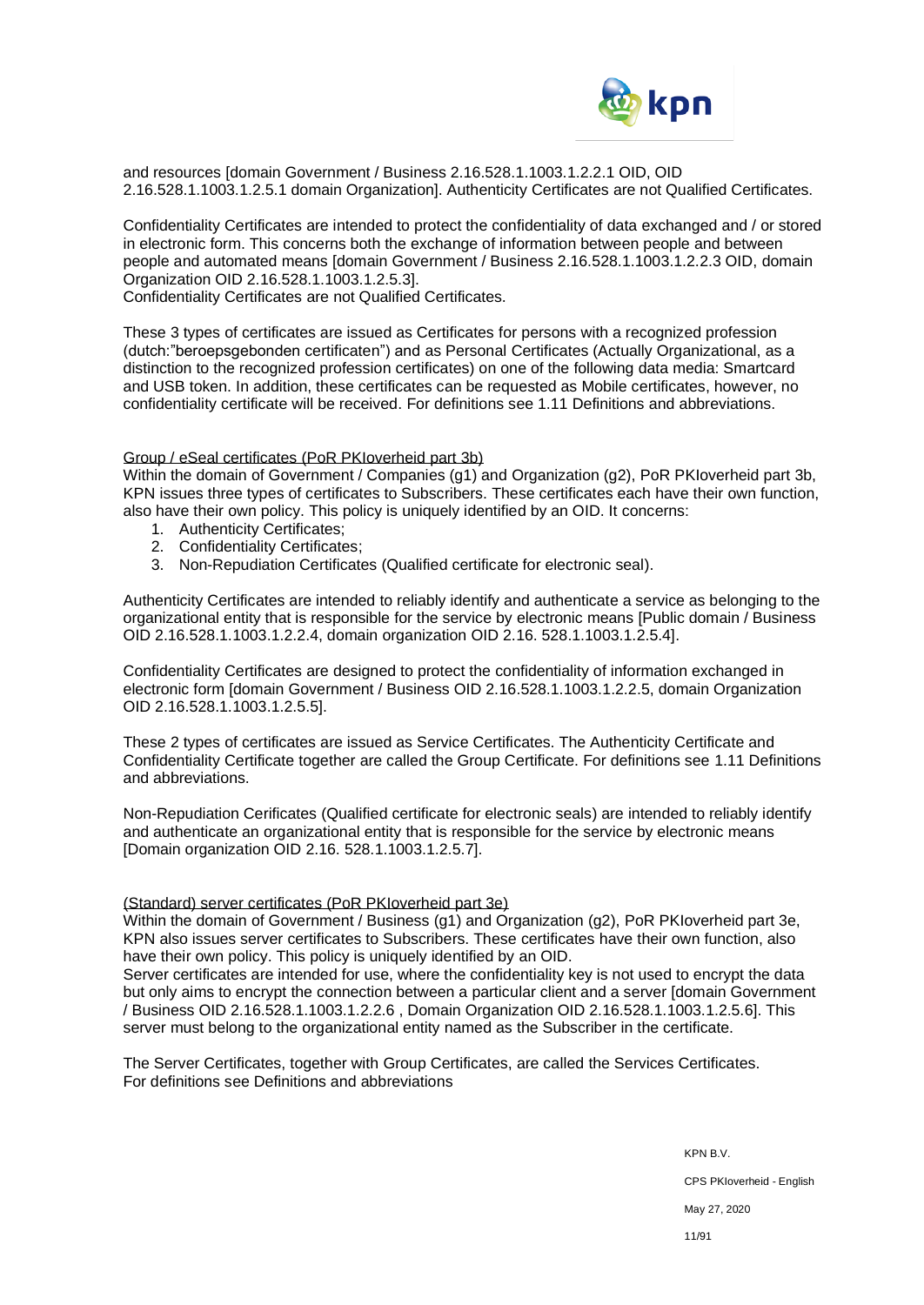

and resources [domain Government / Business 2.16.528.1.1003.1.2.2.1 OID, OID 2.16.528.1.1003.1.2.5.1 domain Organization]. Authenticity Certificates are not Qualified Certificates.

Confidentiality Certificates are intended to protect the confidentiality of data exchanged and / or stored in electronic form. This concerns both the exchange of information between people and between people and automated means [domain Government / Business 2.16.528.1.1003.1.2.2.3 OID, domain Organization OID 2.16.528.1.1003.1.2.5.3].

Confidentiality Certificates are not Qualified Certificates.

These 3 types of certificates are issued as Certificates for persons with a recognized profession (dutch:"beroepsgebonden certificaten") and as Personal Certificates (Actually Organizational, as a distinction to the recognized profession certificates) on one of the following data media: Smartcard and USB token. In addition, these certificates can be requested as Mobile certificates, however, no confidentiality certificate will be received. For definitions see 1.11 Definitions and abbreviations.

#### Group / eSeal certificates (PoR PKIoverheid part 3b)

Within the domain of Government / Companies (g1) and Organization (g2), PoR PKIoverheid part 3b, KPN issues three types of certificates to Subscribers. These certificates each have their own function, also have their own policy. This policy is uniquely identified by an OID. It concerns:

- 1. Authenticity Certificates;
- 2. Confidentiality Certificates;
- 3. Non-Repudiation Certificates (Qualified certificate for electronic seal).

Authenticity Certificates are intended to reliably identify and authenticate a service as belonging to the organizational entity that is responsible for the service by electronic means [Public domain / Business OID 2.16.528.1.1003.1.2.2.4, domain organization OID 2.16. 528.1.1003.1.2.5.4].

Confidentiality Certificates are designed to protect the confidentiality of information exchanged in electronic form [domain Government / Business OID 2.16.528.1.1003.1.2.2.5, domain Organization OID 2.16.528.1.1003.1.2.5.5].

These 2 types of certificates are issued as Service Certificates. The Authenticity Certificate and Confidentiality Certificate together are called the Group Certificate. For definitions see 1.11 Definitions and abbreviations.

Non-Repudiation Cerificates (Qualified certificate for electronic seals) are intended to reliably identify and authenticate an organizational entity that is responsible for the service by electronic means [Domain organization OID 2.16. 528.1.1003.1.2.5.7].

#### (Standard) server certificates (PoR PKIoverheid part 3e)

Within the domain of Government / Business (g1) and Organization (g2), PoR PKIoverheid part 3e, KPN also issues server certificates to Subscribers. These certificates have their own function, also have their own policy. This policy is uniquely identified by an OID.

Server certificates are intended for use, where the confidentiality key is not used to encrypt the data but only aims to encrypt the connection between a particular client and a server [domain Government / Business OID 2.16.528.1.1003.1.2.2.6 , Domain Organization OID 2.16.528.1.1003.1.2.5.6]. This server must belong to the organizational entity named as the Subscriber in the certificate.

The Server Certificates, together with Group Certificates, are called the Services Certificates. For definitions see Definitions and abbreviations

> KPN B.V. CPS PKIoverheid - English May 27, 2020 11/91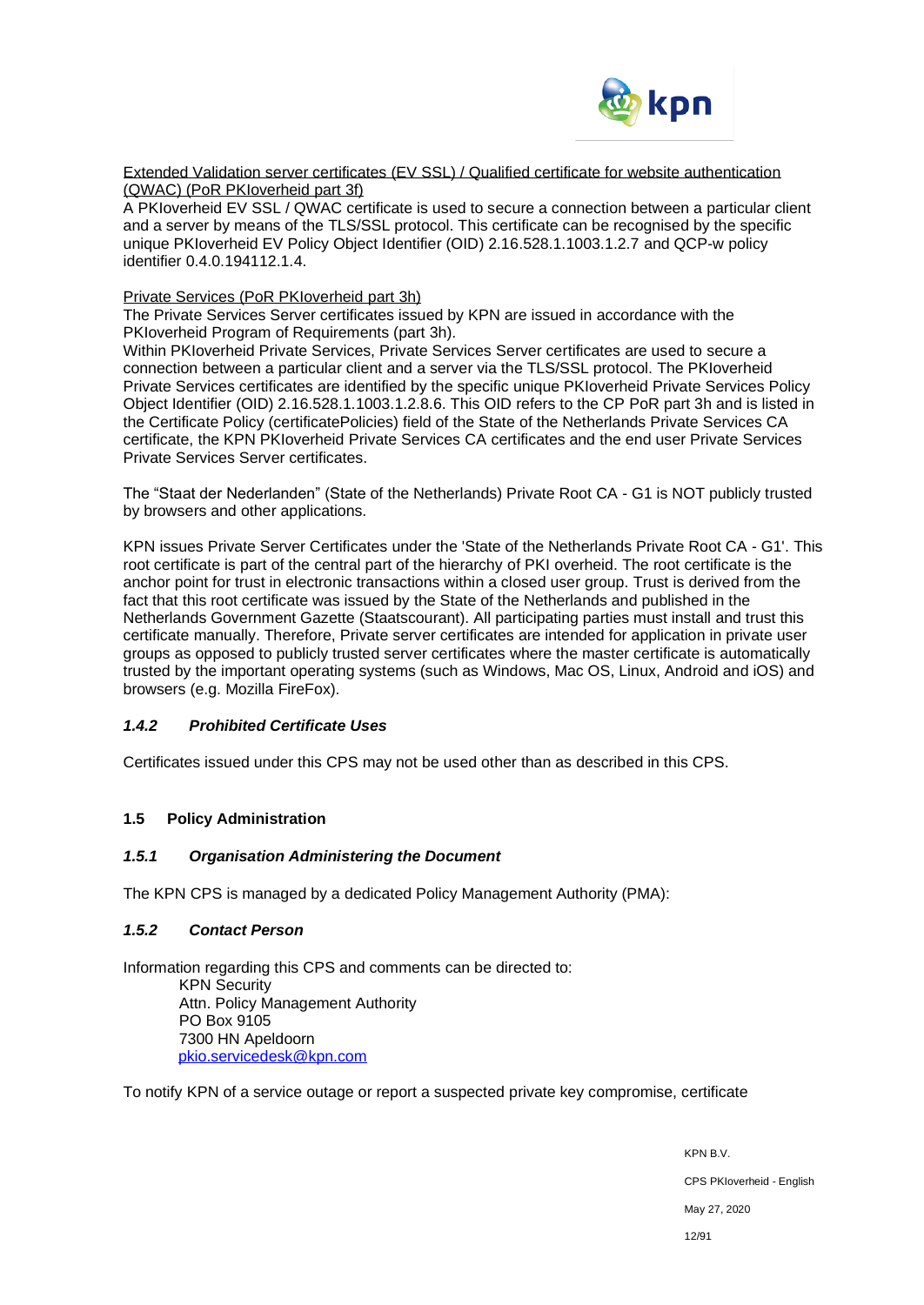

Extended Validation server certificates (EV SSL) / Qualified certificate for website authentication (QWAC) (PoR PKIoverheid part 3f)

A PKIoverheid EV SSL / QWAC certificate is used to secure a connection between a particular client and a server by means of the TLS/SSL protocol. This certificate can be recognised by the specific unique PKIoverheid EV Policy Object Identifier (OID) 2.16.528.1.1003.1.2.7 and QCP-w policy identifier 0.4.0.194112.1.4.

#### Private Services (PoR PKIoverheid part 3h)

The Private Services Server certificates issued by KPN are issued in accordance with the PKIoverheid Program of Requirements (part 3h).

Within PKIoverheid Private Services, Private Services Server certificates are used to secure a connection between a particular client and a server via the TLS/SSL protocol. The PKIoverheid Private Services certificates are identified by the specific unique PKIoverheid Private Services Policy Object Identifier (OID) 2.16.528.1.1003.1.2.8.6. This OID refers to the CP PoR part 3h and is listed in the Certificate Policy (certificatePolicies) field of the State of the Netherlands Private Services CA certificate, the KPN PKIoverheid Private Services CA certificates and the end user Private Services Private Services Server certificates.

The "Staat der Nederlanden" (State of the Netherlands) Private Root CA - G1 is NOT publicly trusted by browsers and other applications.

KPN issues Private Server Certificates under the 'State of the Netherlands Private Root CA - G1'. This root certificate is part of the central part of the hierarchy of PKI overheid. The root certificate is the anchor point for trust in electronic transactions within a closed user group. Trust is derived from the fact that this root certificate was issued by the State of the Netherlands and published in the Netherlands Government Gazette (Staatscourant). All participating parties must install and trust this certificate manually. Therefore, Private server certificates are intended for application in private user groups as opposed to publicly trusted server certificates where the master certificate is automatically trusted by the important operating systems (such as Windows, Mac OS, Linux, Android and iOS) and browsers (e.g. Mozilla FireFox).

# *1.4.2 Prohibited Certificate Uses*

Certificates issued under this CPS may not be used other than as described in this CPS.

# **1.5 Policy Administration**

#### *1.5.1 Organisation Administering the Document*

The KPN CPS is managed by a dedicated Policy Management Authority (PMA):

# *1.5.2 Contact Person*

Information regarding this CPS and comments can be directed to: KPN Security Attn. Policy Management Authority PO Box 9105 7300 HN Apeldoorn [pkio.servicedesk@kpn.com](mailto:pkio.servicedesk@kpn.com)

To notify KPN of a service outage or report a suspected private key compromise, certificate

KPN B.V. CPS PKIoverheid - English May 27, 2020 12/91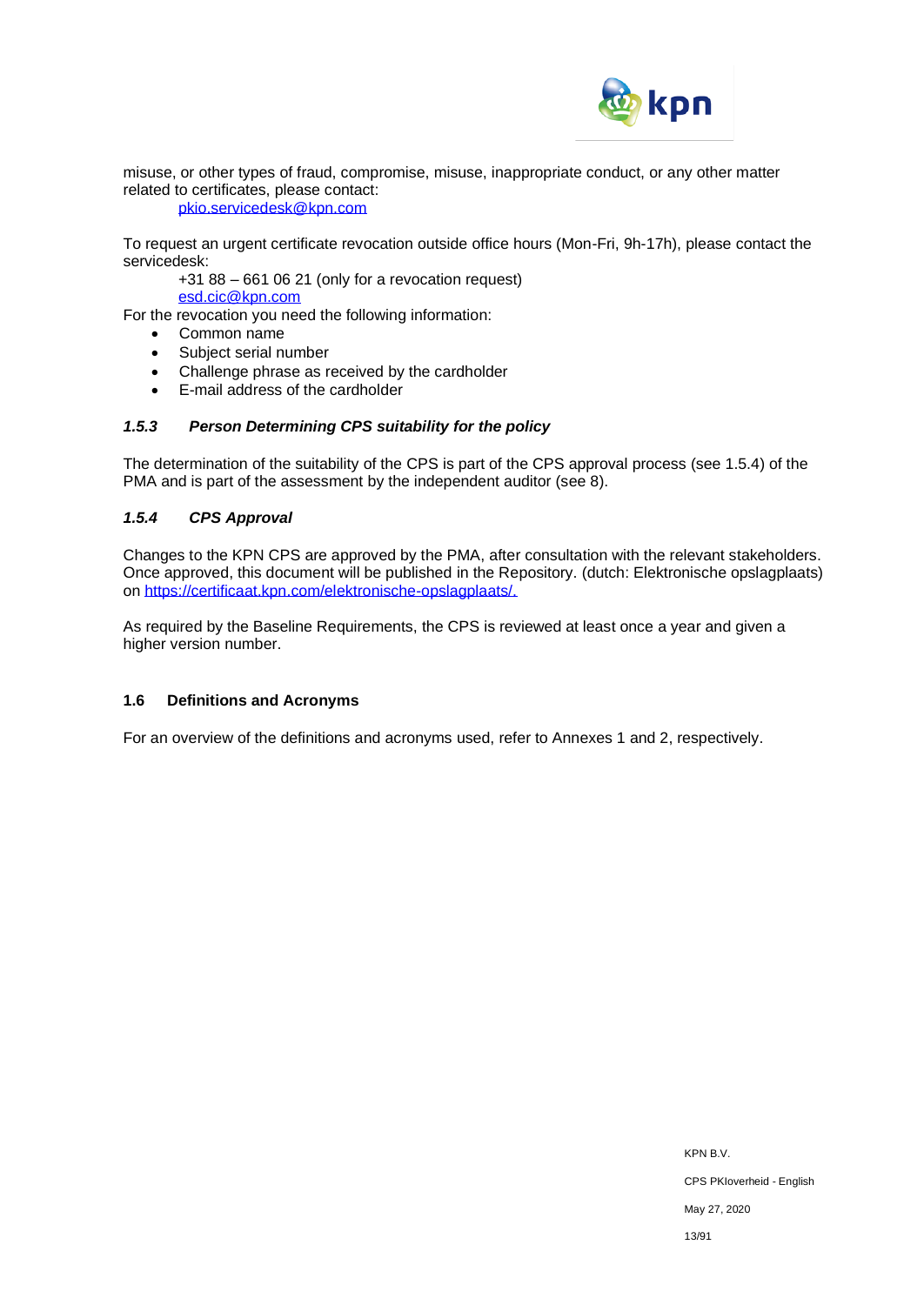

misuse, or other types of fraud, compromise, misuse, inappropriate conduct, or any other matter related to certificates, please contact:

#### [pkio.servicedesk@kpn.com](mailto:pkio.servicedesk@kpn.com)

To request an urgent certificate revocation outside office hours (Mon-Fri, 9h-17h), please contact the servicedesk:

+31 88 – 661 06 21 (only for a revocation request) [esd.cic@kpn.com](mailto:esd.cic@kpn.com)

For the revocation you need the following information:

- Common name
- Subject serial number
- Challenge phrase as received by the cardholder
- E-mail address of the cardholder

# *1.5.3 Person Determining CPS suitability for the policy*

The determination of the suitability of the CPS is part of the CPS approval process (see 1.5.4) of the PMA and is part of the assessment by the independent auditor (see 8).

# *1.5.4 CPS Approval*

Changes to the KPN CPS are approved by the PMA, after consultation with the relevant stakeholders. Once approved, this document will be published in the Repository. (dutch: Elektronische opslagplaats) on [https://certificaat.kpn.com/elektronische-opslagplaats/.](https://certificaat.kpn.com/elektronische-opslagplaats/)

As required by the Baseline Requirements, the CPS is reviewed at least once a year and given a higher version number.

# **1.6 Definitions and Acronyms**

For an overview of the definitions and acronyms used, refer to Annexes 1 and 2, respectively.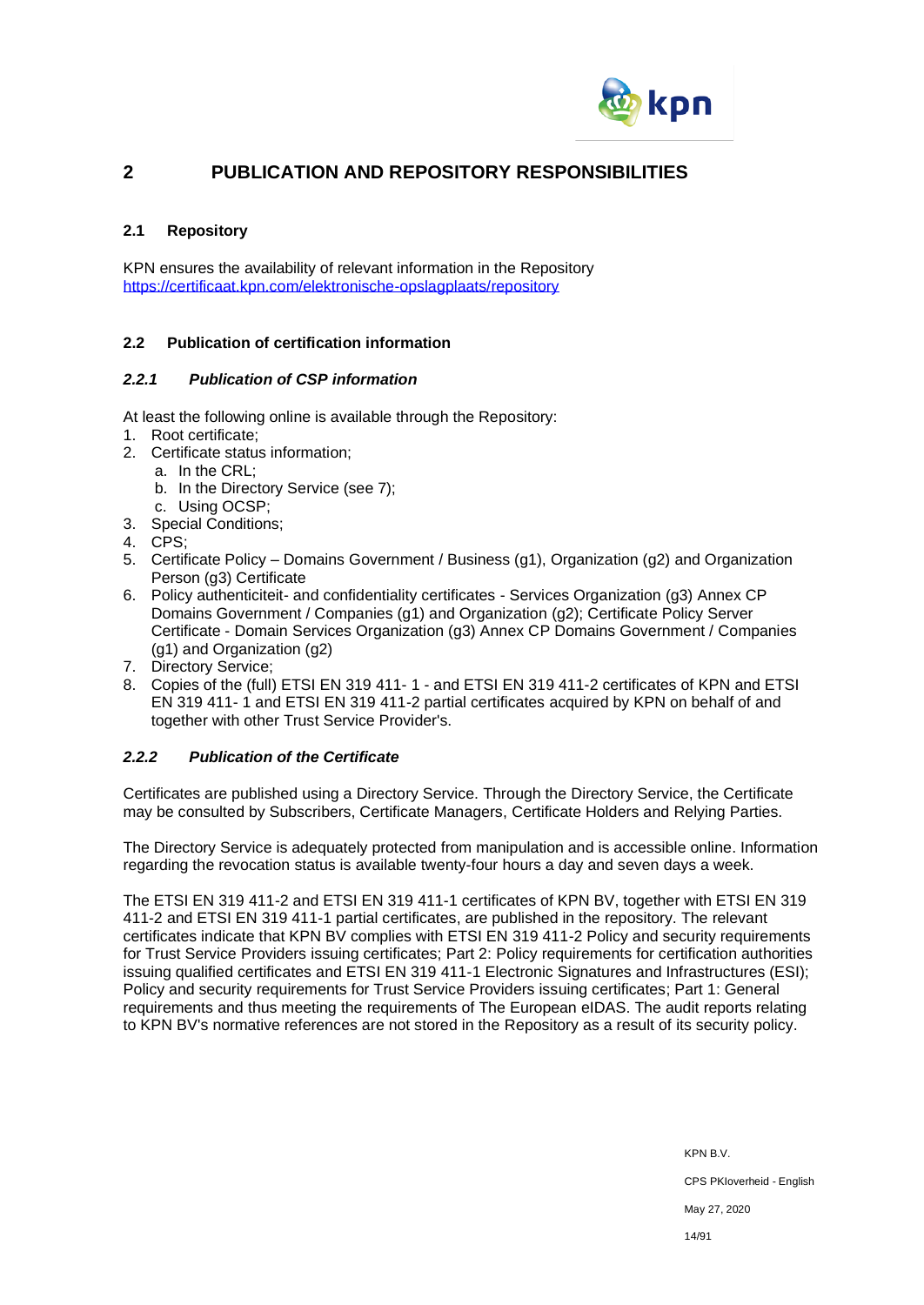

# **2 PUBLICATION AND REPOSITORY RESPONSIBILITIES**

# **2.1 Repository**

KPN ensures the availability of relevant information in the Repository <https://certificaat.kpn.com/elektronische-opslagplaats/repository>

# **2.2 Publication of certification information**

# *2.2.1 Publication of CSP information*

At least the following online is available through the Repository:

- 1. Root certificate;
- 2. Certificate status information;
	- a. In the CRL;
	- b. In the Directory Service (see 7);
	- c. Using OCSP;
- 3. Special Conditions;
- 4. CPS;
- 5. Certificate Policy Domains Government / Business (g1), Organization (g2) and Organization Person (g3) Certificate
- 6. Policy authenticiteit- and confidentiality certificates Services Organization (g3) Annex CP Domains Government / Companies (g1) and Organization (g2); Certificate Policy Server Certificate - Domain Services Organization (g3) Annex CP Domains Government / Companies (g1) and Organization (g2)
- 7. Directory Service;
- 8. Copies of the (full) ETSI EN 319 411- 1 and ETSI EN 319 411-2 certificates of KPN and ETSI EN 319 411- 1 and ETSI EN 319 411-2 partial certificates acquired by KPN on behalf of and together with other Trust Service Provider's.

# *2.2.2 Publication of the Certificate*

Certificates are published using a Directory Service. Through the Directory Service, the Certificate may be consulted by Subscribers, Certificate Managers, Certificate Holders and Relying Parties.

The Directory Service is adequately protected from manipulation and is accessible online. Information regarding the revocation status is available twenty-four hours a day and seven days a week.

The ETSI EN 319 411-2 and ETSI EN 319 411-1 certificates of KPN BV, together with ETSI EN 319 411-2 and ETSI EN 319 411-1 partial certificates, are published in the repository. The relevant certificates indicate that KPN BV complies with ETSI EN 319 411-2 Policy and security requirements for Trust Service Providers issuing certificates; Part 2: Policy requirements for certification authorities issuing qualified certificates and ETSI EN 319 411-1 Electronic Signatures and Infrastructures (ESI); Policy and security requirements for Trust Service Providers issuing certificates; Part 1: General requirements and thus meeting the requirements of The European eIDAS. The audit reports relating to KPN BV's normative references are not stored in the Repository as a result of its security policy.

> KPN B.V. CPS PKIoverheid - English May 27, 2020 14/91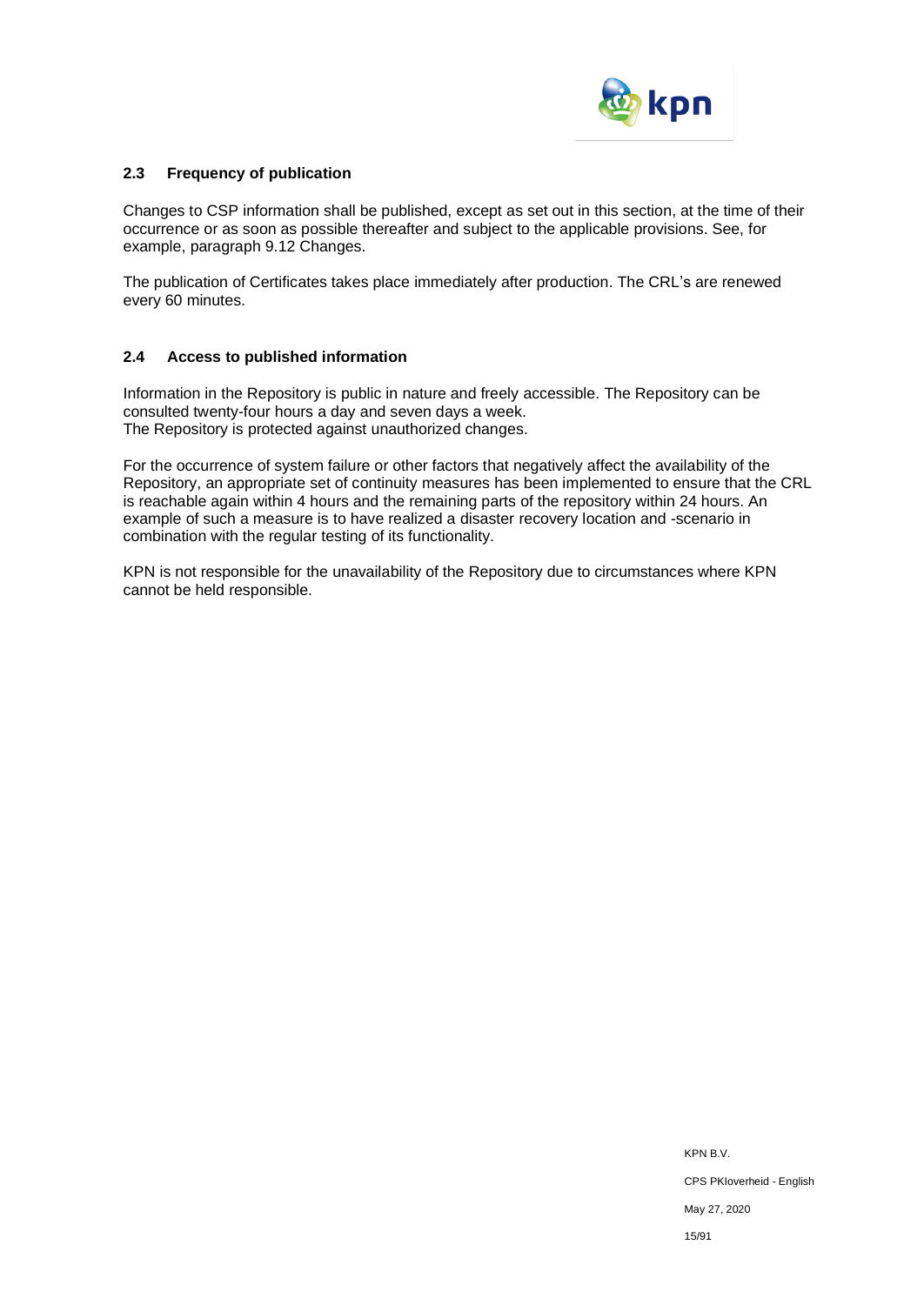

# **2.3 Frequency of publication**

Changes to CSP information shall be published, except as set out in this section, at the time of their occurrence or as soon as possible thereafter and subject to the applicable provisions. See, for example, paragraph 9.12 Changes.

The publication of Certificates takes place immediately after production. The CRL's are renewed every 60 minutes.

#### **2.4 Access to published information**

Information in the Repository is public in nature and freely accessible. The Repository can be consulted twenty-four hours a day and seven days a week. The Repository is protected against unauthorized changes.

For the occurrence of system failure or other factors that negatively affect the availability of the Repository, an appropriate set of continuity measures has been implemented to ensure that the CRL is reachable again within 4 hours and the remaining parts of the repository within 24 hours. An example of such a measure is to have realized a disaster recovery location and -scenario in combination with the regular testing of its functionality.

KPN is not responsible for the unavailability of the Repository due to circumstances where KPN cannot be held responsible.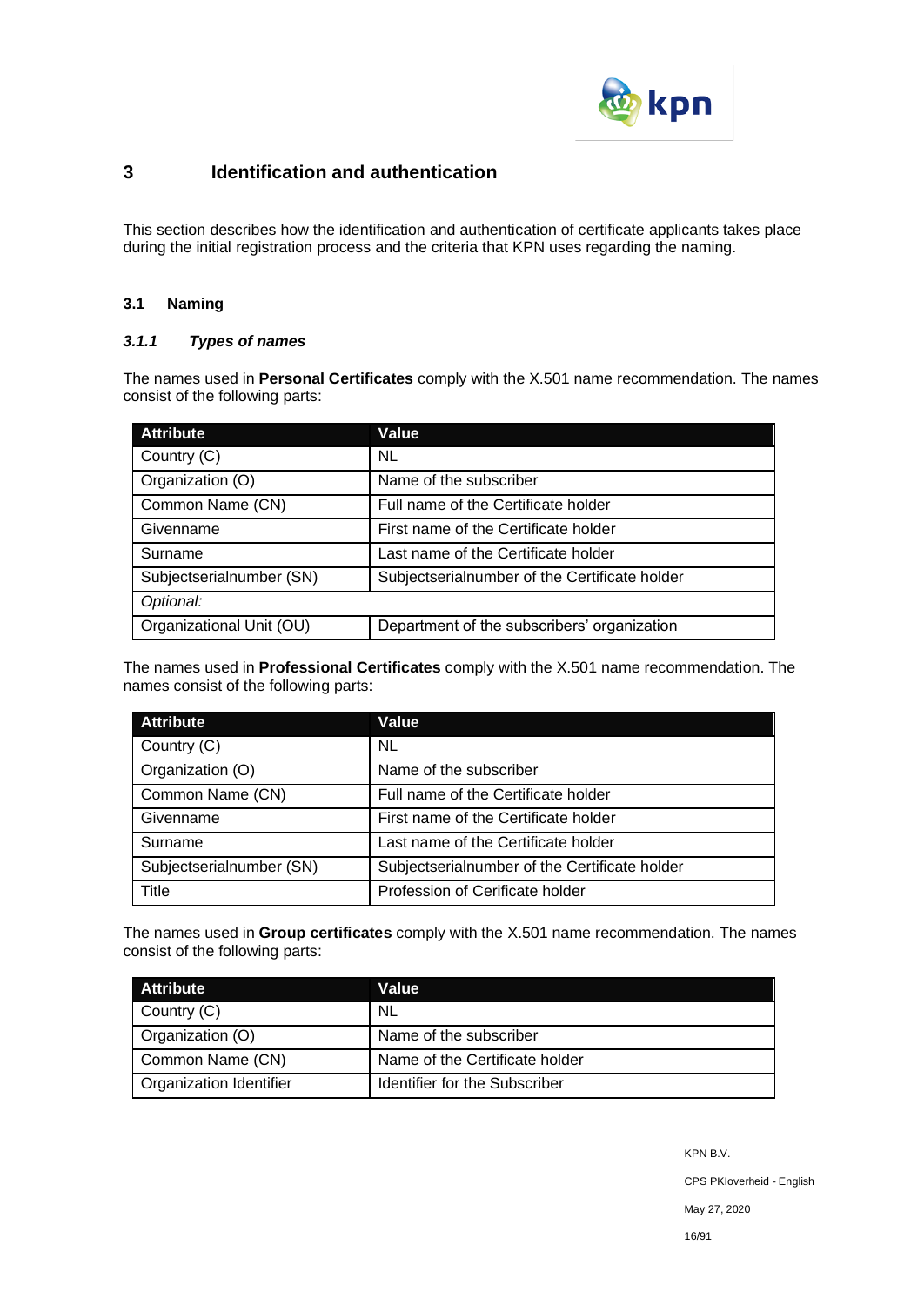

# **3 Identification and authentication**

This section describes how the identification and authentication of certificate applicants takes place during the initial registration process and the criteria that KPN uses regarding the naming.

# **3.1 Naming**

# *3.1.1 Types of names*

The names used in **Personal Certificates** comply with the X.501 name recommendation. The names consist of the following parts:

| <b>Attribute</b>         | Value                                         |
|--------------------------|-----------------------------------------------|
| Country (C)              | NL.                                           |
| Organization (O)         | Name of the subscriber                        |
| Common Name (CN)         | Full name of the Certificate holder           |
| Givenname                | First name of the Certificate holder          |
| Surname                  | Last name of the Certificate holder           |
| Subjectserialnumber (SN) | Subjectserialnumber of the Certificate holder |
| Optional:                |                                               |
| Organizational Unit (OU) | Department of the subscribers' organization   |

The names used in **Professional Certificates** comply with the X.501 name recommendation. The names consist of the following parts:

| <b>Attribute</b>         | Value                                         |
|--------------------------|-----------------------------------------------|
| Country (C)              | NL                                            |
| Organization (O)         | Name of the subscriber                        |
| Common Name (CN)         | Full name of the Certificate holder           |
| Givenname                | First name of the Certificate holder          |
| Surname                  | Last name of the Certificate holder           |
| Subjectserialnumber (SN) | Subjectserialnumber of the Certificate holder |
| Title                    | Profession of Cerificate holder               |

The names used in **Group certificates** comply with the X.501 name recommendation. The names consist of the following parts:

| <b>Attribute</b>               | Value                          |
|--------------------------------|--------------------------------|
| Country (C)                    | <b>NL</b>                      |
| Organization (O)               | Name of the subscriber         |
| Common Name (CN)               | Name of the Certificate holder |
| <b>Organization Identifier</b> | Identifier for the Subscriber  |

KPN B.V.

CPS PKIoverheid - English

May 27, 2020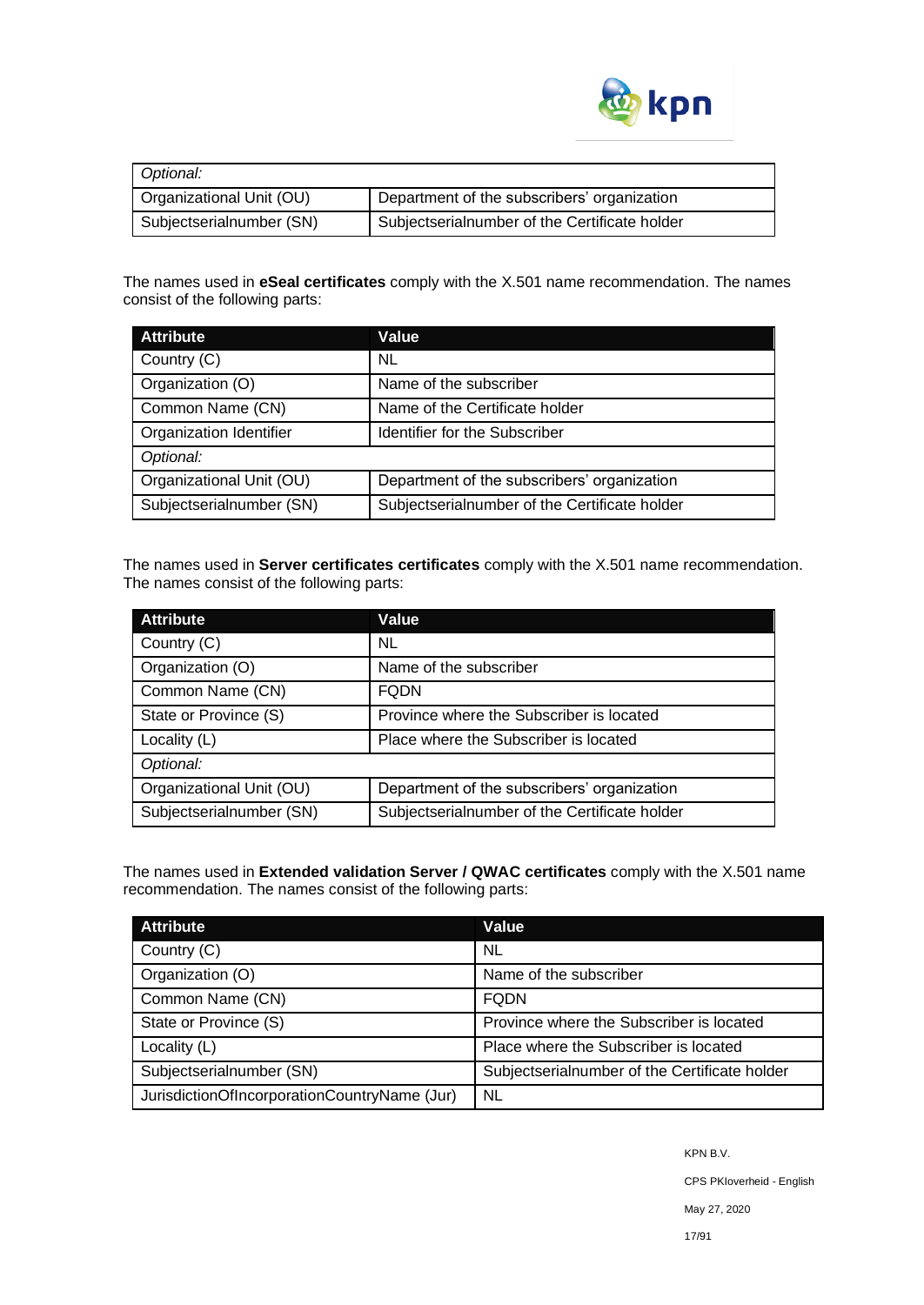

| Optional:                |                                               |  |
|--------------------------|-----------------------------------------------|--|
| Organizational Unit (OU) | Department of the subscribers' organization   |  |
| Subjectserialnumber (SN) | Subjectserialnumber of the Certificate holder |  |

The names used in **eSeal certificates** comply with the X.501 name recommendation. The names consist of the following parts:

| <b>Attribute</b>         | Value                                         |  |
|--------------------------|-----------------------------------------------|--|
| Country (C)              | NL.                                           |  |
| Organization (O)         | Name of the subscriber                        |  |
| Common Name (CN)         | Name of the Certificate holder                |  |
| Organization Identifier  | Identifier for the Subscriber                 |  |
| Optional:                |                                               |  |
| Organizational Unit (OU) | Department of the subscribers' organization   |  |
| Subjectserialnumber (SN) | Subjectserialnumber of the Certificate holder |  |

The names used in **Server certificates certificates** comply with the X.501 name recommendation. The names consist of the following parts:

| <b>Attribute</b>         | Value                                         |
|--------------------------|-----------------------------------------------|
| Country (C)              | <b>NL</b>                                     |
| Organization (O)         | Name of the subscriber                        |
| Common Name (CN)         | <b>FODN</b>                                   |
| State or Province (S)    | Province where the Subscriber is located      |
| Locality (L)             | Place where the Subscriber is located         |
| Optional:                |                                               |
| Organizational Unit (OU) | Department of the subscribers' organization   |
| Subjectserialnumber (SN) | Subjectserialnumber of the Certificate holder |

The names used in **Extended validation Server / QWAC certificates** comply with the X.501 name recommendation. The names consist of the following parts:

| <b>Attribute</b>                             | Value                                         |
|----------------------------------------------|-----------------------------------------------|
| Country (C)                                  | <b>NL</b>                                     |
| Organization (O)                             | Name of the subscriber                        |
| Common Name (CN)                             | <b>FQDN</b>                                   |
| State or Province (S)                        | Province where the Subscriber is located      |
| Locality (L)                                 | Place where the Subscriber is located         |
| Subjectserialnumber (SN)                     | Subjectserialnumber of the Certificate holder |
| JurisdictionOfIncorporationCountryName (Jur) | <b>NL</b>                                     |

KPN B.V.

CPS PKIoverheid - English

May 27, 2020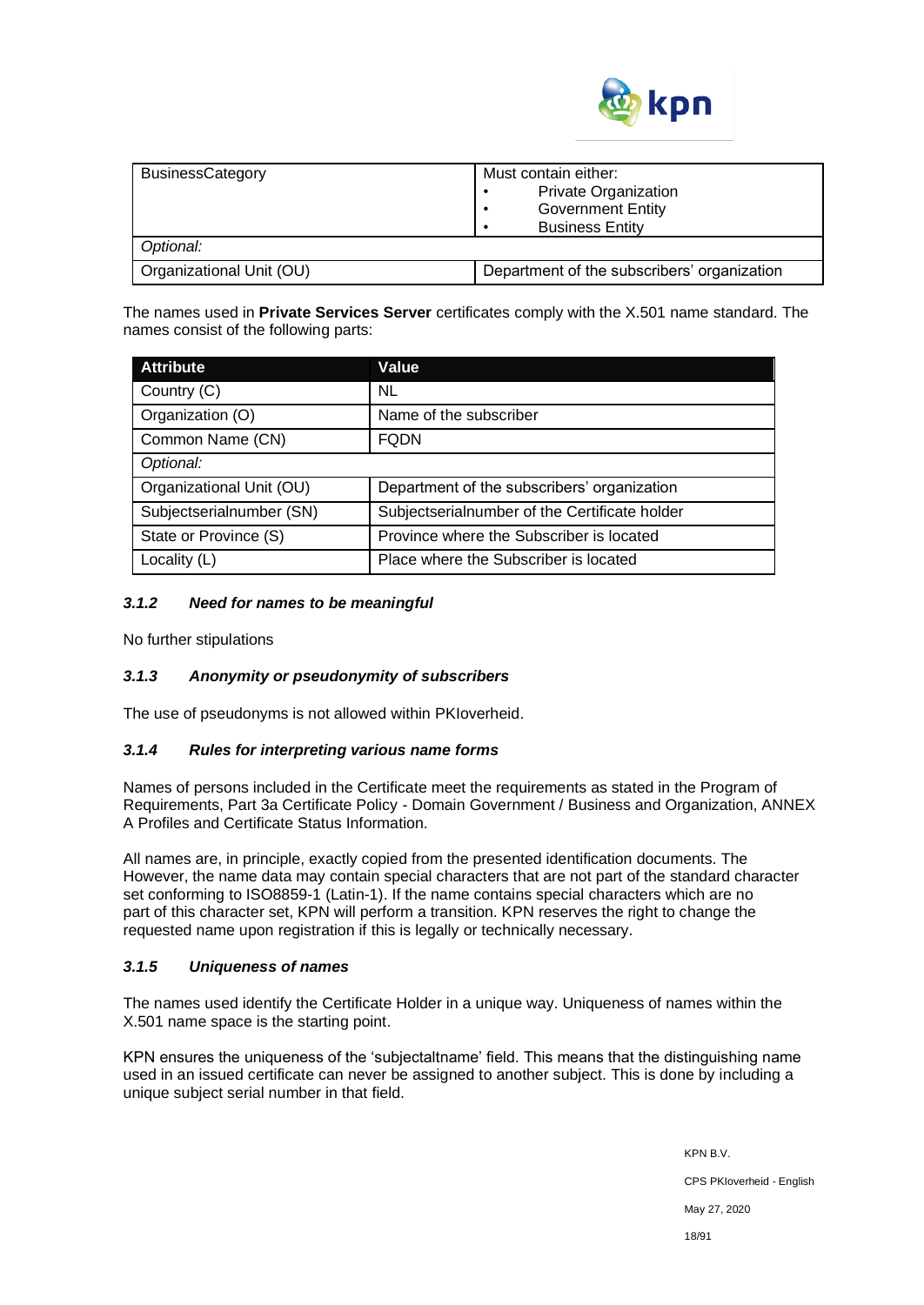

| <b>BusinessCategory</b>  | Must contain either:<br><b>Private Organization</b><br><b>Government Entity</b><br><b>Business Entity</b> |
|--------------------------|-----------------------------------------------------------------------------------------------------------|
| Optional:                |                                                                                                           |
| Organizational Unit (OU) | Department of the subscribers' organization                                                               |

The names used in **Private Services Server** certificates comply with the X.501 name standard. The names consist of the following parts:

| <b>Attribute</b>         | Value                                         |
|--------------------------|-----------------------------------------------|
| Country (C)              | NL                                            |
| Organization (O)         | Name of the subscriber                        |
| Common Name (CN)         | <b>FQDN</b>                                   |
| Optional:                |                                               |
| Organizational Unit (OU) | Department of the subscribers' organization   |
| Subjectserialnumber (SN) | Subjectserialnumber of the Certificate holder |
| State or Province (S)    | Province where the Subscriber is located      |
| Locality (L)             | Place where the Subscriber is located         |

# *3.1.2 Need for names to be meaningful*

No further stipulations

# *3.1.3 Anonymity or pseudonymity of subscribers*

The use of pseudonyms is not allowed within PKIoverheid.

# *3.1.4 Rules for interpreting various name forms*

Names of persons included in the Certificate meet the requirements as stated in the Program of Requirements, Part 3a Certificate Policy - Domain Government / Business and Organization, ANNEX A Profiles and Certificate Status Information.

All names are, in principle, exactly copied from the presented identification documents. The However, the name data may contain special characters that are not part of the standard character set conforming to ISO8859-1 (Latin-1). If the name contains special characters which are no part of this character set, KPN will perform a transition. KPN reserves the right to change the requested name upon registration if this is legally or technically necessary.

# *3.1.5 Uniqueness of names*

The names used identify the Certificate Holder in a unique way. Uniqueness of names within the X.501 name space is the starting point.

KPN ensures the uniqueness of the 'subjectaltname' field. This means that the distinguishing name used in an issued certificate can never be assigned to another subject. This is done by including a unique subject serial number in that field.

> KPN B.V. CPS PKIoverheid - English May 27, 2020 18/91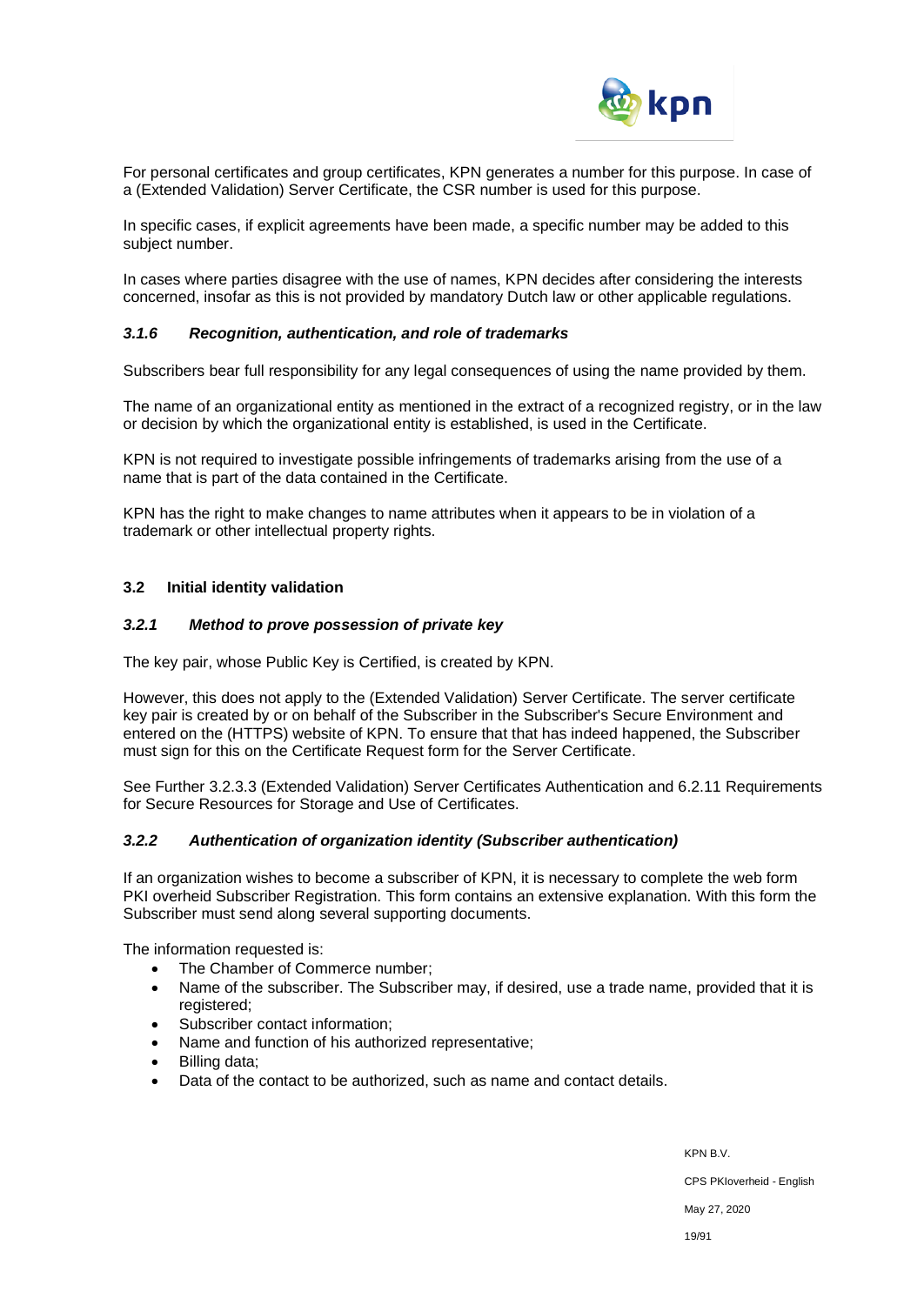

For personal certificates and group certificates, KPN generates a number for this purpose. In case of a (Extended Validation) Server Certificate, the CSR number is used for this purpose.

In specific cases, if explicit agreements have been made, a specific number may be added to this subject number.

In cases where parties disagree with the use of names, KPN decides after considering the interests concerned, insofar as this is not provided by mandatory Dutch law or other applicable regulations.

#### *3.1.6 Recognition, authentication, and role of trademarks*

Subscribers bear full responsibility for any legal consequences of using the name provided by them.

The name of an organizational entity as mentioned in the extract of a recognized registry, or in the law or decision by which the organizational entity is established, is used in the Certificate.

KPN is not required to investigate possible infringements of trademarks arising from the use of a name that is part of the data contained in the Certificate.

KPN has the right to make changes to name attributes when it appears to be in violation of a trademark or other intellectual property rights.

#### **3.2 Initial identity validation**

#### *3.2.1 Method to prove possession of private key*

The key pair, whose Public Key is Certified, is created by KPN.

However, this does not apply to the (Extended Validation) Server Certificate. The server certificate key pair is created by or on behalf of the Subscriber in the Subscriber's Secure Environment and entered on the (HTTPS) website of KPN. To ensure that that has indeed happened, the Subscriber must sign for this on the Certificate Request form for the Server Certificate.

See Further 3.2.3.3 (Extended Validation) Server Certificates Authentication and 6.2.11 Requirements for Secure Resources for Storage and Use of Certificates.

#### *3.2.2 Authentication of organization identity (Subscriber authentication)*

If an organization wishes to become a subscriber of KPN, it is necessary to complete the web form PKI overheid Subscriber Registration. This form contains an extensive explanation. With this form the Subscriber must send along several supporting documents.

The information requested is:

- The Chamber of Commerce number;
- Name of the subscriber. The Subscriber may, if desired, use a trade name, provided that it is registered;
- Subscriber contact information;
- Name and function of his authorized representative;
- Billing data:
- Data of the contact to be authorized, such as name and contact details.

KPN B.V. CPS PKIoverheid - English May 27, 2020 19/91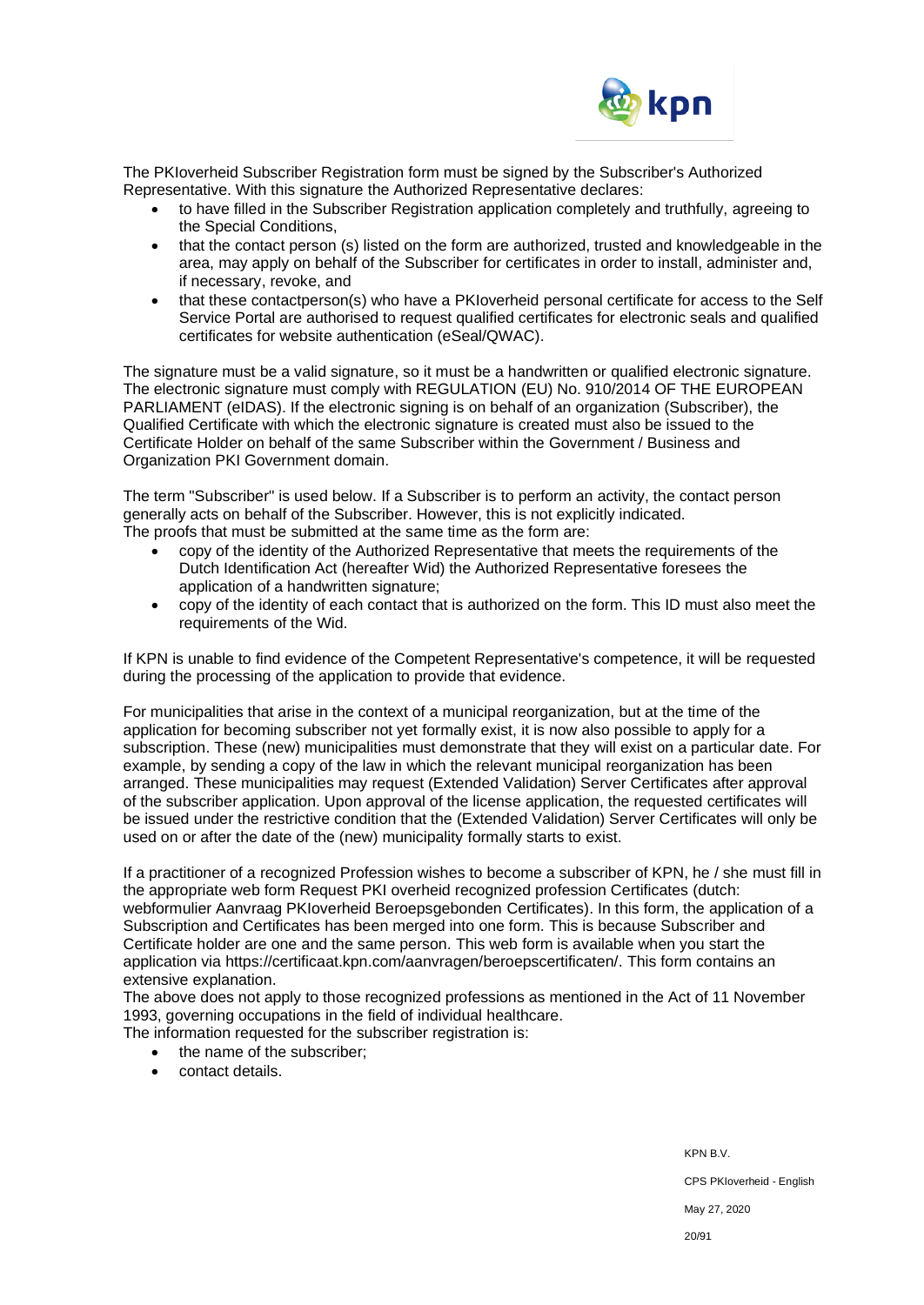

The PKIoverheid Subscriber Registration form must be signed by the Subscriber's Authorized Representative. With this signature the Authorized Representative declares:

- to have filled in the Subscriber Registration application completely and truthfully, agreeing to the Special Conditions,
- that the contact person (s) listed on the form are authorized, trusted and knowledgeable in the area, may apply on behalf of the Subscriber for certificates in order to install, administer and, if necessary, revoke, and
- that these contactperson(s) who have a PKIoverheid personal certificate for access to the Self Service Portal are authorised to request qualified certificates for electronic seals and qualified certificates for website authentication (eSeal/QWAC).

The signature must be a valid signature, so it must be a handwritten or qualified electronic signature. The electronic signature must comply with REGULATION (EU) No. 910/2014 OF THE EUROPEAN PARLIAMENT (eIDAS). If the electronic signing is on behalf of an organization (Subscriber), the Qualified Certificate with which the electronic signature is created must also be issued to the Certificate Holder on behalf of the same Subscriber within the Government / Business and Organization PKI Government domain.

The term "Subscriber" is used below. If a Subscriber is to perform an activity, the contact person generally acts on behalf of the Subscriber. However, this is not explicitly indicated. The proofs that must be submitted at the same time as the form are:

- copy of the identity of the Authorized Representative that meets the requirements of the Dutch Identification Act (hereafter Wid) the Authorized Representative foresees the application of a handwritten signature;
- copy of the identity of each contact that is authorized on the form. This ID must also meet the requirements of the Wid.

If KPN is unable to find evidence of the Competent Representative's competence, it will be requested during the processing of the application to provide that evidence.

For municipalities that arise in the context of a municipal reorganization, but at the time of the application for becoming subscriber not yet formally exist, it is now also possible to apply for a subscription. These (new) municipalities must demonstrate that they will exist on a particular date. For example, by sending a copy of the law in which the relevant municipal reorganization has been arranged. These municipalities may request (Extended Validation) Server Certificates after approval of the subscriber application. Upon approval of the license application, the requested certificates will be issued under the restrictive condition that the (Extended Validation) Server Certificates will only be used on or after the date of the (new) municipality formally starts to exist.

If a practitioner of a recognized Profession wishes to become a subscriber of KPN, he / she must fill in the appropriate web form Request PKI overheid recognized profession Certificates (dutch: webformulier Aanvraag PKIoverheid Beroepsgebonden Certificates). In this form, the application of a Subscription and Certificates has been merged into one form. This is because Subscriber and Certificate holder are one and the same person. This web form is available when you start the application via https://certificaat.kpn.com/aanvragen/beroepscertificaten/. This form contains an extensive explanation.

The above does not apply to those recognized professions as mentioned in the Act of 11 November 1993, governing occupations in the field of individual healthcare.

The information requested for the subscriber registration is:

- the name of the subscriber;
- contact details.

KPN B.V.

CPS PKIoverheid - English

May 27, 2020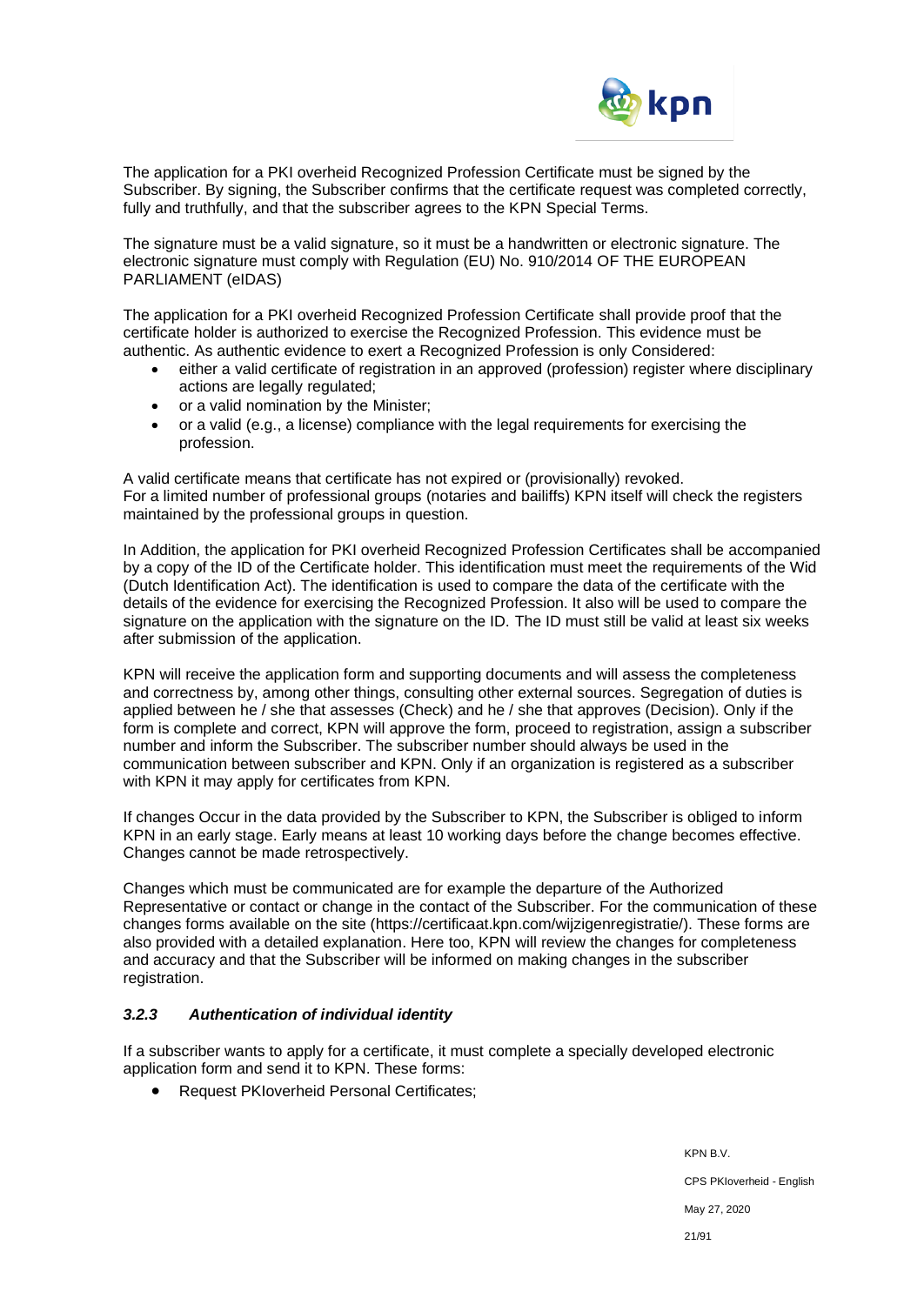

The application for a PKI overheid Recognized Profession Certificate must be signed by the Subscriber. By signing, the Subscriber confirms that the certificate request was completed correctly, fully and truthfully, and that the subscriber agrees to the KPN Special Terms.

The signature must be a valid signature, so it must be a handwritten or electronic signature. The electronic signature must comply with Regulation (EU) No. 910/2014 OF THE EUROPEAN PARLIAMENT (eIDAS)

The application for a PKI overheid Recognized Profession Certificate shall provide proof that the certificate holder is authorized to exercise the Recognized Profession. This evidence must be authentic. As authentic evidence to exert a Recognized Profession is only Considered:

- either a valid certificate of registration in an approved (profession) register where disciplinary actions are legally regulated;
- or a valid nomination by the Minister;
- or a valid (e.g., a license) compliance with the legal requirements for exercising the profession.

A valid certificate means that certificate has not expired or (provisionally) revoked. For a limited number of professional groups (notaries and bailiffs) KPN itself will check the registers maintained by the professional groups in question.

In Addition, the application for PKI overheid Recognized Profession Certificates shall be accompanied by a copy of the ID of the Certificate holder. This identification must meet the requirements of the Wid (Dutch Identification Act). The identification is used to compare the data of the certificate with the details of the evidence for exercising the Recognized Profession. It also will be used to compare the signature on the application with the signature on the ID. The ID must still be valid at least six weeks after submission of the application.

KPN will receive the application form and supporting documents and will assess the completeness and correctness by, among other things, consulting other external sources. Segregation of duties is applied between he / she that assesses (Check) and he / she that approves (Decision). Only if the form is complete and correct, KPN will approve the form, proceed to registration, assign a subscriber number and inform the Subscriber. The subscriber number should always be used in the communication between subscriber and KPN. Only if an organization is registered as a subscriber with KPN it may apply for certificates from KPN.

If changes Occur in the data provided by the Subscriber to KPN, the Subscriber is obliged to inform KPN in an early stage. Early means at least 10 working days before the change becomes effective. Changes cannot be made retrospectively.

Changes which must be communicated are for example the departure of the Authorized Representative or contact or change in the contact of the Subscriber. For the communication of these changes forms available on the site [\(https://certificaat.kpn.com/wijzigenregistratie/\)](https://certificaat.kpn.com/wijzigenregistratie/). These forms are also provided with a detailed explanation. Here too, KPN will review the changes for completeness and accuracy and that the Subscriber will be informed on making changes in the subscriber registration.

# *3.2.3 Authentication of individual identity*

If a subscriber wants to apply for a certificate, it must complete a specially developed electronic application form and send it to KPN. These forms:

• Request PKIoverheid Personal Certificates;

KPN B.V. CPS PKIoverheid - English May 27, 2020 21/91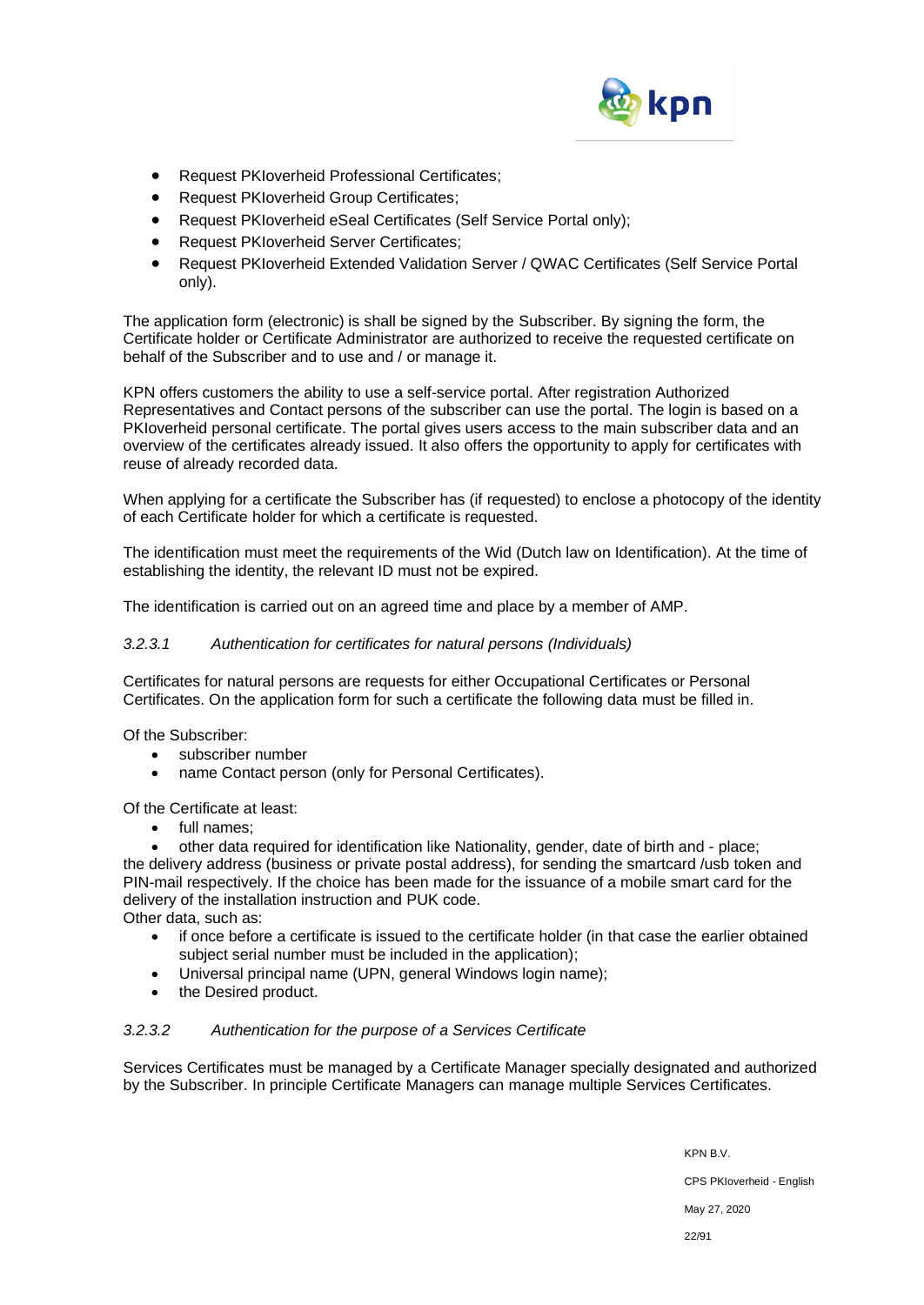

- Request PKIoverheid Professional Certificates;
- Request PKIoverheid Group Certificates;
- Request PKIoverheid eSeal Certificates (Self Service Portal only);
- Request PKIoverheid Server Certificates;
- Request PKIoverheid Extended Validation Server / QWAC Certificates (Self Service Portal only).

The application form (electronic) is shall be signed by the Subscriber. By signing the form, the Certificate holder or Certificate Administrator are authorized to receive the requested certificate on behalf of the Subscriber and to use and / or manage it.

KPN offers customers the ability to use a self-service portal. After registration Authorized Representatives and Contact persons of the subscriber can use the portal. The login is based on a PKIoverheid personal certificate. The portal gives users access to the main subscriber data and an overview of the certificates already issued. It also offers the opportunity to apply for certificates with reuse of already recorded data.

When applying for a certificate the Subscriber has (if requested) to enclose a photocopy of the identity of each Certificate holder for which a certificate is requested.

The identification must meet the requirements of the Wid (Dutch law on Identification). At the time of establishing the identity, the relevant ID must not be expired.

The identification is carried out on an agreed time and place by a member of AMP.

### *3.2.3.1 Authentication for certificates for natural persons (Individuals)*

Certificates for natural persons are requests for either Occupational Certificates or Personal Certificates. On the application form for such a certificate the following data must be filled in.

Of the Subscriber:

- subscriber number
- name Contact person (only for Personal Certificates).

Of the Certificate at least:

• full names;

• other data required for identification like Nationality, gender, date of birth and - place; the delivery address (business or private postal address), for sending the smartcard /usb token and PIN-mail respectively. If the choice has been made for the issuance of a mobile smart card for the delivery of the installation instruction and PUK code. Other data, such as:

- if once before a certificate is issued to the certificate holder (in that case the earlier obtained subject serial number must be included in the application);
- Universal principal name (UPN, general Windows login name);
- the Desired product.

# *3.2.3.2 Authentication for the purpose of a Services Certificate*

Services Certificates must be managed by a Certificate Manager specially designated and authorized by the Subscriber. In principle Certificate Managers can manage multiple Services Certificates.

> KPN B.V. CPS PKIoverheid - English May 27, 2020 22/91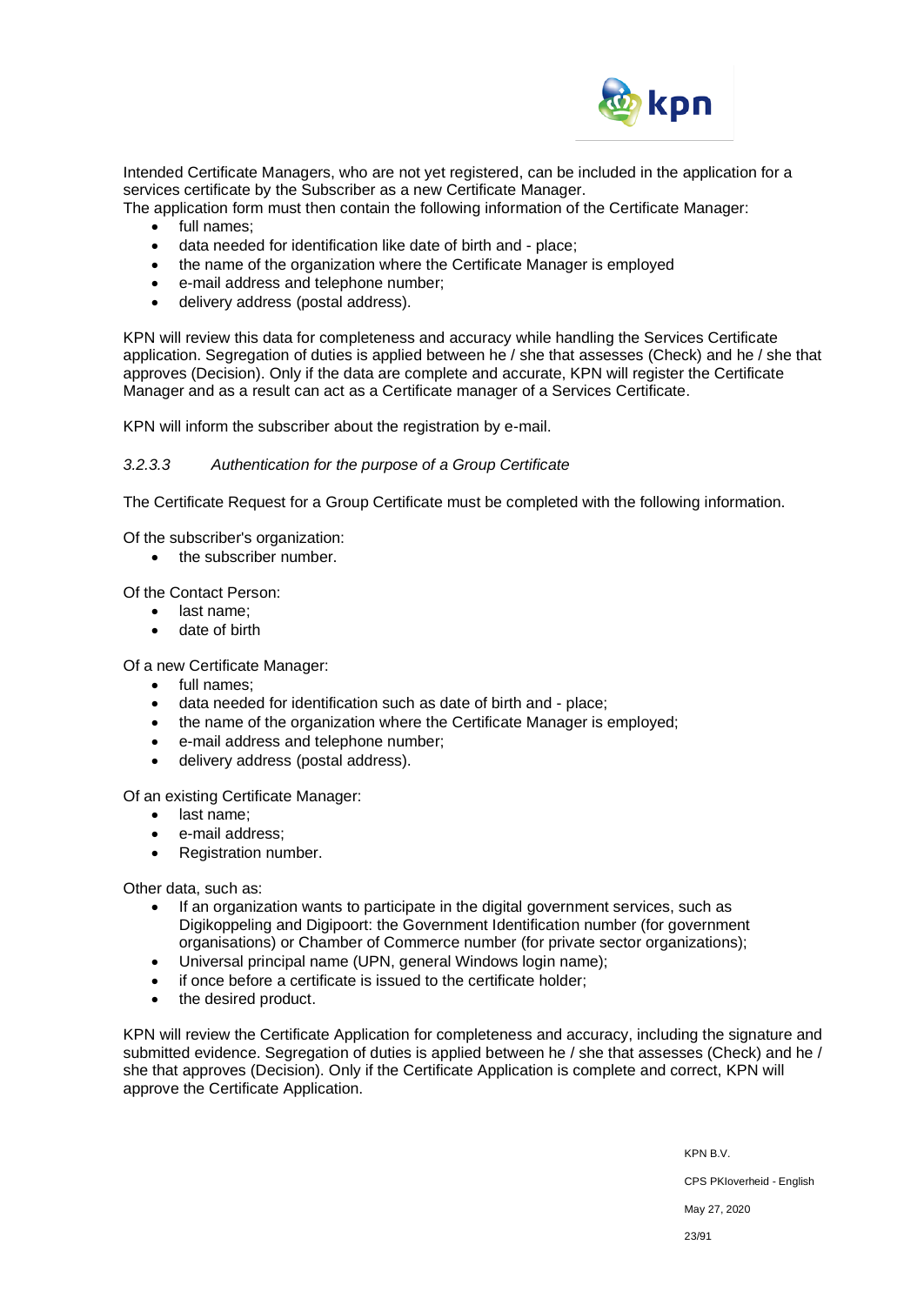

Intended Certificate Managers, who are not yet registered, can be included in the application for a services certificate by the Subscriber as a new Certificate Manager.

The application form must then contain the following information of the Certificate Manager:

- full names;
- data needed for identification like date of birth and place;
- the name of the organization where the Certificate Manager is employed
- e-mail address and telephone number;
- delivery address (postal address).

KPN will review this data for completeness and accuracy while handling the Services Certificate application. Segregation of duties is applied between he / she that assesses (Check) and he / she that approves (Decision). Only if the data are complete and accurate, KPN will register the Certificate Manager and as a result can act as a Certificate manager of a Services Certificate.

KPN will inform the subscriber about the registration by e-mail.

#### *3.2.3.3 Authentication for the purpose of a Group Certificate*

The Certificate Request for a Group Certificate must be completed with the following information.

Of the subscriber's organization:

the subscriber number.

Of the Contact Person:

- last name;
- date of birth

Of a new Certificate Manager:

- full names;
- data needed for identification such as date of birth and place;
- the name of the organization where the Certificate Manager is employed;
- e-mail address and telephone number;
- delivery address (postal address).

Of an existing Certificate Manager:

- last name;
- e-mail address;
- Registration number.

Other data, such as:

- If an organization wants to participate in the digital government services, such as Digikoppeling and Digipoort: the Government Identification number (for government organisations) or Chamber of Commerce number (for private sector organizations);
- Universal principal name (UPN, general Windows login name);
- if once before a certificate is issued to the certificate holder;
- the desired product.

KPN will review the Certificate Application for completeness and accuracy, including the signature and submitted evidence. Segregation of duties is applied between he / she that assesses (Check) and he / she that approves (Decision). Only if the Certificate Application is complete and correct, KPN will approve the Certificate Application.

> KPN B.V. CPS PKIoverheid - English May 27, 2020 23/91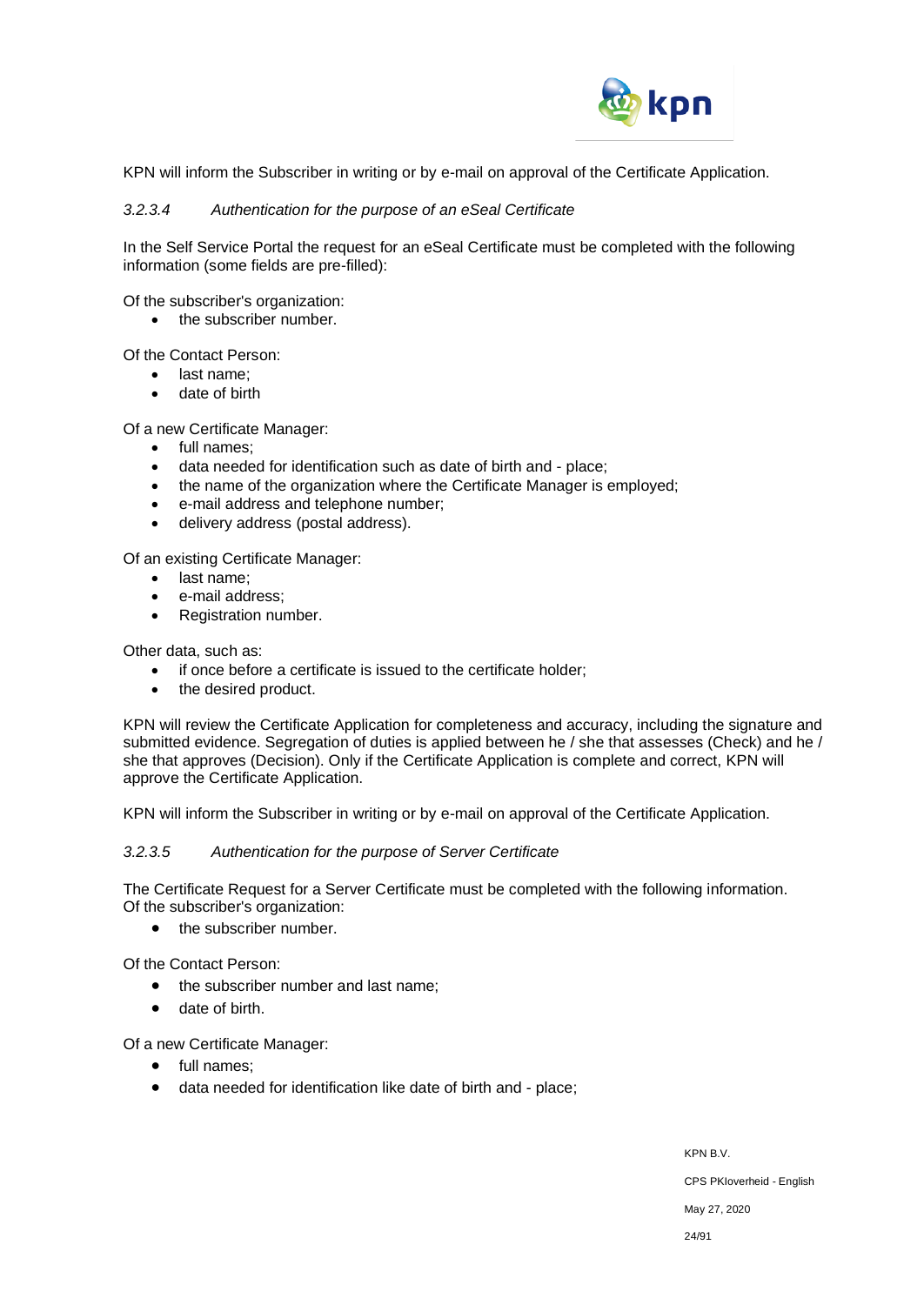

KPN will inform the Subscriber in writing or by e-mail on approval of the Certificate Application.

#### *3.2.3.4 Authentication for the purpose of an eSeal Certificate*

In the Self Service Portal the request for an eSeal Certificate must be completed with the following information (some fields are pre-filled):

Of the subscriber's organization:

• the subscriber number.

Of the Contact Person:

- last name;
- date of birth

Of a new Certificate Manager:

- full names;
- data needed for identification such as date of birth and place;
- the name of the organization where the Certificate Manager is employed;
- e-mail address and telephone number;
- delivery address (postal address).

Of an existing Certificate Manager:

- last name;
- e-mail address:
- Registration number.

Other data, such as:

- if once before a certificate is issued to the certificate holder;
- the desired product.

KPN will review the Certificate Application for completeness and accuracy, including the signature and submitted evidence. Segregation of duties is applied between he / she that assesses (Check) and he / she that approves (Decision). Only if the Certificate Application is complete and correct, KPN will approve the Certificate Application.

KPN will inform the Subscriber in writing or by e-mail on approval of the Certificate Application.

#### *3.2.3.5 Authentication for the purpose of Server Certificate*

The Certificate Request for a Server Certificate must be completed with the following information. Of the subscriber's organization:

• the subscriber number.

Of the Contact Person:

- the subscriber number and last name;
- date of birth.

Of a new Certificate Manager:

- full names;
- data needed for identification like date of birth and place;

KPN B.V. CPS PKIoverheid - English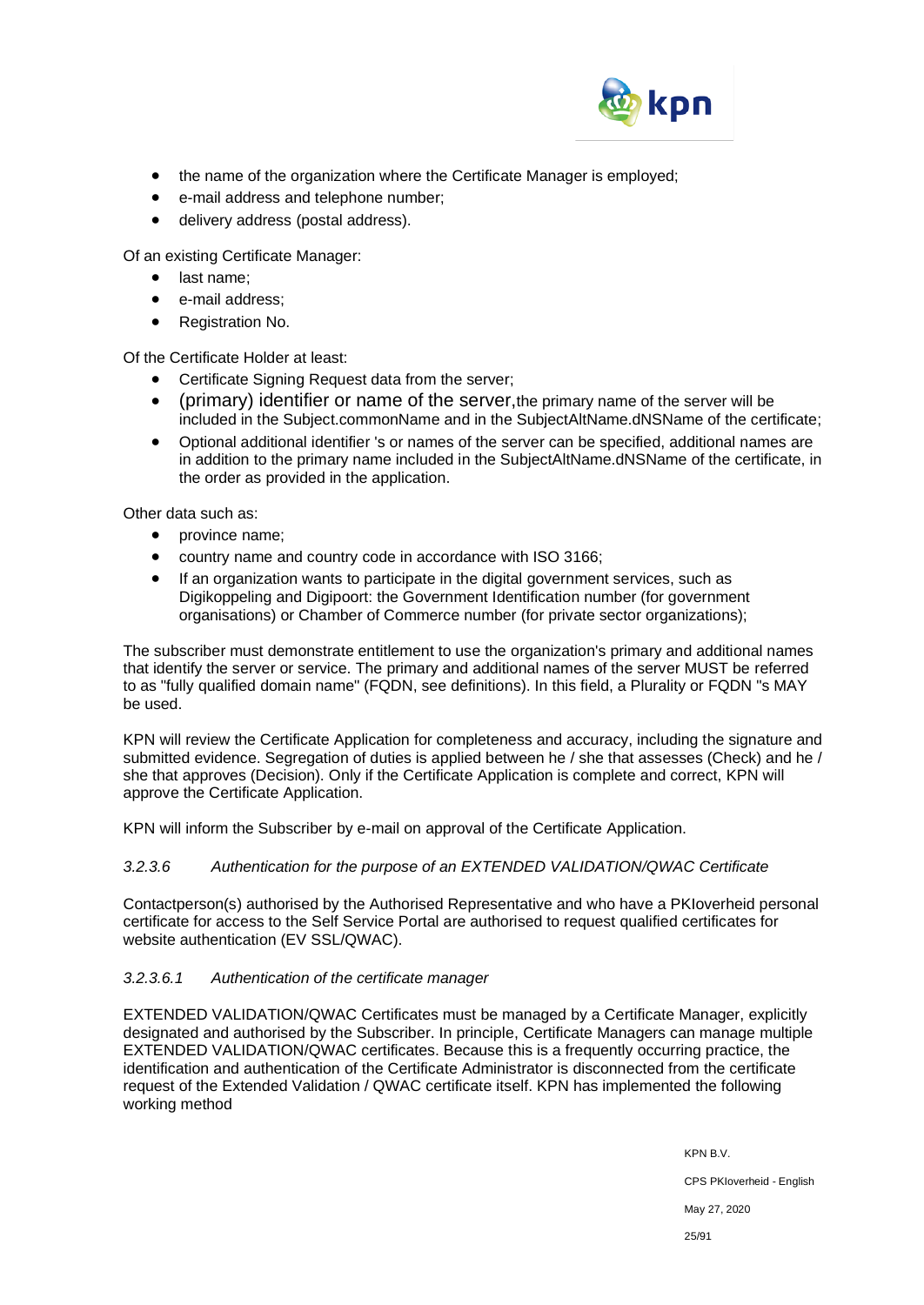

- the name of the organization where the Certificate Manager is employed;
- e-mail address and telephone number;
- delivery address (postal address).

Of an existing Certificate Manager:

- last name;
- e-mail address:
- Registration No.

Of the Certificate Holder at least:

- Certificate Signing Request data from the server;
- (primary) identifier or name of the server,the primary name of the server will be included in the Subject.commonName and in the SubjectAltName.dNSName of the certificate;
- Optional additional identifier 's or names of the server can be specified, additional names are in addition to the primary name included in the SubjectAltName.dNSName of the certificate, in the order as provided in the application.

Other data such as:

- province name;
- country name and country code in accordance with ISO 3166;
- If an organization wants to participate in the digital government services, such as Digikoppeling and Digipoort: the Government Identification number (for government organisations) or Chamber of Commerce number (for private sector organizations);

The subscriber must demonstrate entitlement to use the organization's primary and additional names that identify the server or service. The primary and additional names of the server MUST be referred to as "fully qualified domain name" (FQDN, see definitions). In this field, a Plurality or FQDN "s MAY be used.

KPN will review the Certificate Application for completeness and accuracy, including the signature and submitted evidence. Segregation of duties is applied between he / she that assesses (Check) and he / she that approves (Decision). Only if the Certificate Application is complete and correct, KPN will approve the Certificate Application.

KPN will inform the Subscriber by e-mail on approval of the Certificate Application.

# *3.2.3.6 Authentication for the purpose of an EXTENDED VALIDATION/QWAC Certificate*

Contactperson(s) authorised by the Authorised Representative and who have a PKIoverheid personal certificate for access to the Self Service Portal are authorised to request qualified certificates for website authentication (EV SSL/QWAC).

# *3.2.3.6.1 Authentication of the certificate manager*

EXTENDED VALIDATION/QWAC Certificates must be managed by a Certificate Manager, explicitly designated and authorised by the Subscriber. In principle, Certificate Managers can manage multiple EXTENDED VALIDATION/QWAC certificates. Because this is a frequently occurring practice, the identification and authentication of the Certificate Administrator is disconnected from the certificate request of the Extended Validation / QWAC certificate itself. KPN has implemented the following working method

> KPN B.V. CPS PKIoverheid - English May 27, 2020 25/91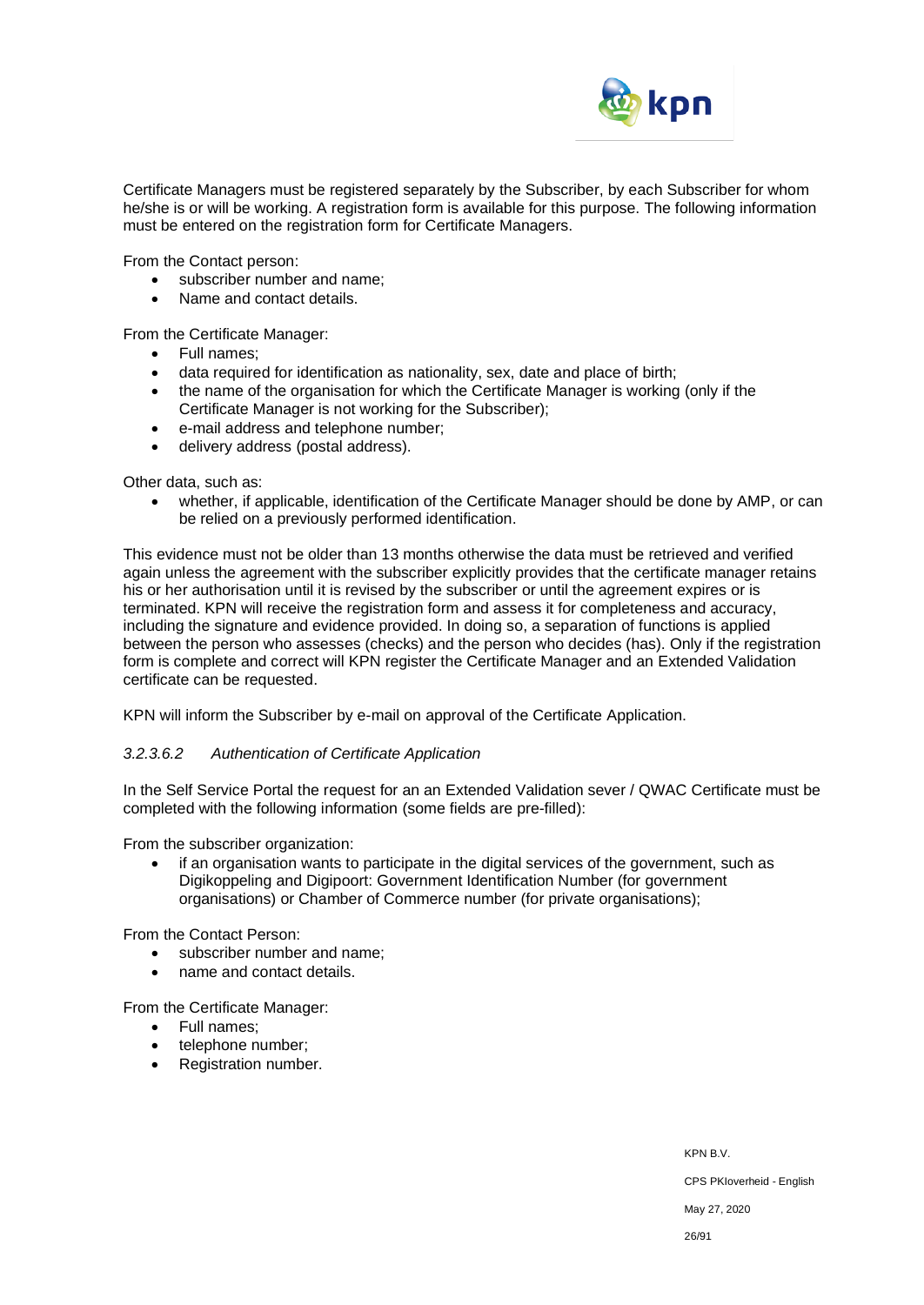

Certificate Managers must be registered separately by the Subscriber, by each Subscriber for whom he/she is or will be working. A registration form is available for this purpose. The following information must be entered on the registration form for Certificate Managers.

From the Contact person:

- subscriber number and name;
- Name and contact details.

From the Certificate Manager:

- Full names;
- data required for identification as nationality, sex, date and place of birth;
- the name of the organisation for which the Certificate Manager is working (only if the Certificate Manager is not working for the Subscriber);
- e-mail address and telephone number;
- delivery address (postal address).

Other data, such as:

• whether, if applicable, identification of the Certificate Manager should be done by AMP, or can be relied on a previously performed identification.

This evidence must not be older than 13 months otherwise the data must be retrieved and verified again unless the agreement with the subscriber explicitly provides that the certificate manager retains his or her authorisation until it is revised by the subscriber or until the agreement expires or is terminated. KPN will receive the registration form and assess it for completeness and accuracy, including the signature and evidence provided. In doing so, a separation of functions is applied between the person who assesses (checks) and the person who decides (has). Only if the registration form is complete and correct will KPN register the Certificate Manager and an Extended Validation certificate can be requested.

KPN will inform the Subscriber by e-mail on approval of the Certificate Application.

#### *3.2.3.6.2 Authentication of Certificate Application*

In the Self Service Portal the request for an an Extended Validation sever / QWAC Certificate must be completed with the following information (some fields are pre-filled):

From the subscriber organization:

• if an organisation wants to participate in the digital services of the government, such as Digikoppeling and Digipoort: Government Identification Number (for government organisations) or Chamber of Commerce number (for private organisations);

From the Contact Person:

- subscriber number and name:
- name and contact details.

From the Certificate Manager:

- Full names;
- telephone number:
- Registration number.

KPN B.V.

CPS PKIoverheid - English

May 27, 2020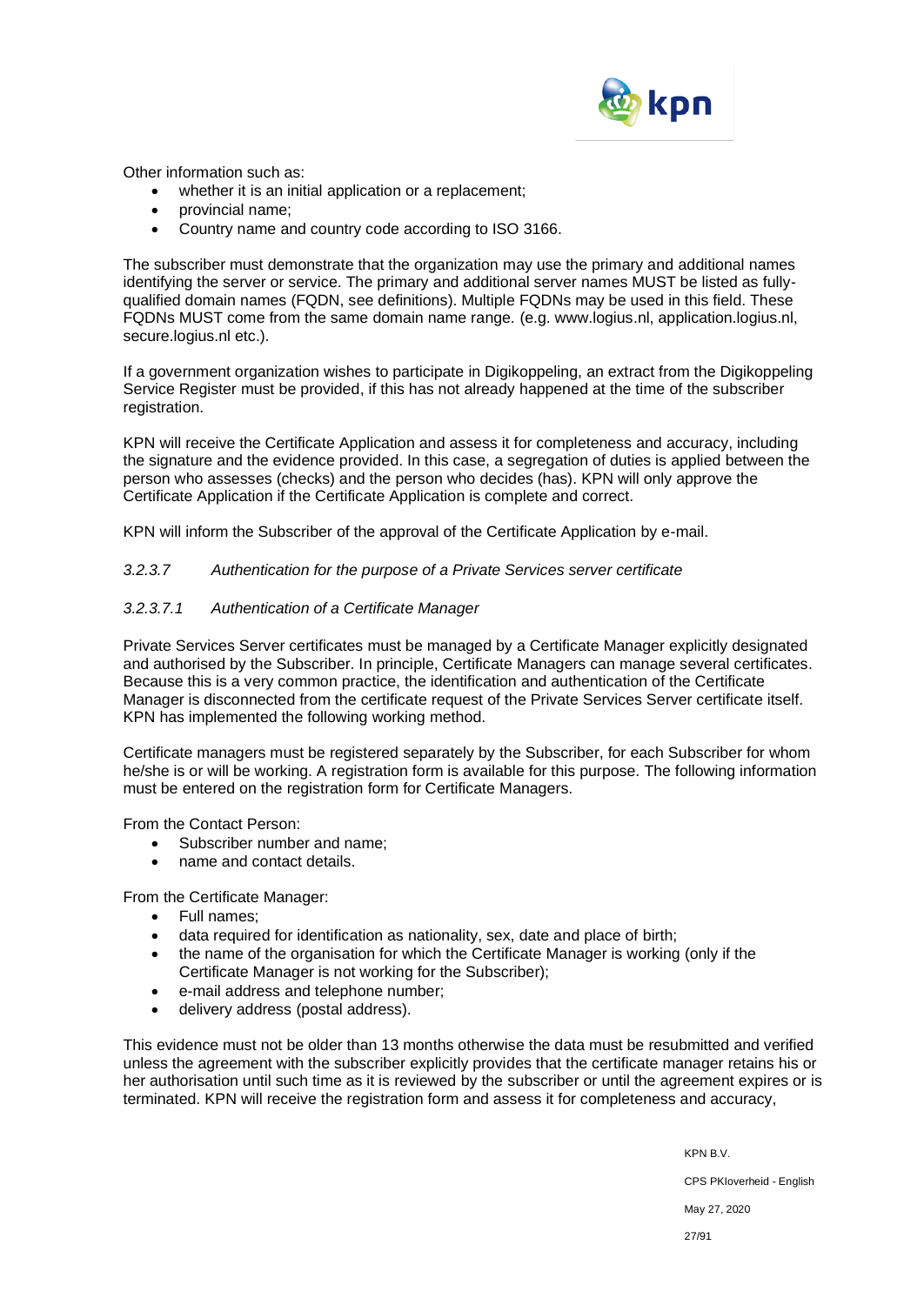

Other information such as:

- whether it is an initial application or a replacement;
- provincial name;
- Country name and country code according to ISO 3166.

The subscriber must demonstrate that the organization may use the primary and additional names identifying the server or service. The primary and additional server names MUST be listed as fullyqualified domain names (FQDN, see definitions). Multiple FQDNs may be used in this field. These FQDNs MUST come from the same domain name range. (e.g. www.logius.nl, application.logius.nl, secure.logius.nl etc.).

If a government organization wishes to participate in Digikoppeling, an extract from the Digikoppeling Service Register must be provided, if this has not already happened at the time of the subscriber registration.

KPN will receive the Certificate Application and assess it for completeness and accuracy, including the signature and the evidence provided. In this case, a segregation of duties is applied between the person who assesses (checks) and the person who decides (has). KPN will only approve the Certificate Application if the Certificate Application is complete and correct.

KPN will inform the Subscriber of the approval of the Certificate Application by e-mail.

#### *3.2.3.7 Authentication for the purpose of a Private Services server certificate*

#### *3.2.3.7.1 Authentication of a Certificate Manager*

Private Services Server certificates must be managed by a Certificate Manager explicitly designated and authorised by the Subscriber. In principle, Certificate Managers can manage several certificates. Because this is a very common practice, the identification and authentication of the Certificate Manager is disconnected from the certificate request of the Private Services Server certificate itself. KPN has implemented the following working method.

Certificate managers must be registered separately by the Subscriber, for each Subscriber for whom he/she is or will be working. A registration form is available for this purpose. The following information must be entered on the registration form for Certificate Managers.

From the Contact Person:

- Subscriber number and name:
- name and contact details.

From the Certificate Manager:

- Full names;
- data required for identification as nationality, sex, date and place of birth;
- the name of the organisation for which the Certificate Manager is working (only if the Certificate Manager is not working for the Subscriber);
- e-mail address and telephone number;
- delivery address (postal address).

This evidence must not be older than 13 months otherwise the data must be resubmitted and verified unless the agreement with the subscriber explicitly provides that the certificate manager retains his or her authorisation until such time as it is reviewed by the subscriber or until the agreement expires or is terminated. KPN will receive the registration form and assess it for completeness and accuracy,

> KPN B.V. CPS PKIoverheid - English May 27, 2020 27/91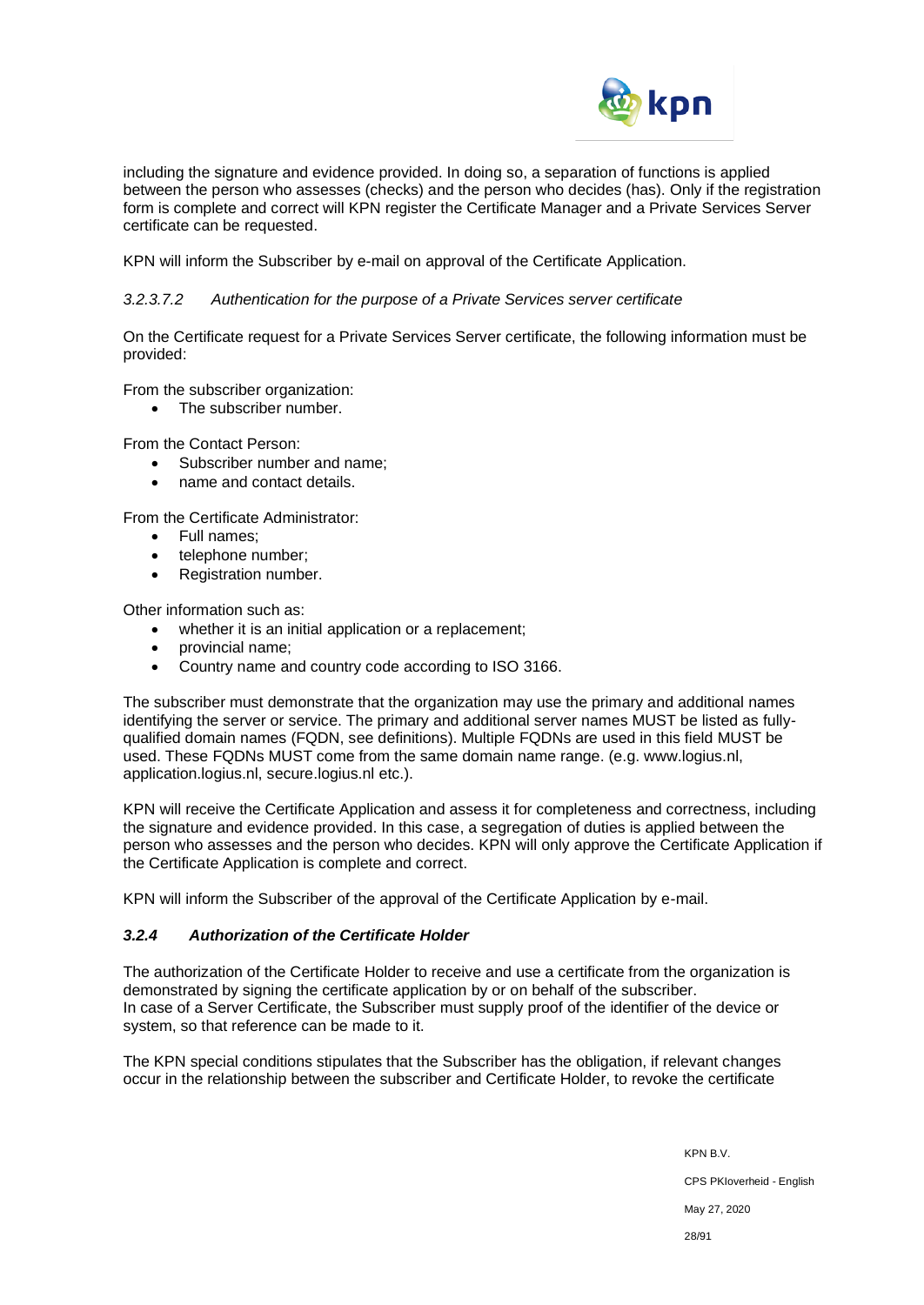

including the signature and evidence provided. In doing so, a separation of functions is applied between the person who assesses (checks) and the person who decides (has). Only if the registration form is complete and correct will KPN register the Certificate Manager and a Private Services Server certificate can be requested.

KPN will inform the Subscriber by e-mail on approval of the Certificate Application.

#### *3.2.3.7.2 Authentication for the purpose of a Private Services server certificate*

On the Certificate request for a Private Services Server certificate, the following information must be provided:

From the subscriber organization:

• The subscriber number.

From the Contact Person:

- Subscriber number and name;
- name and contact details.

From the Certificate Administrator:

- Full names;
- telephone number;
- Registration number.

Other information such as:

- whether it is an initial application or a replacement;
- provincial name;
- Country name and country code according to ISO 3166.

The subscriber must demonstrate that the organization may use the primary and additional names identifying the server or service. The primary and additional server names MUST be listed as fullyqualified domain names (FQDN, see definitions). Multiple FQDNs are used in this field MUST be used. These FQDNs MUST come from the same domain name range. (e.g. www.logius.nl, application.logius.nl, secure.logius.nl etc.).

KPN will receive the Certificate Application and assess it for completeness and correctness, including the signature and evidence provided. In this case, a segregation of duties is applied between the person who assesses and the person who decides. KPN will only approve the Certificate Application if the Certificate Application is complete and correct.

KPN will inform the Subscriber of the approval of the Certificate Application by e-mail.

# *3.2.4 Authorization of the Certificate Holder*

The authorization of the Certificate Holder to receive and use a certificate from the organization is demonstrated by signing the certificate application by or on behalf of the subscriber. In case of a Server Certificate, the Subscriber must supply proof of the identifier of the device or system, so that reference can be made to it.

The KPN special conditions stipulates that the Subscriber has the obligation, if relevant changes occur in the relationship between the subscriber and Certificate Holder, to revoke the certificate

> KPN B.V. CPS PKIoverheid - English May 27, 2020 28/91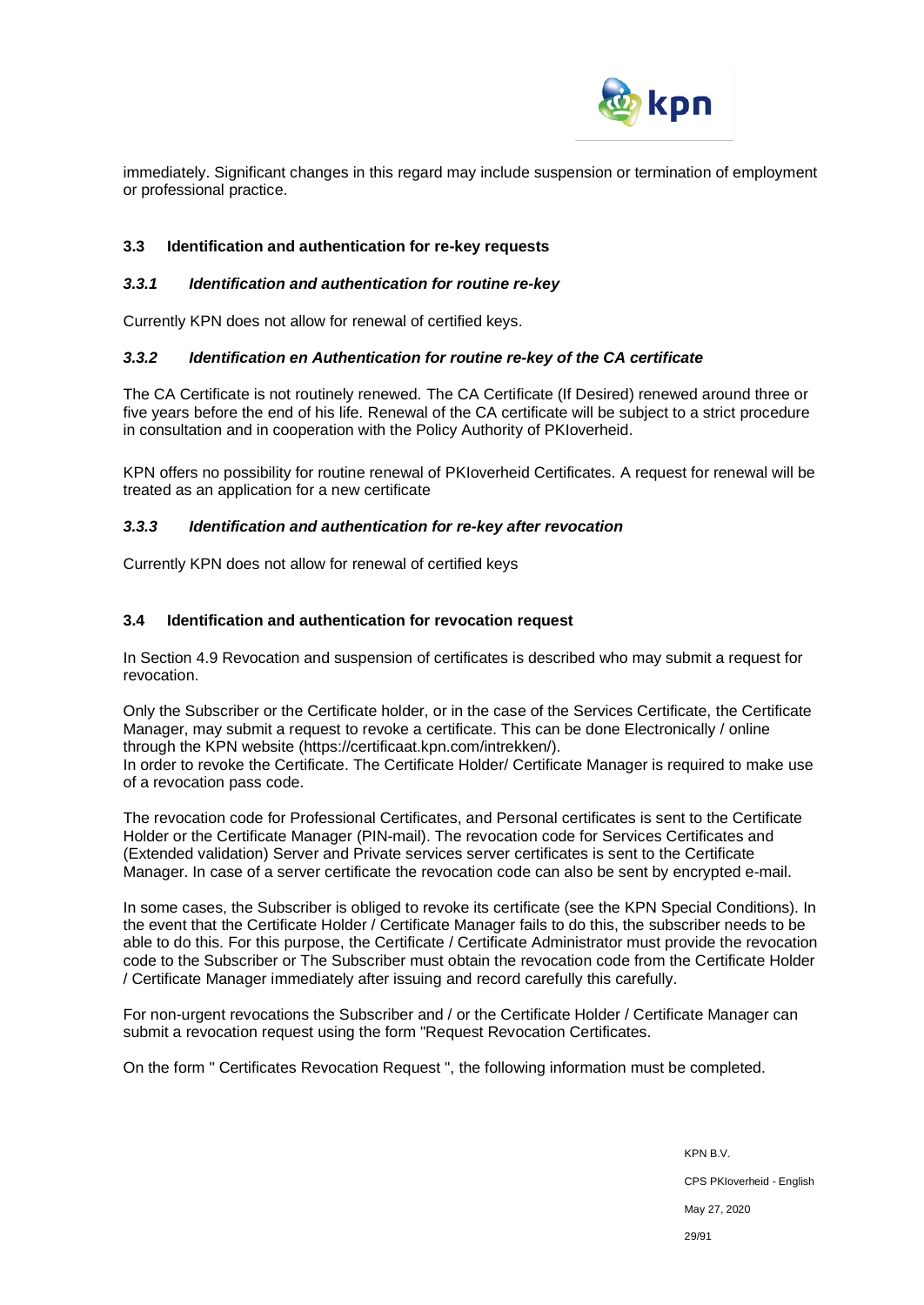

immediately. Significant changes in this regard may include suspension or termination of employment or professional practice.

#### **3.3 Identification and authentication for re-key requests**

#### *3.3.1 Identification and authentication for routine re-key*

Currently KPN does not allow for renewal of certified keys.

#### *3.3.2 Identification en Authentication for routine re-key of the CA certificate*

The CA Certificate is not routinely renewed. The CA Certificate (If Desired) renewed around three or five years before the end of his life. Renewal of the CA certificate will be subject to a strict procedure in consultation and in cooperation with the Policy Authority of PKIoverheid.

KPN offers no possibility for routine renewal of PKIoverheid Certificates. A request for renewal will be treated as an application for a new certificate

#### *3.3.3 Identification and authentication for re-key after revocation*

Currently KPN does not allow for renewal of certified keys

#### **3.4 Identification and authentication for revocation request**

In Section 4.9 Revocation and suspension of certificates is described who may submit a request for revocation.

Only the Subscriber or the Certificate holder, or in the case of the Services Certificate, the Certificate Manager, may submit a request to revoke a certificate. This can be done Electronically / online through the KPN website [\(https://certificaat.kpn.com/intrekken/\)](https://certificaat.kpn.com/intrekken/). In order to revoke the Certificate. The Certificate Holder/ Certificate Manager is required to make use of a revocation pass code.

The revocation code for Professional Certificates, and Personal certificates is sent to the Certificate Holder or the Certificate Manager (PIN-mail). The revocation code for Services Certificates and (Extended validation) Server and Private services server certificates is sent to the Certificate Manager. In case of a server certificate the revocation code can also be sent by encrypted e-mail.

In some cases, the Subscriber is obliged to revoke its certificate (see the KPN Special Conditions). In the event that the Certificate Holder / Certificate Manager fails to do this, the subscriber needs to be able to do this. For this purpose, the Certificate / Certificate Administrator must provide the revocation code to the Subscriber or The Subscriber must obtain the revocation code from the Certificate Holder / Certificate Manager immediately after issuing and record carefully this carefully.

For non-urgent revocations the Subscriber and / or the Certificate Holder / Certificate Manager can submit a revocation request using the form "Request Revocation Certificates.

On the form " Certificates Revocation Request ", the following information must be completed.

KPN B.V. CPS PKIoverheid - English May 27, 2020 29/91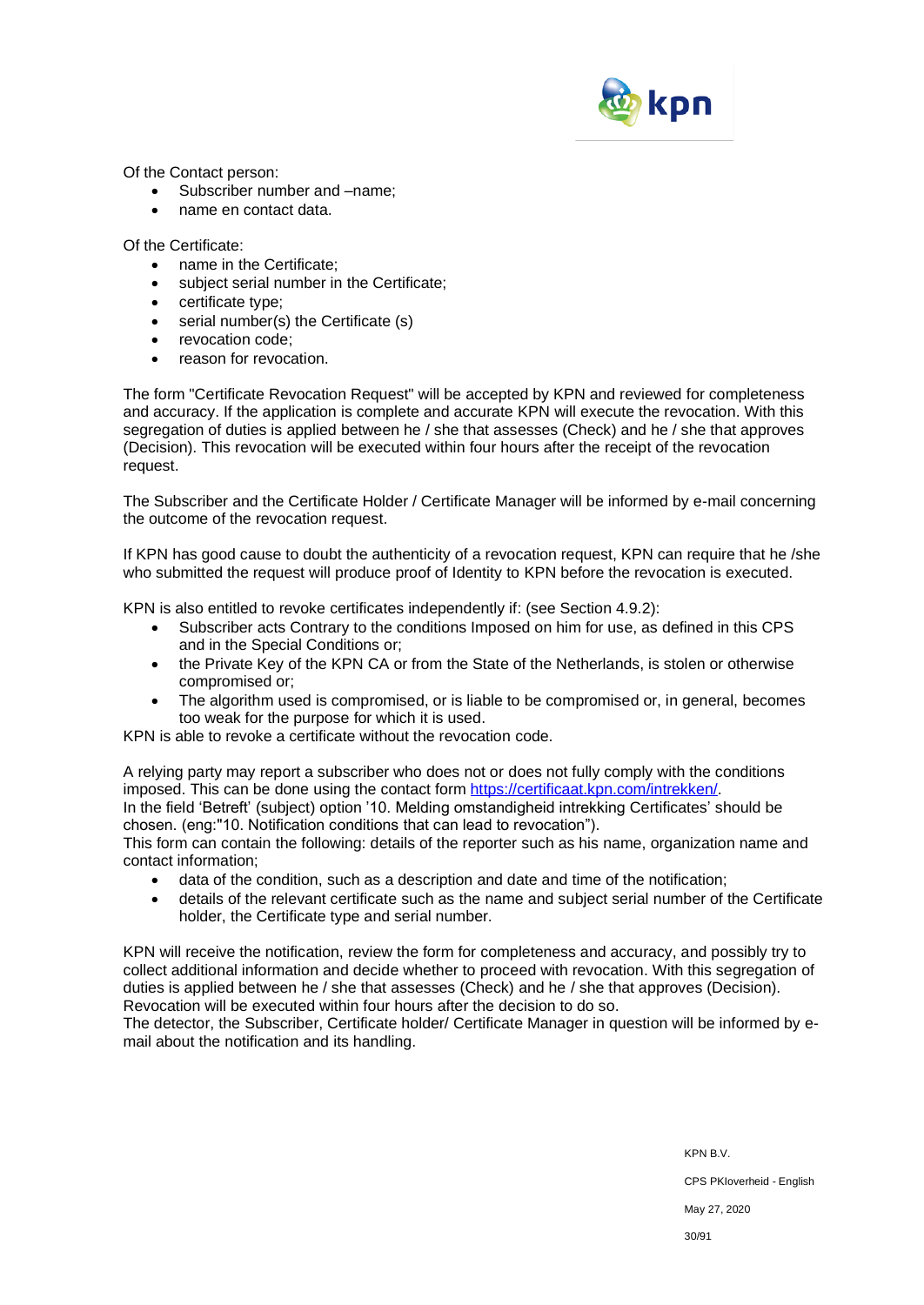

Of the Contact person:

- Subscriber number and –name;
- name en contact data.

Of the Certificate:

- name in the Certificate;
- subject serial number in the Certificate;
- certificate type;
- serial number(s) the Certificate (s)
- revocation code:
- reason for revocation

The form "Certificate Revocation Request" will be accepted by KPN and reviewed for completeness and accuracy. If the application is complete and accurate KPN will execute the revocation. With this segregation of duties is applied between he / she that assesses (Check) and he / she that approves (Decision). This revocation will be executed within four hours after the receipt of the revocation request.

The Subscriber and the Certificate Holder / Certificate Manager will be informed by e-mail concerning the outcome of the revocation request.

If KPN has good cause to doubt the authenticity of a revocation request, KPN can require that he /she who submitted the request will produce proof of Identity to KPN before the revocation is executed.

KPN is also entitled to revoke certificates independently if: (see Section 4.9.2):

- Subscriber acts Contrary to the conditions Imposed on him for use, as defined in this CPS and in the Special Conditions or;
- the Private Key of the KPN CA or from the State of the Netherlands, is stolen or otherwise compromised or;
- The algorithm used is compromised, or is liable to be compromised or, in general, becomes too weak for the purpose for which it is used.

KPN is able to revoke a certificate without the revocation code.

A relying party may report a subscriber who does not or does not fully comply with the conditions imposed. This can be done using the contact form [https://certificaat.kpn.com/intrekken/.](https://certificaat.kpn.com/intrekken/) In the field 'Betreft' (subject) option '10. Melding omstandigheid intrekking Certificates' should be

chosen. (eng:"10. Notification conditions that can lead to revocation").

This form can contain the following: details of the reporter such as his name, organization name and contact information;

- data of the condition, such as a description and date and time of the notification;
- details of the relevant certificate such as the name and subject serial number of the Certificate holder, the Certificate type and serial number.

KPN will receive the notification, review the form for completeness and accuracy, and possibly try to collect additional information and decide whether to proceed with revocation. With this segregation of duties is applied between he / she that assesses (Check) and he / she that approves (Decision). Revocation will be executed within four hours after the decision to do so.

The detector, the Subscriber, Certificate holder/ Certificate Manager in question will be informed by email about the notification and its handling.

KPN B.V.

CPS PKIoverheid - English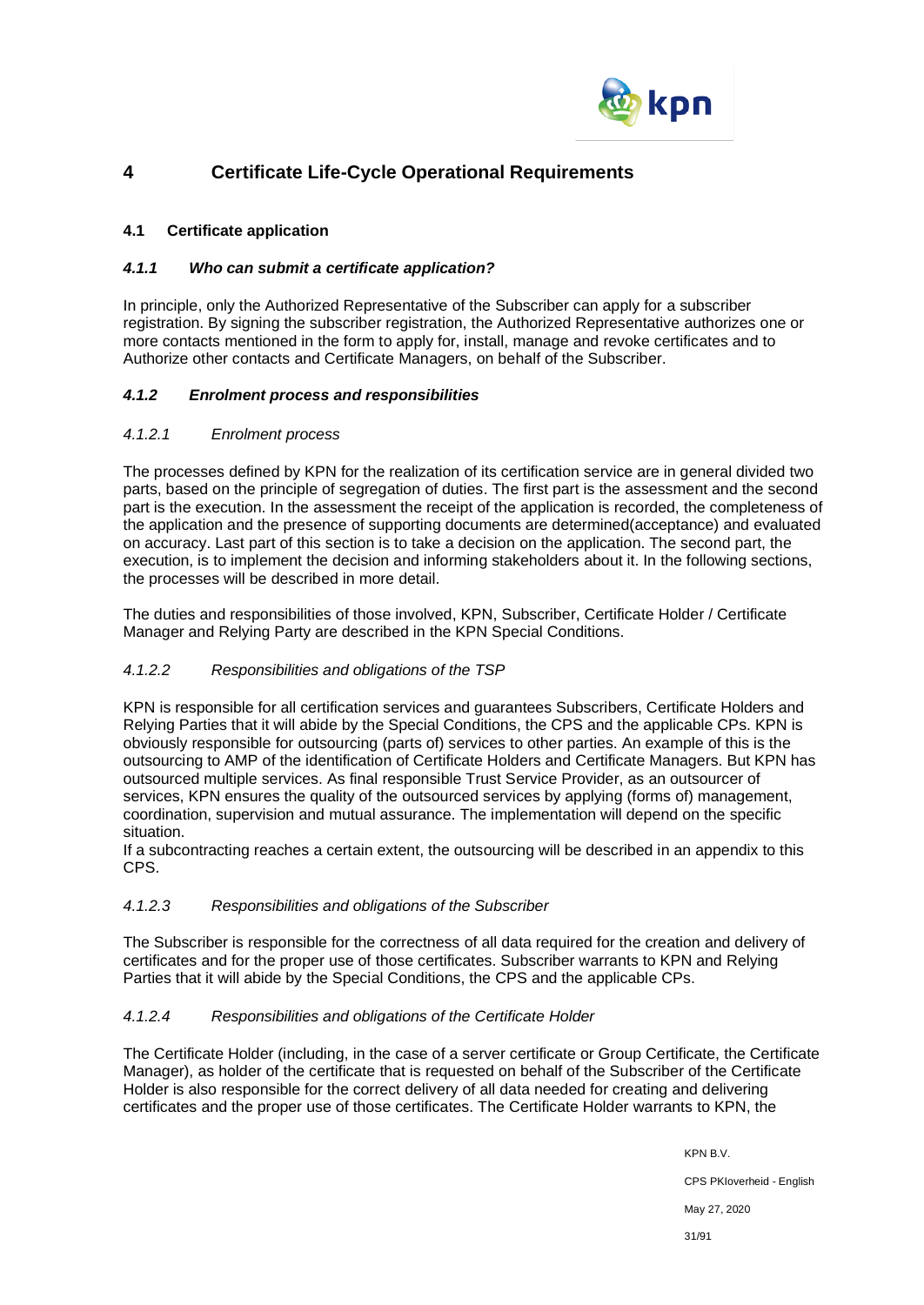

# **4 Certificate Life-Cycle Operational Requirements**

# **4.1 Certificate application**

# *4.1.1 Who can submit a certificate application?*

In principle, only the Authorized Representative of the Subscriber can apply for a subscriber registration. By signing the subscriber registration, the Authorized Representative authorizes one or more contacts mentioned in the form to apply for, install, manage and revoke certificates and to Authorize other contacts and Certificate Managers, on behalf of the Subscriber.

# *4.1.2 Enrolment process and responsibilities*

# *4.1.2.1 Enrolment process*

The processes defined by KPN for the realization of its certification service are in general divided two parts, based on the principle of segregation of duties. The first part is the assessment and the second part is the execution. In the assessment the receipt of the application is recorded, the completeness of the application and the presence of supporting documents are determined(acceptance) and evaluated on accuracy. Last part of this section is to take a decision on the application. The second part, the execution, is to implement the decision and informing stakeholders about it. In the following sections, the processes will be described in more detail.

The duties and responsibilities of those involved, KPN, Subscriber, Certificate Holder / Certificate Manager and Relying Party are described in the KPN Special Conditions.

# *4.1.2.2 Responsibilities and obligations of the TSP*

KPN is responsible for all certification services and guarantees Subscribers, Certificate Holders and Relying Parties that it will abide by the Special Conditions, the CPS and the applicable CPs. KPN is obviously responsible for outsourcing (parts of) services to other parties. An example of this is the outsourcing to AMP of the identification of Certificate Holders and Certificate Managers. But KPN has outsourced multiple services. As final responsible Trust Service Provider, as an outsourcer of services, KPN ensures the quality of the outsourced services by applying (forms of) management, coordination, supervision and mutual assurance. The implementation will depend on the specific situation.

If a subcontracting reaches a certain extent, the outsourcing will be described in an appendix to this CPS.

# *4.1.2.3 Responsibilities and obligations of the Subscriber*

The Subscriber is responsible for the correctness of all data required for the creation and delivery of certificates and for the proper use of those certificates. Subscriber warrants to KPN and Relying Parties that it will abide by the Special Conditions, the CPS and the applicable CPs.

# *4.1.2.4 Responsibilities and obligations of the Certificate Holder*

The Certificate Holder (including, in the case of a server certificate or Group Certificate, the Certificate Manager), as holder of the certificate that is requested on behalf of the Subscriber of the Certificate Holder is also responsible for the correct delivery of all data needed for creating and delivering certificates and the proper use of those certificates. The Certificate Holder warrants to KPN, the

> KPN B.V. CPS PKIoverheid - English May 27, 2020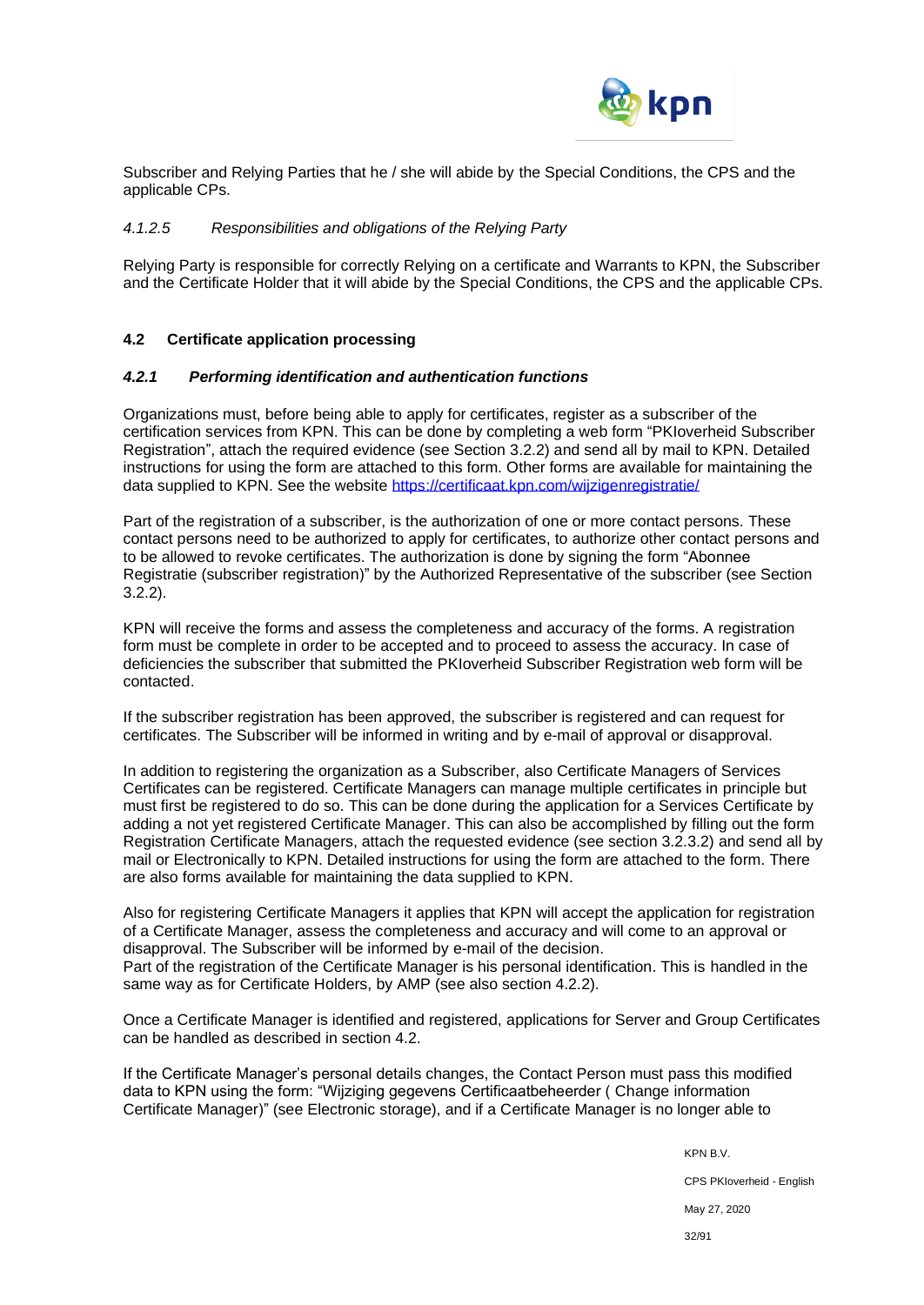

Subscriber and Relying Parties that he / she will abide by the Special Conditions, the CPS and the applicable CPs.

#### *4.1.2.5 Responsibilities and obligations of the Relying Party*

Relying Party is responsible for correctly Relying on a certificate and Warrants to KPN, the Subscriber and the Certificate Holder that it will abide by the Special Conditions, the CPS and the applicable CPs.

#### **4.2 Certificate application processing**

#### *4.2.1 Performing identification and authentication functions*

Organizations must, before being able to apply for certificates, register as a subscriber of the certification services from KPN. This can be done by completing a web form "PKIoverheid Subscriber Registration", attach the required evidence (see Section 3.2.2) and send all by mail to KPN. Detailed instructions for using the form are attached to this form. Other forms are available for maintaining the data supplied to KPN. See the website<https://certificaat.kpn.com/wijzigenregistratie/>

Part of the registration of a subscriber, is the authorization of one or more contact persons. These contact persons need to be authorized to apply for certificates, to authorize other contact persons and to be allowed to revoke certificates. The authorization is done by signing the form "Abonnee Registratie (subscriber registration)" by the Authorized Representative of the subscriber (see Section 3.2.2).

KPN will receive the forms and assess the completeness and accuracy of the forms. A registration form must be complete in order to be accepted and to proceed to assess the accuracy. In case of deficiencies the subscriber that submitted the PKIoverheid Subscriber Registration web form will be contacted.

If the subscriber registration has been approved, the subscriber is registered and can request for certificates. The Subscriber will be informed in writing and by e-mail of approval or disapproval.

In addition to registering the organization as a Subscriber, also Certificate Managers of Services Certificates can be registered. Certificate Managers can manage multiple certificates in principle but must first be registered to do so. This can be done during the application for a Services Certificate by adding a not yet registered Certificate Manager. This can also be accomplished by filling out the form Registration Certificate Managers, attach the requested evidence (see section 3.2.3.2) and send all by mail or Electronically to KPN. Detailed instructions for using the form are attached to the form. There are also forms available for maintaining the data supplied to KPN.

Also for registering Certificate Managers it applies that KPN will accept the application for registration of a Certificate Manager, assess the completeness and accuracy and will come to an approval or disapproval. The Subscriber will be informed by e-mail of the decision. Part of the registration of the Certificate Manager is his personal identification. This is handled in the

same way as for Certificate Holders, by AMP (see also section 4.2.2).

Once a Certificate Manager is identified and registered, applications for Server and Group Certificates can be handled as described in section 4.2.

If the Certificate Manager's personal details changes, the Contact Person must pass this modified data to KPN using the form: "Wijziging gegevens Certificaatbeheerder ( Change information Certificate Manager)" (see Electronic storage), and if a Certificate Manager is no longer able to

KPN B.V.

CPS PKIoverheid - English

May 27, 2020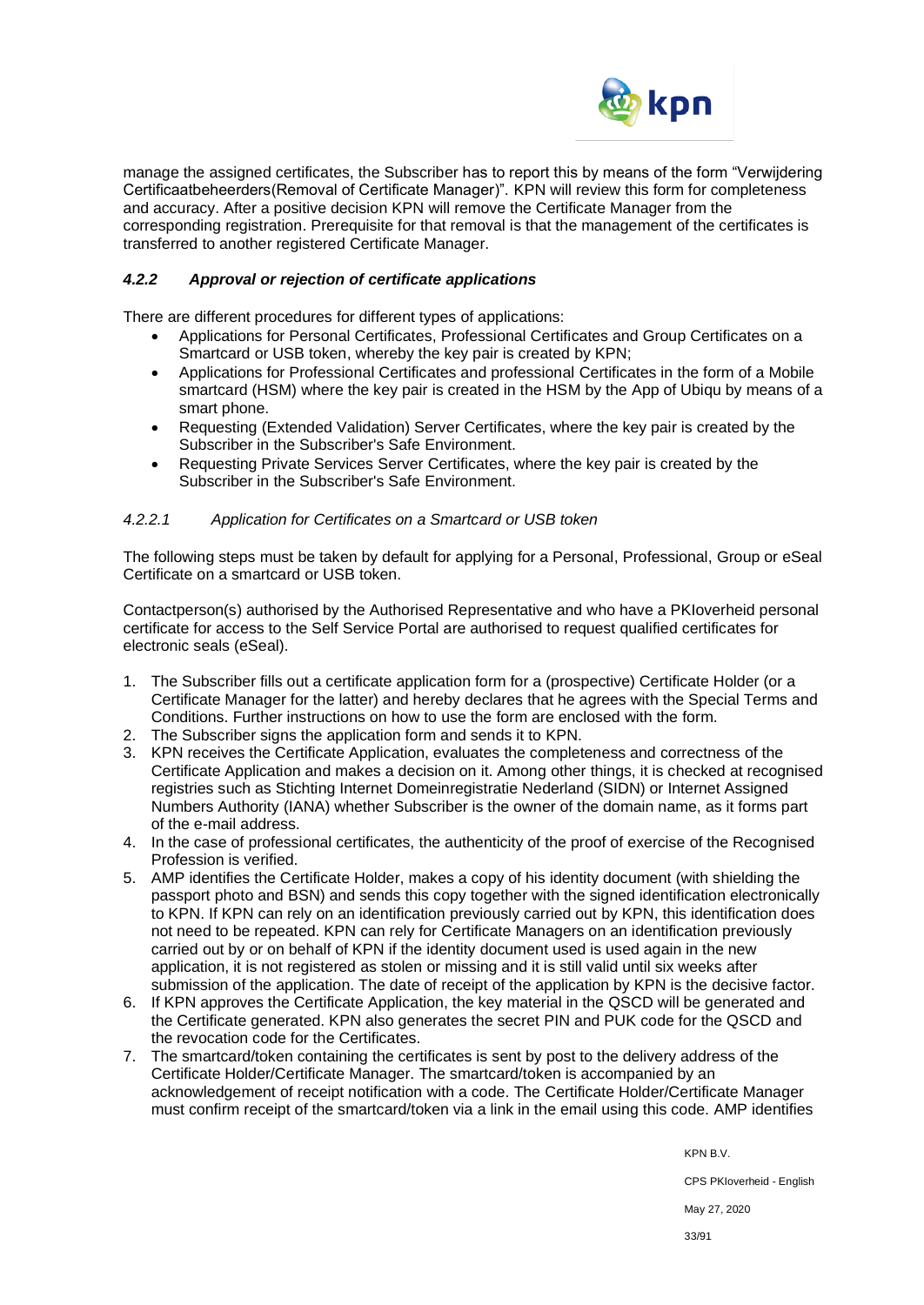

manage the assigned certificates, the Subscriber has to report this by means of the form "Verwijdering Certificaatbeheerders(Removal of Certificate Manager)". KPN will review this form for completeness and accuracy. After a positive decision KPN will remove the Certificate Manager from the corresponding registration. Prerequisite for that removal is that the management of the certificates is transferred to another registered Certificate Manager.

# *4.2.2 Approval or rejection of certificate applications*

There are different procedures for different types of applications:

- Applications for Personal Certificates, Professional Certificates and Group Certificates on a Smartcard or USB token, whereby the key pair is created by KPN;
- Applications for Professional Certificates and professional Certificates in the form of a Mobile smartcard (HSM) where the key pair is created in the HSM by the App of Ubiqu by means of a smart phone.
- Requesting (Extended Validation) Server Certificates, where the key pair is created by the Subscriber in the Subscriber's Safe Environment.
- Requesting Private Services Server Certificates, where the key pair is created by the Subscriber in the Subscriber's Safe Environment.

# *4.2.2.1 Application for Certificates on a Smartcard or USB token*

The following steps must be taken by default for applying for a Personal, Professional, Group or eSeal Certificate on a smartcard or USB token.

Contactperson(s) authorised by the Authorised Representative and who have a PKIoverheid personal certificate for access to the Self Service Portal are authorised to request qualified certificates for electronic seals (eSeal).

- 1. The Subscriber fills out a certificate application form for a (prospective) Certificate Holder (or a Certificate Manager for the latter) and hereby declares that he agrees with the Special Terms and Conditions. Further instructions on how to use the form are enclosed with the form.
- 2. The Subscriber signs the application form and sends it to KPN.
- 3. KPN receives the Certificate Application, evaluates the completeness and correctness of the Certificate Application and makes a decision on it. Among other things, it is checked at recognised registries such as Stichting Internet Domeinregistratie Nederland (SIDN) or Internet Assigned Numbers Authority (IANA) whether Subscriber is the owner of the domain name, as it forms part of the e-mail address.
- 4. In the case of professional certificates, the authenticity of the proof of exercise of the Recognised Profession is verified.
- 5. AMP identifies the Certificate Holder, makes a copy of his identity document (with shielding the passport photo and BSN) and sends this copy together with the signed identification electronically to KPN. If KPN can rely on an identification previously carried out by KPN, this identification does not need to be repeated. KPN can rely for Certificate Managers on an identification previously carried out by or on behalf of KPN if the identity document used is used again in the new application, it is not registered as stolen or missing and it is still valid until six weeks after submission of the application. The date of receipt of the application by KPN is the decisive factor.
- 6. If KPN approves the Certificate Application, the key material in the QSCD will be generated and the Certificate generated. KPN also generates the secret PIN and PUK code for the QSCD and the revocation code for the Certificates.
- 7. The smartcard/token containing the certificates is sent by post to the delivery address of the Certificate Holder/Certificate Manager. The smartcard/token is accompanied by an acknowledgement of receipt notification with a code. The Certificate Holder/Certificate Manager must confirm receipt of the smartcard/token via a link in the email using this code. AMP identifies

KPN B.V.

CPS PKIoverheid - English

May 27, 2020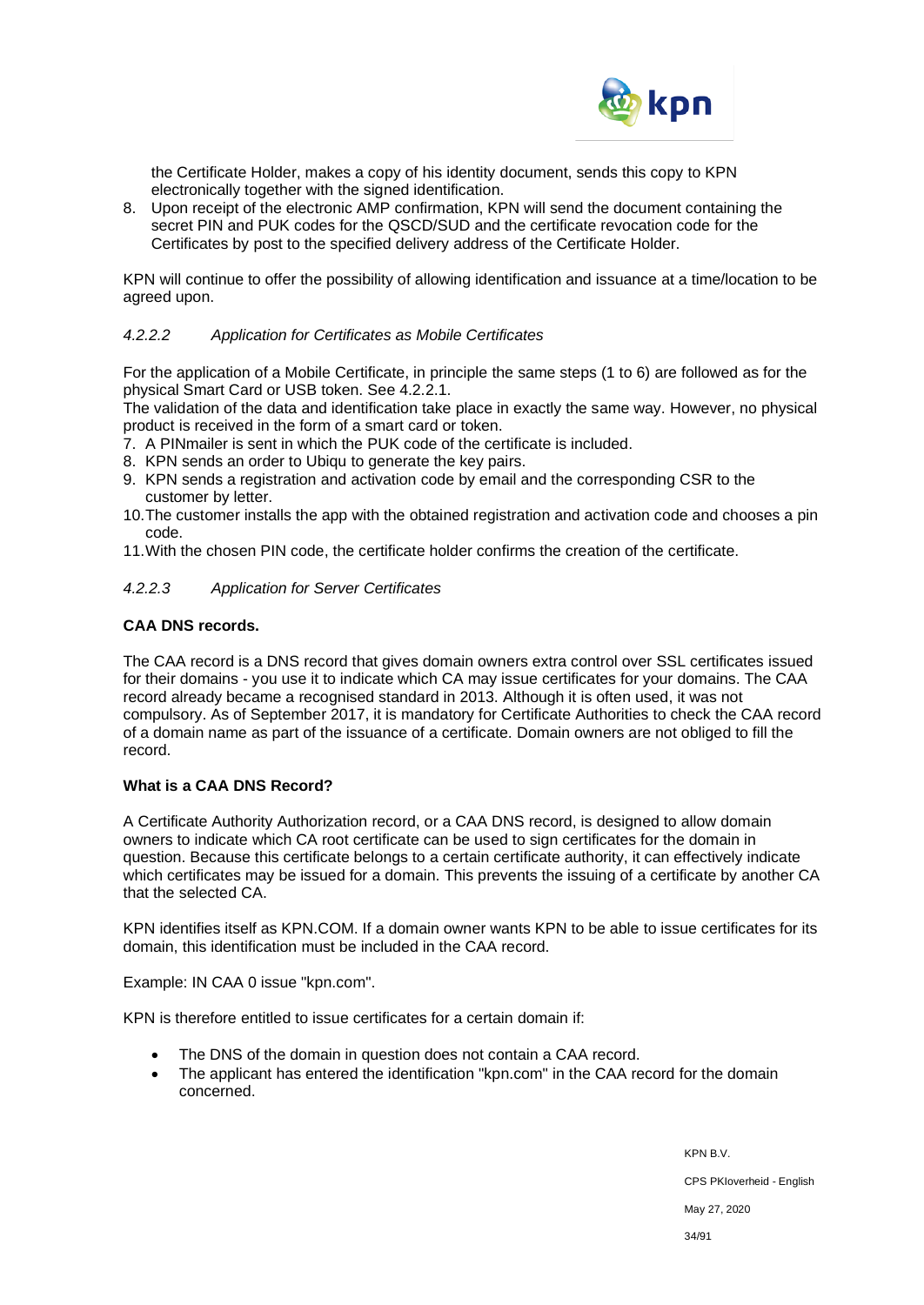

the Certificate Holder, makes a copy of his identity document, sends this copy to KPN electronically together with the signed identification.

8. Upon receipt of the electronic AMP confirmation, KPN will send the document containing the secret PIN and PUK codes for the QSCD/SUD and the certificate revocation code for the Certificates by post to the specified delivery address of the Certificate Holder.

KPN will continue to offer the possibility of allowing identification and issuance at a time/location to be agreed upon.

# *4.2.2.2 Application for Certificates as Mobile Certificates*

For the application of a Mobile Certificate, in principle the same steps (1 to 6) are followed as for the physical Smart Card or USB token. See 4.2.2.1.

The validation of the data and identification take place in exactly the same way. However, no physical product is received in the form of a smart card or token.

- 7. A PINmailer is sent in which the PUK code of the certificate is included.
- 8. KPN sends an order to Ubiqu to generate the key pairs.
- 9. KPN sends a registration and activation code by email and the corresponding CSR to the customer by letter.
- 10.The customer installs the app with the obtained registration and activation code and chooses a pin code.
- 11.With the chosen PIN code, the certificate holder confirms the creation of the certificate.

# *4.2.2.3 Application for Server Certificates*

#### **CAA DNS records.**

The CAA record is a DNS record that gives domain owners extra control over SSL certificates issued for their domains - you use it to indicate which CA may issue certificates for your domains. The CAA record already became a recognised standard in 2013. Although it is often used, it was not compulsory. As of September 2017, it is mandatory for Certificate Authorities to check the CAA record of a domain name as part of the issuance of a certificate. Domain owners are not obliged to fill the record.

#### **What is a CAA DNS Record?**

A Certificate Authority Authorization record, or a CAA DNS record, is designed to allow domain owners to indicate which CA root certificate can be used to sign certificates for the domain in question. Because this certificate belongs to a certain certificate authority, it can effectively indicate which certificates may be issued for a domain. This prevents the issuing of a certificate by another CA that the selected CA.

KPN identifies itself as KPN.COM. If a domain owner wants KPN to be able to issue certificates for its domain, this identification must be included in the CAA record.

Example: IN CAA 0 issue "kpn.com".

KPN is therefore entitled to issue certificates for a certain domain if:

- The DNS of the domain in question does not contain a CAA record.
- The applicant has entered the identification "kpn.com" in the CAA record for the domain concerned.

KPN B.V. CPS PKIoverheid - English May 27, 2020 34/91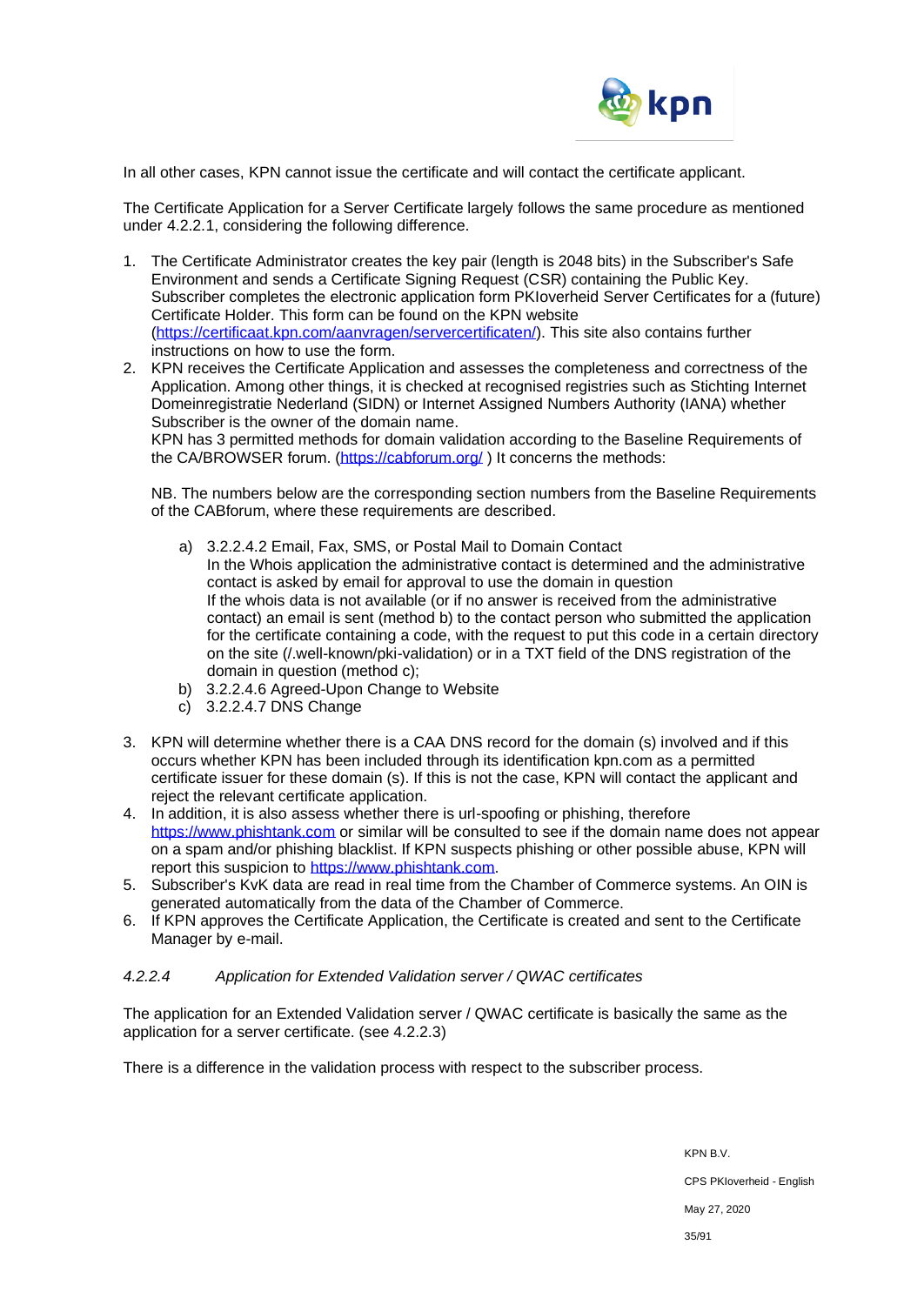

In all other cases, KPN cannot issue the certificate and will contact the certificate applicant.

The Certificate Application for a Server Certificate largely follows the same procedure as mentioned under 4.2.2.1, considering the following difference.

- 1. The Certificate Administrator creates the key pair (length is 2048 bits) in the Subscriber's Safe Environment and sends a Certificate Signing Request (CSR) containing the Public Key. Subscriber completes the electronic application form PKIoverheid Server Certificates for a (future) Certificate Holder. This form can be found on the KPN website [\(https://certificaat.kpn.com/aanvragen/servercertificaten/\)](https://certificaat.kpn.com/aanvragen/servercertificaten/). This site also contains further instructions on how to use the form.
- 2. KPN receives the Certificate Application and assesses the completeness and correctness of the Application. Among other things, it is checked at recognised registries such as Stichting Internet Domeinregistratie Nederland (SIDN) or Internet Assigned Numbers Authority (IANA) whether Subscriber is the owner of the domain name.

KPN has 3 permitted methods for domain validation according to the Baseline Requirements of the CA/BROWSER forum. [\(https://cabforum.org/](https://cabforum.org/)) It concerns the methods:

NB. The numbers below are the corresponding section numbers from the Baseline Requirements of the CABforum, where these requirements are described.

- a) 3.2.2.4.2 Email, Fax, SMS, or Postal Mail to Domain Contact In the Whois application the administrative contact is determined and the administrative contact is asked by email for approval to use the domain in question If the whois data is not available (or if no answer is received from the administrative contact) an email is sent (method b) to the contact person who submitted the application for the certificate containing a code, with the request to put this code in a certain directory on the site (/.well-known/pki-validation) or in a TXT field of the DNS registration of the domain in question (method c);
- b) 3.2.2.4.6 Agreed-Upon Change to Website
- c) 3.2.2.4.7 DNS Change
- 3. KPN will determine whether there is a CAA DNS record for the domain (s) involved and if this occurs whether KPN has been included through its identification kpn.com as a permitted certificate issuer for these domain (s). If this is not the case, KPN will contact the applicant and reject the relevant certificate application.
- 4. In addition, it is also assess whether there is url-spoofing or phishing, therefore [https://www.phishtank.com](https://www.phishtank.com/) or similar will be consulted to see if the domain name does not appear on a spam and/or phishing blacklist. If KPN suspects phishing or other possible abuse, KPN will report this suspicion to [https://www.phishtank.com.](https://www.phishtank.com/)
- 5. Subscriber's KvK data are read in real time from the Chamber of Commerce systems. An OIN is generated automatically from the data of the Chamber of Commerce.
- 6. If KPN approves the Certificate Application, the Certificate is created and sent to the Certificate Manager by e-mail.

#### *4.2.2.4 Application for Extended Validation server / QWAC certificates*

The application for an Extended Validation server / QWAC certificate is basically the same as the application for a server certificate. (see 4.2.2.3)

There is a difference in the validation process with respect to the subscriber process.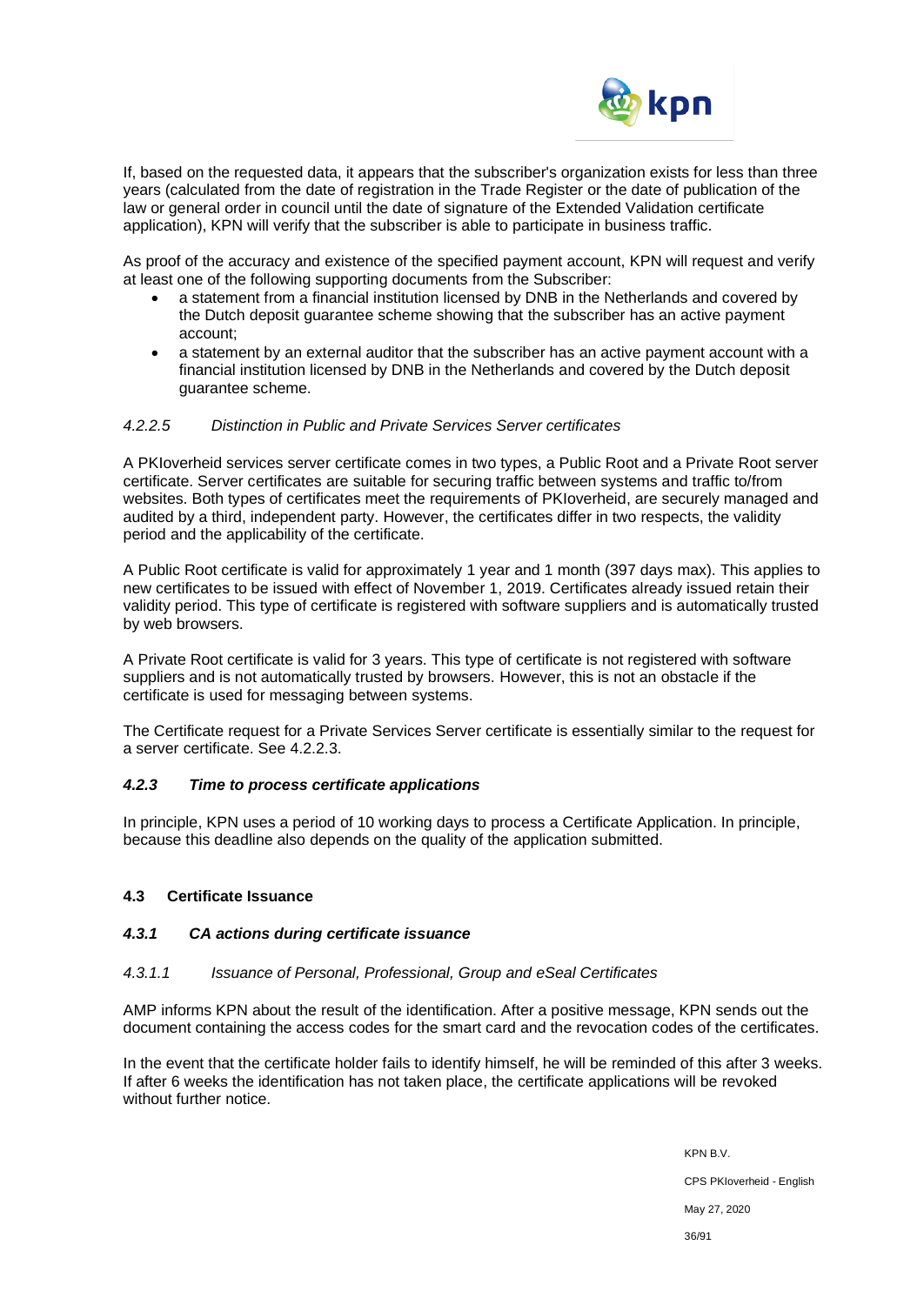

If, based on the requested data, it appears that the subscriber's organization exists for less than three years (calculated from the date of registration in the Trade Register or the date of publication of the law or general order in council until the date of signature of the Extended Validation certificate application), KPN will verify that the subscriber is able to participate in business traffic.

As proof of the accuracy and existence of the specified payment account, KPN will request and verify at least one of the following supporting documents from the Subscriber:

- a statement from a financial institution licensed by DNB in the Netherlands and covered by the Dutch deposit guarantee scheme showing that the subscriber has an active payment account;
- a statement by an external auditor that the subscriber has an active payment account with a financial institution licensed by DNB in the Netherlands and covered by the Dutch deposit guarantee scheme.

#### *4.2.2.5 Distinction in Public and Private Services Server certificates*

A PKIoverheid services server certificate comes in two types, a Public Root and a Private Root server certificate. Server certificates are suitable for securing traffic between systems and traffic to/from websites. Both types of certificates meet the requirements of PKIoverheid, are securely managed and audited by a third, independent party. However, the certificates differ in two respects, the validity period and the applicability of the certificate.

A Public Root certificate is valid for approximately 1 year and 1 month (397 days max). This applies to new certificates to be issued with effect of November 1, 2019. Certificates already issued retain their validity period. This type of certificate is registered with software suppliers and is automatically trusted by web browsers.

A Private Root certificate is valid for 3 years. This type of certificate is not registered with software suppliers and is not automatically trusted by browsers. However, this is not an obstacle if the certificate is used for messaging between systems.

The Certificate request for a Private Services Server certificate is essentially similar to the request for a server certificate. See 4.2.2.3.

#### *4.2.3 Time to process certificate applications*

In principle, KPN uses a period of 10 working days to process a Certificate Application. In principle, because this deadline also depends on the quality of the application submitted.

#### **4.3 Certificate Issuance**

#### *4.3.1 CA actions during certificate issuance*

#### *4.3.1.1 Issuance of Personal, Professional, Group and eSeal Certificates*

AMP informs KPN about the result of the identification. After a positive message, KPN sends out the document containing the access codes for the smart card and the revocation codes of the certificates.

In the event that the certificate holder fails to identify himself, he will be reminded of this after 3 weeks. If after 6 weeks the identification has not taken place, the certificate applications will be revoked without further notice

> KPN B.V. CPS PKIoverheid - English May 27, 2020 36/91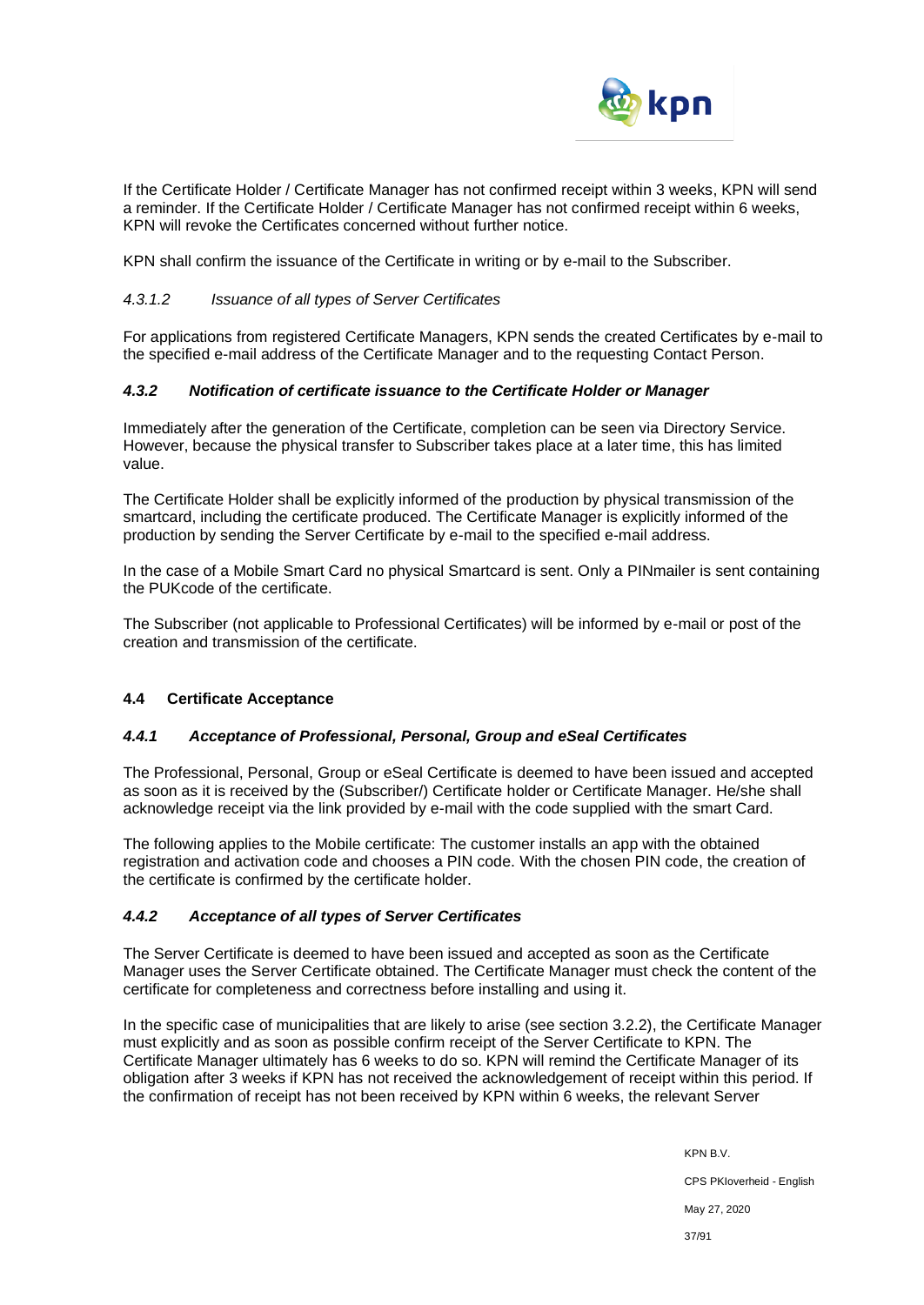

If the Certificate Holder / Certificate Manager has not confirmed receipt within 3 weeks, KPN will send a reminder. If the Certificate Holder / Certificate Manager has not confirmed receipt within 6 weeks, KPN will revoke the Certificates concerned without further notice.

KPN shall confirm the issuance of the Certificate in writing or by e-mail to the Subscriber.

#### *4.3.1.2 Issuance of all types of Server Certificates*

For applications from registered Certificate Managers, KPN sends the created Certificates by e-mail to the specified e-mail address of the Certificate Manager and to the requesting Contact Person.

#### *4.3.2 Notification of certificate issuance to the Certificate Holder or Manager*

Immediately after the generation of the Certificate, completion can be seen via Directory Service. However, because the physical transfer to Subscriber takes place at a later time, this has limited value.

The Certificate Holder shall be explicitly informed of the production by physical transmission of the smartcard, including the certificate produced. The Certificate Manager is explicitly informed of the production by sending the Server Certificate by e-mail to the specified e-mail address.

In the case of a Mobile Smart Card no physical Smartcard is sent. Only a PINmailer is sent containing the PUKcode of the certificate.

The Subscriber (not applicable to Professional Certificates) will be informed by e-mail or post of the creation and transmission of the certificate.

### **4.4 Certificate Acceptance**

#### *4.4.1 Acceptance of Professional, Personal, Group and eSeal Certificates*

The Professional, Personal, Group or eSeal Certificate is deemed to have been issued and accepted as soon as it is received by the (Subscriber/) Certificate holder or Certificate Manager. He/she shall acknowledge receipt via the link provided by e-mail with the code supplied with the smart Card.

The following applies to the Mobile certificate: The customer installs an app with the obtained registration and activation code and chooses a PIN code. With the chosen PIN code, the creation of the certificate is confirmed by the certificate holder.

### *4.4.2 Acceptance of all types of Server Certificates*

The Server Certificate is deemed to have been issued and accepted as soon as the Certificate Manager uses the Server Certificate obtained. The Certificate Manager must check the content of the certificate for completeness and correctness before installing and using it.

In the specific case of municipalities that are likely to arise (see section 3.2.2), the Certificate Manager must explicitly and as soon as possible confirm receipt of the Server Certificate to KPN. The Certificate Manager ultimately has 6 weeks to do so. KPN will remind the Certificate Manager of its obligation after 3 weeks if KPN has not received the acknowledgement of receipt within this period. If the confirmation of receipt has not been received by KPN within 6 weeks, the relevant Server

> KPN B.V. CPS PKIoverheid - English May 27, 2020 37/91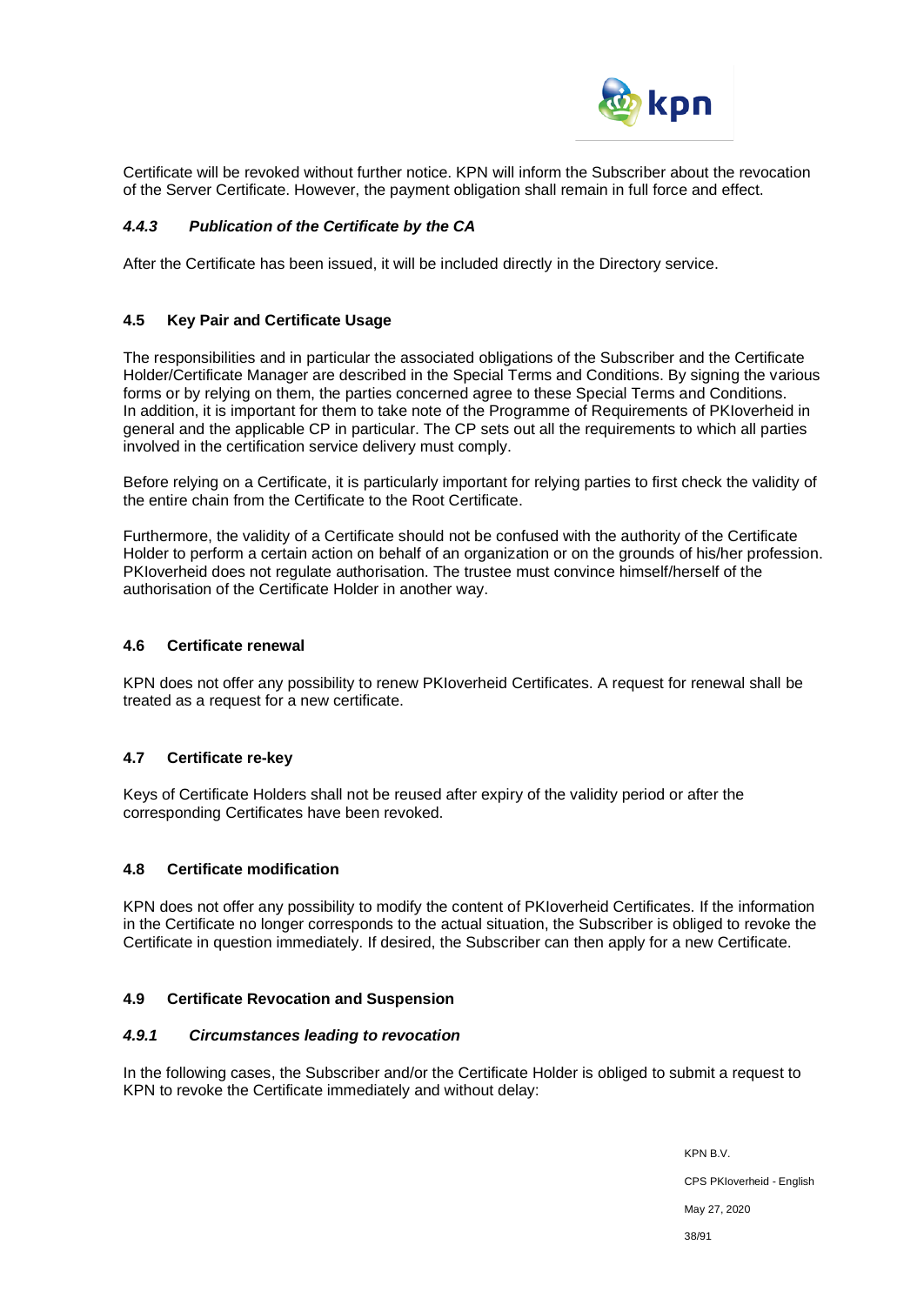

Certificate will be revoked without further notice. KPN will inform the Subscriber about the revocation of the Server Certificate. However, the payment obligation shall remain in full force and effect.

### *4.4.3 Publication of the Certificate by the CA*

After the Certificate has been issued, it will be included directly in the Directory service.

#### **4.5 Key Pair and Certificate Usage**

The responsibilities and in particular the associated obligations of the Subscriber and the Certificate Holder/Certificate Manager are described in the Special Terms and Conditions. By signing the various forms or by relying on them, the parties concerned agree to these Special Terms and Conditions. In addition, it is important for them to take note of the Programme of Requirements of PKIoverheid in general and the applicable CP in particular. The CP sets out all the requirements to which all parties involved in the certification service delivery must comply.

Before relying on a Certificate, it is particularly important for relying parties to first check the validity of the entire chain from the Certificate to the Root Certificate.

Furthermore, the validity of a Certificate should not be confused with the authority of the Certificate Holder to perform a certain action on behalf of an organization or on the grounds of his/her profession. PKIoverheid does not regulate authorisation. The trustee must convince himself/herself of the authorisation of the Certificate Holder in another way.

#### **4.6 Certificate renewal**

KPN does not offer any possibility to renew PKIoverheid Certificates. A request for renewal shall be treated as a request for a new certificate.

### **4.7 Certificate re-key**

Keys of Certificate Holders shall not be reused after expiry of the validity period or after the corresponding Certificates have been revoked.

#### **4.8 Certificate modification**

KPN does not offer any possibility to modify the content of PKIoverheid Certificates. If the information in the Certificate no longer corresponds to the actual situation, the Subscriber is obliged to revoke the Certificate in question immediately. If desired, the Subscriber can then apply for a new Certificate.

### **4.9 Certificate Revocation and Suspension**

#### *4.9.1 Circumstances leading to revocation*

In the following cases, the Subscriber and/or the Certificate Holder is obliged to submit a request to KPN to revoke the Certificate immediately and without delay:

> KPN B.V. CPS PKIoverheid - English May 27, 2020 38/91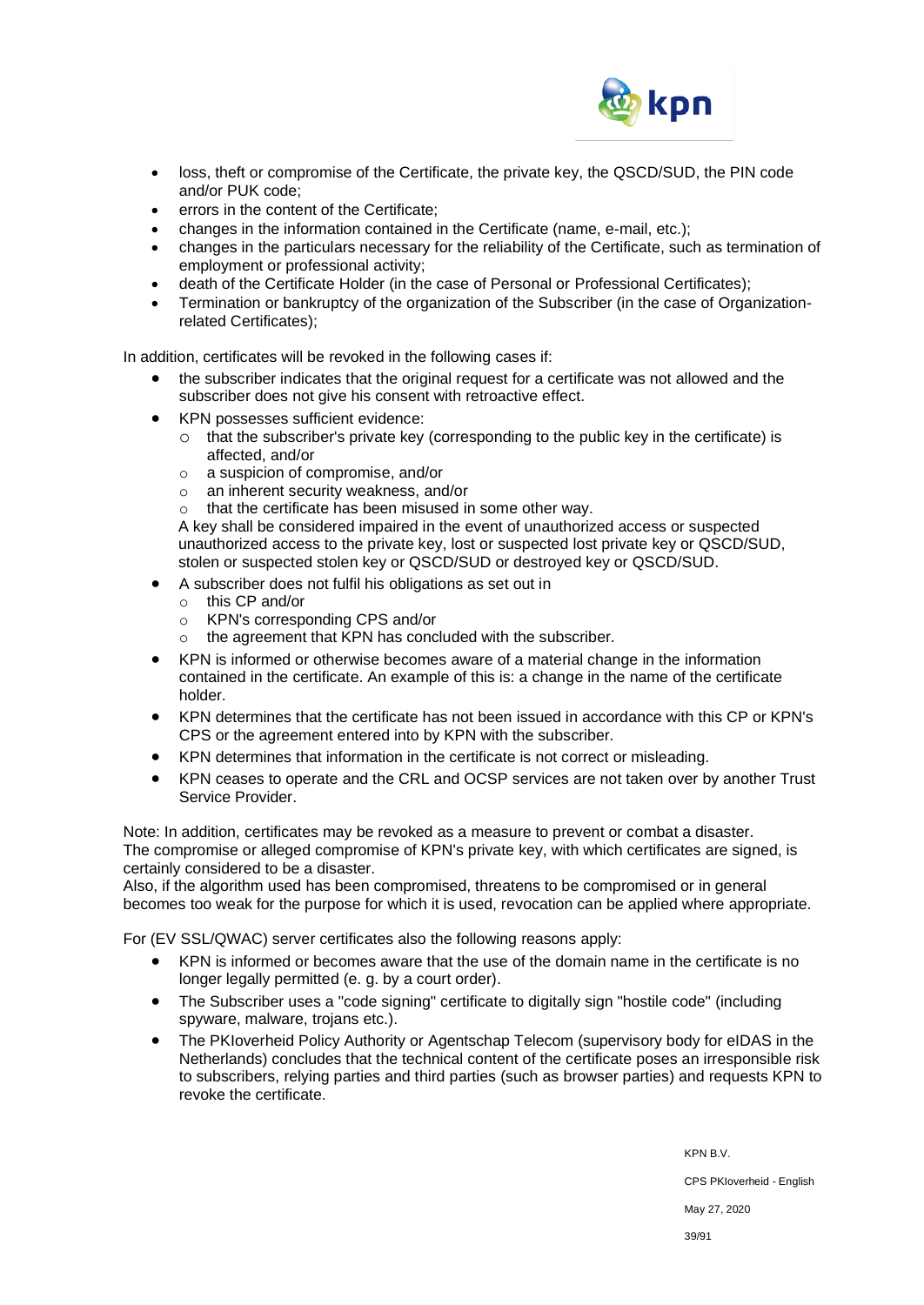

- loss, theft or compromise of the Certificate, the private key, the QSCD/SUD, the PIN code and/or PUK code;
- errors in the content of the Certificate:
- changes in the information contained in the Certificate (name, e-mail, etc.);
- changes in the particulars necessary for the reliability of the Certificate, such as termination of employment or professional activity;
- death of the Certificate Holder (in the case of Personal or Professional Certificates);
- Termination or bankruptcy of the organization of the Subscriber (in the case of Organizationrelated Certificates);

In addition, certificates will be revoked in the following cases if:

- the subscriber indicates that the original request for a certificate was not allowed and the subscriber does not give his consent with retroactive effect.
- KPN possesses sufficient evidence:
	- o that the subscriber's private key (corresponding to the public key in the certificate) is affected, and/or
	- o a suspicion of compromise, and/or
	- o an inherent security weakness, and/or
	- o that the certificate has been misused in some other way.

A key shall be considered impaired in the event of unauthorized access or suspected unauthorized access to the private key, lost or suspected lost private key or QSCD/SUD, stolen or suspected stolen key or QSCD/SUD or destroyed key or QSCD/SUD.

- A subscriber does not fulfil his obligations as set out in
	- o this CP and/or
	- o KPN's corresponding CPS and/or
	- o the agreement that KPN has concluded with the subscriber.
- KPN is informed or otherwise becomes aware of a material change in the information contained in the certificate. An example of this is: a change in the name of the certificate holder.
- KPN determines that the certificate has not been issued in accordance with this CP or KPN's CPS or the agreement entered into by KPN with the subscriber.
- KPN determines that information in the certificate is not correct or misleading.
- KPN ceases to operate and the CRL and OCSP services are not taken over by another Trust Service Provider.

Note: In addition, certificates may be revoked as a measure to prevent or combat a disaster. The compromise or alleged compromise of KPN's private key, with which certificates are signed, is certainly considered to be a disaster.

Also, if the algorithm used has been compromised, threatens to be compromised or in general becomes too weak for the purpose for which it is used, revocation can be applied where appropriate.

For (EV SSL/QWAC) server certificates also the following reasons apply:

- KPN is informed or becomes aware that the use of the domain name in the certificate is no longer legally permitted (e. g. by a court order).
- The Subscriber uses a "code signing" certificate to digitally sign "hostile code" (including spyware, malware, trojans etc.).
- The PKIoverheid Policy Authority or Agentschap Telecom (supervisory body for eIDAS in the Netherlands) concludes that the technical content of the certificate poses an irresponsible risk to subscribers, relying parties and third parties (such as browser parties) and requests KPN to revoke the certificate.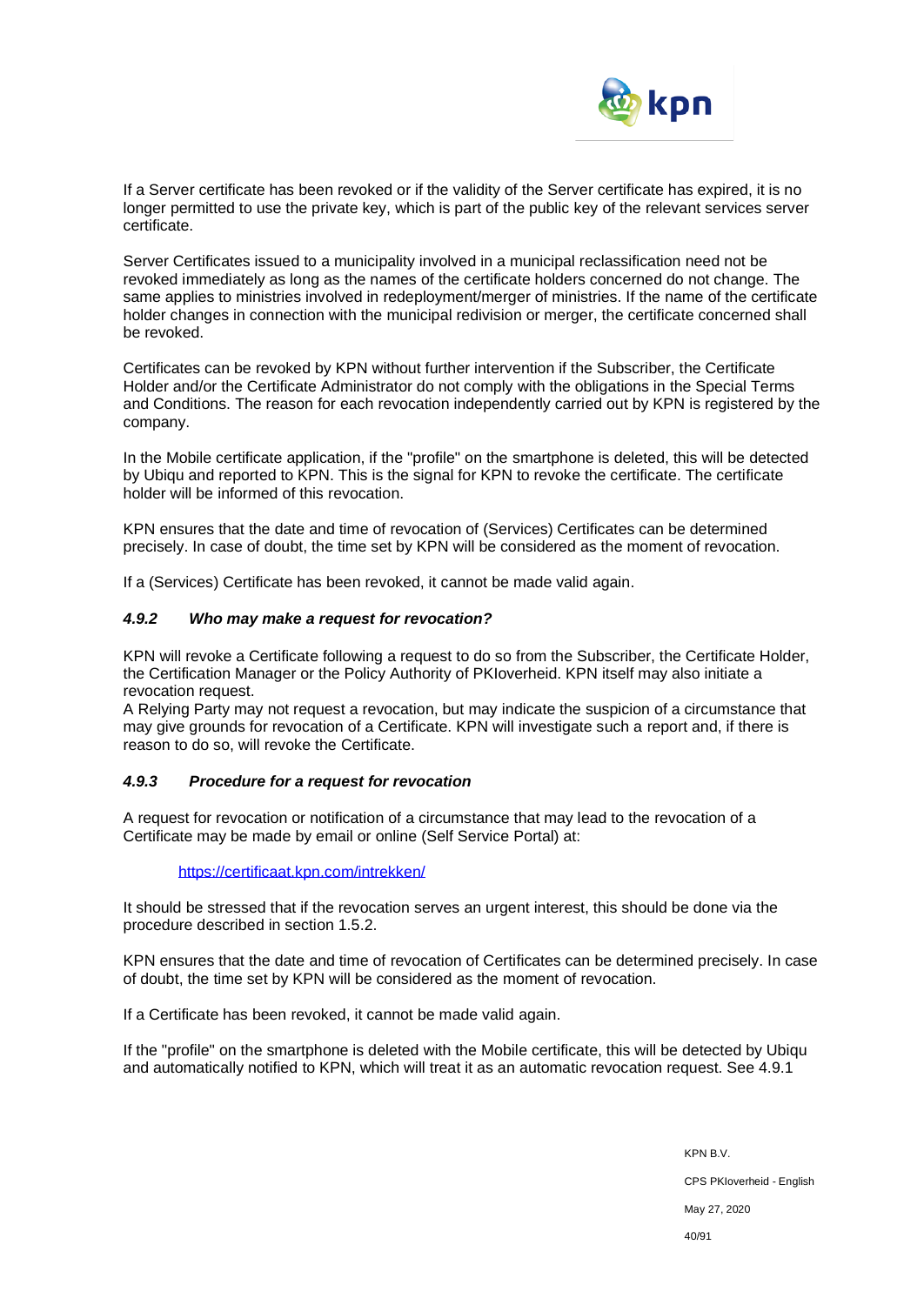

If a Server certificate has been revoked or if the validity of the Server certificate has expired, it is no longer permitted to use the private key, which is part of the public key of the relevant services server certificate.

Server Certificates issued to a municipality involved in a municipal reclassification need not be revoked immediately as long as the names of the certificate holders concerned do not change. The same applies to ministries involved in redeployment/merger of ministries. If the name of the certificate holder changes in connection with the municipal redivision or merger, the certificate concerned shall be revoked.

Certificates can be revoked by KPN without further intervention if the Subscriber, the Certificate Holder and/or the Certificate Administrator do not comply with the obligations in the Special Terms and Conditions. The reason for each revocation independently carried out by KPN is registered by the company.

In the Mobile certificate application, if the "profile" on the smartphone is deleted, this will be detected by Ubiqu and reported to KPN. This is the signal for KPN to revoke the certificate. The certificate holder will be informed of this revocation.

KPN ensures that the date and time of revocation of (Services) Certificates can be determined precisely. In case of doubt, the time set by KPN will be considered as the moment of revocation.

If a (Services) Certificate has been revoked, it cannot be made valid again.

#### *4.9.2 Who may make a request for revocation?*

KPN will revoke a Certificate following a request to do so from the Subscriber, the Certificate Holder, the Certification Manager or the Policy Authority of PKIoverheid. KPN itself may also initiate a revocation request.

A Relying Party may not request a revocation, but may indicate the suspicion of a circumstance that may give grounds for revocation of a Certificate. KPN will investigate such a report and, if there is reason to do so, will revoke the Certificate.

#### *4.9.3 Procedure for a request for revocation*

A request for revocation or notification of a circumstance that may lead to the revocation of a Certificate may be made by email or online (Self Service Portal) at:

#### <https://certificaat.kpn.com/intrekken/>

It should be stressed that if the revocation serves an urgent interest, this should be done via the procedure described in section 1.5.2.

KPN ensures that the date and time of revocation of Certificates can be determined precisely. In case of doubt, the time set by KPN will be considered as the moment of revocation.

If a Certificate has been revoked, it cannot be made valid again.

If the "profile" on the smartphone is deleted with the Mobile certificate, this will be detected by Ubiqu and automatically notified to KPN, which will treat it as an automatic revocation request. See 4.9.1

> KPN B.V. CPS PKIoverheid - English May 27, 2020 40/91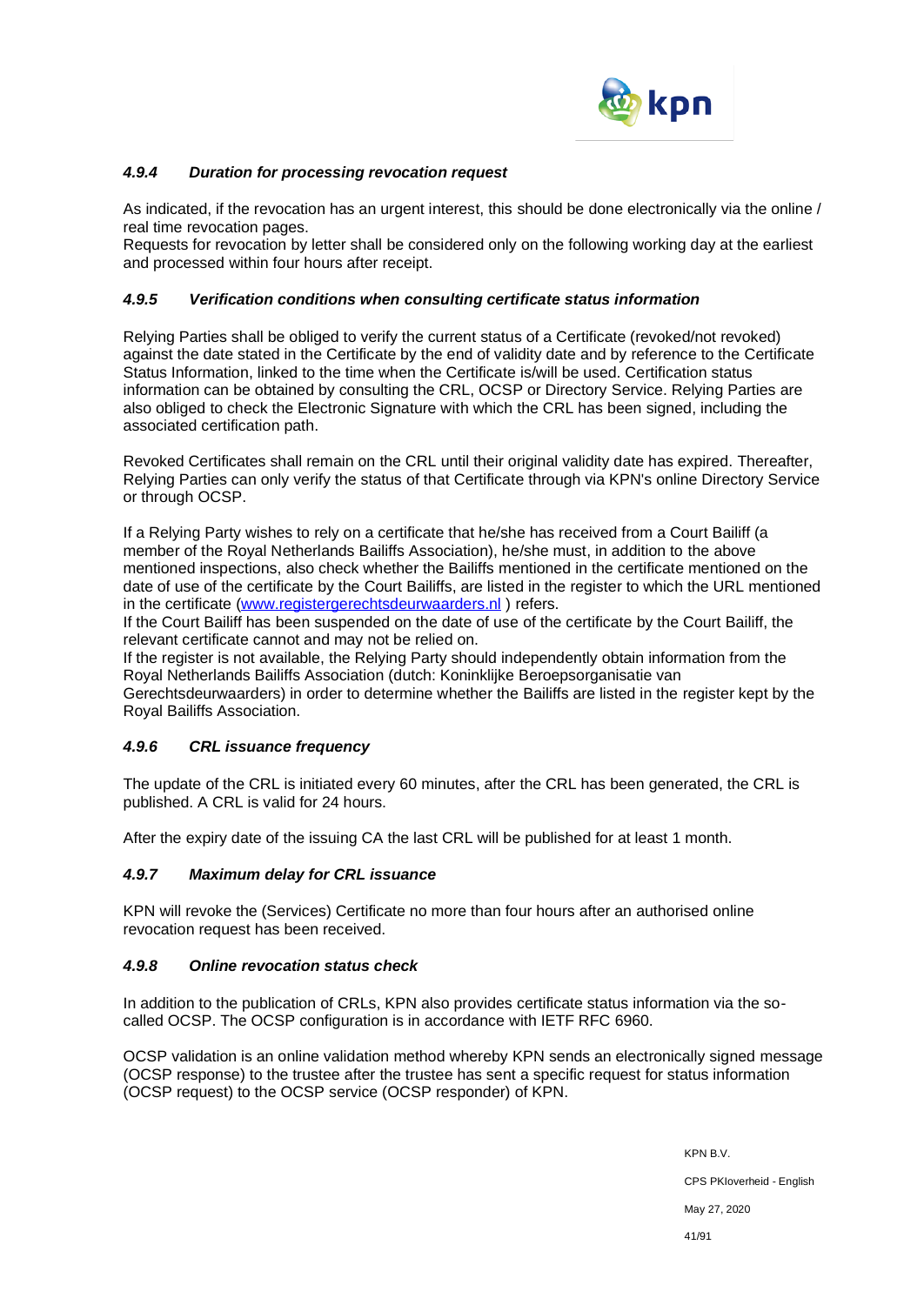

## *4.9.4 Duration for processing revocation request*

As indicated, if the revocation has an urgent interest, this should be done electronically via the online / real time revocation pages.

Requests for revocation by letter shall be considered only on the following working day at the earliest and processed within four hours after receipt.

#### *4.9.5 Verification conditions when consulting certificate status information*

Relying Parties shall be obliged to verify the current status of a Certificate (revoked/not revoked) against the date stated in the Certificate by the end of validity date and by reference to the Certificate Status Information, linked to the time when the Certificate is/will be used. Certification status information can be obtained by consulting the CRL, OCSP or Directory Service. Relying Parties are also obliged to check the Electronic Signature with which the CRL has been signed, including the associated certification path.

Revoked Certificates shall remain on the CRL until their original validity date has expired. Thereafter, Relying Parties can only verify the status of that Certificate through via KPN's online Directory Service or through OCSP.

If a Relying Party wishes to rely on a certificate that he/she has received from a Court Bailiff (a member of the Royal Netherlands Bailiffs Association), he/she must, in addition to the above mentioned inspections, also check whether the Bailiffs mentioned in the certificate mentioned on the date of use of the certificate by the Court Bailiffs, are listed in the register to which the URL mentioned in the certificate [\(www.registergerechtsdeurwaarders.nl](http://www.registergerechtsdeurwaarders.nl/)) refers.

If the Court Bailiff has been suspended on the date of use of the certificate by the Court Bailiff, the relevant certificate cannot and may not be relied on.

If the register is not available, the Relying Party should independently obtain information from the Royal Netherlands Bailiffs Association (dutch: Koninklijke Beroepsorganisatie van

Gerechtsdeurwaarders) in order to determine whether the Bailiffs are listed in the register kept by the Royal Bailiffs Association.

### *4.9.6 CRL issuance frequency*

The update of the CRL is initiated every 60 minutes, after the CRL has been generated, the CRL is published. A CRL is valid for 24 hours.

After the expiry date of the issuing CA the last CRL will be published for at least 1 month.

#### *4.9.7 Maximum delay for CRL issuance*

KPN will revoke the (Services) Certificate no more than four hours after an authorised online revocation request has been received.

### *4.9.8 Online revocation status check*

In addition to the publication of CRLs, KPN also provides certificate status information via the socalled OCSP. The OCSP configuration is in accordance with IETF RFC 6960.

OCSP validation is an online validation method whereby KPN sends an electronically signed message (OCSP response) to the trustee after the trustee has sent a specific request for status information (OCSP request) to the OCSP service (OCSP responder) of KPN.

> KPN B.V. CPS PKIoverheid - English May 27, 2020 41/91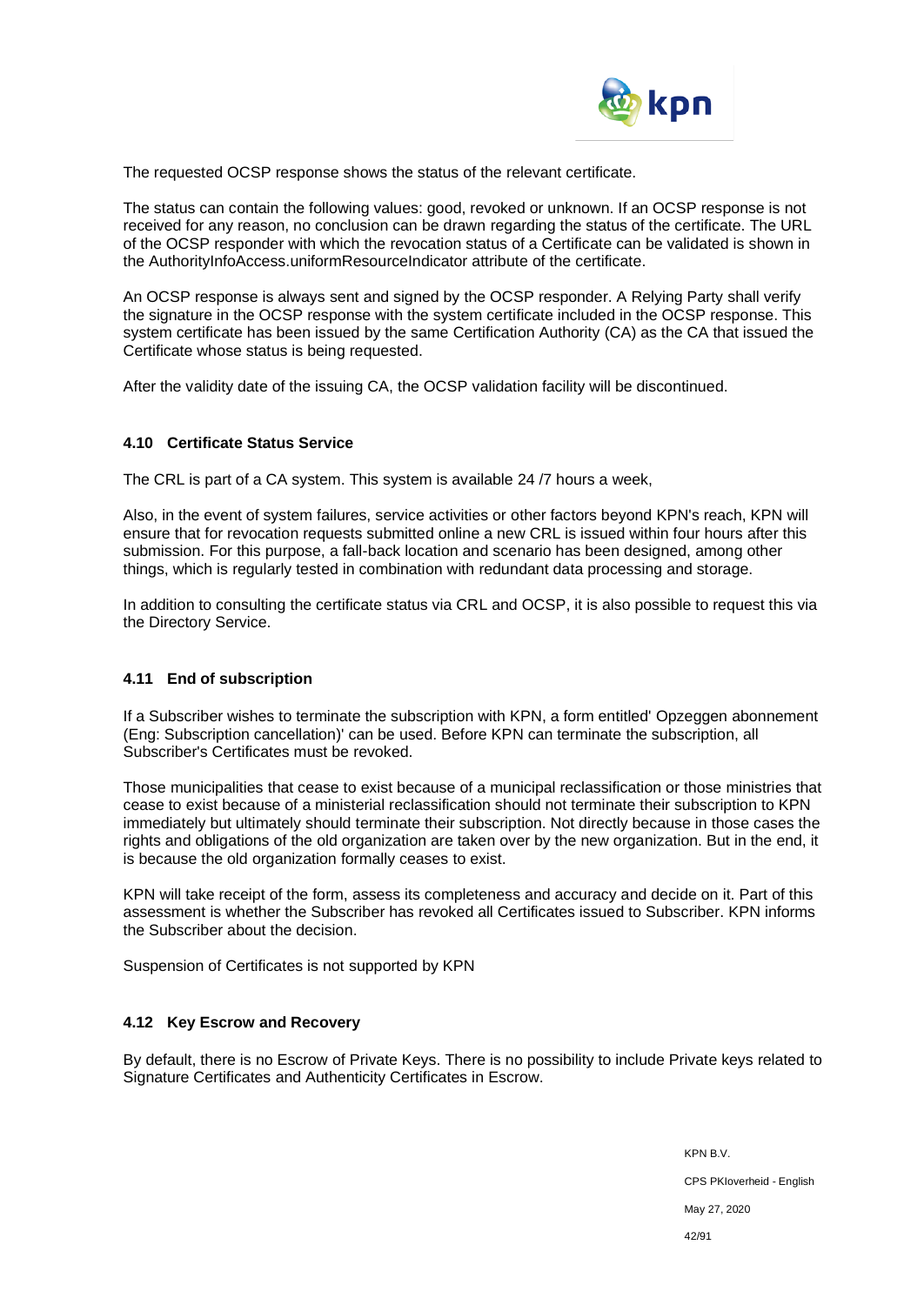

The requested OCSP response shows the status of the relevant certificate.

The status can contain the following values: good, revoked or unknown. If an OCSP response is not received for any reason, no conclusion can be drawn regarding the status of the certificate. The URL of the OCSP responder with which the revocation status of a Certificate can be validated is shown in the AuthorityInfoAccess.uniformResourceIndicator attribute of the certificate.

An OCSP response is always sent and signed by the OCSP responder. A Relying Party shall verify the signature in the OCSP response with the system certificate included in the OCSP response. This system certificate has been issued by the same Certification Authority (CA) as the CA that issued the Certificate whose status is being requested.

After the validity date of the issuing CA, the OCSP validation facility will be discontinued.

#### **4.10 Certificate Status Service**

The CRL is part of a CA system. This system is available 24 /7 hours a week,

Also, in the event of system failures, service activities or other factors beyond KPN's reach, KPN will ensure that for revocation requests submitted online a new CRL is issued within four hours after this submission. For this purpose, a fall-back location and scenario has been designed, among other things, which is regularly tested in combination with redundant data processing and storage.

In addition to consulting the certificate status via CRL and OCSP, it is also possible to request this via the Directory Service.

#### **4.11 End of subscription**

If a Subscriber wishes to terminate the subscription with KPN, a form entitled' Opzeggen abonnement (Eng: Subscription cancellation)' can be used. Before KPN can terminate the subscription, all Subscriber's Certificates must be revoked.

Those municipalities that cease to exist because of a municipal reclassification or those ministries that cease to exist because of a ministerial reclassification should not terminate their subscription to KPN immediately but ultimately should terminate their subscription. Not directly because in those cases the rights and obligations of the old organization are taken over by the new organization. But in the end, it is because the old organization formally ceases to exist.

KPN will take receipt of the form, assess its completeness and accuracy and decide on it. Part of this assessment is whether the Subscriber has revoked all Certificates issued to Subscriber. KPN informs the Subscriber about the decision.

Suspension of Certificates is not supported by KPN

### **4.12 Key Escrow and Recovery**

By default, there is no Escrow of Private Keys. There is no possibility to include Private keys related to Signature Certificates and Authenticity Certificates in Escrow.

> KPN B.V. CPS PKIoverheid - English May 27, 2020 42/91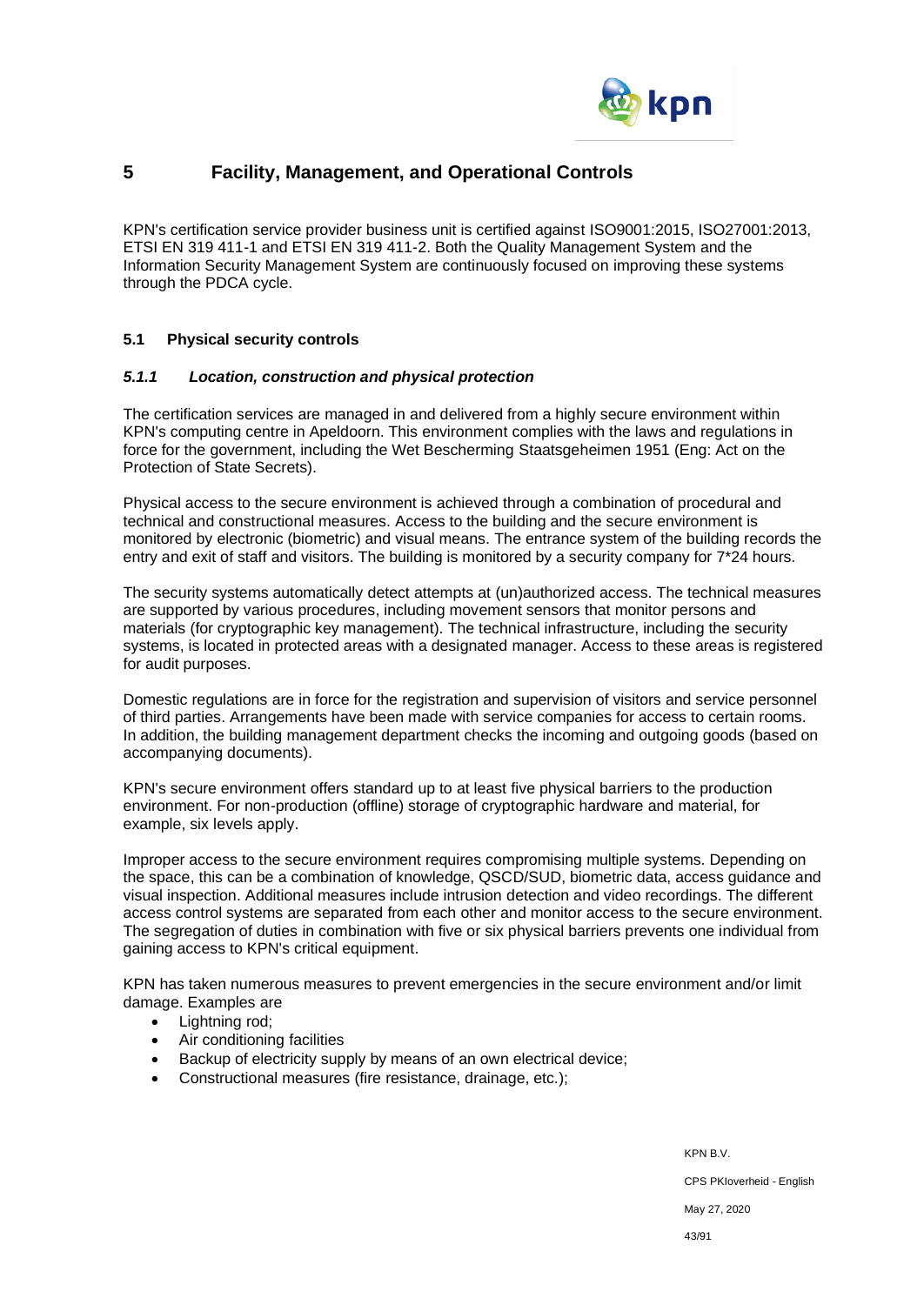

# **5 Facility, Management, and Operational Controls**

KPN's certification service provider business unit is certified against ISO9001:2015, ISO27001:2013, ETSI EN 319 411-1 and ETSI EN 319 411-2. Both the Quality Management System and the Information Security Management System are continuously focused on improving these systems through the PDCA cycle.

### **5.1 Physical security controls**

### *5.1.1 Location, construction and physical protection*

The certification services are managed in and delivered from a highly secure environment within KPN's computing centre in Apeldoorn. This environment complies with the laws and regulations in force for the government, including the Wet Bescherming Staatsgeheimen 1951 (Eng: Act on the Protection of State Secrets).

Physical access to the secure environment is achieved through a combination of procedural and technical and constructional measures. Access to the building and the secure environment is monitored by electronic (biometric) and visual means. The entrance system of the building records the entry and exit of staff and visitors. The building is monitored by a security company for 7\*24 hours.

The security systems automatically detect attempts at (un)authorized access. The technical measures are supported by various procedures, including movement sensors that monitor persons and materials (for cryptographic key management). The technical infrastructure, including the security systems, is located in protected areas with a designated manager. Access to these areas is registered for audit purposes.

Domestic regulations are in force for the registration and supervision of visitors and service personnel of third parties. Arrangements have been made with service companies for access to certain rooms. In addition, the building management department checks the incoming and outgoing goods (based on accompanying documents).

KPN's secure environment offers standard up to at least five physical barriers to the production environment. For non-production (offline) storage of cryptographic hardware and material, for example, six levels apply.

Improper access to the secure environment requires compromising multiple systems. Depending on the space, this can be a combination of knowledge, QSCD/SUD, biometric data, access guidance and visual inspection. Additional measures include intrusion detection and video recordings. The different access control systems are separated from each other and monitor access to the secure environment. The segregation of duties in combination with five or six physical barriers prevents one individual from gaining access to KPN's critical equipment.

KPN has taken numerous measures to prevent emergencies in the secure environment and/or limit damage. Examples are

- Lightning rod;
- Air conditioning facilities
- Backup of electricity supply by means of an own electrical device;
- Constructional measures (fire resistance, drainage, etc.);

KPN B.V. CPS PKIoverheid - English May 27, 2020 43/91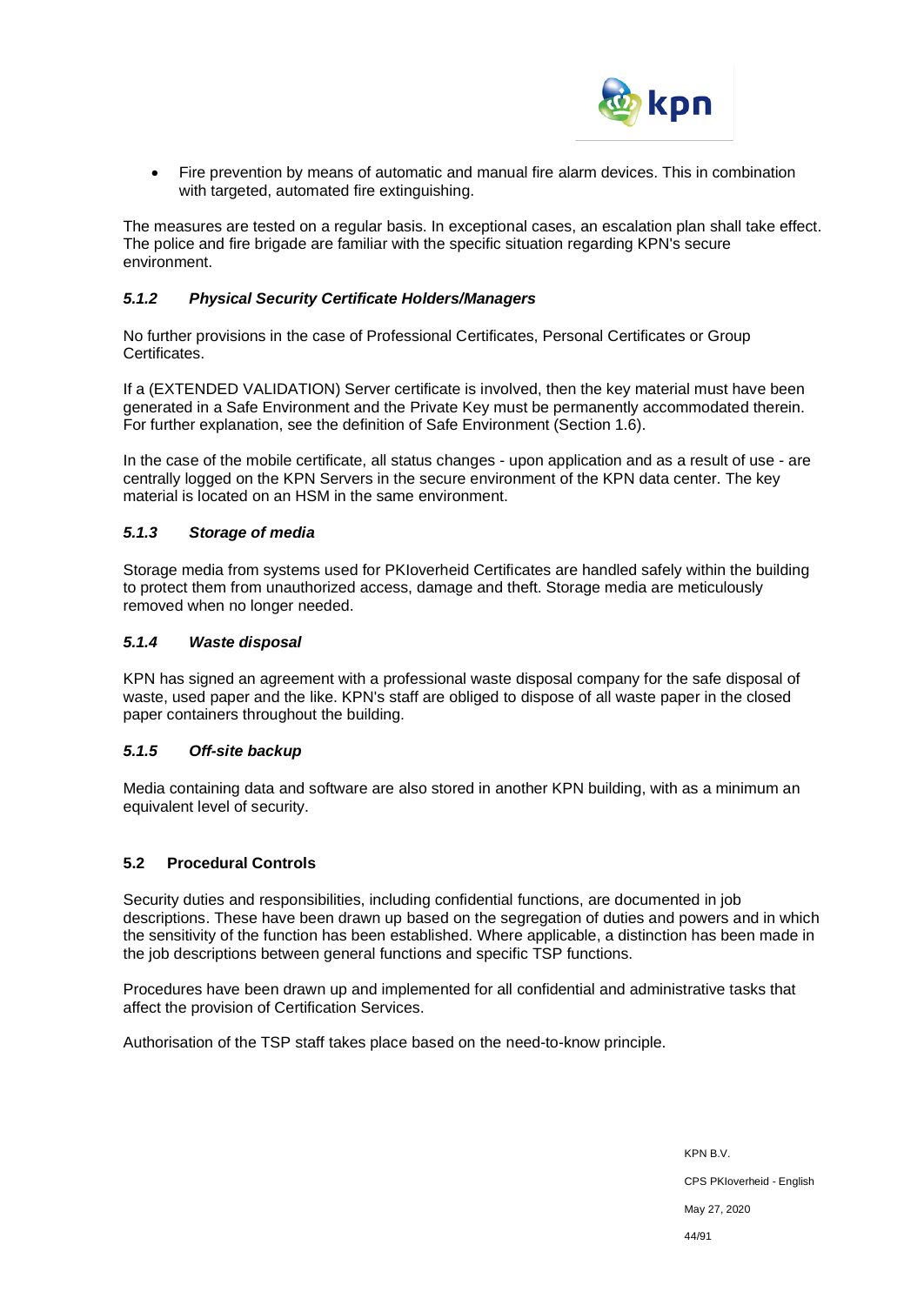

• Fire prevention by means of automatic and manual fire alarm devices. This in combination with targeted, automated fire extinguishing.

The measures are tested on a regular basis. In exceptional cases, an escalation plan shall take effect. The police and fire brigade are familiar with the specific situation regarding KPN's secure environment.

#### *5.1.2 Physical Security Certificate Holders/Managers*

No further provisions in the case of Professional Certificates, Personal Certificates or Group **Certificates** 

If a (EXTENDED VALIDATION) Server certificate is involved, then the key material must have been generated in a Safe Environment and the Private Key must be permanently accommodated therein. For further explanation, see the definition of Safe Environment (Section 1.6).

In the case of the mobile certificate, all status changes - upon application and as a result of use - are centrally logged on the KPN Servers in the secure environment of the KPN data center. The key material is located on an HSM in the same environment.

#### *5.1.3 Storage of media*

Storage media from systems used for PKIoverheid Certificates are handled safely within the building to protect them from unauthorized access, damage and theft. Storage media are meticulously removed when no longer needed.

#### *5.1.4 Waste disposal*

KPN has signed an agreement with a professional waste disposal company for the safe disposal of waste, used paper and the like. KPN's staff are obliged to dispose of all waste paper in the closed paper containers throughout the building.

### *5.1.5 Off-site backup*

Media containing data and software are also stored in another KPN building, with as a minimum an equivalent level of security.

### **5.2 Procedural Controls**

Security duties and responsibilities, including confidential functions, are documented in job descriptions. These have been drawn up based on the segregation of duties and powers and in which the sensitivity of the function has been established. Where applicable, a distinction has been made in the job descriptions between general functions and specific TSP functions.

Procedures have been drawn up and implemented for all confidential and administrative tasks that affect the provision of Certification Services.

Authorisation of the TSP staff takes place based on the need-to-know principle.

KPN B.V. CPS PKIoverheid - English May 27, 2020 44/91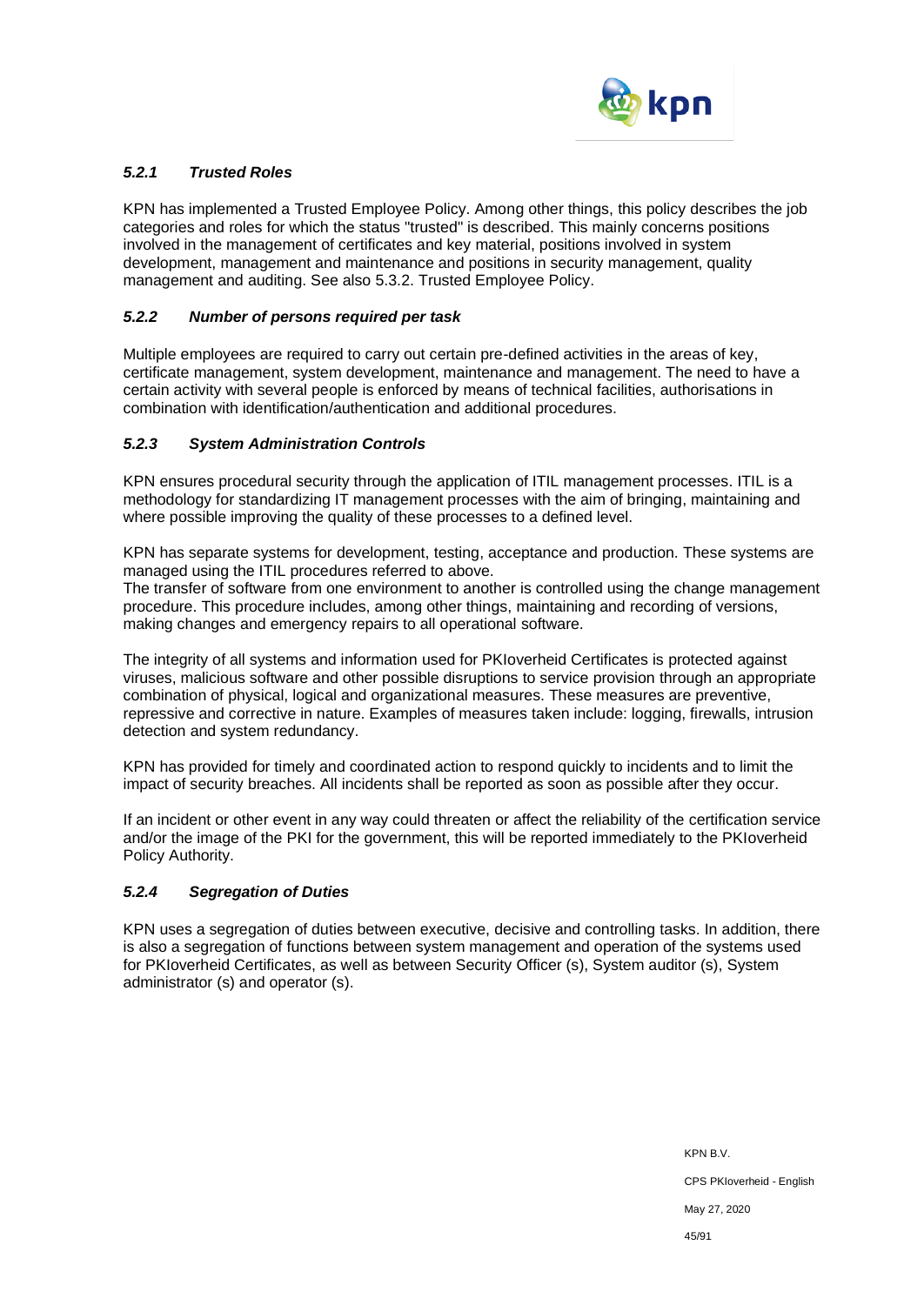

# *5.2.1 Trusted Roles*

KPN has implemented a Trusted Employee Policy. Among other things, this policy describes the job categories and roles for which the status "trusted" is described. This mainly concerns positions involved in the management of certificates and key material, positions involved in system development, management and maintenance and positions in security management, quality management and auditing. See also 5.3.2. Trusted Employee Policy.

### *5.2.2 Number of persons required per task*

Multiple employees are required to carry out certain pre-defined activities in the areas of key, certificate management, system development, maintenance and management. The need to have a certain activity with several people is enforced by means of technical facilities, authorisations in combination with identification/authentication and additional procedures.

## *5.2.3 System Administration Controls*

KPN ensures procedural security through the application of ITIL management processes. ITIL is a methodology for standardizing IT management processes with the aim of bringing, maintaining and where possible improving the quality of these processes to a defined level.

KPN has separate systems for development, testing, acceptance and production. These systems are managed using the ITIL procedures referred to above.

The transfer of software from one environment to another is controlled using the change management procedure. This procedure includes, among other things, maintaining and recording of versions, making changes and emergency repairs to all operational software.

The integrity of all systems and information used for PKIoverheid Certificates is protected against viruses, malicious software and other possible disruptions to service provision through an appropriate combination of physical, logical and organizational measures. These measures are preventive, repressive and corrective in nature. Examples of measures taken include: logging, firewalls, intrusion detection and system redundancy.

KPN has provided for timely and coordinated action to respond quickly to incidents and to limit the impact of security breaches. All incidents shall be reported as soon as possible after they occur.

If an incident or other event in any way could threaten or affect the reliability of the certification service and/or the image of the PKI for the government, this will be reported immediately to the PKIoverheid Policy Authority.

### *5.2.4 Segregation of Duties*

KPN uses a segregation of duties between executive, decisive and controlling tasks. In addition, there is also a segregation of functions between system management and operation of the systems used for PKIoverheid Certificates, as well as between Security Officer (s), System auditor (s), System administrator (s) and operator (s).

> KPN B.V. CPS PKIoverheid - English May 27, 2020 45/91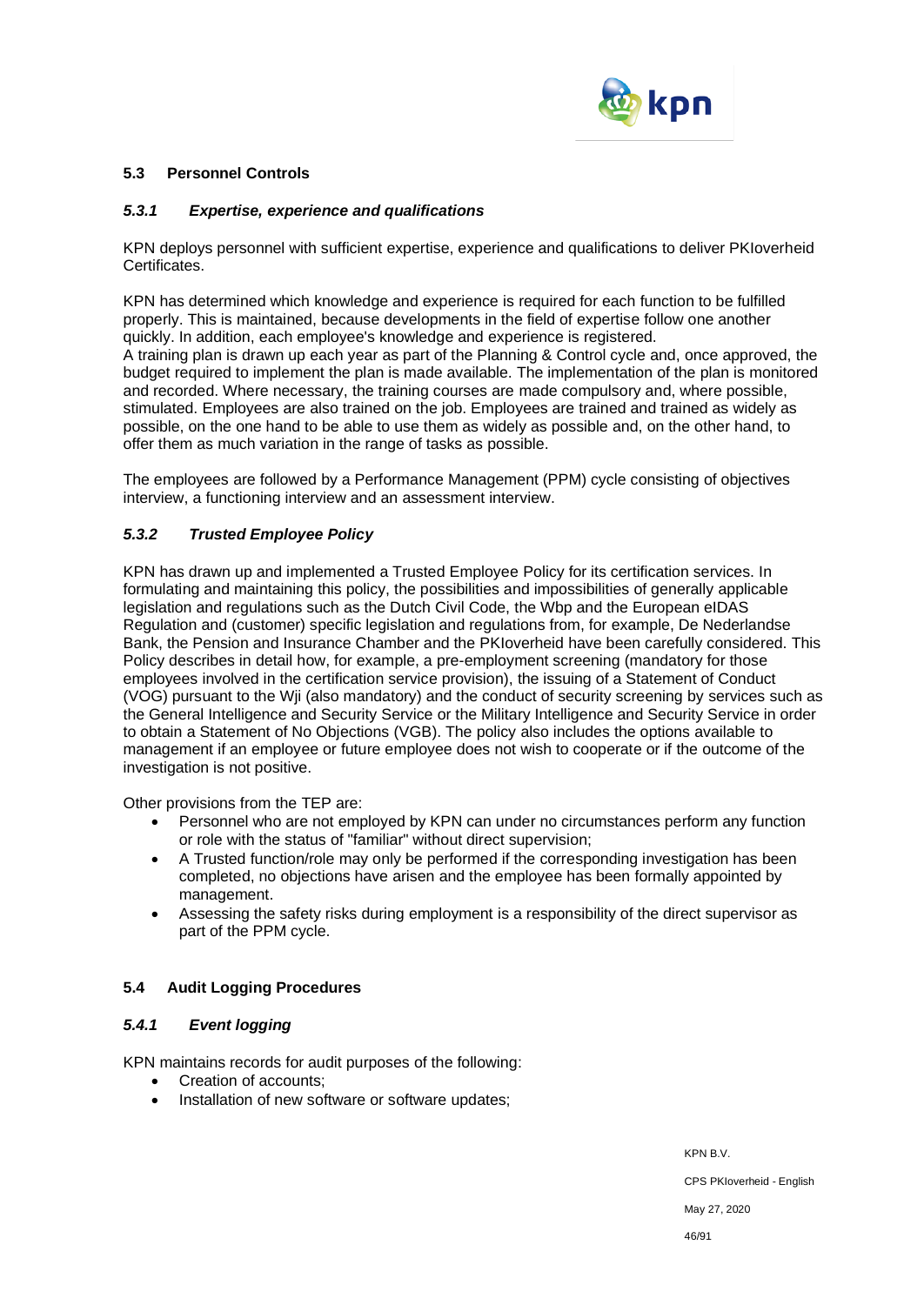

### **5.3 Personnel Controls**

### *5.3.1 Expertise, experience and qualifications*

KPN deploys personnel with sufficient expertise, experience and qualifications to deliver PKIoverheid Certificates.

KPN has determined which knowledge and experience is required for each function to be fulfilled properly. This is maintained, because developments in the field of expertise follow one another quickly. In addition, each employee's knowledge and experience is registered. A training plan is drawn up each year as part of the Planning & Control cycle and, once approved, the budget required to implement the plan is made available. The implementation of the plan is monitored and recorded. Where necessary, the training courses are made compulsory and, where possible, stimulated. Employees are also trained on the job. Employees are trained and trained as widely as possible, on the one hand to be able to use them as widely as possible and, on the other hand, to offer them as much variation in the range of tasks as possible.

The employees are followed by a Performance Management (PPM) cycle consisting of objectives interview, a functioning interview and an assessment interview.

## *5.3.2 Trusted Employee Policy*

KPN has drawn up and implemented a Trusted Employee Policy for its certification services. In formulating and maintaining this policy, the possibilities and impossibilities of generally applicable legislation and regulations such as the Dutch Civil Code, the Wbp and the European eIDAS Regulation and (customer) specific legislation and regulations from, for example, De Nederlandse Bank, the Pension and Insurance Chamber and the PKIoverheid have been carefully considered. This Policy describes in detail how, for example, a pre-employment screening (mandatory for those employees involved in the certification service provision), the issuing of a Statement of Conduct (VOG) pursuant to the Wji (also mandatory) and the conduct of security screening by services such as the General Intelligence and Security Service or the Military Intelligence and Security Service in order to obtain a Statement of No Objections (VGB). The policy also includes the options available to management if an employee or future employee does not wish to cooperate or if the outcome of the investigation is not positive.

Other provisions from the TEP are:

- Personnel who are not employed by KPN can under no circumstances perform any function or role with the status of "familiar" without direct supervision;
- A Trusted function/role may only be performed if the corresponding investigation has been completed, no objections have arisen and the employee has been formally appointed by management.
- Assessing the safety risks during employment is a responsibility of the direct supervisor as part of the PPM cycle.

### **5.4 Audit Logging Procedures**

## *5.4.1 Event logging*

KPN maintains records for audit purposes of the following:

- Creation of accounts;
- Installation of new software or software updates;

KPN B.V. CPS PKIoverheid - English

May 27, 2020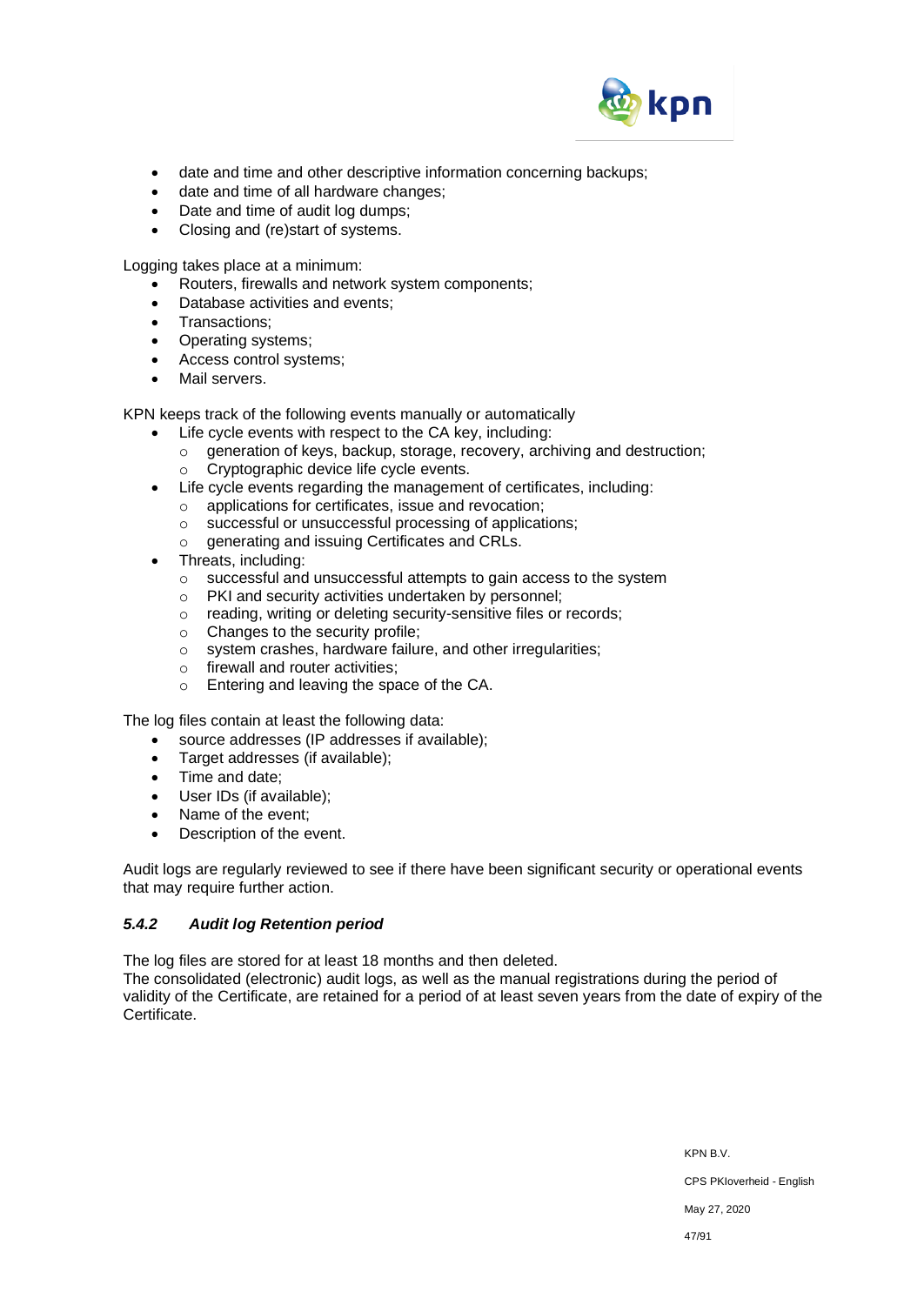

- date and time and other descriptive information concerning backups;
- date and time of all hardware changes;
- Date and time of audit log dumps;
- Closing and (re)start of systems.

Logging takes place at a minimum:

- Routers, firewalls and network system components;
- Database activities and events;
- Transactions;
- Operating systems;
- Access control systems;
- Mail servers.

KPN keeps track of the following events manually or automatically

- Life cycle events with respect to the CA key, including:
	- o generation of keys, backup, storage, recovery, archiving and destruction;
	- o Cryptographic device life cycle events.
- Life cycle events regarding the management of certificates, including:
	- o applications for certificates, issue and revocation;
	- o successful or unsuccessful processing of applications;
	- o generating and issuing Certificates and CRLs.
- Threats, including:
	- o successful and unsuccessful attempts to gain access to the system
	- o PKI and security activities undertaken by personnel;
	- o reading, writing or deleting security-sensitive files or records;
	- o Changes to the security profile;
	- o system crashes, hardware failure, and other irregularities;
	- o firewall and router activities;
	- o Entering and leaving the space of the CA.

The log files contain at least the following data:

- source addresses (IP addresses if available);
- Target addresses (if available):
- Time and date;
- User IDs (if available);
- Name of the event;
- Description of the event.

Audit logs are regularly reviewed to see if there have been significant security or operational events that may require further action.

# *5.4.2 Audit log Retention period*

The log files are stored for at least 18 months and then deleted.

The consolidated (electronic) audit logs, as well as the manual registrations during the period of validity of the Certificate, are retained for a period of at least seven years from the date of expiry of the Certificate.

KPN B.V.

CPS PKIoverheid - English

May 27, 2020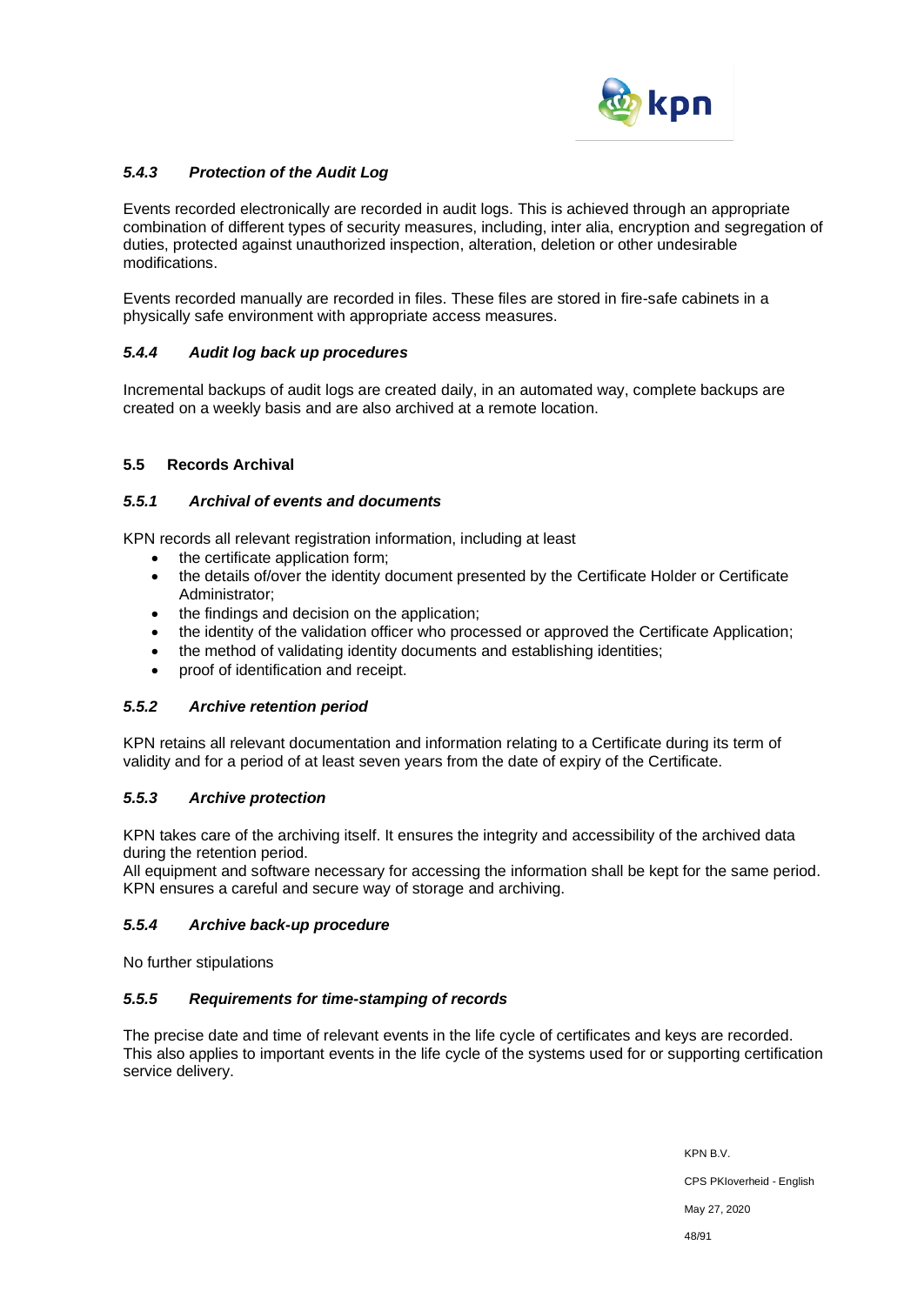

# *5.4.3 Protection of the Audit Log*

Events recorded electronically are recorded in audit logs. This is achieved through an appropriate combination of different types of security measures, including, inter alia, encryption and segregation of duties, protected against unauthorized inspection, alteration, deletion or other undesirable modifications.

Events recorded manually are recorded in files. These files are stored in fire-safe cabinets in a physically safe environment with appropriate access measures.

## *5.4.4 Audit log back up procedures*

Incremental backups of audit logs are created daily, in an automated way, complete backups are created on a weekly basis and are also archived at a remote location.

### **5.5 Records Archival**

### *5.5.1 Archival of events and documents*

KPN records all relevant registration information, including at least

- the certificate application form;
- the details of/over the identity document presented by the Certificate Holder or Certificate Administrator;
- the findings and decision on the application;
- the identity of the validation officer who processed or approved the Certificate Application;
- the method of validating identity documents and establishing identities;
- proof of identification and receipt.

### *5.5.2 Archive retention period*

KPN retains all relevant documentation and information relating to a Certificate during its term of validity and for a period of at least seven years from the date of expiry of the Certificate.

# *5.5.3 Archive protection*

KPN takes care of the archiving itself. It ensures the integrity and accessibility of the archived data during the retention period.

All equipment and software necessary for accessing the information shall be kept for the same period. KPN ensures a careful and secure way of storage and archiving.

### *5.5.4 Archive back-up procedure*

No further stipulations

### *5.5.5 Requirements for time-stamping of records*

The precise date and time of relevant events in the life cycle of certificates and keys are recorded. This also applies to important events in the life cycle of the systems used for or supporting certification service delivery.

> KPN B.V. CPS PKIoverheid - English May 27, 2020 48/91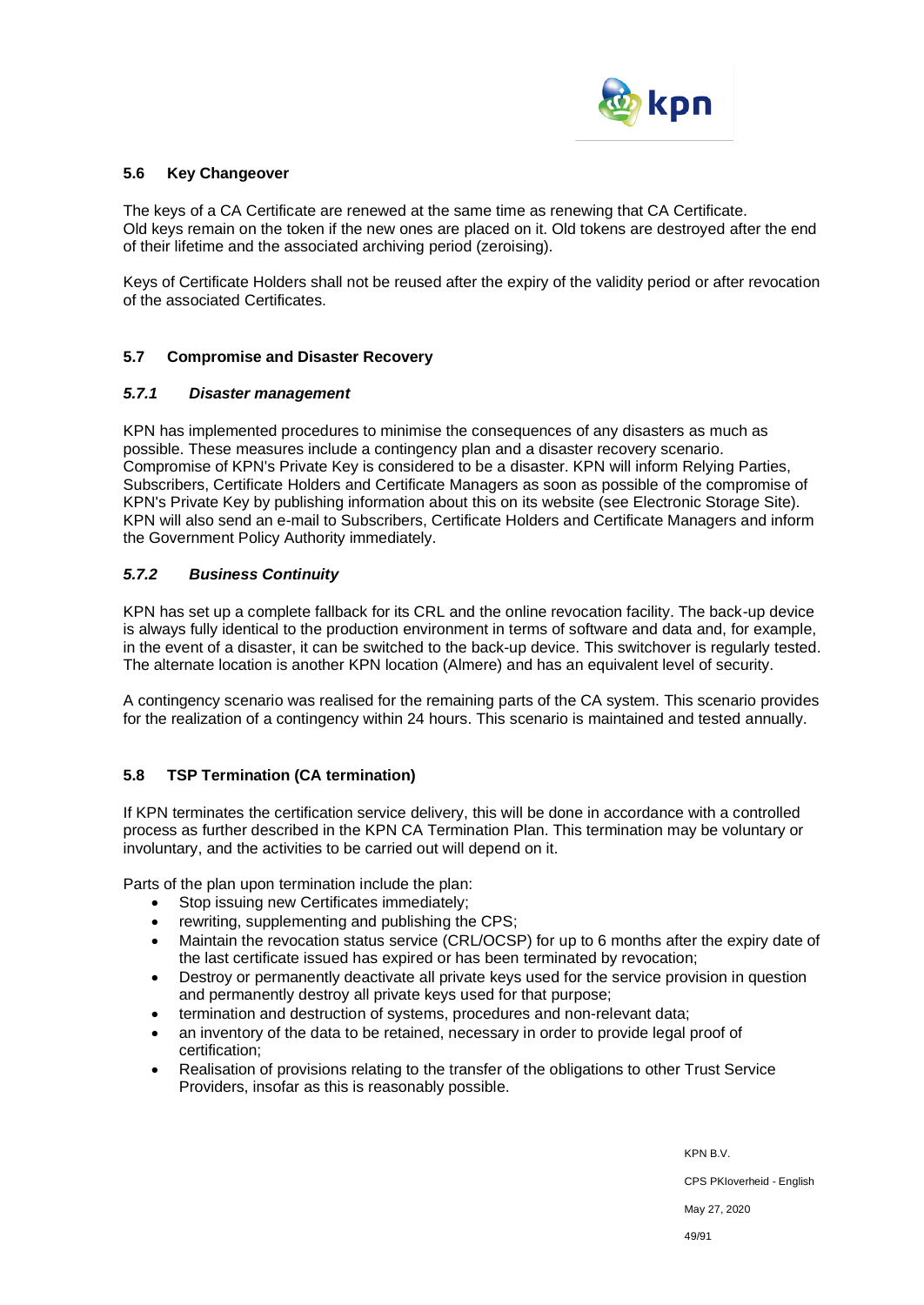

#### **5.6 Key Changeover**

The keys of a CA Certificate are renewed at the same time as renewing that CA Certificate. Old keys remain on the token if the new ones are placed on it. Old tokens are destroyed after the end of their lifetime and the associated archiving period (zeroising).

Keys of Certificate Holders shall not be reused after the expiry of the validity period or after revocation of the associated Certificates.

### **5.7 Compromise and Disaster Recovery**

#### *5.7.1 Disaster management*

KPN has implemented procedures to minimise the consequences of any disasters as much as possible. These measures include a contingency plan and a disaster recovery scenario. Compromise of KPN's Private Key is considered to be a disaster. KPN will inform Relying Parties, Subscribers, Certificate Holders and Certificate Managers as soon as possible of the compromise of KPN's Private Key by publishing information about this on its website (see Electronic Storage Site). KPN will also send an e-mail to Subscribers, Certificate Holders and Certificate Managers and inform the Government Policy Authority immediately.

### *5.7.2 Business Continuity*

KPN has set up a complete fallback for its CRL and the online revocation facility. The back-up device is always fully identical to the production environment in terms of software and data and, for example, in the event of a disaster, it can be switched to the back-up device. This switchover is regularly tested. The alternate location is another KPN location (Almere) and has an equivalent level of security.

A contingency scenario was realised for the remaining parts of the CA system. This scenario provides for the realization of a contingency within 24 hours. This scenario is maintained and tested annually.

### **5.8 TSP Termination (CA termination)**

If KPN terminates the certification service delivery, this will be done in accordance with a controlled process as further described in the KPN CA Termination Plan. This termination may be voluntary or involuntary, and the activities to be carried out will depend on it.

Parts of the plan upon termination include the plan:

- Stop issuing new Certificates immediately;
- rewriting, supplementing and publishing the CPS;
- Maintain the revocation status service (CRL/OCSP) for up to 6 months after the expiry date of the last certificate issued has expired or has been terminated by revocation;
- Destroy or permanently deactivate all private keys used for the service provision in question and permanently destroy all private keys used for that purpose;
- termination and destruction of systems, procedures and non-relevant data;
- an inventory of the data to be retained, necessary in order to provide legal proof of certification;
- Realisation of provisions relating to the transfer of the obligations to other Trust Service Providers, insofar as this is reasonably possible.

KPN B.V.

CPS PKIoverheid - English

May 27, 2020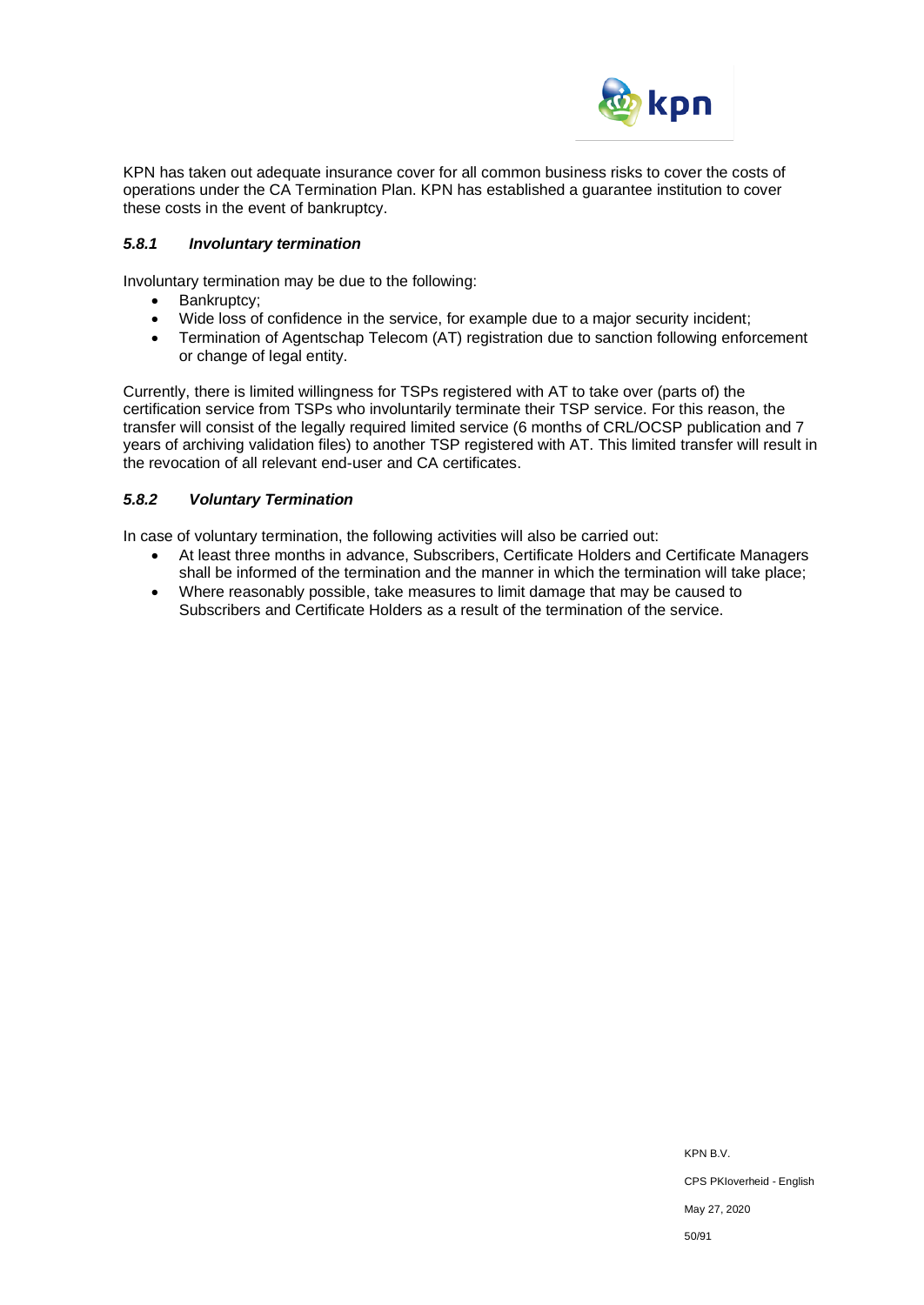

KPN has taken out adequate insurance cover for all common business risks to cover the costs of operations under the CA Termination Plan. KPN has established a guarantee institution to cover these costs in the event of bankruptcy.

#### *5.8.1 Involuntary termination*

Involuntary termination may be due to the following:

- Bankruptcy;
- Wide loss of confidence in the service, for example due to a major security incident;
- Termination of Agentschap Telecom (AT) registration due to sanction following enforcement or change of legal entity.

Currently, there is limited willingness for TSPs registered with AT to take over (parts of) the certification service from TSPs who involuntarily terminate their TSP service. For this reason, the transfer will consist of the legally required limited service (6 months of CRL/OCSP publication and 7 years of archiving validation files) to another TSP registered with AT. This limited transfer will result in the revocation of all relevant end-user and CA certificates.

### *5.8.2 Voluntary Termination*

In case of voluntary termination, the following activities will also be carried out:

- At least three months in advance, Subscribers, Certificate Holders and Certificate Managers shall be informed of the termination and the manner in which the termination will take place;
- Where reasonably possible, take measures to limit damage that may be caused to Subscribers and Certificate Holders as a result of the termination of the service.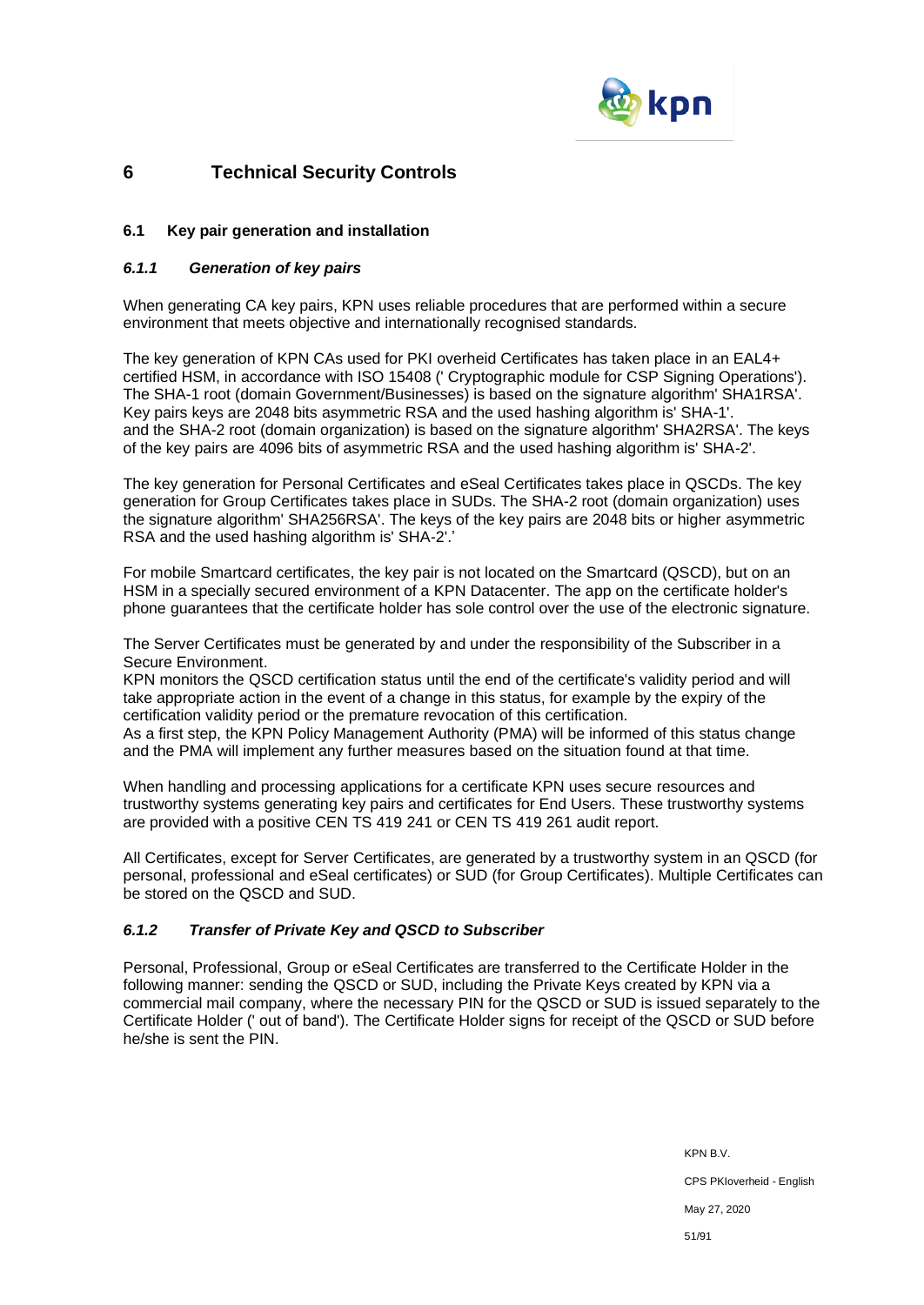

# **6 Technical Security Controls**

### **6.1 Key pair generation and installation**

#### *6.1.1 Generation of key pairs*

When generating CA key pairs, KPN uses reliable procedures that are performed within a secure environment that meets objective and internationally recognised standards.

The key generation of KPN CAs used for PKI overheid Certificates has taken place in an EAL4+ certified HSM, in accordance with ISO 15408 (' Cryptographic module for CSP Signing Operations'). The SHA-1 root (domain Government/Businesses) is based on the signature algorithm' SHA1RSA'. Key pairs keys are 2048 bits asymmetric RSA and the used hashing algorithm is' SHA-1'. and the SHA-2 root (domain organization) is based on the signature algorithm' SHA2RSA'. The keys of the key pairs are 4096 bits of asymmetric RSA and the used hashing algorithm is' SHA-2'.

The key generation for Personal Certificates and eSeal Certificates takes place in QSCDs. The key generation for Group Certificates takes place in SUDs. The SHA-2 root (domain organization) uses the signature algorithm' SHA256RSA'. The keys of the key pairs are 2048 bits or higher asymmetric RSA and the used hashing algorithm is' SHA-2'.'

For mobile Smartcard certificates, the key pair is not located on the Smartcard (QSCD), but on an HSM in a specially secured environment of a KPN Datacenter. The app on the certificate holder's phone guarantees that the certificate holder has sole control over the use of the electronic signature.

The Server Certificates must be generated by and under the responsibility of the Subscriber in a Secure Environment.

KPN monitors the QSCD certification status until the end of the certificate's validity period and will take appropriate action in the event of a change in this status, for example by the expiry of the certification validity period or the premature revocation of this certification.

As a first step, the KPN Policy Management Authority (PMA) will be informed of this status change and the PMA will implement any further measures based on the situation found at that time.

When handling and processing applications for a certificate KPN uses secure resources and trustworthy systems generating key pairs and certificates for End Users. These trustworthy systems are provided with a positive CEN TS 419 241 or CEN TS 419 261 audit report.

All Certificates, except for Server Certificates, are generated by a trustworthy system in an QSCD (for personal, professional and eSeal certificates) or SUD (for Group Certificates). Multiple Certificates can be stored on the QSCD and SUD.

### *6.1.2 Transfer of Private Key and QSCD to Subscriber*

Personal, Professional, Group or eSeal Certificates are transferred to the Certificate Holder in the following manner: sending the QSCD or SUD, including the Private Keys created by KPN via a commercial mail company, where the necessary PIN for the QSCD or SUD is issued separately to the Certificate Holder (' out of band'). The Certificate Holder signs for receipt of the QSCD or SUD before he/she is sent the PIN.

> KPN B.V. CPS PKIoverheid - English May 27, 2020 51/91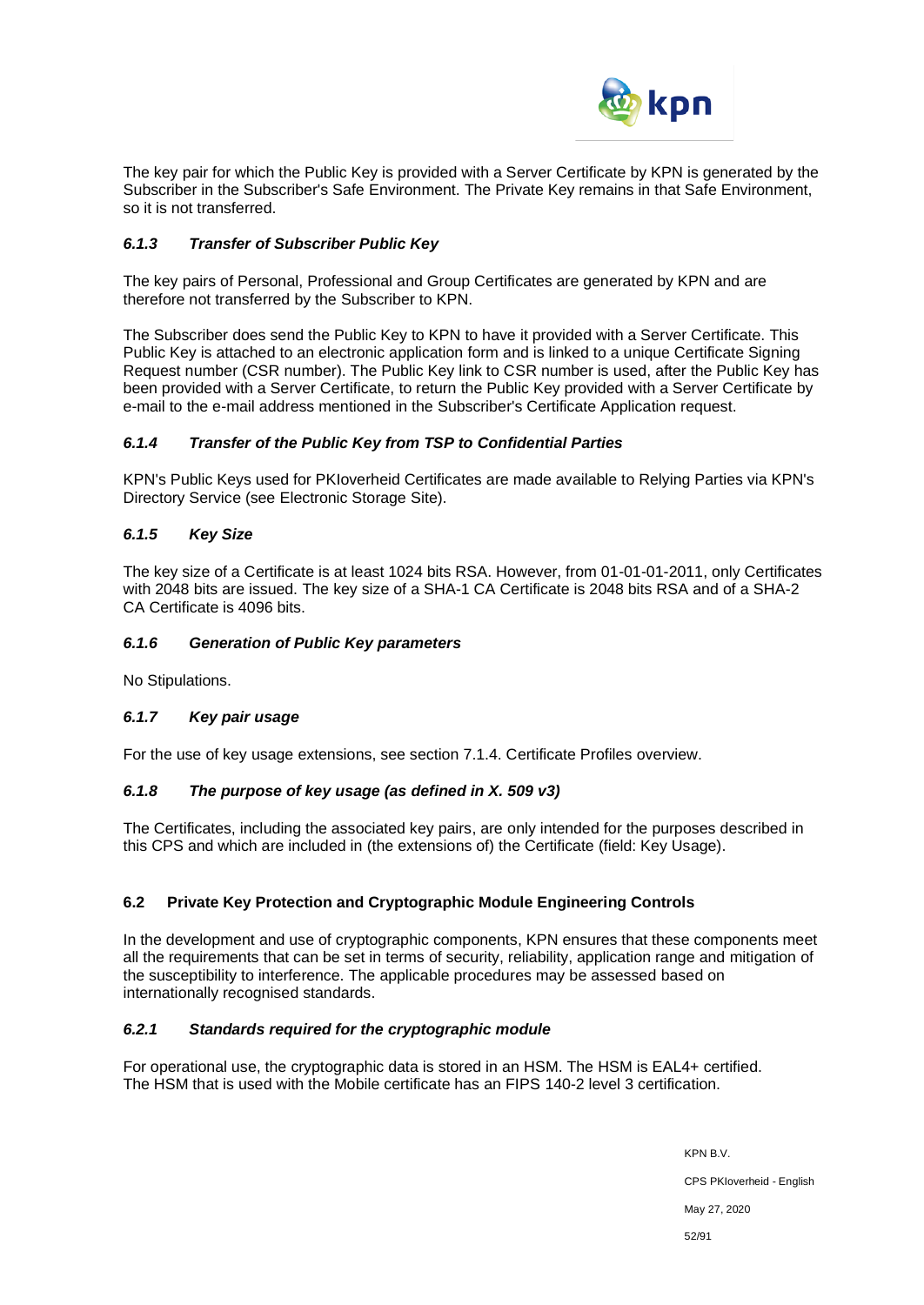

The key pair for which the Public Key is provided with a Server Certificate by KPN is generated by the Subscriber in the Subscriber's Safe Environment. The Private Key remains in that Safe Environment, so it is not transferred.

### *6.1.3 Transfer of Subscriber Public Key*

The key pairs of Personal, Professional and Group Certificates are generated by KPN and are therefore not transferred by the Subscriber to KPN.

The Subscriber does send the Public Key to KPN to have it provided with a Server Certificate. This Public Key is attached to an electronic application form and is linked to a unique Certificate Signing Request number (CSR number). The Public Key link to CSR number is used, after the Public Key has been provided with a Server Certificate, to return the Public Key provided with a Server Certificate by e-mail to the e-mail address mentioned in the Subscriber's Certificate Application request.

### *6.1.4 Transfer of the Public Key from TSP to Confidential Parties*

KPN's Public Keys used for PKIoverheid Certificates are made available to Relying Parties via KPN's Directory Service (see Electronic Storage Site).

### *6.1.5 Key Size*

The key size of a Certificate is at least 1024 bits RSA. However, from 01-01-01-2011, only Certificates with 2048 bits are issued. The key size of a SHA-1 CA Certificate is 2048 bits RSA and of a SHA-2 CA Certificate is 4096 bits.

### *6.1.6 Generation of Public Key parameters*

No Stipulations.

### *6.1.7 Key pair usage*

For the use of key usage extensions, see section 7.1.4. Certificate Profiles overview.

### *6.1.8 The purpose of key usage (as defined in X. 509 v3)*

The Certificates, including the associated key pairs, are only intended for the purposes described in this CPS and which are included in (the extensions of) the Certificate (field: Key Usage).

### **6.2 Private Key Protection and Cryptographic Module Engineering Controls**

In the development and use of cryptographic components, KPN ensures that these components meet all the requirements that can be set in terms of security, reliability, application range and mitigation of the susceptibility to interference. The applicable procedures may be assessed based on internationally recognised standards.

### *6.2.1 Standards required for the cryptographic module*

For operational use, the cryptographic data is stored in an HSM. The HSM is EAL4+ certified. The HSM that is used with the Mobile certificate has an FIPS 140-2 level 3 certification.

> KPN B.V. CPS PKIoverheid - English May 27, 2020 52/91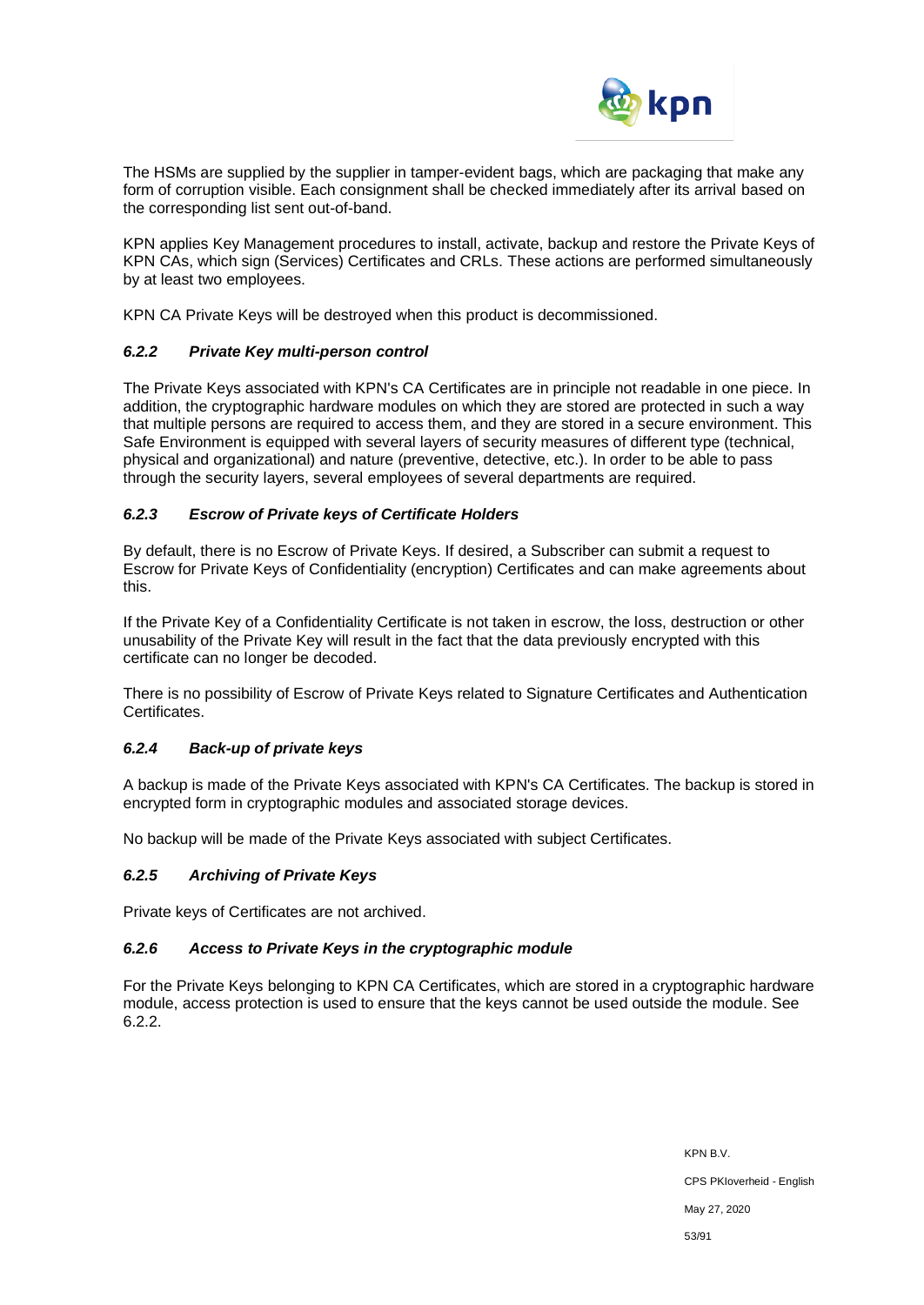

The HSMs are supplied by the supplier in tamper-evident bags, which are packaging that make any form of corruption visible. Each consignment shall be checked immediately after its arrival based on the corresponding list sent out-of-band.

KPN applies Key Management procedures to install, activate, backup and restore the Private Keys of KPN CAs, which sign (Services) Certificates and CRLs. These actions are performed simultaneously by at least two employees.

KPN CA Private Keys will be destroyed when this product is decommissioned.

### *6.2.2 Private Key multi-person control*

The Private Keys associated with KPN's CA Certificates are in principle not readable in one piece. In addition, the cryptographic hardware modules on which they are stored are protected in such a way that multiple persons are required to access them, and they are stored in a secure environment. This Safe Environment is equipped with several layers of security measures of different type (technical, physical and organizational) and nature (preventive, detective, etc.). In order to be able to pass through the security layers, several employees of several departments are required.

## *6.2.3 Escrow of Private keys of Certificate Holders*

By default, there is no Escrow of Private Keys. If desired, a Subscriber can submit a request to Escrow for Private Keys of Confidentiality (encryption) Certificates and can make agreements about this.

If the Private Key of a Confidentiality Certificate is not taken in escrow, the loss, destruction or other unusability of the Private Key will result in the fact that the data previously encrypted with this certificate can no longer be decoded.

There is no possibility of Escrow of Private Keys related to Signature Certificates and Authentication Certificates.

# *6.2.4 Back-up of private keys*

A backup is made of the Private Keys associated with KPN's CA Certificates. The backup is stored in encrypted form in cryptographic modules and associated storage devices.

No backup will be made of the Private Keys associated with subject Certificates.

### *6.2.5 Archiving of Private Keys*

Private keys of Certificates are not archived.

### *6.2.6 Access to Private Keys in the cryptographic module*

For the Private Keys belonging to KPN CA Certificates, which are stored in a cryptographic hardware module, access protection is used to ensure that the keys cannot be used outside the module. See 6.2.2.

> KPN B.V. CPS PKIoverheid - English May 27, 2020 53/91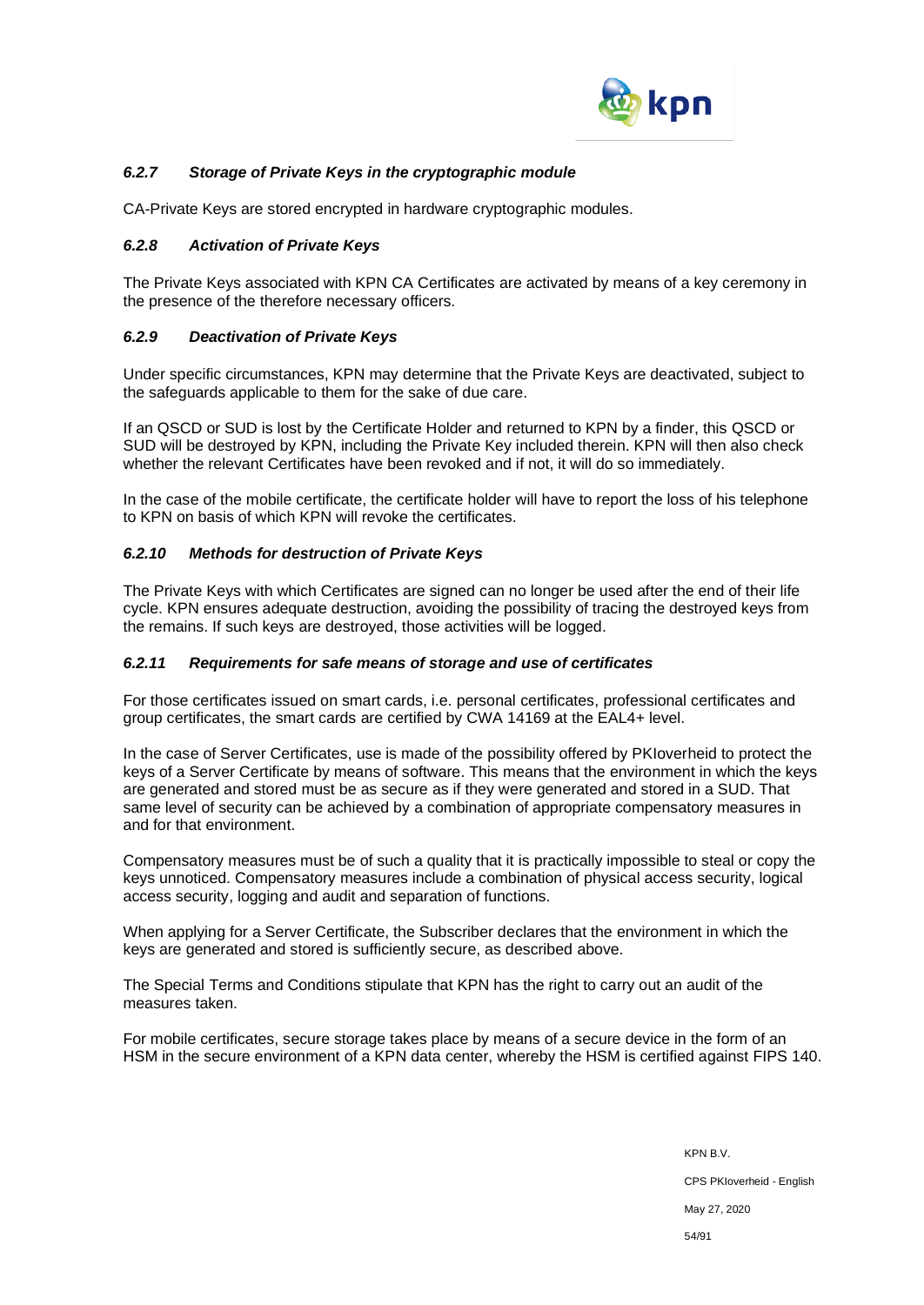

# *6.2.7 Storage of Private Keys in the cryptographic module*

CA-Private Keys are stored encrypted in hardware cryptographic modules.

### *6.2.8 Activation of Private Keys*

The Private Keys associated with KPN CA Certificates are activated by means of a key ceremony in the presence of the therefore necessary officers.

### *6.2.9 Deactivation of Private Keys*

Under specific circumstances, KPN may determine that the Private Keys are deactivated, subject to the safeguards applicable to them for the sake of due care.

If an QSCD or SUD is lost by the Certificate Holder and returned to KPN by a finder, this QSCD or SUD will be destroyed by KPN, including the Private Key included therein. KPN will then also check whether the relevant Certificates have been revoked and if not, it will do so immediately.

In the case of the mobile certificate, the certificate holder will have to report the loss of his telephone to KPN on basis of which KPN will revoke the certificates.

### *6.2.10 Methods for destruction of Private Keys*

The Private Keys with which Certificates are signed can no longer be used after the end of their life cycle. KPN ensures adequate destruction, avoiding the possibility of tracing the destroyed keys from the remains. If such keys are destroyed, those activities will be logged.

### *6.2.11 Requirements for safe means of storage and use of certificates*

For those certificates issued on smart cards, i.e. personal certificates, professional certificates and group certificates, the smart cards are certified by CWA 14169 at the EAL4+ level.

In the case of Server Certificates, use is made of the possibility offered by PKIoverheid to protect the keys of a Server Certificate by means of software. This means that the environment in which the keys are generated and stored must be as secure as if they were generated and stored in a SUD. That same level of security can be achieved by a combination of appropriate compensatory measures in and for that environment.

Compensatory measures must be of such a quality that it is practically impossible to steal or copy the keys unnoticed. Compensatory measures include a combination of physical access security, logical access security, logging and audit and separation of functions.

When applying for a Server Certificate, the Subscriber declares that the environment in which the keys are generated and stored is sufficiently secure, as described above.

The Special Terms and Conditions stipulate that KPN has the right to carry out an audit of the measures taken.

For mobile certificates, secure storage takes place by means of a secure device in the form of an HSM in the secure environment of a KPN data center, whereby the HSM is certified against FIPS 140.

> KPN B.V. CPS PKIoverheid - English May 27, 2020 54/91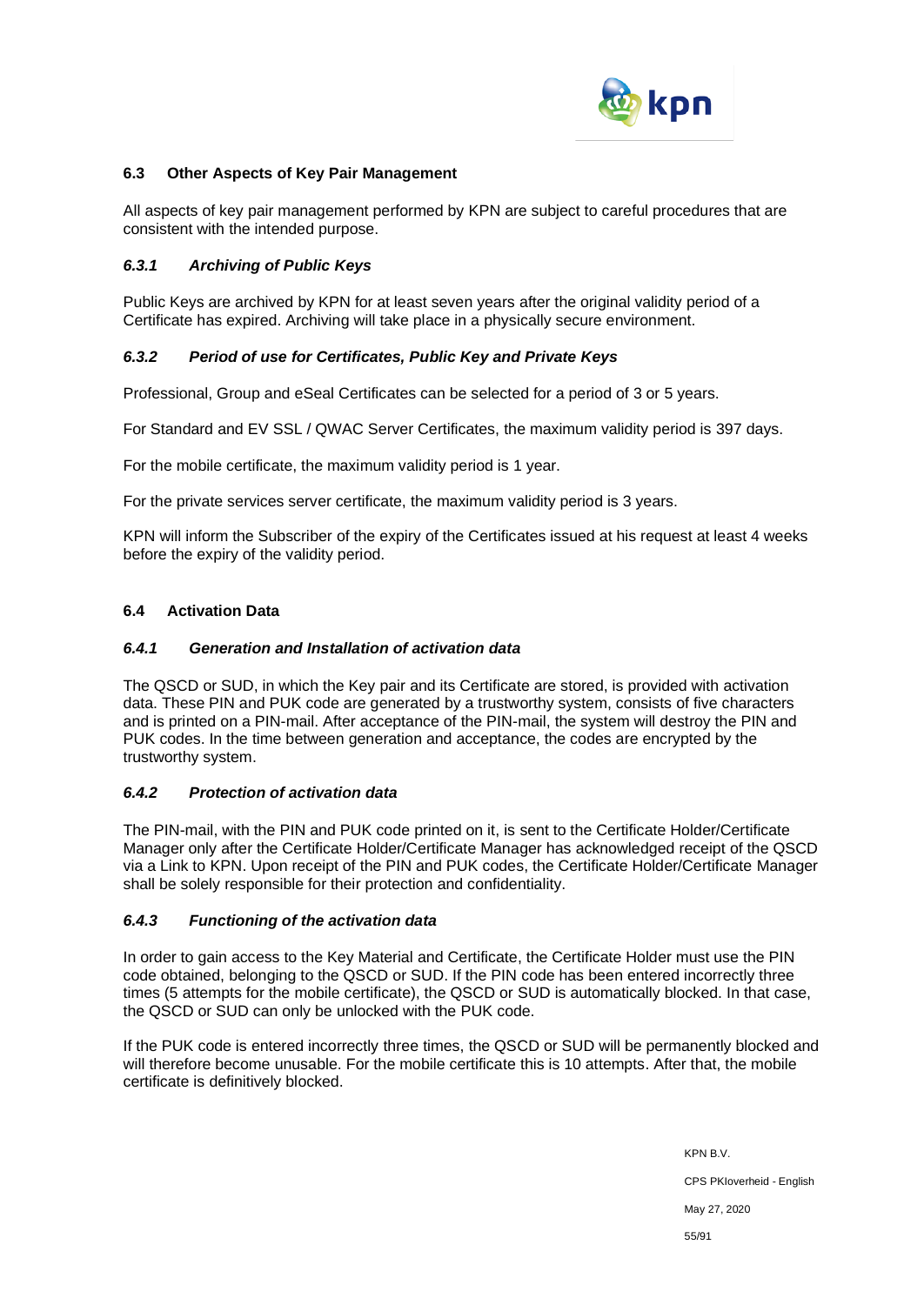

### **6.3 Other Aspects of Key Pair Management**

All aspects of key pair management performed by KPN are subject to careful procedures that are consistent with the intended purpose.

### *6.3.1 Archiving of Public Keys*

Public Keys are archived by KPN for at least seven years after the original validity period of a Certificate has expired. Archiving will take place in a physically secure environment.

### *6.3.2 Period of use for Certificates, Public Key and Private Keys*

Professional, Group and eSeal Certificates can be selected for a period of 3 or 5 years.

For Standard and EV SSL / QWAC Server Certificates, the maximum validity period is 397 days.

For the mobile certificate, the maximum validity period is 1 year.

For the private services server certificate, the maximum validity period is 3 years.

KPN will inform the Subscriber of the expiry of the Certificates issued at his request at least 4 weeks before the expiry of the validity period.

### **6.4 Activation Data**

#### *6.4.1 Generation and Installation of activation data*

The QSCD or SUD, in which the Key pair and its Certificate are stored, is provided with activation data. These PIN and PUK code are generated by a trustworthy system, consists of five characters and is printed on a PIN-mail. After acceptance of the PIN-mail, the system will destroy the PIN and PUK codes. In the time between generation and acceptance, the codes are encrypted by the trustworthy system.

### *6.4.2 Protection of activation data*

The PIN-mail, with the PIN and PUK code printed on it, is sent to the Certificate Holder/Certificate Manager only after the Certificate Holder/Certificate Manager has acknowledged receipt of the QSCD via a Link to KPN. Upon receipt of the PIN and PUK codes, the Certificate Holder/Certificate Manager shall be solely responsible for their protection and confidentiality.

### *6.4.3 Functioning of the activation data*

In order to gain access to the Key Material and Certificate, the Certificate Holder must use the PIN code obtained, belonging to the QSCD or SUD. If the PIN code has been entered incorrectly three times (5 attempts for the mobile certificate), the QSCD or SUD is automatically blocked. In that case, the QSCD or SUD can only be unlocked with the PUK code.

If the PUK code is entered incorrectly three times, the QSCD or SUD will be permanently blocked and will therefore become unusable. For the mobile certificate this is 10 attempts. After that, the mobile certificate is definitively blocked.

> KPN B.V. CPS PKIoverheid - English May 27, 2020 55/91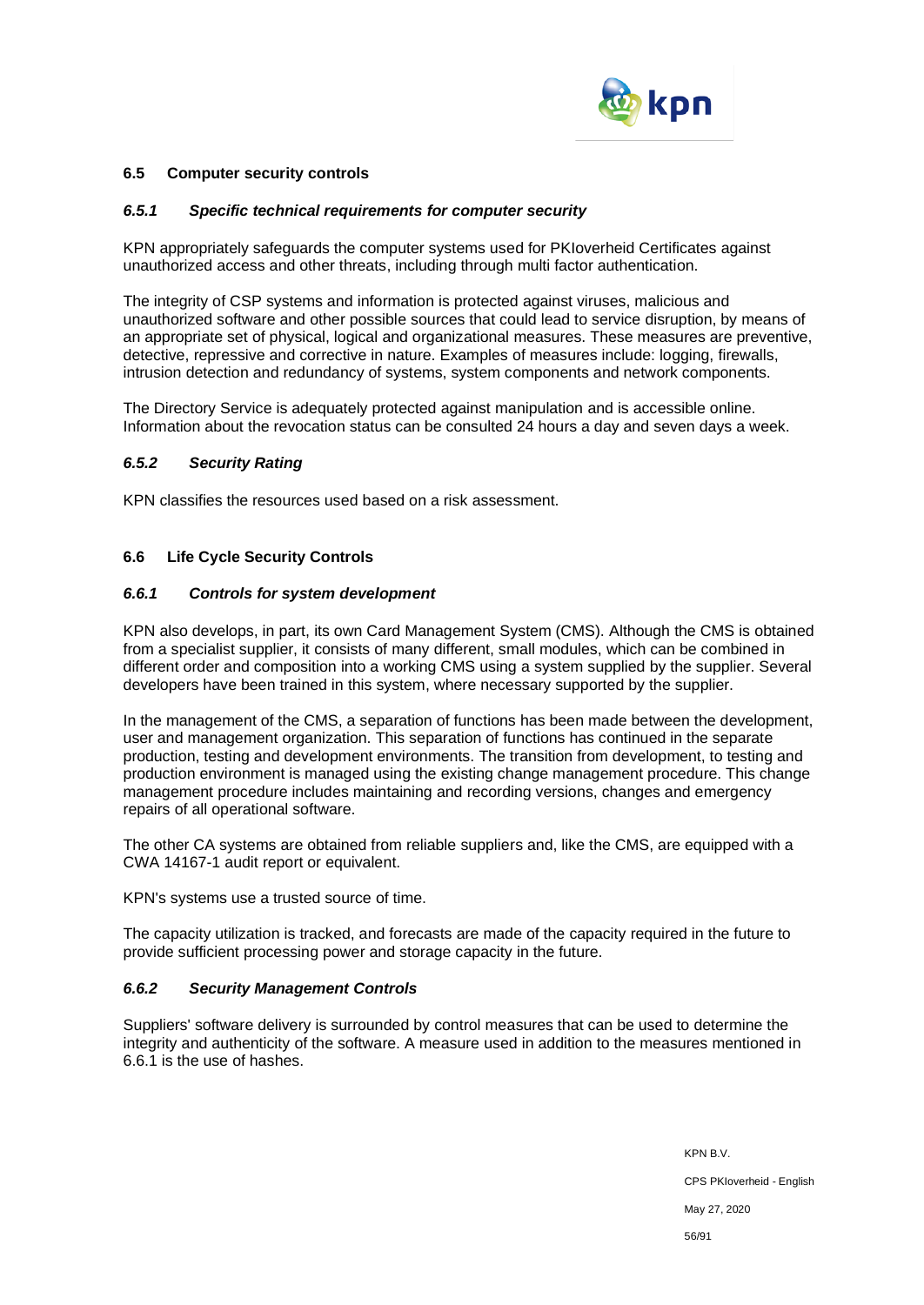

### **6.5 Computer security controls**

#### *6.5.1 Specific technical requirements for computer security*

KPN appropriately safeguards the computer systems used for PKIoverheid Certificates against unauthorized access and other threats, including through multi factor authentication.

The integrity of CSP systems and information is protected against viruses, malicious and unauthorized software and other possible sources that could lead to service disruption, by means of an appropriate set of physical, logical and organizational measures. These measures are preventive, detective, repressive and corrective in nature. Examples of measures include: logging, firewalls, intrusion detection and redundancy of systems, system components and network components.

The Directory Service is adequately protected against manipulation and is accessible online. Information about the revocation status can be consulted 24 hours a day and seven days a week.

#### *6.5.2 Security Rating*

KPN classifies the resources used based on a risk assessment.

#### **6.6 Life Cycle Security Controls**

#### *6.6.1 Controls for system development*

KPN also develops, in part, its own Card Management System (CMS). Although the CMS is obtained from a specialist supplier, it consists of many different, small modules, which can be combined in different order and composition into a working CMS using a system supplied by the supplier. Several developers have been trained in this system, where necessary supported by the supplier.

In the management of the CMS, a separation of functions has been made between the development, user and management organization. This separation of functions has continued in the separate production, testing and development environments. The transition from development, to testing and production environment is managed using the existing change management procedure. This change management procedure includes maintaining and recording versions, changes and emergency repairs of all operational software.

The other CA systems are obtained from reliable suppliers and, like the CMS, are equipped with a CWA 14167-1 audit report or equivalent.

KPN's systems use a trusted source of time.

The capacity utilization is tracked, and forecasts are made of the capacity required in the future to provide sufficient processing power and storage capacity in the future.

### *6.6.2 Security Management Controls*

Suppliers' software delivery is surrounded by control measures that can be used to determine the integrity and authenticity of the software. A measure used in addition to the measures mentioned in 6.6.1 is the use of hashes.

> KPN B.V. CPS PKIoverheid - English May 27, 2020 56/91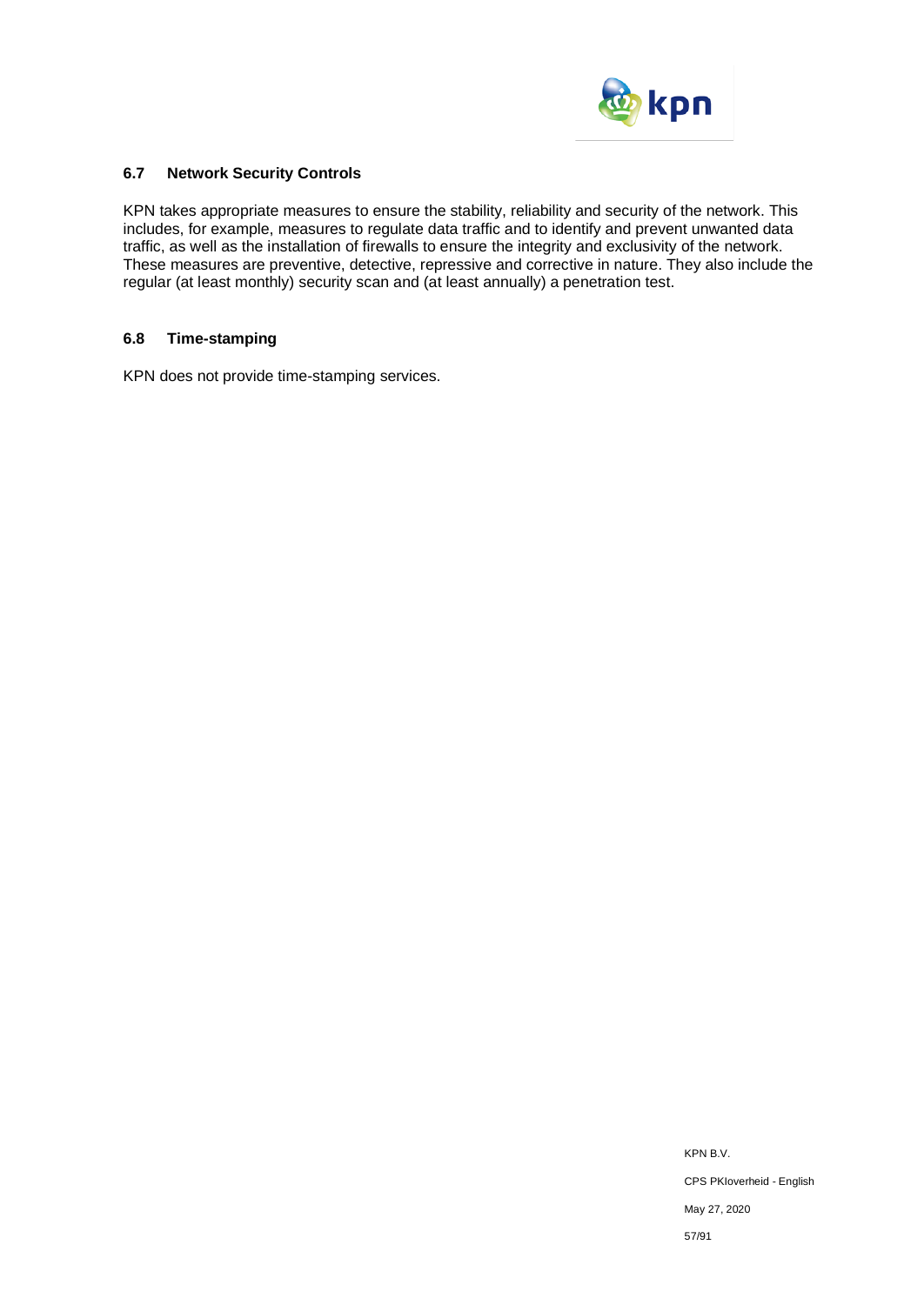

### **6.7 Network Security Controls**

KPN takes appropriate measures to ensure the stability, reliability and security of the network. This includes, for example, measures to regulate data traffic and to identify and prevent unwanted data traffic, as well as the installation of firewalls to ensure the integrity and exclusivity of the network. These measures are preventive, detective, repressive and corrective in nature. They also include the regular (at least monthly) security scan and (at least annually) a penetration test.

### **6.8 Time-stamping**

KPN does not provide time-stamping services.

KPN B.V. CPS PKIoverheid - English May 27, 2020 57/91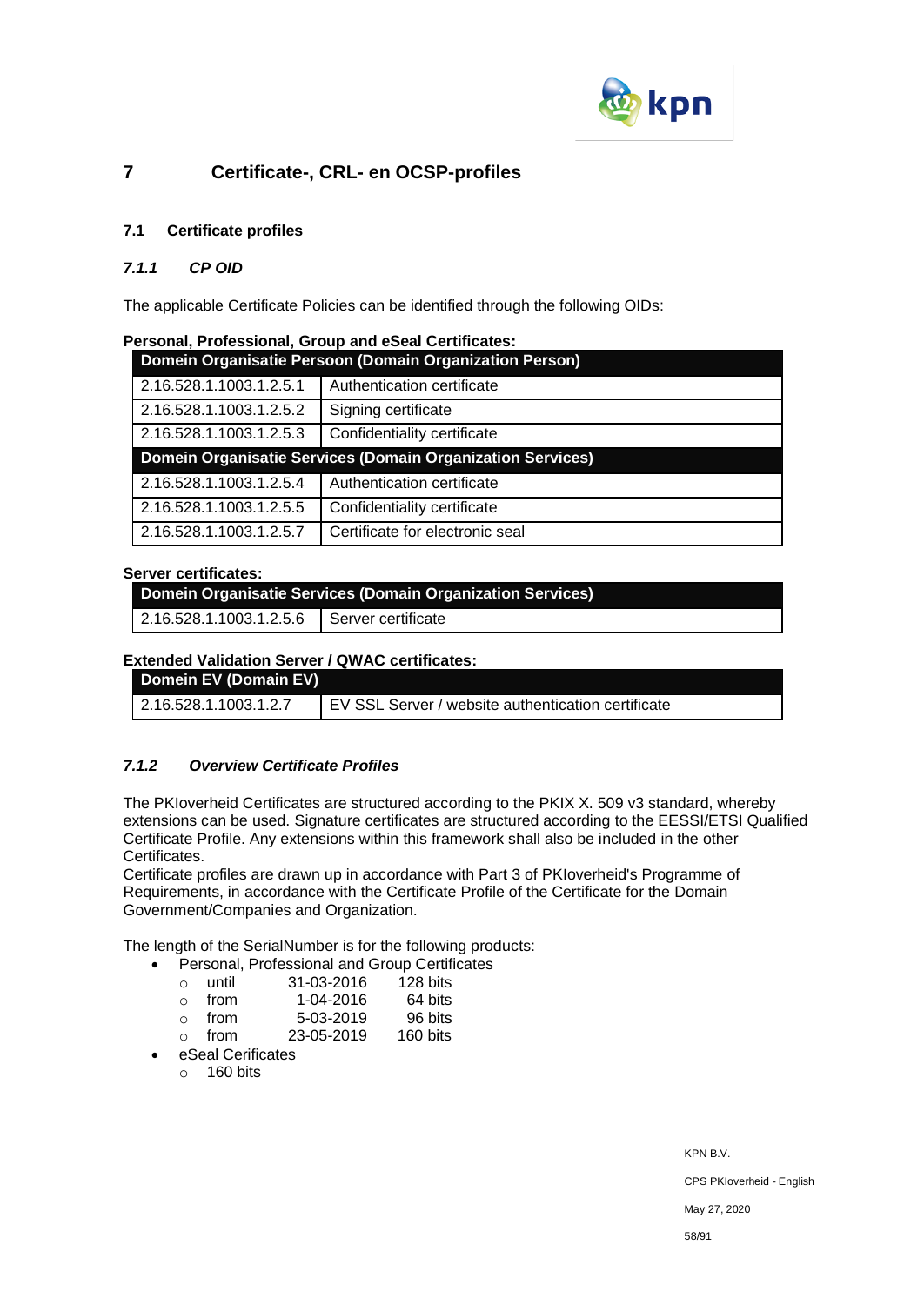

# **7 Certificate-, CRL- en OCSP-profiles**

# **7.1 Certificate profiles**

## *7.1.1 CP OID*

The applicable Certificate Policies can be identified through the following OIDs:

|  | Personal, Professional, Group and eSeal Certificates: |  |  |  |
|--|-------------------------------------------------------|--|--|--|
|--|-------------------------------------------------------|--|--|--|

| Domein Organisatie Persoon (Domain Organization Person)    |                             |  |
|------------------------------------------------------------|-----------------------------|--|
| 2.16.528.1.1003.1.2.5.1                                    | Authentication certificate  |  |
| 2.16.528.1.1003.1.2.5.2                                    | Signing certificate         |  |
| 2.16.528.1.1003.1.2.5.3                                    | Confidentiality certificate |  |
| Domein Organisatie Services (Domain Organization Services) |                             |  |
|                                                            |                             |  |
| 2.16.528.1.1003.1.2.5.4                                    | Authentication certificate  |  |
| 2.16.528.1.1003.1.2.5.5                                    | Confidentiality certificate |  |

#### **Server certificates:**

**Domein Organisatie Services (Domain Organization Services)**

2.16.528.1.1003.1.2.5.6 Server certificate

#### **Extended Validation Server / QWAC certificates:**

| Domein EV (Domain EV)         |                                                    |
|-------------------------------|----------------------------------------------------|
| $\vert$ 2.16.528.1.1003.1.2.7 | EV SSL Server / website authentication certificate |

### *7.1.2 Overview Certificate Profiles*

The PKIoverheid Certificates are structured according to the PKIX X. 509 v3 standard, whereby extensions can be used. Signature certificates are structured according to the EESSI/ETSI Qualified Certificate Profile. Any extensions within this framework shall also be included in the other Certificates.

Certificate profiles are drawn up in accordance with Part 3 of PKIoverheid's Programme of Requirements, in accordance with the Certificate Profile of the Certificate for the Domain Government/Companies and Organization.

The length of the SerialNumber is for the following products:

- Personal, Professional and Group Certificates
	- o until 31-03-2016 128 bits
	- o from 1-04-2016 64 bits
	- o from 5-03-2019 96 bits
	- o from 23-05-2019 160 bits
	- eSeal Cerificates
		- $\circ$  160 bits

KPN B.V.

CPS PKIoverheid - English

May 27, 2020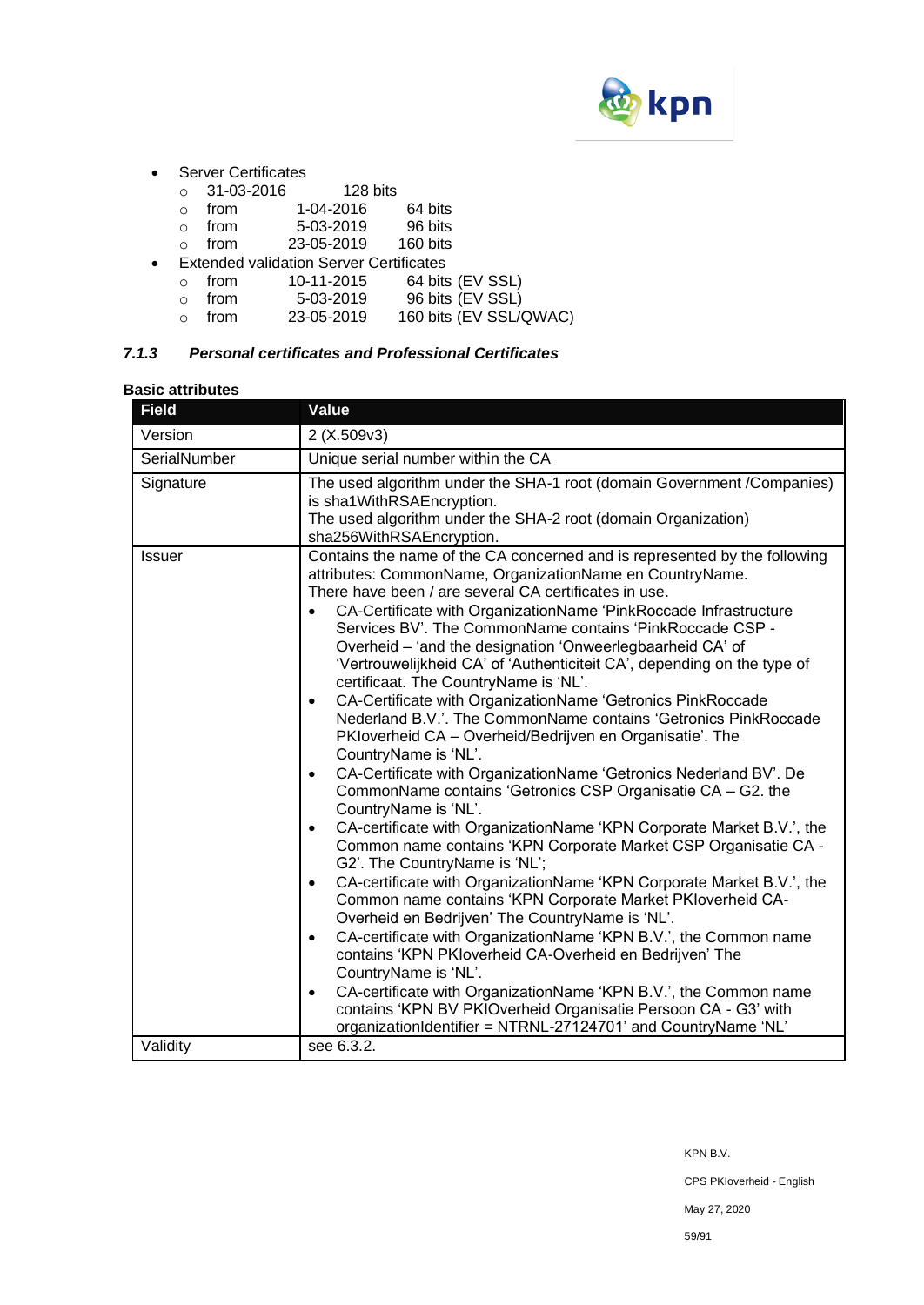

- Server Certificates
	- o 31-03-2016 128 bits
	-
	- $\frac{1}{20}$  o from 1-04-2016 64 bits<br>
	o from 5-03-2019 96 bits 5-03-2019 96 bits
	- o from 23-05-2019 160 bits
- Extended validation Server Certificates
	- o from 10-11-2015 64 bits (EV SSL)
	- o from 5-03-2019 96 bits (EV SSL)<br>○ from 23-05-2019 160 bits (EV SSL/
	- o from 23-05-2019 160 bits  $(EV SSL/QWAC)$

# *7.1.3 Personal certificates and Professional Certificates*

#### **Basic attributes**

| <b>Field</b>  | Value                                                                                                                                                                                                                                                                                                                                                                                                                                                                                                                                                                                                                                                                                                                                                                                                                                                                                                                                                                                                                                                                                                                                                                                                                                                                                                                                                                                                                                                                                                                                                                                                                                                                                                                |
|---------------|----------------------------------------------------------------------------------------------------------------------------------------------------------------------------------------------------------------------------------------------------------------------------------------------------------------------------------------------------------------------------------------------------------------------------------------------------------------------------------------------------------------------------------------------------------------------------------------------------------------------------------------------------------------------------------------------------------------------------------------------------------------------------------------------------------------------------------------------------------------------------------------------------------------------------------------------------------------------------------------------------------------------------------------------------------------------------------------------------------------------------------------------------------------------------------------------------------------------------------------------------------------------------------------------------------------------------------------------------------------------------------------------------------------------------------------------------------------------------------------------------------------------------------------------------------------------------------------------------------------------------------------------------------------------------------------------------------------------|
| Version       | 2(X.509v3)                                                                                                                                                                                                                                                                                                                                                                                                                                                                                                                                                                                                                                                                                                                                                                                                                                                                                                                                                                                                                                                                                                                                                                                                                                                                                                                                                                                                                                                                                                                                                                                                                                                                                                           |
| SerialNumber  | Unique serial number within the CA                                                                                                                                                                                                                                                                                                                                                                                                                                                                                                                                                                                                                                                                                                                                                                                                                                                                                                                                                                                                                                                                                                                                                                                                                                                                                                                                                                                                                                                                                                                                                                                                                                                                                   |
| Signature     | The used algorithm under the SHA-1 root (domain Government / Companies)<br>is sha1WithRSAEncryption.<br>The used algorithm under the SHA-2 root (domain Organization)<br>sha256WithRSAEncryption.                                                                                                                                                                                                                                                                                                                                                                                                                                                                                                                                                                                                                                                                                                                                                                                                                                                                                                                                                                                                                                                                                                                                                                                                                                                                                                                                                                                                                                                                                                                    |
| <b>Issuer</b> | Contains the name of the CA concerned and is represented by the following<br>attributes: CommonName, OrganizationName en CountryName.<br>There have been / are several CA certificates in use.<br>CA-Certificate with OrganizationName 'PinkRoccade Infrastructure<br>Services BV'. The CommonName contains 'PinkRoccade CSP -<br>Overheid - 'and the designation 'Onweerlegbaarheid CA' of<br>'Vertrouwelijkheid CA' of 'Authenticiteit CA', depending on the type of<br>certificaat. The CountryName is 'NL'.<br>CA-Certificate with OrganizationName 'Getronics PinkRoccade<br>$\bullet$<br>Nederland B.V.'. The CommonName contains 'Getronics PinkRoccade<br>PKloverheid CA - Overheid/Bedrijven en Organisatie'. The<br>CountryName is 'NL'.<br>CA-Certificate with OrganizationName 'Getronics Nederland BV'. De<br>$\bullet$<br>CommonName contains 'Getronics CSP Organisatie CA - G2. the<br>CountryName is 'NL'.<br>CA-certificate with OrganizationName 'KPN Corporate Market B.V.', the<br>$\bullet$<br>Common name contains 'KPN Corporate Market CSP Organisatie CA -<br>G2'. The CountryName is 'NL';<br>CA-certificate with OrganizationName 'KPN Corporate Market B.V.', the<br>$\bullet$<br>Common name contains 'KPN Corporate Market PKIoverheid CA-<br>Overheid en Bedrijven' The CountryName is 'NL'.<br>CA-certificate with OrganizationName 'KPN B.V.', the Common name<br>$\bullet$<br>contains 'KPN PKIoverheid CA-Overheid en Bedrijven' The<br>CountryName is 'NL'.<br>CA-certificate with OrganizationName 'KPN B.V.', the Common name<br>$\bullet$<br>contains 'KPN BV PKIOverheid Organisatie Persoon CA - G3' with<br>organizationIdentifier = NTRNL-27124701' and CountryName 'NL' |
| Validity      | see 6.3.2.                                                                                                                                                                                                                                                                                                                                                                                                                                                                                                                                                                                                                                                                                                                                                                                                                                                                                                                                                                                                                                                                                                                                                                                                                                                                                                                                                                                                                                                                                                                                                                                                                                                                                                           |

KPN B.V.

CPS PKIoverheid - English

May 27, 2020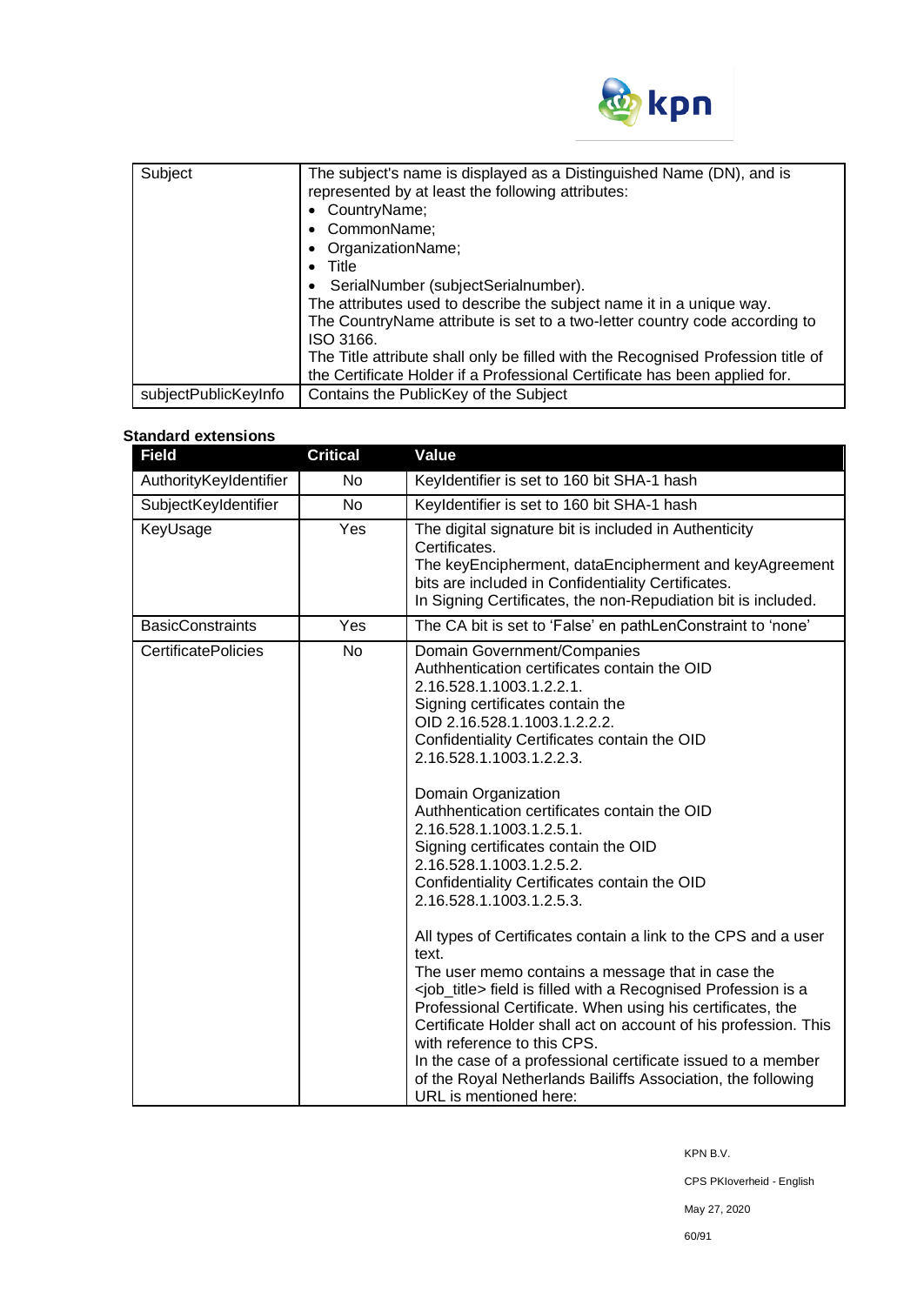

| Subject              | The subject's name is displayed as a Distinguished Name (DN), and is<br>represented by at least the following attributes:<br>CountryName;<br>CommonName;<br>• OrganizationName;<br>Title<br>SerialNumber (subjectSerialnumber).<br>The attributes used to describe the subject name it in a unique way.<br>The CountryName attribute is set to a two-letter country code according to<br>ISO 3166.<br>The Title attribute shall only be filled with the Recognised Profession title of<br>the Certificate Holder if a Professional Certificate has been applied for. |
|----------------------|----------------------------------------------------------------------------------------------------------------------------------------------------------------------------------------------------------------------------------------------------------------------------------------------------------------------------------------------------------------------------------------------------------------------------------------------------------------------------------------------------------------------------------------------------------------------|
| subjectPublicKeyInfo | Contains the PublicKey of the Subject                                                                                                                                                                                                                                                                                                                                                                                                                                                                                                                                |

# **Standard extensions**

| <b>Field</b>               | <b>Critical</b> | Value                                                                                                                                                                                                                                                                                                                                                                                                                                                                                                                                                                                                                                                                                                                                                                                                                                                                                                                                                                                                                                                   |
|----------------------------|-----------------|---------------------------------------------------------------------------------------------------------------------------------------------------------------------------------------------------------------------------------------------------------------------------------------------------------------------------------------------------------------------------------------------------------------------------------------------------------------------------------------------------------------------------------------------------------------------------------------------------------------------------------------------------------------------------------------------------------------------------------------------------------------------------------------------------------------------------------------------------------------------------------------------------------------------------------------------------------------------------------------------------------------------------------------------------------|
| AuthorityKeyIdentifier     | <b>No</b>       | Keyldentifier is set to 160 bit SHA-1 hash                                                                                                                                                                                                                                                                                                                                                                                                                                                                                                                                                                                                                                                                                                                                                                                                                                                                                                                                                                                                              |
| SubjectKeyIdentifier       | <b>No</b>       | Keyldentifier is set to 160 bit SHA-1 hash                                                                                                                                                                                                                                                                                                                                                                                                                                                                                                                                                                                                                                                                                                                                                                                                                                                                                                                                                                                                              |
| KeyUsage                   | Yes             | The digital signature bit is included in Authenticity<br>Certificates.<br>The keyEncipherment, dataEncipherment and keyAgreement<br>bits are included in Confidentiality Certificates.<br>In Signing Certificates, the non-Repudiation bit is included.                                                                                                                                                                                                                                                                                                                                                                                                                                                                                                                                                                                                                                                                                                                                                                                                 |
| <b>BasicConstraints</b>    | Yes             | The CA bit is set to 'False' en pathLenConstraint to 'none'                                                                                                                                                                                                                                                                                                                                                                                                                                                                                                                                                                                                                                                                                                                                                                                                                                                                                                                                                                                             |
| <b>CertificatePolicies</b> | <b>No</b>       | Domain Government/Companies<br>Authhentication certificates contain the OID<br>2.16.528.1.1003.1.2.2.1.<br>Signing certificates contain the<br>OID 2.16.528.1.1003.1.2.2.2.<br>Confidentiality Certificates contain the OID<br>2.16.528.1.1003.1.2.2.3.<br>Domain Organization<br>Authhentication certificates contain the OID<br>2.16.528.1.1003.1.2.5.1.<br>Signing certificates contain the OID<br>2.16.528.1.1003.1.2.5.2.<br>Confidentiality Certificates contain the OID<br>2.16.528.1.1003.1.2.5.3.<br>All types of Certificates contain a link to the CPS and a user<br>text.<br>The user memo contains a message that in case the<br><job_title> field is filled with a Recognised Profession is a<br/>Professional Certificate. When using his certificates, the<br/>Certificate Holder shall act on account of his profession. This<br/>with reference to this CPS.<br/>In the case of a professional certificate issued to a member<br/>of the Royal Netherlands Bailiffs Association, the following<br/>URL is mentioned here:</job_title> |

KPN B.V.

CPS PKIoverheid - English

May 27, 2020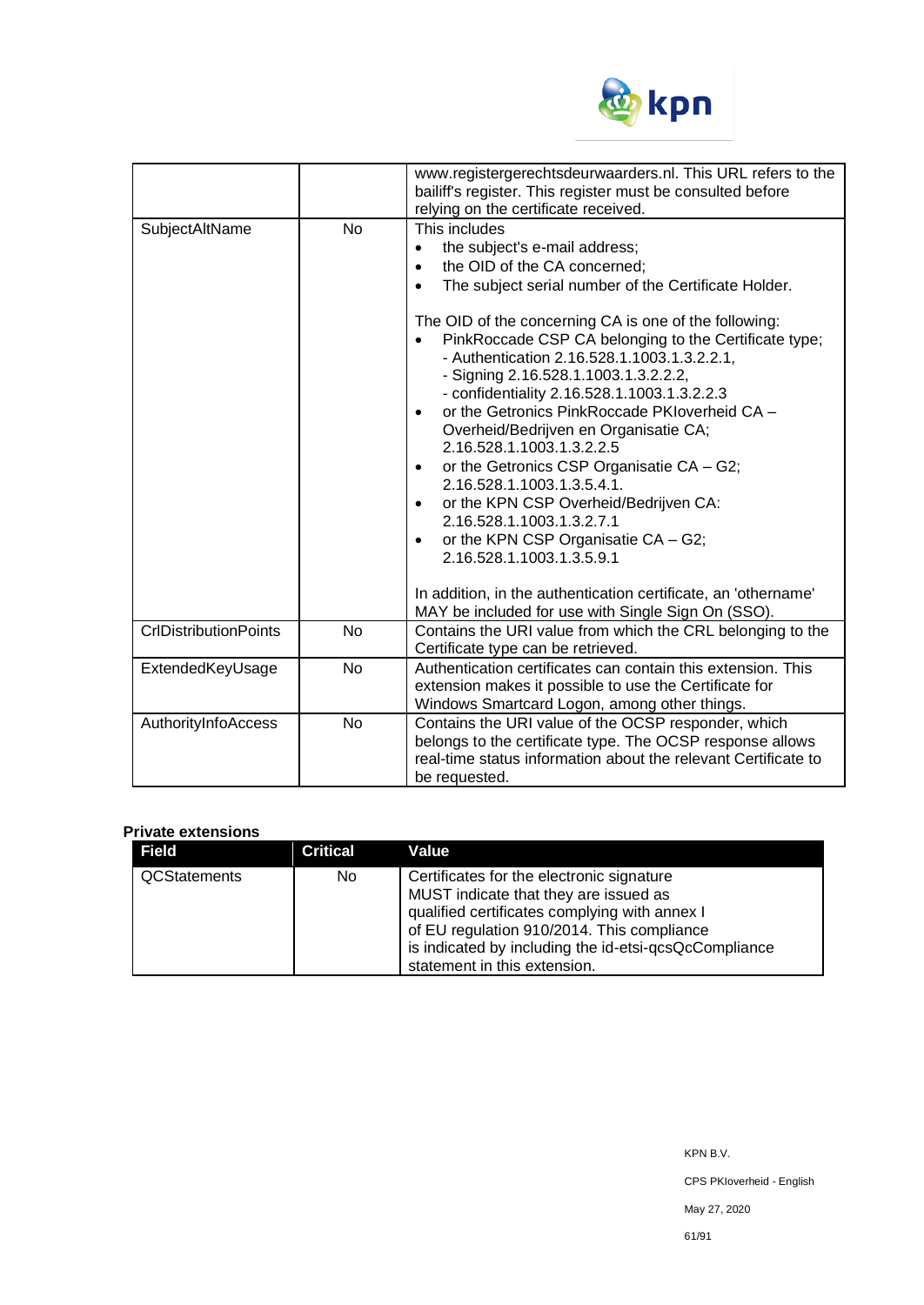

|                              |           | www.registergerechtsdeurwaarders.nl. This URL refers to the<br>bailiff's register. This register must be consulted before<br>relying on the certificate received.                                                                                                                                                                                                                                                                                                                                                                                                                                                                                                                                                                                                                                                                                                             |
|------------------------------|-----------|-------------------------------------------------------------------------------------------------------------------------------------------------------------------------------------------------------------------------------------------------------------------------------------------------------------------------------------------------------------------------------------------------------------------------------------------------------------------------------------------------------------------------------------------------------------------------------------------------------------------------------------------------------------------------------------------------------------------------------------------------------------------------------------------------------------------------------------------------------------------------------|
| SubjectAltName               | <b>No</b> | This includes<br>the subject's e-mail address;<br>$\bullet$<br>the OID of the CA concerned;<br>$\bullet$<br>The subject serial number of the Certificate Holder.<br>$\bullet$<br>The OID of the concerning CA is one of the following:<br>PinkRoccade CSP CA belonging to the Certificate type;<br>- Authentication 2.16.528.1.1003.1.3.2.2.1,<br>- Signing 2.16.528.1.1003.1.3.2.2.2,<br>- confidentiality 2.16.528.1.1003.1.3.2.2.3<br>or the Getronics PinkRoccade PKIoverheid CA -<br>Overheid/Bedrijven en Organisatie CA;<br>2.16.528.1.1003.1.3.2.2.5<br>or the Getronics CSP Organisatie CA - G2;<br>$\bullet$<br>2.16.528.1.1003.1.3.5.4.1.<br>or the KPN CSP Overheid/Bedrijven CA:<br>2.16.528.1.1003.1.3.2.7.1<br>or the KPN CSP Organisatie CA - G2;<br>$\bullet$<br>2.16.528.1.1003.1.3.5.9.1<br>In addition, in the authentication certificate, an 'othername' |
| <b>CrlDistributionPoints</b> | No        | MAY be included for use with Single Sign On (SSO).<br>Contains the URI value from which the CRL belonging to the<br>Certificate type can be retrieved.                                                                                                                                                                                                                                                                                                                                                                                                                                                                                                                                                                                                                                                                                                                        |
| ExtendedKeyUsage             | <b>No</b> | Authentication certificates can contain this extension. This<br>extension makes it possible to use the Certificate for<br>Windows Smartcard Logon, among other things.                                                                                                                                                                                                                                                                                                                                                                                                                                                                                                                                                                                                                                                                                                        |
| AuthorityInfoAccess          | <b>No</b> | Contains the URI value of the OCSP responder, which<br>belongs to the certificate type. The OCSP response allows<br>real-time status information about the relevant Certificate to<br>be requested.                                                                                                                                                                                                                                                                                                                                                                                                                                                                                                                                                                                                                                                                           |

#### **Private extensions**

| <b>Field</b>        | Critical | Value                                                 |
|---------------------|----------|-------------------------------------------------------|
| <b>QCStatements</b> | No.      | Certificates for the electronic signature             |
|                     |          | MUST indicate that they are issued as                 |
|                     |          | qualified certificates complying with annex I         |
|                     |          | of EU regulation 910/2014. This compliance            |
|                     |          | is indicated by including the id-etsi-qcsQcCompliance |
|                     |          | statement in this extension.                          |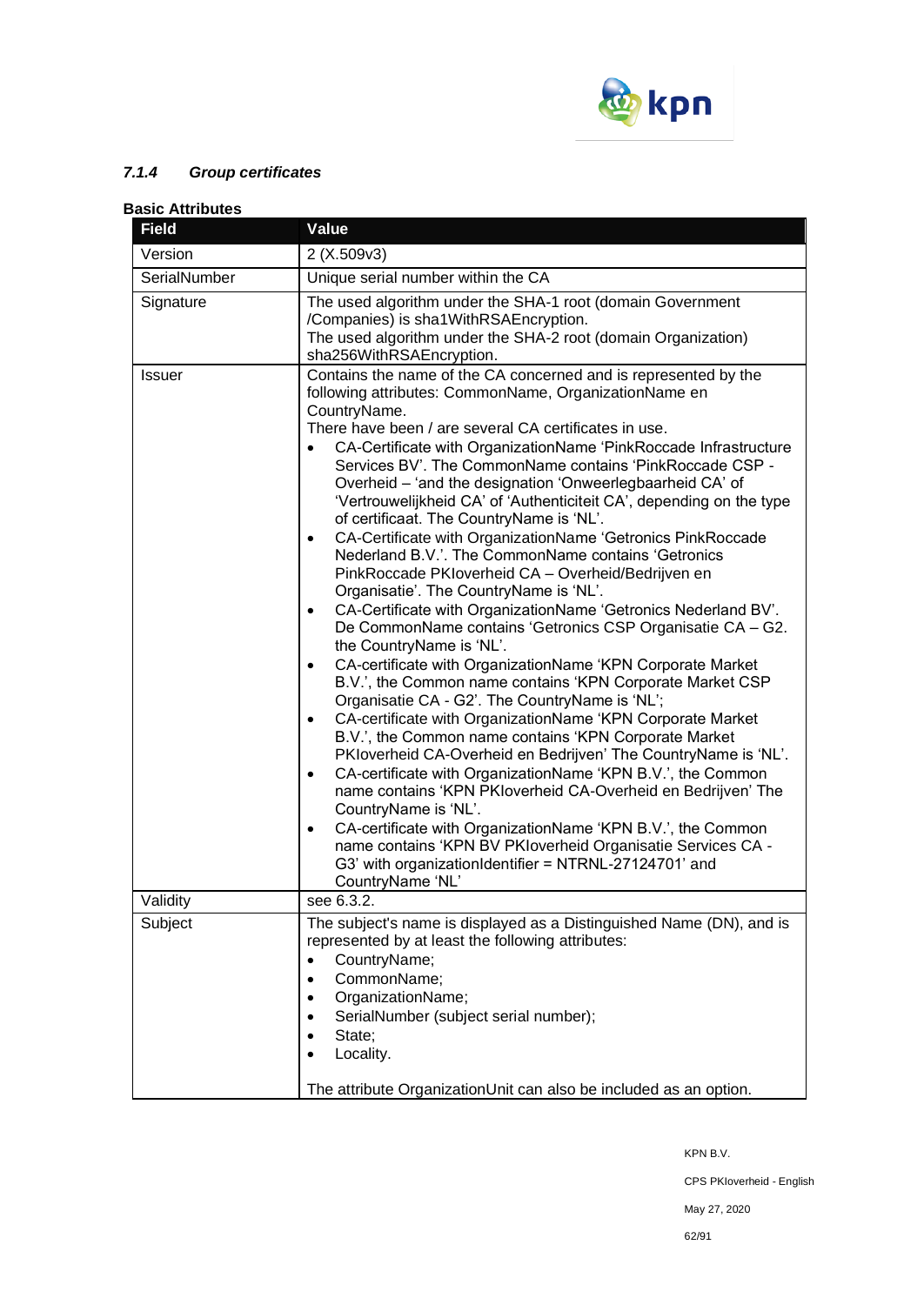

# *7.1.4 Group certificates*

### **Basic Attributes Field Value**  Version 2 (X.509v3) SerialNumber | Unique serial number within the CA Signature The used algorithm under the SHA-1 root (domain Government /Companies) is sha1WithRSAEncryption. The used algorithm under the SHA-2 root (domain Organization) sha256WithRSAEncryption. Issuer Contains the name of the CA concerned and is represented by the following attributes: CommonName, OrganizationName en CountryName. There have been / are several CA certificates in use. • CA-Certificate with OrganizationName 'PinkRoccade Infrastructure Services BV'. The CommonName contains 'PinkRoccade CSP - Overheid – 'and the designation 'Onweerlegbaarheid CA' of 'Vertrouwelijkheid CA' of 'Authenticiteit CA', depending on the type of certificaat. The CountryName is 'NL'. • CA-Certificate with OrganizationName 'Getronics PinkRoccade Nederland B.V.'. The CommonName contains 'Getronics PinkRoccade PKIoverheid CA – Overheid/Bedrijven en Organisatie'. The CountryName is 'NL'. • CA-Certificate with OrganizationName 'Getronics Nederland BV'. De CommonName contains 'Getronics CSP Organisatie CA – G2. the CountryName is 'NL'. • CA-certificate with OrganizationName 'KPN Corporate Market B.V.', the Common name contains 'KPN Corporate Market CSP Organisatie CA - G2'. The CountryName is 'NL'; • CA-certificate with OrganizationName 'KPN Corporate Market B.V.', the Common name contains 'KPN Corporate Market PKIoverheid CA-Overheid en Bedrijven' The CountryName is 'NL'. • CA-certificate with OrganizationName 'KPN B.V.', the Common name contains 'KPN PKIoverheid CA-Overheid en Bedrijven' The CountryName is 'NL'. • CA-certificate with OrganizationName 'KPN B.V.', the Common name contains 'KPN BV PKIoverheid Organisatie Services CA - G3' with organizationIdentifier = NTRNL-27124701' and CountryName 'NL' Validity see 6.3.2. Subject The subject's name is displayed as a Distinguished Name (DN), and is represented by at least the following attributes: • CountryName;

• CommonName; • OrganizationName:

• State; • Locality.

• SerialNumber (subject serial number);

The attribute OrganizationUnit can also be included as an option.

KPN B.V.

CPS PKIoverheid - English

May 27, 2020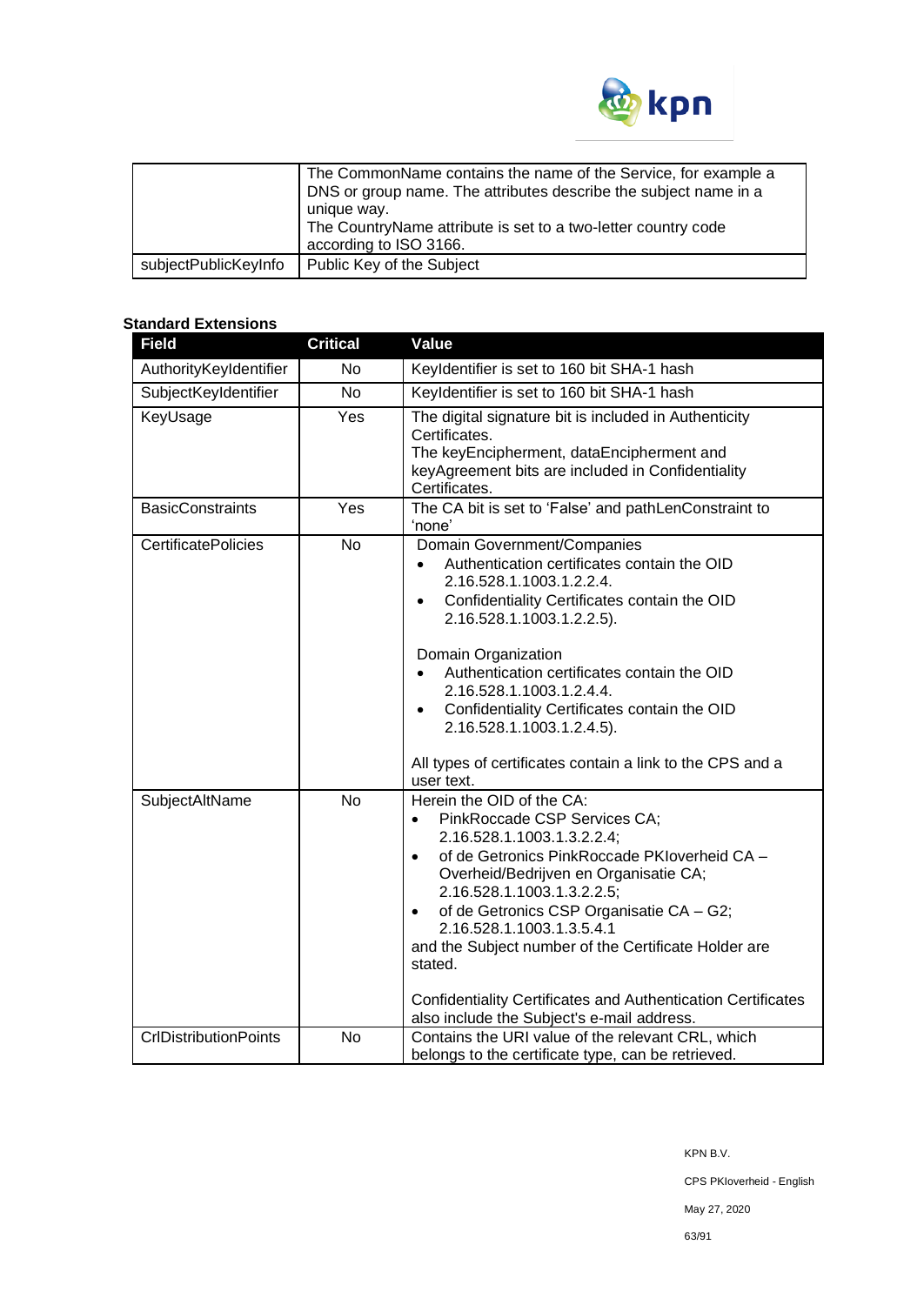

|                      | The CommonName contains the name of the Service, for example a<br>DNS or group name. The attributes describe the subject name in a<br>unique way.<br>The CountryName attribute is set to a two-letter country code<br>according to ISO 3166. |
|----------------------|----------------------------------------------------------------------------------------------------------------------------------------------------------------------------------------------------------------------------------------------|
| subjectPublicKeyInfo | Public Key of the Subject                                                                                                                                                                                                                    |

# **Standard Extensions**

| <b>Field</b>                 | <b>Critical</b> | <b>Value</b>                                                                                                                                                                                                                                                                                                                                                                                                                                                                                                           |
|------------------------------|-----------------|------------------------------------------------------------------------------------------------------------------------------------------------------------------------------------------------------------------------------------------------------------------------------------------------------------------------------------------------------------------------------------------------------------------------------------------------------------------------------------------------------------------------|
| AuthorityKeyIdentifier       | <b>No</b>       | Keyldentifier is set to 160 bit SHA-1 hash                                                                                                                                                                                                                                                                                                                                                                                                                                                                             |
| SubjectKeyIdentifier         | <b>No</b>       | Keyldentifier is set to 160 bit SHA-1 hash                                                                                                                                                                                                                                                                                                                                                                                                                                                                             |
| KeyUsage                     | Yes             | The digital signature bit is included in Authenticity<br>Certificates.<br>The keyEncipherment, dataEncipherment and<br>keyAgreement bits are included in Confidentiality<br>Certificates.                                                                                                                                                                                                                                                                                                                              |
| <b>BasicConstraints</b>      | Yes             | The CA bit is set to 'False' and pathLenConstraint to<br>'none'                                                                                                                                                                                                                                                                                                                                                                                                                                                        |
| <b>CertificatePolicies</b>   | <b>No</b>       | Domain Government/Companies<br>Authentication certificates contain the OID<br>$\bullet$<br>2.16.528.1.1003.1.2.2.4.<br>Confidentiality Certificates contain the OID<br>$\bullet$<br>2.16.528.1.1003.1.2.2.5).<br>Domain Organization<br>Authentication certificates contain the OID<br>2.16.528.1.1003.1.2.4.4.<br>Confidentiality Certificates contain the OID<br>$\bullet$<br>2.16.528.1.1003.1.2.4.5).<br>All types of certificates contain a link to the CPS and a<br>user text.                                   |
| SubjectAltName               | <b>No</b>       | Herein the OID of the CA:<br>PinkRoccade CSP Services CA;<br>$\bullet$<br>2.16.528.1.1003.1.3.2.2.4;<br>of de Getronics PinkRoccade PKIoverheid CA -<br>$\bullet$<br>Overheid/Bedrijven en Organisatie CA;<br>2.16.528.1.1003.1.3.2.2.5;<br>of de Getronics CSP Organisatie CA - G2;<br>$\bullet$<br>2.16.528.1.1003.1.3.5.4.1<br>and the Subject number of the Certificate Holder are<br>stated.<br><b>Confidentiality Certificates and Authentication Certificates</b><br>also include the Subject's e-mail address. |
| <b>CrlDistributionPoints</b> | No              | Contains the URI value of the relevant CRL, which<br>belongs to the certificate type, can be retrieved.                                                                                                                                                                                                                                                                                                                                                                                                                |

CPS PKIoverheid - English

May 27, 2020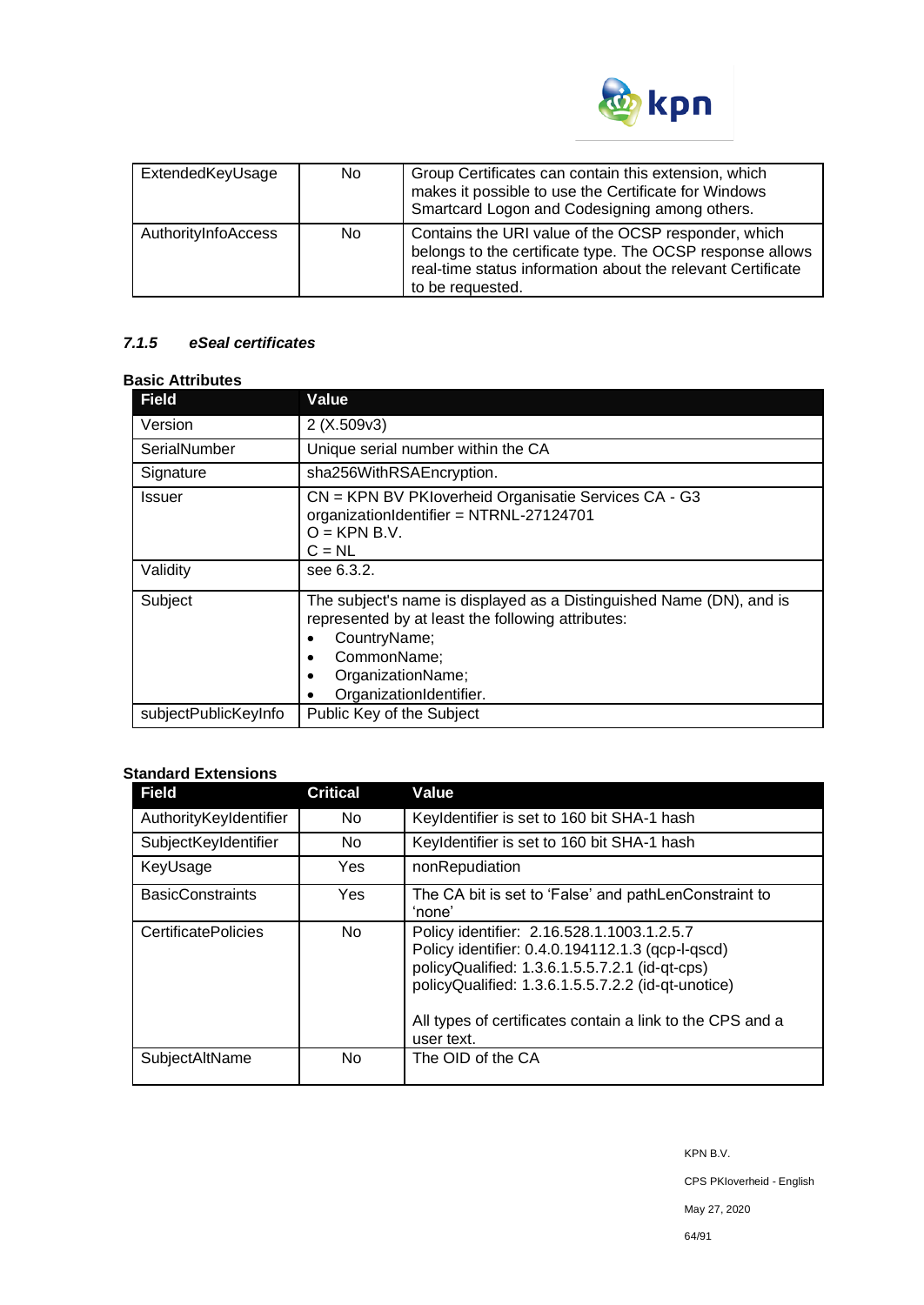

| ExtendedKeyUsage    | No. | Group Certificates can contain this extension, which<br>makes it possible to use the Certificate for Windows<br>Smartcard Logon and Codesigning among others.                                       |
|---------------------|-----|-----------------------------------------------------------------------------------------------------------------------------------------------------------------------------------------------------|
| AuthorityInfoAccess | No. | Contains the URI value of the OCSP responder, which<br>belongs to the certificate type. The OCSP response allows<br>real-time status information about the relevant Certificate<br>to be requested. |

# *7.1.5 eSeal certificates*

#### **Basic Attributes**

| <b>Field</b>         | Value                                                                                                                                                                                                         |
|----------------------|---------------------------------------------------------------------------------------------------------------------------------------------------------------------------------------------------------------|
| Version              | 2(X.509v3)                                                                                                                                                                                                    |
| SerialNumber         | Unique serial number within the CA                                                                                                                                                                            |
| Signature            | sha256WithRSAEncryption.                                                                                                                                                                                      |
| <b>Issuer</b>        | CN = KPN BV PKIoverheid Organisatie Services CA - G3<br>organizationIdentifier = NTRNL-27124701<br>$O = KPN B.V.$<br>$C = NL$                                                                                 |
| Validity             | see 6.3.2.                                                                                                                                                                                                    |
| Subject              | The subject's name is displayed as a Distinguished Name (DN), and is<br>represented by at least the following attributes:<br>CountryName;<br>CommonName;<br>٠<br>OrganizationName;<br>OrganizationIdentifier. |
| subjectPublicKeyInfo | Public Key of the Subject                                                                                                                                                                                     |

# **Standard Extensions**

| <b>Field</b>               | <b>Critical</b> | Value                                                                                                                                                                                                                                                                             |
|----------------------------|-----------------|-----------------------------------------------------------------------------------------------------------------------------------------------------------------------------------------------------------------------------------------------------------------------------------|
| AuthorityKeyIdentifier     | No.             | Keyldentifier is set to 160 bit SHA-1 hash                                                                                                                                                                                                                                        |
| SubjectKeyIdentifier       | No.             | Keyldentifier is set to 160 bit SHA-1 hash                                                                                                                                                                                                                                        |
| KeyUsage                   | Yes             | nonRepudiation                                                                                                                                                                                                                                                                    |
| <b>BasicConstraints</b>    | Yes.            | The CA bit is set to 'False' and pathLenConstraint to<br>'none'                                                                                                                                                                                                                   |
| <b>CertificatePolicies</b> | No.             | Policy identifier: 2.16.528.1.1003.1.2.5.7<br>Policy identifier: 0.4.0.194112.1.3 (qcp-l-qscd)<br>policyQualified: 1.3.6.1.5.5.7.2.1 (id-qt-cps)<br>policyQualified: 1.3.6.1.5.5.7.2.2 (id-qt-unotice)<br>All types of certificates contain a link to the CPS and a<br>user text. |
| SubjectAltName             | No.             | The OID of the CA                                                                                                                                                                                                                                                                 |

KPN B.V.

CPS PKIoverheid - English

May 27, 2020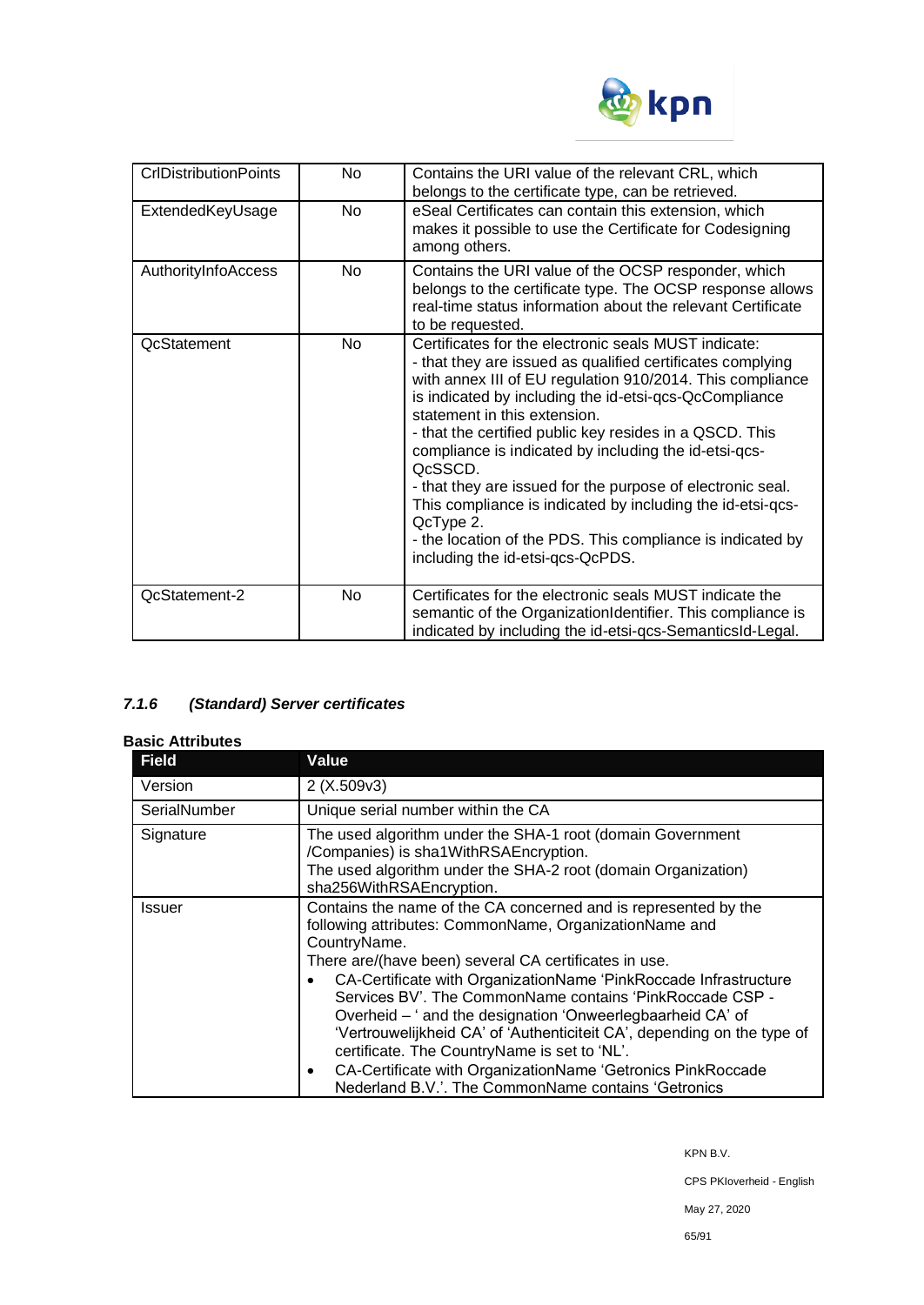

| <b>CrIDistributionPoints</b> | <b>No</b> | Contains the URI value of the relevant CRL, which<br>belongs to the certificate type, can be retrieved.                                                                                                                                                                                                                                                                                                                                                                                                                                                                                                                                             |
|------------------------------|-----------|-----------------------------------------------------------------------------------------------------------------------------------------------------------------------------------------------------------------------------------------------------------------------------------------------------------------------------------------------------------------------------------------------------------------------------------------------------------------------------------------------------------------------------------------------------------------------------------------------------------------------------------------------------|
| ExtendedKeyUsage             | <b>No</b> | eSeal Certificates can contain this extension, which<br>makes it possible to use the Certificate for Codesigning<br>among others.                                                                                                                                                                                                                                                                                                                                                                                                                                                                                                                   |
| AuthorityInfoAccess          | No        | Contains the URI value of the OCSP responder, which<br>belongs to the certificate type. The OCSP response allows<br>real-time status information about the relevant Certificate<br>to be requested.                                                                                                                                                                                                                                                                                                                                                                                                                                                 |
| <b>QcStatement</b>           | <b>No</b> | Certificates for the electronic seals MUST indicate:<br>- that they are issued as qualified certificates complying<br>with annex III of EU regulation 910/2014. This compliance<br>is indicated by including the id-etsi-qcs-QcCompliance<br>statement in this extension.<br>- that the certified public key resides in a QSCD. This<br>compliance is indicated by including the id-etsi-qcs-<br>QcSSCD.<br>- that they are issued for the purpose of electronic seal.<br>This compliance is indicated by including the id-etsi-qcs-<br>QcType 2.<br>- the location of the PDS. This compliance is indicated by<br>including the id-etsi-qcs-QcPDS. |
| <b>QcStatement-2</b>         | No.       | Certificates for the electronic seals MUST indicate the<br>semantic of the OrganizationIdentifier. This compliance is<br>indicated by including the id-etsi-gcs-SemanticsId-Legal.                                                                                                                                                                                                                                                                                                                                                                                                                                                                  |

# *7.1.6 (Standard) Server certificates*

## **Basic Attributes**

| <b>Field</b> | Value                                                                                                                                                                                                                                                                                                                                                                                                                                                                                                                                                                                                                                                          |  |
|--------------|----------------------------------------------------------------------------------------------------------------------------------------------------------------------------------------------------------------------------------------------------------------------------------------------------------------------------------------------------------------------------------------------------------------------------------------------------------------------------------------------------------------------------------------------------------------------------------------------------------------------------------------------------------------|--|
| Version      | 2(X.509v3)                                                                                                                                                                                                                                                                                                                                                                                                                                                                                                                                                                                                                                                     |  |
| SerialNumber | Unique serial number within the CA                                                                                                                                                                                                                                                                                                                                                                                                                                                                                                                                                                                                                             |  |
| Signature    | The used algorithm under the SHA-1 root (domain Government<br>/Companies) is sha1WithRSAEncryption.<br>The used algorithm under the SHA-2 root (domain Organization)<br>sha256WithRSAEncryption.                                                                                                                                                                                                                                                                                                                                                                                                                                                               |  |
| Issuer       | Contains the name of the CA concerned and is represented by the<br>following attributes: CommonName, OrganizationName and<br>CountryName.<br>There are/(have been) several CA certificates in use.<br>CA-Certificate with OrganizationName 'PinkRoccade Infrastructure<br>Services BV'. The CommonName contains 'PinkRoccade CSP -<br>Overheid – ' and the designation 'Onweerlegbaarheid CA' of<br>'Vertrouwelijkheid CA' of 'Authenticiteit CA', depending on the type of<br>certificate. The CountryName is set to 'NL'.<br>CA-Certificate with OrganizationName 'Getronics PinkRoccade<br>$\bullet$<br>Nederland B.V.'. The CommonName contains 'Getronics |  |

KPN B.V.

CPS PKIoverheid - English

May 27, 2020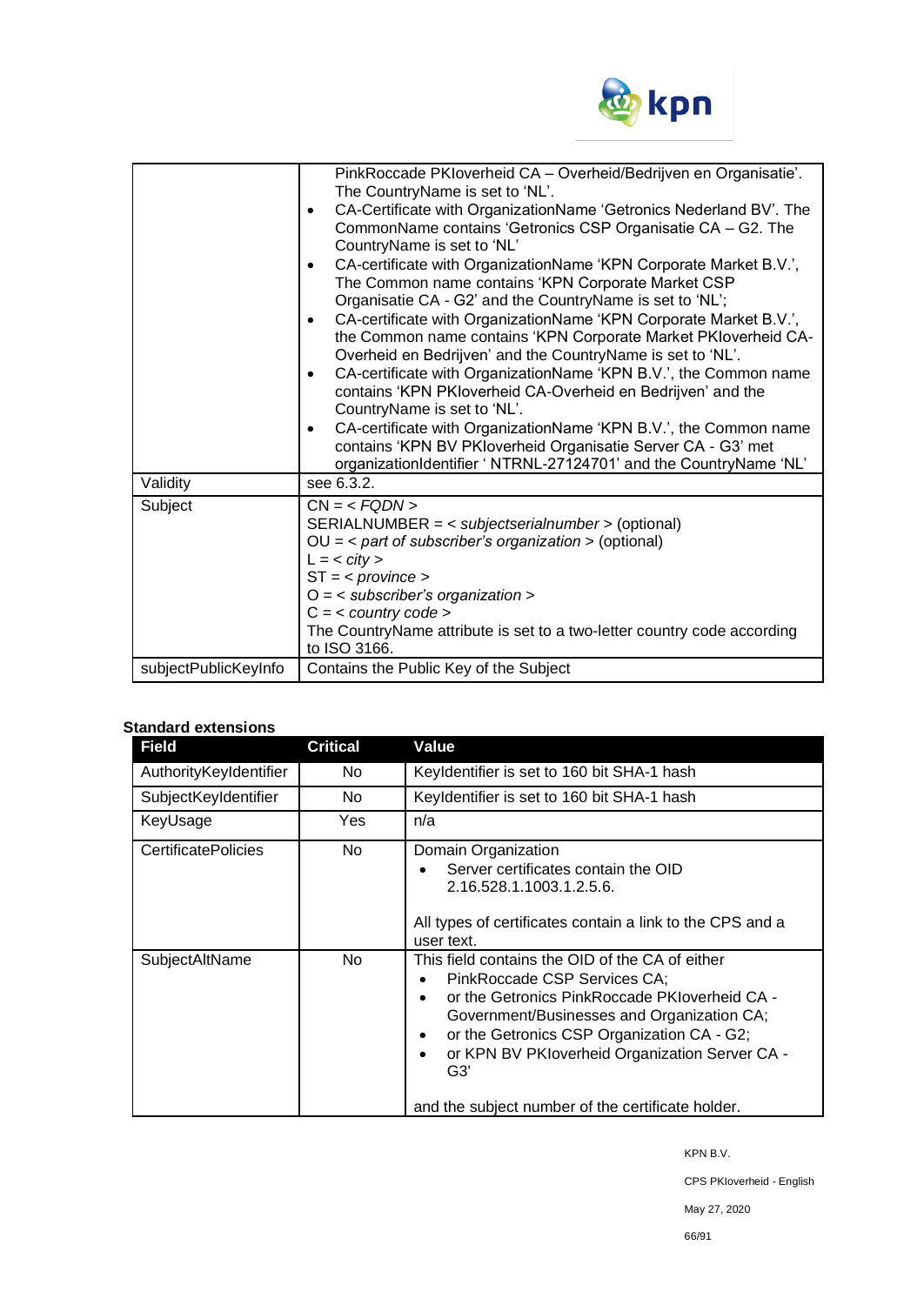

|                      | PinkRoccade PKIoverheid CA - Overheid/Bedrijven en Organisatie'.<br>The CountryName is set to 'NL'.<br>CA-Certificate with OrganizationName 'Getronics Nederland BV'. The<br>$\bullet$<br>CommonName contains 'Getronics CSP Organisatie CA - G2. The<br>CountryName is set to 'NL'<br>CA-certificate with OrganizationName 'KPN Corporate Market B.V.',<br>$\bullet$<br>The Common name contains 'KPN Corporate Market CSP<br>Organisatie CA - G2' and the CountryName is set to 'NL';<br>CA-certificate with OrganizationName 'KPN Corporate Market B.V.',<br>$\bullet$<br>the Common name contains 'KPN Corporate Market PKIoverheid CA-<br>Overheid en Bedrijven' and the CountryName is set to 'NL'.<br>CA-certificate with OrganizationName 'KPN B.V.', the Common name<br>$\bullet$<br>contains 'KPN PKIoverheid CA-Overheid en Bedrijven' and the<br>CountryName is set to 'NL'.<br>CA-certificate with OrganizationName 'KPN B.V.', the Common name<br>$\bullet$<br>contains 'KPN BV PKloverheid Organisatie Server CA - G3' met<br>organizationIdentifier ' NTRNL-27124701' and the CountryName 'NL' |
|----------------------|----------------------------------------------------------------------------------------------------------------------------------------------------------------------------------------------------------------------------------------------------------------------------------------------------------------------------------------------------------------------------------------------------------------------------------------------------------------------------------------------------------------------------------------------------------------------------------------------------------------------------------------------------------------------------------------------------------------------------------------------------------------------------------------------------------------------------------------------------------------------------------------------------------------------------------------------------------------------------------------------------------------------------------------------------------------------------------------------------------------|
| Validity             | see 6.3.2.                                                                                                                                                                                                                                                                                                                                                                                                                                                                                                                                                                                                                                                                                                                                                                                                                                                                                                                                                                                                                                                                                                     |
| Subject              | $CN = SERIALNUMBER = < subjectserialnumber > (optional)OU = < part of subscriber's organization > (optional)L = < city >ST = provinceO = \langle subscriber's organization >C = < country code >The CountryName attribute is set to a two-letter country code accordingto ISO 3166.$                                                                                                                                                                                                                                                                                                                                                                                                                                                                                                                                                                                                                                                                                                                                                                                                                           |
| subjectPublicKeyInfo | Contains the Public Key of the Subject                                                                                                                                                                                                                                                                                                                                                                                                                                                                                                                                                                                                                                                                                                                                                                                                                                                                                                                                                                                                                                                                         |

# **Standard extensions**

| <b>Field</b>               | <b>Critical</b> | Value                                                                                                                                                                                                                                                                                                                                                                                  |
|----------------------------|-----------------|----------------------------------------------------------------------------------------------------------------------------------------------------------------------------------------------------------------------------------------------------------------------------------------------------------------------------------------------------------------------------------------|
| AuthorityKeyIdentifier     | No.             | Keyldentifier is set to 160 bit SHA-1 hash                                                                                                                                                                                                                                                                                                                                             |
| SubjectKeyIdentifier       | No.             | Keyldentifier is set to 160 bit SHA-1 hash                                                                                                                                                                                                                                                                                                                                             |
| KeyUsage                   | Yes             | n/a                                                                                                                                                                                                                                                                                                                                                                                    |
| <b>CertificatePolicies</b> | No.             | Domain Organization<br>Server certificates contain the OID<br>$\bullet$<br>2.16.528.1.1003.1.2.5.6.<br>All types of certificates contain a link to the CPS and a<br>user text.                                                                                                                                                                                                         |
| SubjectAltName             | No.             | This field contains the OID of the CA of either<br>PinkRoccade CSP Services CA;<br>٠<br>or the Getronics PinkRoccade PKIoverheid CA -<br>$\bullet$<br>Government/Businesses and Organization CA;<br>or the Getronics CSP Organization CA - G2;<br>$\bullet$<br>or KPN BV PKIoverheid Organization Server CA -<br>$\bullet$<br>G3'<br>and the subject number of the certificate holder. |

KPN B.V.

CPS PKIoverheid - English

May 27, 2020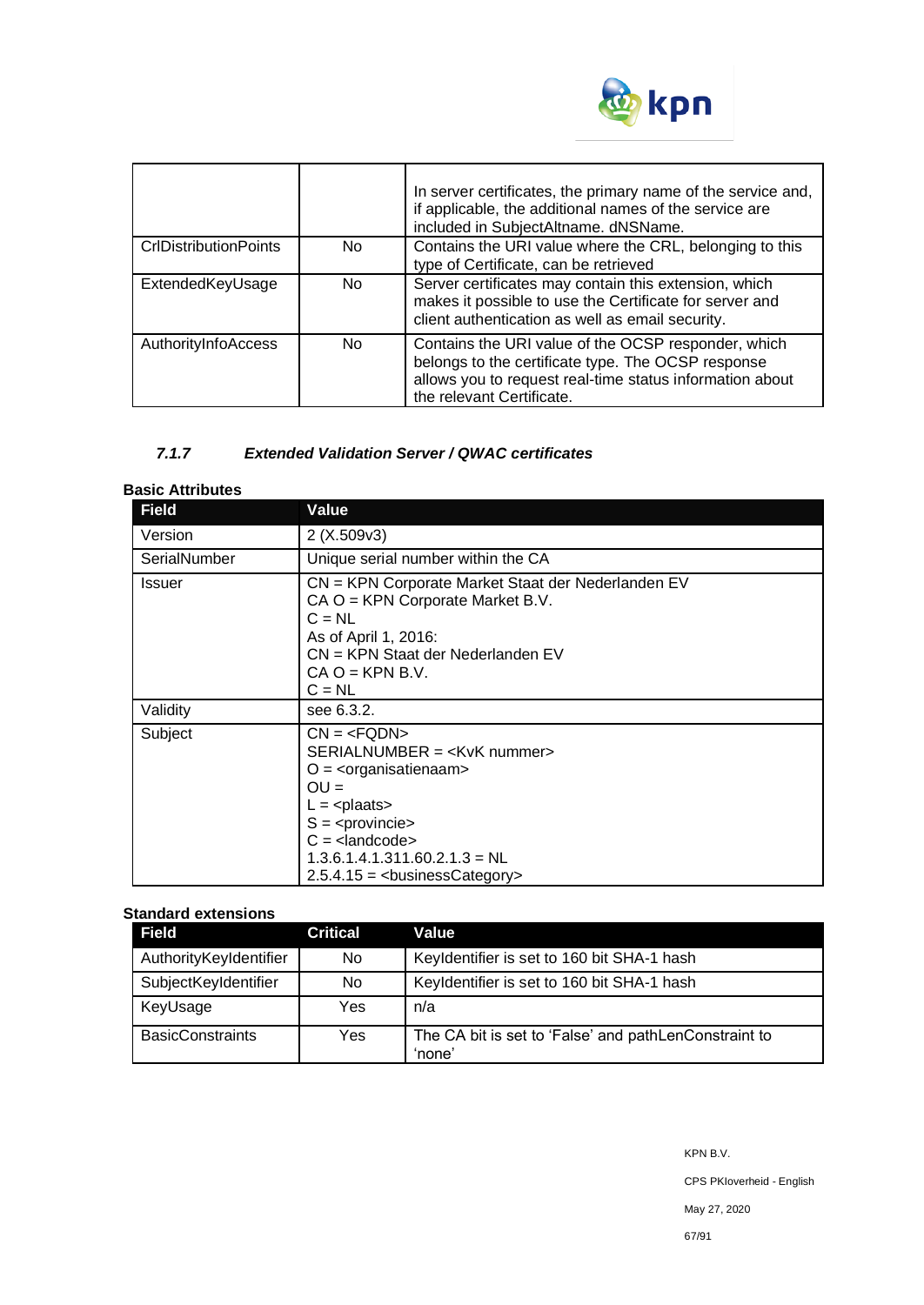

|                              |           | In server certificates, the primary name of the service and,<br>if applicable, the additional names of the service are<br>included in SubjectAltname. dNSName.                                     |
|------------------------------|-----------|----------------------------------------------------------------------------------------------------------------------------------------------------------------------------------------------------|
| <b>CrIDistributionPoints</b> | No.       | Contains the URI value where the CRL, belonging to this<br>type of Certificate, can be retrieved                                                                                                   |
| ExtendedKeyUsage             | No.       | Server certificates may contain this extension, which<br>makes it possible to use the Certificate for server and<br>client authentication as well as email security.                               |
| AuthorityInfoAccess          | <b>No</b> | Contains the URI value of the OCSP responder, which<br>belongs to the certificate type. The OCSP response<br>allows you to request real-time status information about<br>the relevant Certificate. |

# *7.1.7 Extended Validation Server / QWAC certificates*

## **Basic Attributes**

| <b>Field</b>  | Value                                                                                                                                                                                              |
|---------------|----------------------------------------------------------------------------------------------------------------------------------------------------------------------------------------------------|
| Version       | 2(X.509v3)                                                                                                                                                                                         |
| SerialNumber  | Unique serial number within the CA                                                                                                                                                                 |
| <b>Issuer</b> | CN = KPN Corporate Market Staat der Nederlanden EV<br>$CA O = KPN$ Corporate Market B.V.<br>$C = NL$<br>As of April 1, 2016:<br>CN = KPN Staat der Nederlanden EV<br>$CA O = KPN B.V.$<br>$C = NL$ |
| Validity      | see 6.3.2.                                                                                                                                                                                         |
| Subject       | $CN = SERIALNUMBER = O = \langleorganisatienaam>OU =L = \langle plaats\rangleS = C = 1.3.6.1.4.1.311.60.2.1.3 = NL2.5.4.15 = - chusiness Category >$                                               |

# **Standard extensions**

| <b>Field</b>            | <b>Critical</b> | Value                                                           |
|-------------------------|-----------------|-----------------------------------------------------------------|
| AuthorityKeyIdentifier  | No              | Keyldentifier is set to 160 bit SHA-1 hash                      |
| SubjectKeyIdentifier    | No              | Keyldentifier is set to 160 bit SHA-1 hash                      |
| KeyUsage                | Yes             | n/a                                                             |
| <b>BasicConstraints</b> | Yes             | The CA bit is set to 'False' and pathLenConstraint to<br>'none' |

CPS PKIoverheid - English

May 27, 2020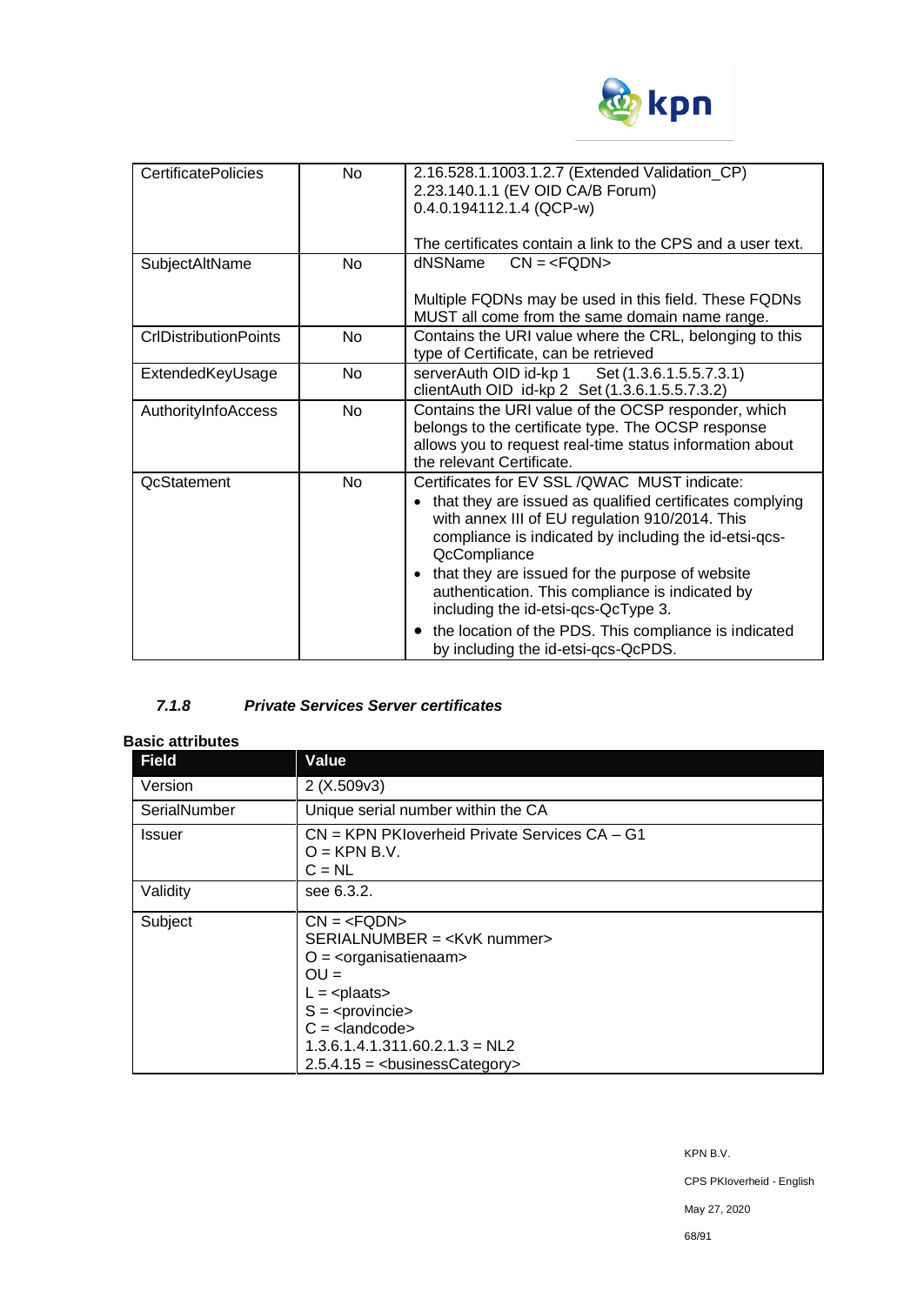

| <b>CertificatePolicies</b>   | <b>No</b> | 2.16.528.1.1003.1.2.7 (Extended Validation_CP)<br>2.23.140.1.1 (EV OID CA/B Forum)<br>$0.4.0.194112.1.4$ (QCP-w)<br>The certificates contain a link to the CPS and a user text.                                                                                                                                                                                                                                                                                                                |
|------------------------------|-----------|------------------------------------------------------------------------------------------------------------------------------------------------------------------------------------------------------------------------------------------------------------------------------------------------------------------------------------------------------------------------------------------------------------------------------------------------------------------------------------------------|
| SubjectAltName               | <b>No</b> | dNSName<br>$CN = Multiple FQDNs may be used in this field. These FQDNsMUST all come from the same domain name range.$                                                                                                                                                                                                                                                                                                                                                                          |
| <b>CrIDistributionPoints</b> | <b>No</b> | Contains the URI value where the CRL, belonging to this<br>type of Certificate, can be retrieved                                                                                                                                                                                                                                                                                                                                                                                               |
| ExtendedKeyUsage             | <b>No</b> | serverAuth OID id-kp 1 Set (1.3.6.1.5.5.7.3.1)<br>clientAuth OID id-kp 2 Set (1.3.6.1.5.5.7.3.2)                                                                                                                                                                                                                                                                                                                                                                                               |
| AuthorityInfoAccess          | <b>No</b> | Contains the URI value of the OCSP responder, which<br>belongs to the certificate type. The OCSP response<br>allows you to request real-time status information about<br>the relevant Certificate.                                                                                                                                                                                                                                                                                             |
| <b>QcStatement</b>           | <b>No</b> | Certificates for EV SSL / QWAC MUST indicate:<br>that they are issued as qualified certificates complying<br>with annex III of EU regulation 910/2014. This<br>compliance is indicated by including the id-etsi-qcs-<br>QcCompliance<br>that they are issued for the purpose of website<br>$\bullet$<br>authentication. This compliance is indicated by<br>including the id-etsi-qcs-QcType 3.<br>the location of the PDS. This compliance is indicated<br>by including the id-etsi-qcs-QcPDS. |

# *7.1.8 Private Services Server certificates*

#### **Basic attributes**

| <b>Field</b>  | Value                                                                                                                                          |
|---------------|------------------------------------------------------------------------------------------------------------------------------------------------|
| Version       | 2(X.509v3)                                                                                                                                     |
| SerialNumber  | Unique serial number within the CA                                                                                                             |
| <b>Issuer</b> | CN = KPN PKIoverheid Private Services CA - G1<br>$Q = KPN B.V.$<br>$C = NL$                                                                    |
| Validity      | see 6.3.2.                                                                                                                                     |
| Subject       | $CN = SERIALNUMBER =  numbersO = \langleorganisatienaam>OU =L = plaatsS = C = 1.3.6.1.4.1.311.60.2.1.3 = NL22.5.4.15 = - chusiness Category >$ |

May 27, 2020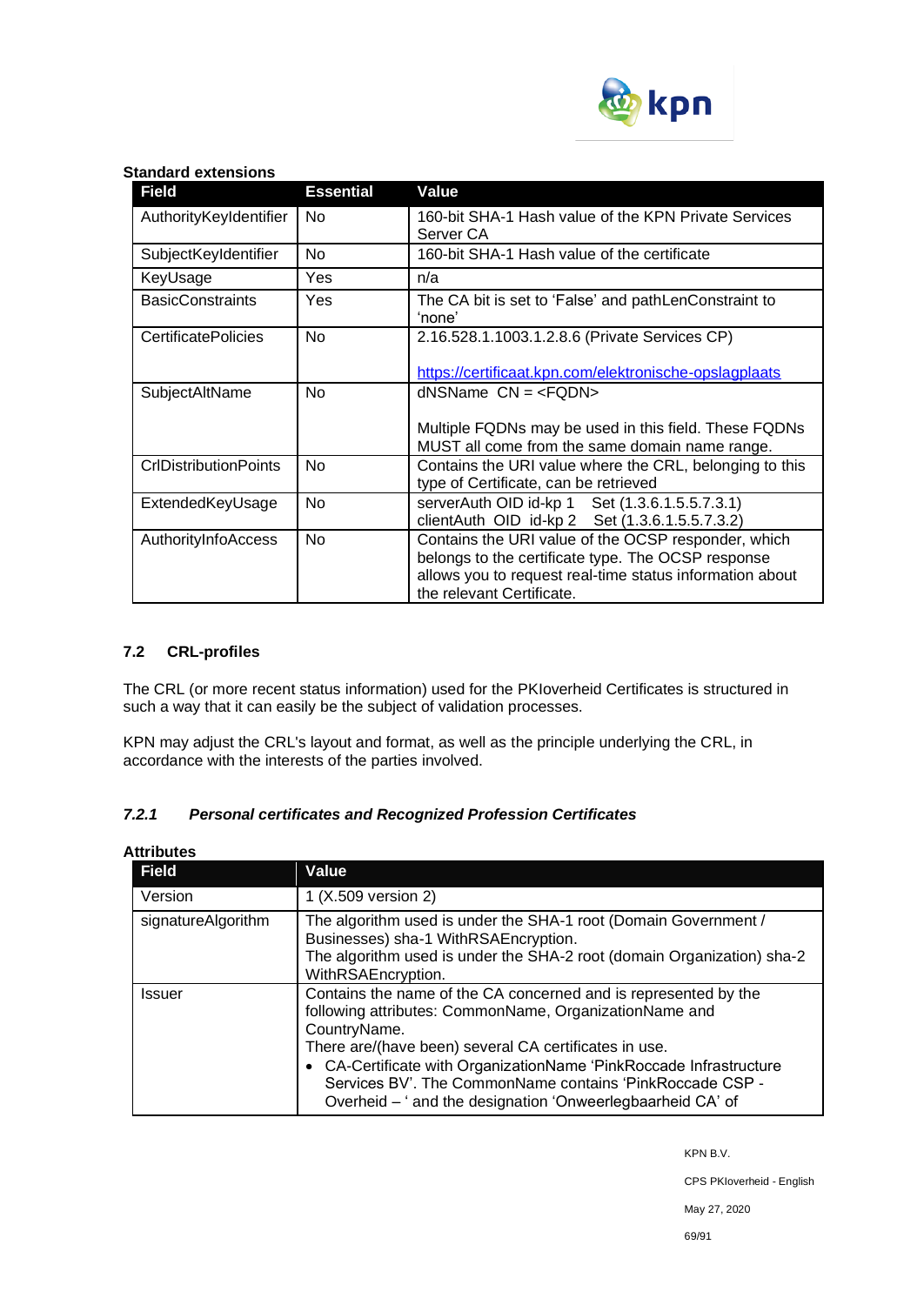

#### **Standard extensions**

| <b>Field</b>                 | <b>Essential</b> | Value                                                                                                                                                                                              |
|------------------------------|------------------|----------------------------------------------------------------------------------------------------------------------------------------------------------------------------------------------------|
| AuthorityKeyIdentifier       | No.              | 160-bit SHA-1 Hash value of the KPN Private Services<br>Server CA                                                                                                                                  |
| SubjectKeyIdentifier         | <b>No</b>        | 160-bit SHA-1 Hash value of the certificate                                                                                                                                                        |
| KeyUsage                     | Yes              | n/a                                                                                                                                                                                                |
| <b>BasicConstraints</b>      | Yes              | The CA bit is set to 'False' and pathLenConstraint to<br>'none'                                                                                                                                    |
| <b>CertificatePolicies</b>   | <b>No</b>        | 2.16.528.1.1003.1.2.8.6 (Private Services CP)<br>https://certificaat.kpn.com/elektronische-opslagplaats                                                                                            |
| SubjectAltName               | No.              | $d$ NSName $CN = Multiple FQDNs may be used in this field. These FQDNsMUST all come from the same domain name range.$                                                                              |
| <b>CrIDistributionPoints</b> | <b>No</b>        | Contains the URI value where the CRL, belonging to this<br>type of Certificate, can be retrieved                                                                                                   |
| ExtendedKeyUsage             | <b>No</b>        | serverAuth OID id-kp 1 Set (1.3.6.1.5.5.7.3.1)<br>clientAuth OID id-kp 2 Set (1.3.6.1.5.5.7.3.2)                                                                                                   |
| AuthorityInfoAccess          | No               | Contains the URI value of the OCSP responder, which<br>belongs to the certificate type. The OCSP response<br>allows you to request real-time status information about<br>the relevant Certificate. |

### **7.2 CRL-profiles**

The CRL (or more recent status information) used for the PKIoverheid Certificates is structured in such a way that it can easily be the subject of validation processes.

KPN may adjust the CRL's layout and format, as well as the principle underlying the CRL, in accordance with the interests of the parties involved.

### *7.2.1 Personal certificates and Recognized Profession Certificates*

| <b>Attributes</b>  |                                                                                                                                                                                                                                                                                                                                                                                                    |  |
|--------------------|----------------------------------------------------------------------------------------------------------------------------------------------------------------------------------------------------------------------------------------------------------------------------------------------------------------------------------------------------------------------------------------------------|--|
| <b>Field</b>       | <b>Value</b>                                                                                                                                                                                                                                                                                                                                                                                       |  |
| Version            | 1 (X.509 version 2)                                                                                                                                                                                                                                                                                                                                                                                |  |
| signatureAlgorithm | The algorithm used is under the SHA-1 root (Domain Government /<br>Businesses) sha-1 WithRSAEncryption.<br>The algorithm used is under the SHA-2 root (domain Organization) sha-2<br>WithRSAEncryption.                                                                                                                                                                                            |  |
| <b>Issuer</b>      | Contains the name of the CA concerned and is represented by the<br>following attributes: CommonName, OrganizationName and<br>CountryName.<br>There are/(have been) several CA certificates in use.<br>• CA-Certificate with OrganizationName 'PinkRoccade Infrastructure<br>Services BV'. The CommonName contains 'PinkRoccade CSP -<br>Overheid - ' and the designation 'Onweerlegbaarheid CA' of |  |

KPN B.V.

CPS PKIoverheid - English

May 27, 2020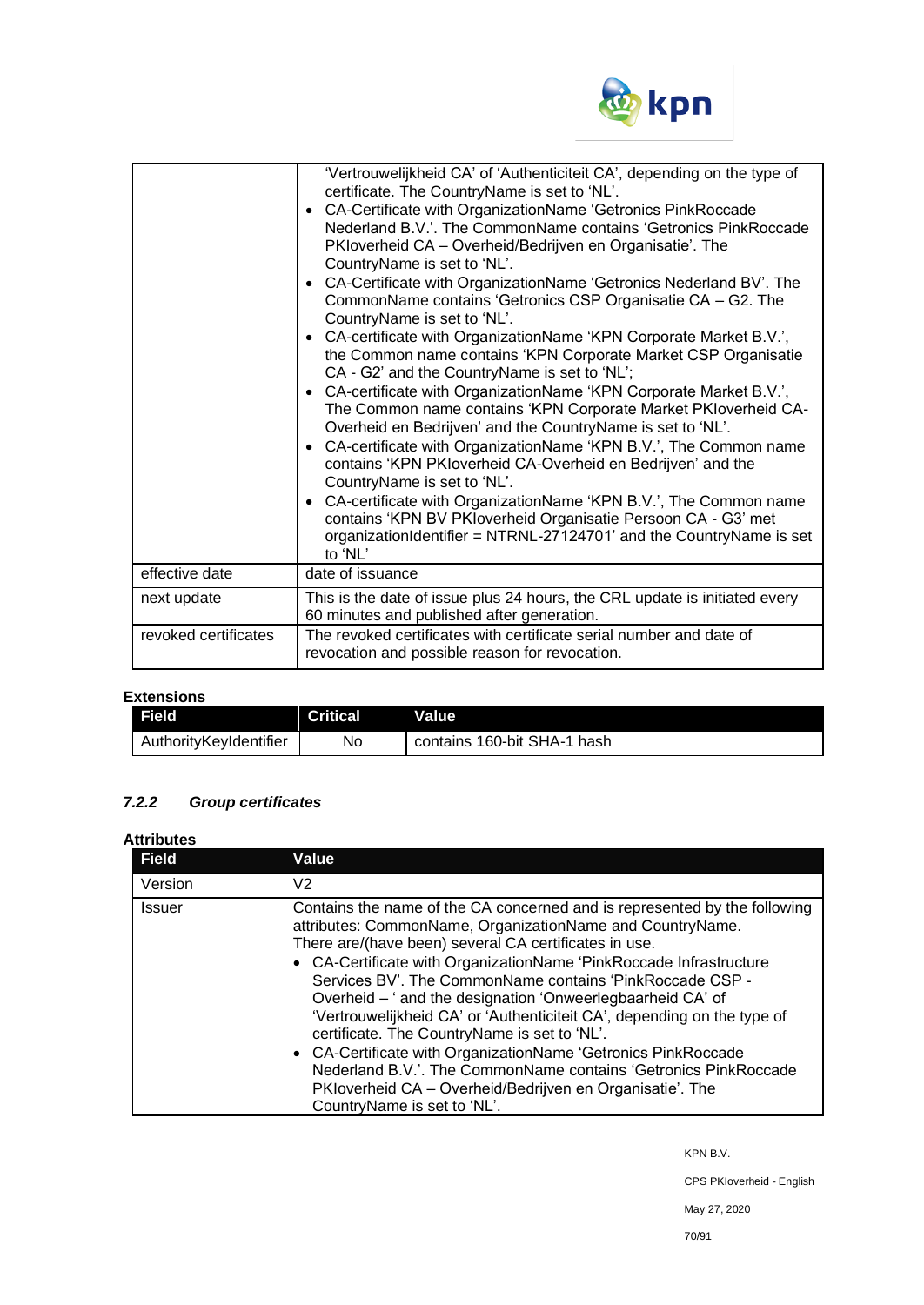

| effective date       | 'Vertrouwelijkheid CA' of 'Authenticiteit CA', depending on the type of<br>certificate. The CountryName is set to 'NL'.<br>CA-Certificate with OrganizationName 'Getronics PinkRoccade<br>$\bullet$<br>Nederland B.V.'. The CommonName contains 'Getronics PinkRoccade<br>PKloverheid CA - Overheid/Bedrijven en Organisatie'. The<br>CountryName is set to 'NL'.<br>CA-Certificate with OrganizationName 'Getronics Nederland BV'. The<br>$\bullet$<br>CommonName contains 'Getronics CSP Organisatie CA - G2. The<br>CountryName is set to 'NL'.<br>• CA-certificate with OrganizationName 'KPN Corporate Market B.V.',<br>the Common name contains 'KPN Corporate Market CSP Organisatie<br>CA - G2' and the CountryName is set to 'NL';<br>CA-certificate with OrganizationName 'KPN Corporate Market B.V.',<br>$\bullet$<br>The Common name contains 'KPN Corporate Market PKIoverheid CA-<br>Overheid en Bedrijven' and the CountryName is set to 'NL'.<br>CA-certificate with OrganizationName 'KPN B.V.', The Common name<br>$\bullet$<br>contains 'KPN PKIoverheid CA-Overheid en Bedrijven' and the<br>CountryName is set to 'NL'.<br>CA-certificate with OrganizationName 'KPN B.V.', The Common name<br>$\bullet$<br>contains 'KPN BV PKIoverheid Organisatie Persoon CA - G3' met<br>organizationIdentifier = NTRNL-27124701' and the CountryName is set<br>to 'NL'<br>date of issuance |
|----------------------|------------------------------------------------------------------------------------------------------------------------------------------------------------------------------------------------------------------------------------------------------------------------------------------------------------------------------------------------------------------------------------------------------------------------------------------------------------------------------------------------------------------------------------------------------------------------------------------------------------------------------------------------------------------------------------------------------------------------------------------------------------------------------------------------------------------------------------------------------------------------------------------------------------------------------------------------------------------------------------------------------------------------------------------------------------------------------------------------------------------------------------------------------------------------------------------------------------------------------------------------------------------------------------------------------------------------------------------------------------------------------------------------------|
|                      |                                                                                                                                                                                                                                                                                                                                                                                                                                                                                                                                                                                                                                                                                                                                                                                                                                                                                                                                                                                                                                                                                                                                                                                                                                                                                                                                                                                                      |
| next update          | This is the date of issue plus 24 hours, the CRL update is initiated every<br>60 minutes and published after generation.                                                                                                                                                                                                                                                                                                                                                                                                                                                                                                                                                                                                                                                                                                                                                                                                                                                                                                                                                                                                                                                                                                                                                                                                                                                                             |
| revoked certificates | The revoked certificates with certificate serial number and date of<br>revocation and possible reason for revocation.                                                                                                                                                                                                                                                                                                                                                                                                                                                                                                                                                                                                                                                                                                                                                                                                                                                                                                                                                                                                                                                                                                                                                                                                                                                                                |

# **Extensions**

| <b>Field</b>           | Critical | Value                       |
|------------------------|----------|-----------------------------|
| AuthorityKeyIdentifier | No       | contains 160-bit SHA-1 hash |

# *7.2.2 Group certificates*

#### **Attributes**

| <b>Field</b>  | Value                                                                                                                                                                                                                                                                                                                                                                                                                                                                                                                                                                                                                                                                                                                                                     |
|---------------|-----------------------------------------------------------------------------------------------------------------------------------------------------------------------------------------------------------------------------------------------------------------------------------------------------------------------------------------------------------------------------------------------------------------------------------------------------------------------------------------------------------------------------------------------------------------------------------------------------------------------------------------------------------------------------------------------------------------------------------------------------------|
| Version       | V <sub>2</sub>                                                                                                                                                                                                                                                                                                                                                                                                                                                                                                                                                                                                                                                                                                                                            |
| <b>Issuer</b> | Contains the name of the CA concerned and is represented by the following<br>attributes: CommonName, OrganizationName and CountryName.<br>There are/(have been) several CA certificates in use.<br>• CA-Certificate with OrganizationName 'PinkRoccade Infrastructure<br>Services BV'. The CommonName contains 'PinkRoccade CSP -<br>Overheid - ' and the designation 'Onweerlegbaarheid CA' of<br>'Vertrouwelijkheid CA' or 'Authenticiteit CA', depending on the type of<br>certificate. The CountryName is set to 'NL'.<br>• CA-Certificate with OrganizationName 'Getronics PinkRoccade<br>Nederland B.V.'. The CommonName contains 'Getronics PinkRoccade<br>PKIoverheid CA - Overheid/Bedrijven en Organisatie'. The<br>CountryName is set to 'NL'. |

KPN B.V.

CPS PKIoverheid - English

May 27, 2020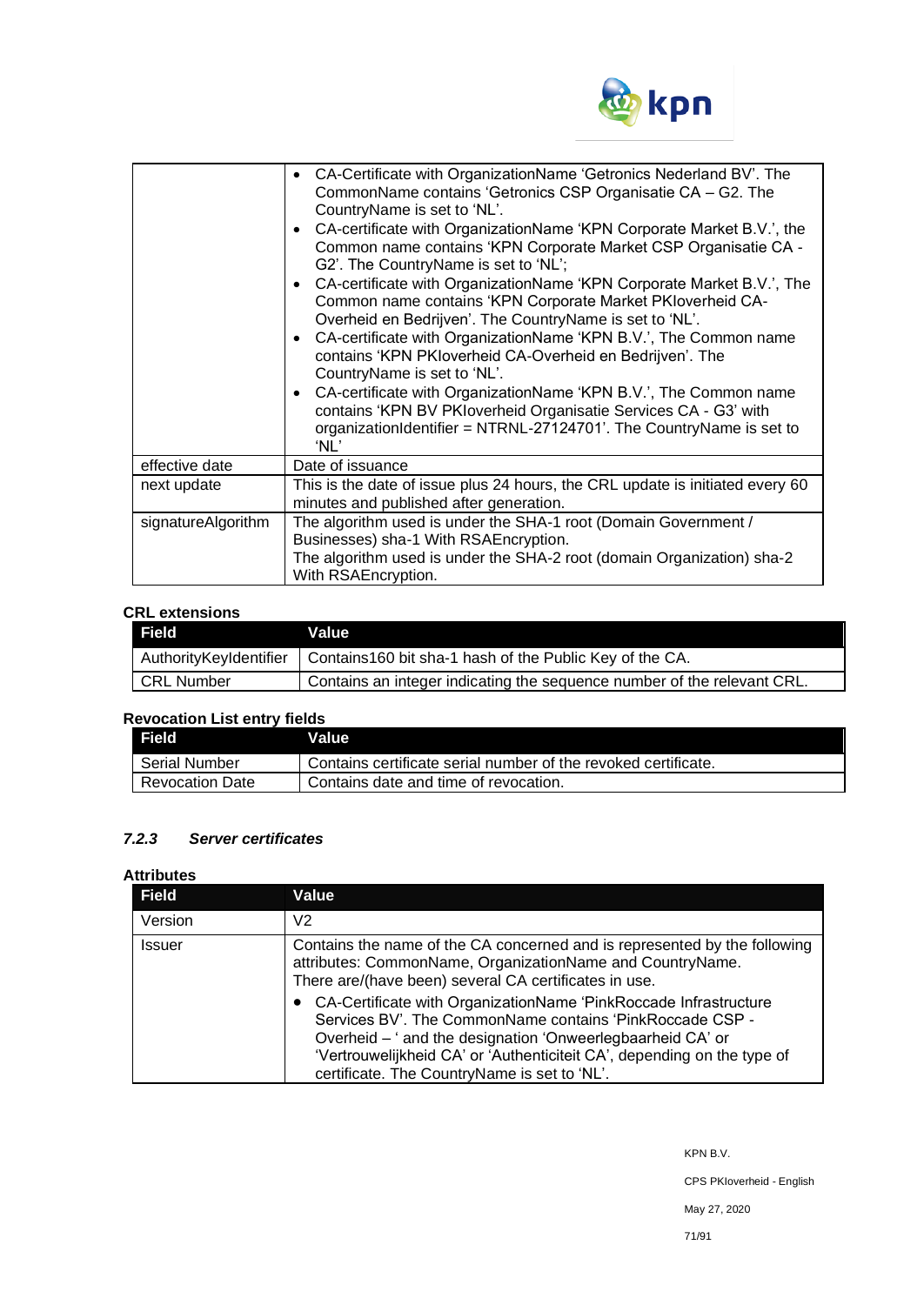

|                    | • CA-Certificate with OrganizationName 'Getronics Nederland BV'. The<br>CommonName contains 'Getronics CSP Organisatie CA - G2. The<br>CountryName is set to 'NL'.<br>CA-certificate with OrganizationName 'KPN Corporate Market B.V.', the<br>$\bullet$<br>Common name contains 'KPN Corporate Market CSP Organisatie CA -<br>G2'. The CountryName is set to 'NL';<br>CA-certificate with OrganizationName 'KPN Corporate Market B.V.', The<br>$\bullet$<br>Common name contains 'KPN Corporate Market PKIoverheid CA-<br>Overheid en Bedrijven'. The CountryName is set to 'NL'.<br>• CA-certificate with OrganizationName 'KPN B.V.', The Common name<br>contains 'KPN PKIoverheid CA-Overheid en Bedrijven'. The<br>CountryName is set to 'NL'.<br>CA-certificate with OrganizationName 'KPN B.V.', The Common name<br>$\bullet$<br>contains 'KPN BV PKIoverheid Organisatie Services CA - G3' with<br>organizationIdentifier = NTRNL-27124701'. The CountryName is set to<br>'NL' |
|--------------------|----------------------------------------------------------------------------------------------------------------------------------------------------------------------------------------------------------------------------------------------------------------------------------------------------------------------------------------------------------------------------------------------------------------------------------------------------------------------------------------------------------------------------------------------------------------------------------------------------------------------------------------------------------------------------------------------------------------------------------------------------------------------------------------------------------------------------------------------------------------------------------------------------------------------------------------------------------------------------------------|
| effective date     | Date of issuance                                                                                                                                                                                                                                                                                                                                                                                                                                                                                                                                                                                                                                                                                                                                                                                                                                                                                                                                                                       |
| next update        | This is the date of issue plus 24 hours, the CRL update is initiated every 60<br>minutes and published after generation.                                                                                                                                                                                                                                                                                                                                                                                                                                                                                                                                                                                                                                                                                                                                                                                                                                                               |
| signatureAlgorithm | The algorithm used is under the SHA-1 root (Domain Government /<br>Businesses) sha-1 With RSAEncryption.<br>The algorithm used is under the SHA-2 root (domain Organization) sha-2<br>With RSAEncryption.                                                                                                                                                                                                                                                                                                                                                                                                                                                                                                                                                                                                                                                                                                                                                                              |

### **CRL extensions**

| <b>Field</b>           | Value                                                                   |
|------------------------|-------------------------------------------------------------------------|
| AuthorityKeyIdentifier | Contains160 bit sha-1 hash of the Public Key of the CA.                 |
| <b>CRL Number</b>      | Contains an integer indicating the sequence number of the relevant CRL. |

# **Revocation List entry fields**

| . Field'               | Value                                                          |
|------------------------|----------------------------------------------------------------|
| Serial Number          | Contains certificate serial number of the revoked certificate. |
| <b>Revocation Date</b> | Contains date and time of revocation.                          |

# *7.2.3 Server certificates*

### **Attributes**

| <b>Field</b> | Value                                                                                                                                                                                                                                                                                                                 |  |
|--------------|-----------------------------------------------------------------------------------------------------------------------------------------------------------------------------------------------------------------------------------------------------------------------------------------------------------------------|--|
| Version      | V <sub>2</sub>                                                                                                                                                                                                                                                                                                        |  |
| Issuer       | Contains the name of the CA concerned and is represented by the following<br>attributes: CommonName, OrganizationName and CountryName.<br>There are/(have been) several CA certificates in use.                                                                                                                       |  |
|              | CA-Certificate with OrganizationName 'PinkRoccade Infrastructure<br>Services BV'. The CommonName contains 'PinkRoccade CSP -<br>Overheid - ' and the designation 'Onweerlegbaarheid CA' or<br>'Vertrouwelijkheid CA' or 'Authenticiteit CA', depending on the type of<br>certificate. The CountryName is set to 'NL'. |  |

KPN B.V.

CPS PKIoverheid - English

May 27, 2020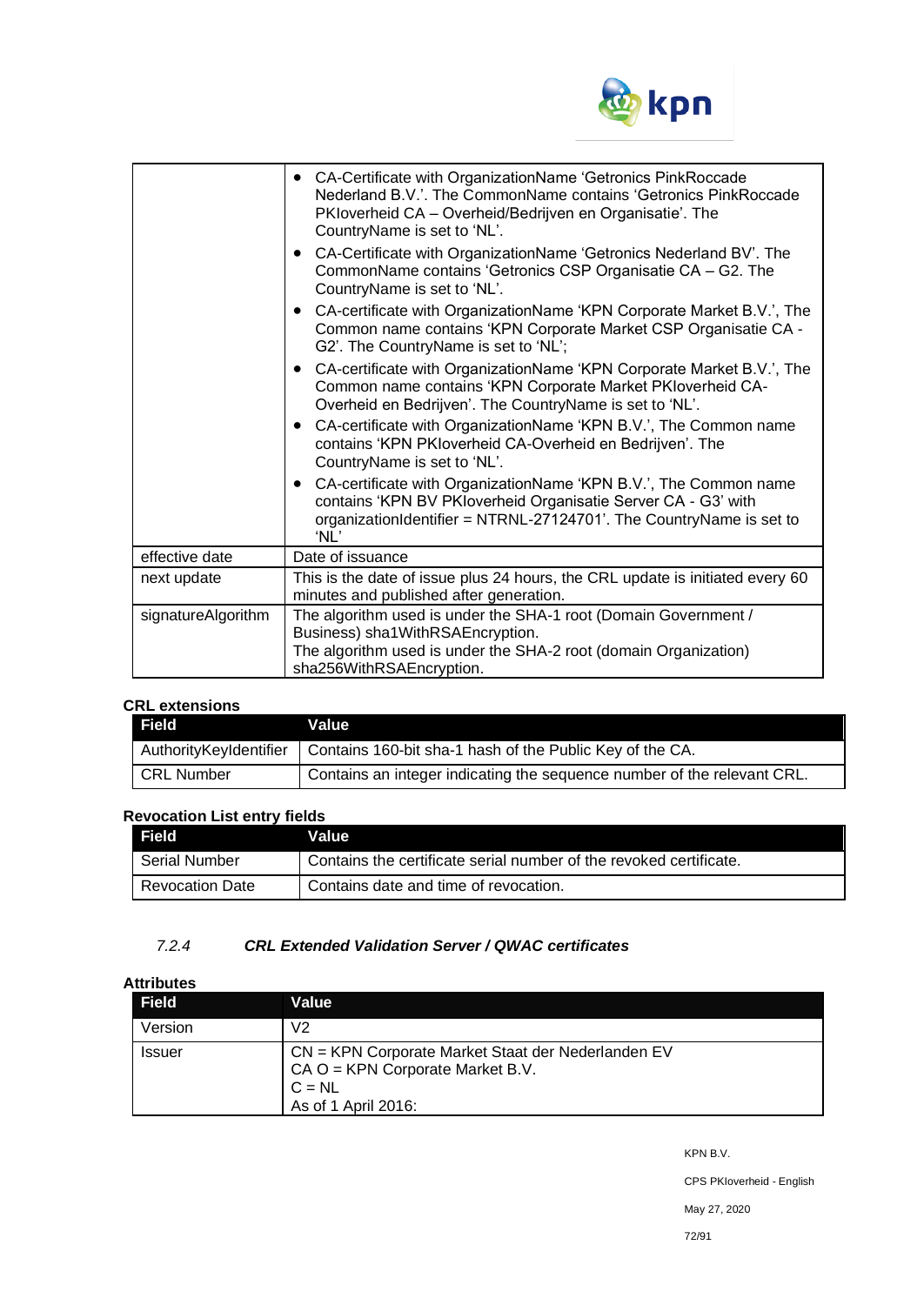

|                    | • CA-Certificate with OrganizationName 'Getronics PinkRoccade<br>Nederland B.V.'. The CommonName contains 'Getronics PinkRoccade<br>PKloverheid CA – Overheid/Bedrijven en Organisatie'. The<br>CountryName is set to 'NL'. |
|--------------------|-----------------------------------------------------------------------------------------------------------------------------------------------------------------------------------------------------------------------------|
|                    | • CA-Certificate with OrganizationName 'Getronics Nederland BV'. The<br>CommonName contains 'Getronics CSP Organisatie CA - G2. The<br>CountryName is set to 'NL'.                                                          |
|                    | CA-certificate with OrganizationName 'KPN Corporate Market B.V.', The<br>Common name contains 'KPN Corporate Market CSP Organisatie CA -<br>G2'. The CountryName is set to 'NL';                                            |
|                    | • CA-certificate with OrganizationName 'KPN Corporate Market B.V.', The<br>Common name contains 'KPN Corporate Market PKIoverheid CA-<br>Overheid en Bedrijven'. The CountryName is set to 'NL'.                            |
|                    | • CA-certificate with OrganizationName 'KPN B.V.', The Common name<br>contains 'KPN PKIoverheid CA-Overheid en Bedrijven'. The<br>CountryName is set to 'NL'.                                                               |
|                    | • CA-certificate with OrganizationName 'KPN B.V.', The Common name<br>contains 'KPN BV PKIoverheid Organisatie Server CA - G3' with<br>organizationIdentifier = NTRNL-27124701'. The CountryName is set to<br>'NL'          |
| effective date     | Date of issuance                                                                                                                                                                                                            |
| next update        | This is the date of issue plus 24 hours, the CRL update is initiated every 60<br>minutes and published after generation.                                                                                                    |
| signatureAlgorithm | The algorithm used is under the SHA-1 root (Domain Government /<br>Business) sha1WithRSAEncryption.<br>The algorithm used is under the SHA-2 root (domain Organization)<br>sha256WithRSAEncryption.                         |

# **CRL extensions**

| .<br>Field             | Value                                                                   |
|------------------------|-------------------------------------------------------------------------|
| AuthorityKeyIdentifier | Contains 160-bit sha-1 hash of the Public Key of the CA.                |
| <b>CRL Number</b>      | Contains an integer indicating the sequence number of the relevant CRL. |

# **Revocation List entry fields**

| Field                  | Value I                                                            |
|------------------------|--------------------------------------------------------------------|
| <b>Serial Number</b>   | Contains the certificate serial number of the revoked certificate. |
| <b>Revocation Date</b> | Contains date and time of revocation.                              |

## *7.2.4 CRL Extended Validation Server / QWAC certificates*

# **Attributes**

| <b>Field</b>  | Value                                                                                                                       |
|---------------|-----------------------------------------------------------------------------------------------------------------------------|
| Version       | V2                                                                                                                          |
| <b>Issuer</b> | CN = KPN Corporate Market Staat der Nederlanden EV<br>$CA$ O = KPN Corporate Market B.V.<br>$C = NL$<br>As of 1 April 2016: |

KPN B.V.

CPS PKIoverheid - English

May 27, 2020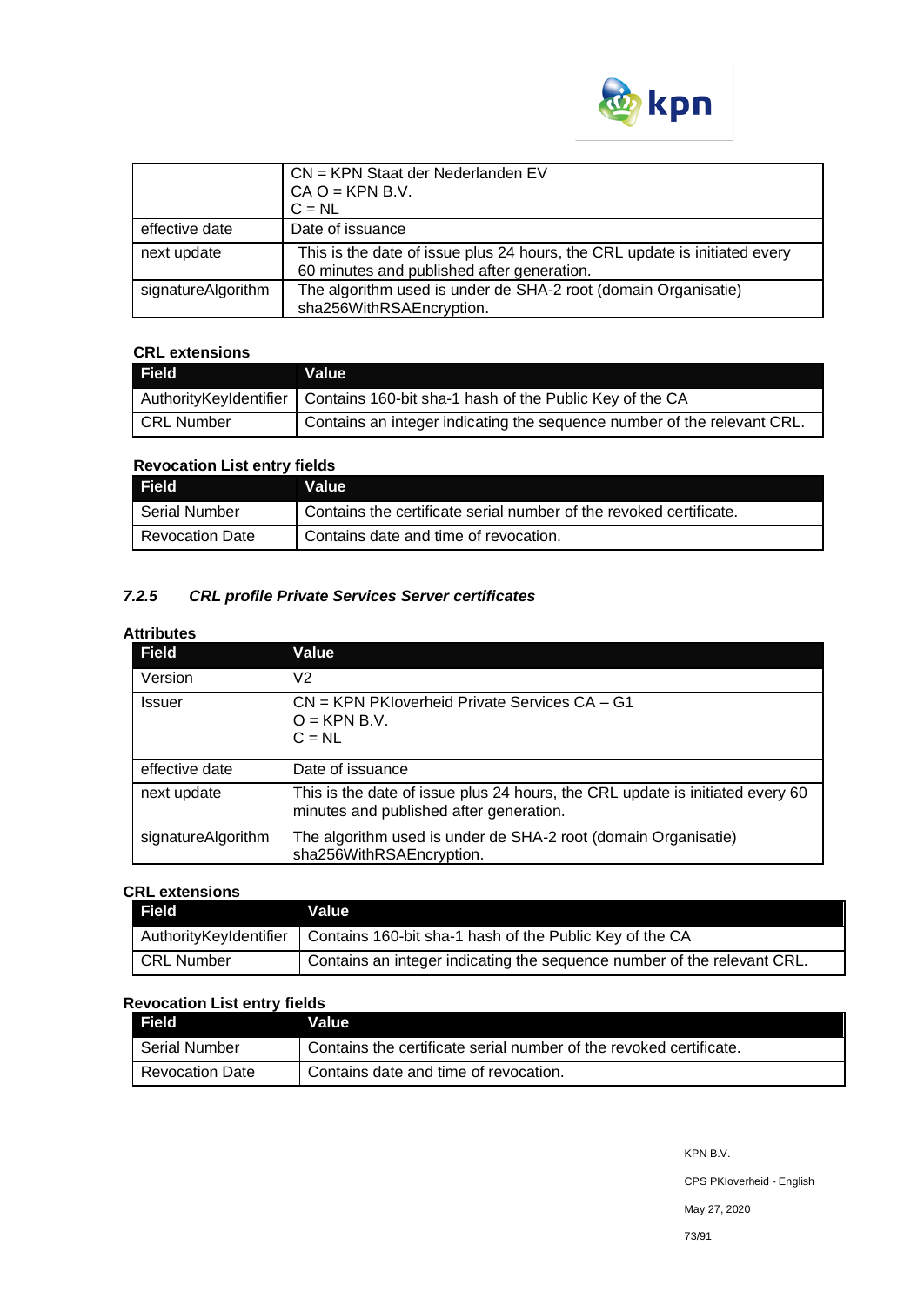

|                    | CN = KPN Staat der Nederlanden EV<br>$CA O = KPN B.V.$<br>$C = NL$                                                       |
|--------------------|--------------------------------------------------------------------------------------------------------------------------|
| effective date     | Date of issuance                                                                                                         |
| next update        | This is the date of issue plus 24 hours, the CRL update is initiated every<br>60 minutes and published after generation. |
| signatureAlgorithm | The algorithm used is under de SHA-2 root (domain Organisatie)<br>sha256WithRSAEncryption.                               |

## **CRL extensions**

| <b>Field</b>      | Value                                                                            |
|-------------------|----------------------------------------------------------------------------------|
|                   | AuthorityKeyIdentifier   Contains 160-bit sha-1 hash of the Public Key of the CA |
| <b>CRL Number</b> | Contains an integer indicating the sequence number of the relevant CRL.          |

## **Revocation List entry fields**

| Field                  | Value                                                              |
|------------------------|--------------------------------------------------------------------|
| Serial Number          | Contains the certificate serial number of the revoked certificate. |
| <b>Revocation Date</b> | Contains date and time of revocation.                              |

## *7.2.5 CRL profile Private Services Server certificates*

## **Attributes**

| <b>Field</b>       | Value                                                                                                                    |
|--------------------|--------------------------------------------------------------------------------------------------------------------------|
| Version            | V2                                                                                                                       |
| Issuer             | $CN = KPN$ PKIoverheid Private Services $CA - G1$<br>$O = KPN B.V.$<br>$C = NL$                                          |
| effective date     | Date of issuance                                                                                                         |
| next update        | This is the date of issue plus 24 hours, the CRL update is initiated every 60<br>minutes and published after generation. |
| signatureAlgorithm | The algorithm used is under de SHA-2 root (domain Organisatie)<br>sha256WithRSAEncryption.                               |

## **CRL extensions**

| Field             | Value                                                                             |
|-------------------|-----------------------------------------------------------------------------------|
|                   | Authority Keyldentifier   Contains 160-bit sha-1 hash of the Public Key of the CA |
| <b>CRL Number</b> | Contains an integer indicating the sequence number of the relevant CRL.           |

## **Revocation List entry fields**

| Field           | <b>Value</b>                                                       |
|-----------------|--------------------------------------------------------------------|
| Serial Number   | Contains the certificate serial number of the revoked certificate. |
| Revocation Date | Contains date and time of revocation.                              |

KPN B.V.

CPS PKIoverheid - English

May 27, 2020

73/91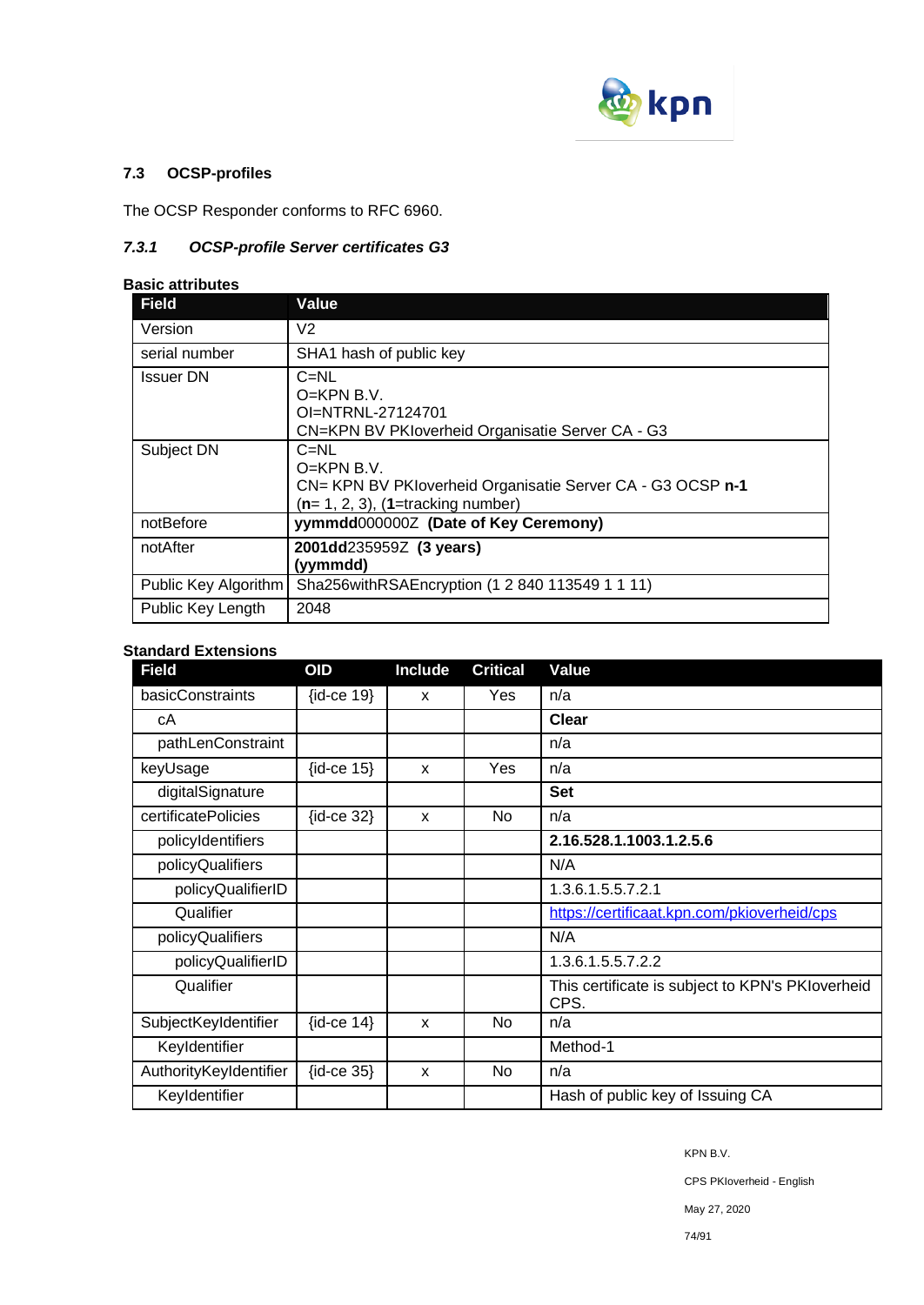

## **7.3 OCSP-profiles**

The OCSP Responder conforms to RFC 6960.

## *7.3.1 OCSP-profile Server certificates G3*

#### **Basic attributes**

| <b>Field</b>         | Value                                                                                                                            |
|----------------------|----------------------------------------------------------------------------------------------------------------------------------|
| Version              | V2                                                                                                                               |
| serial number        | SHA1 hash of public key                                                                                                          |
| <b>Issuer DN</b>     | $C = NL$<br>$O=KPN B.V.$<br>OI=NTRNL-27124701<br>CN=KPN BV PKIoverheid Organisatie Server CA - G3                                |
| Subject DN           | $C = NL$<br>$O=KPN B.V.$<br>CN= KPN BV PKloverheid Organisatie Server CA - G3 OCSP n-1<br>$(n=1, 2, 3)$ , $(1=$ tracking number) |
| notBefore            | yymmdd0000002 (Date of Key Ceremony)                                                                                             |
| notAfter             | 2001dd235959Z (3 years)<br>(yymmdd)                                                                                              |
| Public Key Algorithm | Sha256withRSAEncryption (1 2 840 113549 1 1 11)                                                                                  |
| Public Key Length    | 2048                                                                                                                             |

## **Standard Extensions**

| <b>Field</b>           | <b>OID</b>         | Include | <b>Critical</b> | Value                                                    |
|------------------------|--------------------|---------|-----------------|----------------------------------------------------------|
| basicConstraints       | $\{id-ce 19\}$     | X       | Yes             | n/a                                                      |
| cА                     |                    |         |                 | <b>Clear</b>                                             |
| pathLenConstraint      |                    |         |                 | n/a                                                      |
| keyUsage               | $\{id-ce 15\}$     | X       | Yes             | n/a                                                      |
| digitalSignature       |                    |         |                 | <b>Set</b>                                               |
| certificatePolicies    | $\{id-ce 32\}$     | X       | No              | n/a                                                      |
| policyIdentifiers      |                    |         |                 | 2.16.528.1.1003.1.2.5.6                                  |
| policyQualifiers       |                    |         |                 | N/A                                                      |
| policyQualifierID      |                    |         |                 | 1.3.6.1.5.5.7.2.1                                        |
| Qualifier              |                    |         |                 | https://certificaat.kpn.com/pkioverheid/cps              |
| policyQualifiers       |                    |         |                 | N/A                                                      |
| policyQualifierID      |                    |         |                 | 1.3.6.1.5.5.7.2.2                                        |
| Qualifier              |                    |         |                 | This certificate is subject to KPN's PKIoverheid<br>CPS. |
| SubjectKeyIdentifier   | $\{id$ -ce 14 $\}$ | X       | No.             | n/a                                                      |
| Keyldentifier          |                    |         |                 | Method-1                                                 |
| AuthorityKeyIdentifier | $\{id-ce 35\}$     | X       | No.             | n/a                                                      |
| Keyldentifier          |                    |         |                 | Hash of public key of Issuing CA                         |

KPN B.V.

CPS PKIoverheid - English

May 27, 2020

74/91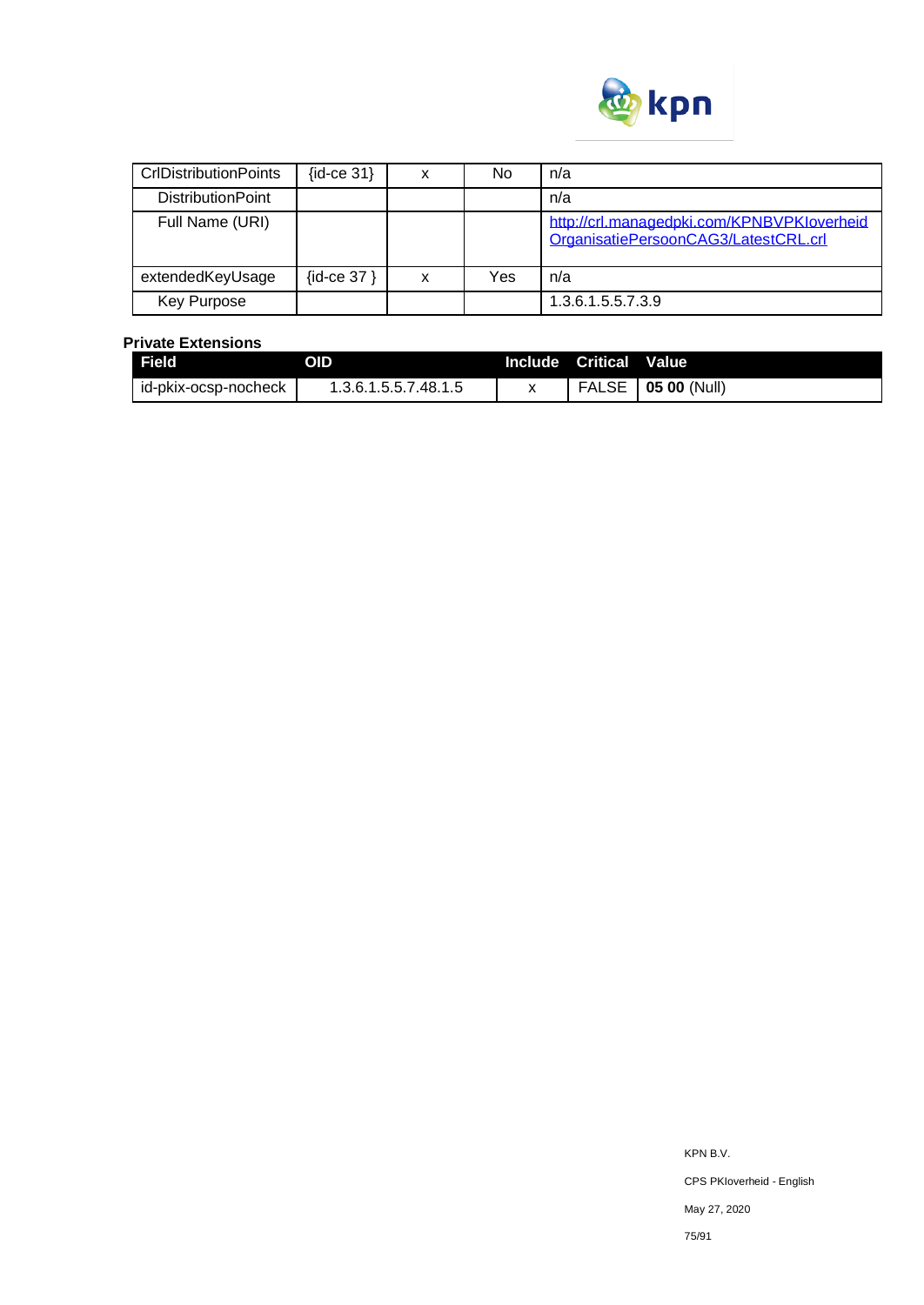

| <b>CrIDistributionPoints</b> | $\{id$ -ce 31 $\}$ |   | No  | n/a                                                                                |
|------------------------------|--------------------|---|-----|------------------------------------------------------------------------------------|
| <b>DistributionPoint</b>     |                    |   |     | n/a                                                                                |
| Full Name (URI)              |                    |   |     | http://crl.managedpki.com/KPNBVPKloverheid<br>OrganisatiePersoonCAG3/LatestCRL.crl |
| extendedKeyUsage             | $\{id$ -ce 37 $\}$ | x | Yes | n/a                                                                                |
| Key Purpose                  |                    |   |     | 1.3.6.1.5.5.7.3.9                                                                  |

### **Private Extensions**

| l Field              | OID                  | Include Critical | <b>Value</b>         |
|----------------------|----------------------|------------------|----------------------|
| id-pkix-ocsp-nocheck | 1.3.6.1.5.5.7.48.1.5 |                  | FALSE   05 00 (Null) |

KPN B.V. CPS PKIoverheid - English May 27, 2020 75/91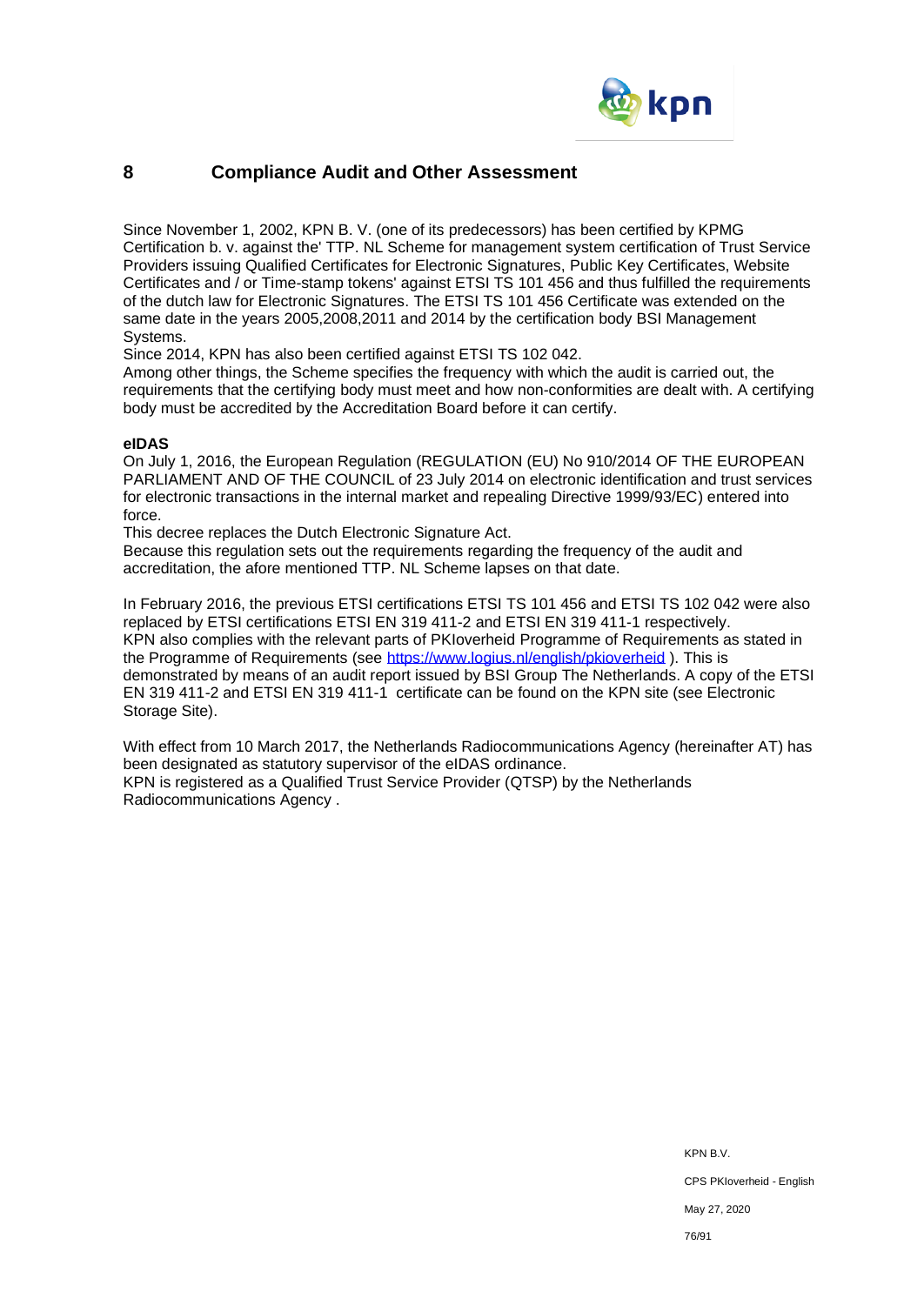

## **8 Compliance Audit and Other Assessment**

Since November 1, 2002, KPN B. V. (one of its predecessors) has been certified by KPMG Certification b. v. against the' TTP. NL Scheme for management system certification of Trust Service Providers issuing Qualified Certificates for Electronic Signatures, Public Key Certificates, Website Certificates and / or Time-stamp tokens' against ETSI TS 101 456 and thus fulfilled the requirements of the dutch law for Electronic Signatures. The ETSI TS 101 456 Certificate was extended on the same date in the years 2005,2008,2011 and 2014 by the certification body BSI Management Systems.

Since 2014, KPN has also been certified against ETSI TS 102 042.

Among other things, the Scheme specifies the frequency with which the audit is carried out, the requirements that the certifying body must meet and how non-conformities are dealt with. A certifying body must be accredited by the Accreditation Board before it can certify.

## **eIDAS**

On July 1, 2016, the European Regulation (REGULATION (EU) No 910/2014 OF THE EUROPEAN PARLIAMENT AND OF THE COUNCIL of 23 July 2014 on electronic identification and trust services for electronic transactions in the internal market and repealing Directive 1999/93/EC) entered into force.

This decree replaces the Dutch Electronic Signature Act.

Because this regulation sets out the requirements regarding the frequency of the audit and accreditation, the afore mentioned TTP. NL Scheme lapses on that date.

In February 2016, the previous ETSI certifications ETSI TS 101 456 and ETSI TS 102 042 were also replaced by ETSI certifications ETSI EN 319 411-2 and ETSI EN 319 411-1 respectively. KPN also complies with the relevant parts of PKIoverheid Programme of Requirements as stated in the Programme of Requirements (see<https://www.logius.nl/english/pkioverheid>). This is demonstrated by means of an audit report issued by BSI Group The Netherlands. A copy of the ETSI EN 319 411-2 and ETSI EN 319 411-1 certificate can be found on the KPN site (see Electronic Storage Site).

With effect from 10 March 2017, the Netherlands Radiocommunications Agency (hereinafter AT) has been designated as statutory supervisor of the eIDAS ordinance. KPN is registered as a Qualified Trust Service Provider (QTSP) by the Netherlands Radiocommunications Agency .

> KPN B.V. CPS PKIoverheid - English May 27, 2020 76/91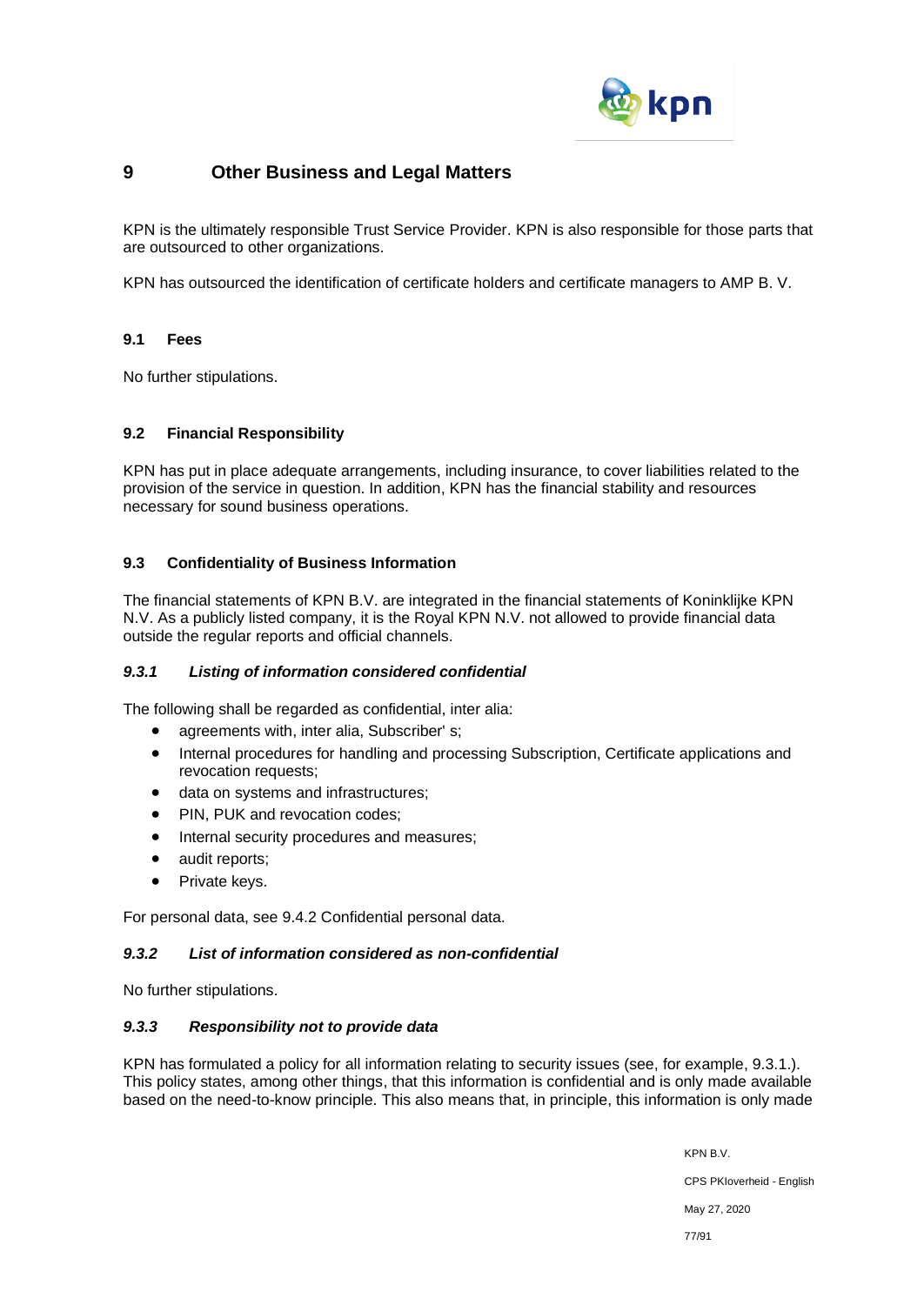

## **9 Other Business and Legal Matters**

KPN is the ultimately responsible Trust Service Provider. KPN is also responsible for those parts that are outsourced to other organizations.

KPN has outsourced the identification of certificate holders and certificate managers to AMP B. V.

## **9.1 Fees**

No further stipulations.

## **9.2 Financial Responsibility**

KPN has put in place adequate arrangements, including insurance, to cover liabilities related to the provision of the service in question. In addition, KPN has the financial stability and resources necessary for sound business operations.

## **9.3 Confidentiality of Business Information**

The financial statements of KPN B.V. are integrated in the financial statements of Koninklijke KPN N.V. As a publicly listed company, it is the Royal KPN N.V. not allowed to provide financial data outside the regular reports and official channels.

## *9.3.1 Listing of information considered confidential*

The following shall be regarded as confidential, inter alia:

- agreements with, inter alia, Subscriber' s;
- Internal procedures for handling and processing Subscription, Certificate applications and revocation requests;
- data on systems and infrastructures;
- PIN, PUK and revocation codes;
- Internal security procedures and measures;
- audit reports;
- Private keys.

For personal data, see 9.4.2 Confidential personal data.

## *9.3.2 List of information considered as non-confidential*

No further stipulations.

## *9.3.3 Responsibility not to provide data*

KPN has formulated a policy for all information relating to security issues (see, for example, 9.3.1.). This policy states, among other things, that this information is confidential and is only made available based on the need-to-know principle. This also means that, in principle, this information is only made

> KPN B.V. CPS PKIoverheid - English May 27, 2020 77/91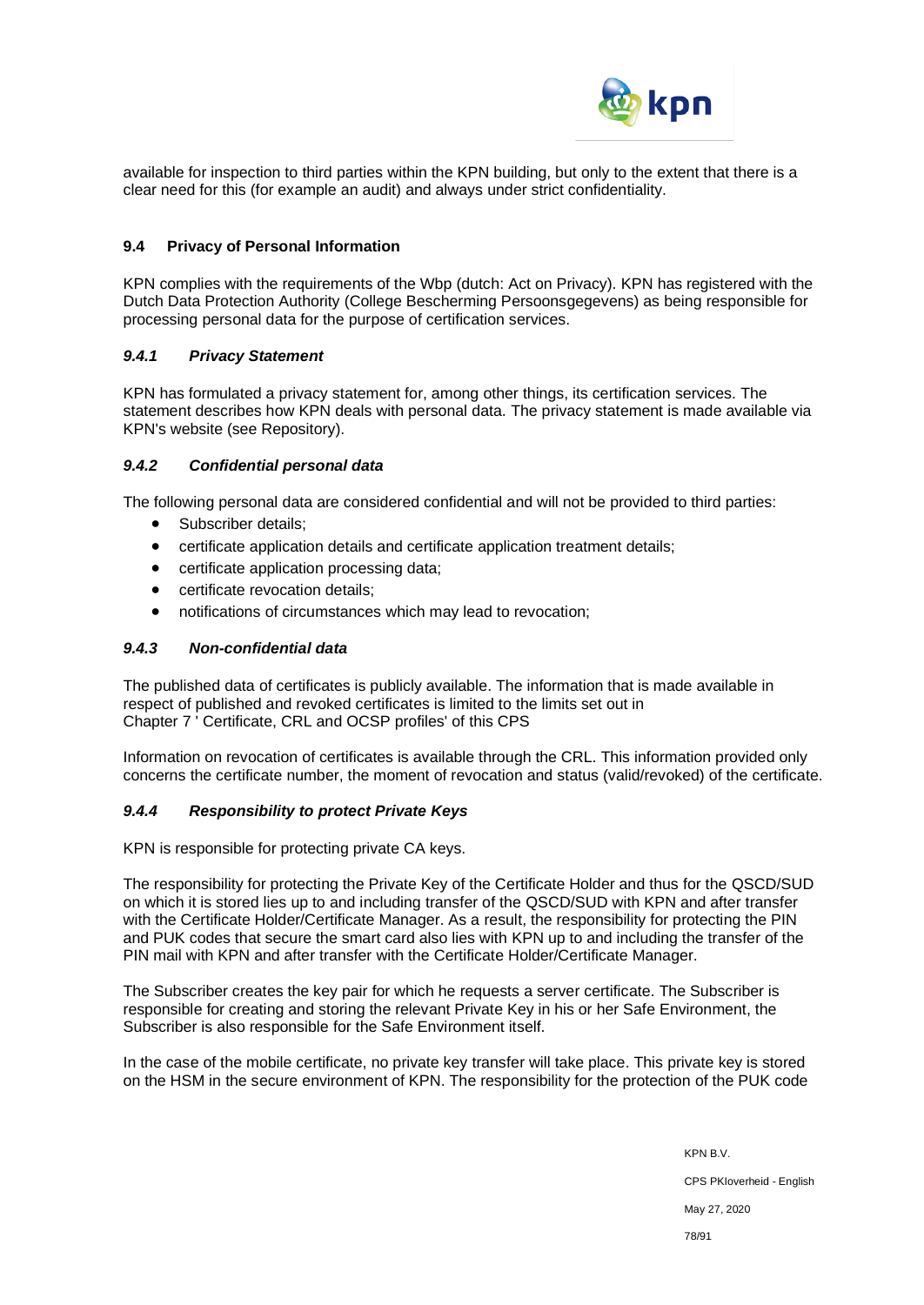

available for inspection to third parties within the KPN building, but only to the extent that there is a clear need for this (for example an audit) and always under strict confidentiality.

### **9.4 Privacy of Personal Information**

KPN complies with the requirements of the Wbp (dutch: Act on Privacy). KPN has registered with the Dutch Data Protection Authority (College Bescherming Persoonsgegevens) as being responsible for processing personal data for the purpose of certification services.

## *9.4.1 Privacy Statement*

KPN has formulated a privacy statement for, among other things, its certification services. The statement describes how KPN deals with personal data. The privacy statement is made available via KPN's website (see Repository).

#### *9.4.2 Confidential personal data*

The following personal data are considered confidential and will not be provided to third parties:

- Subscriber details:
- certificate application details and certificate application treatment details;
- certificate application processing data;
- certificate revocation details;
- notifications of circumstances which may lead to revocation;

## *9.4.3 Non-confidential data*

The published data of certificates is publicly available. The information that is made available in respect of published and revoked certificates is limited to the limits set out in Chapter 7 ' Certificate, CRL and OCSP profiles' of this CPS

Information on revocation of certificates is available through the CRL. This information provided only concerns the certificate number, the moment of revocation and status (valid/revoked) of the certificate.

## *9.4.4 Responsibility to protect Private Keys*

KPN is responsible for protecting private CA keys.

The responsibility for protecting the Private Key of the Certificate Holder and thus for the QSCD/SUD on which it is stored lies up to and including transfer of the QSCD/SUD with KPN and after transfer with the Certificate Holder/Certificate Manager. As a result, the responsibility for protecting the PIN and PUK codes that secure the smart card also lies with KPN up to and including the transfer of the PIN mail with KPN and after transfer with the Certificate Holder/Certificate Manager.

The Subscriber creates the key pair for which he requests a server certificate. The Subscriber is responsible for creating and storing the relevant Private Key in his or her Safe Environment, the Subscriber is also responsible for the Safe Environment itself.

In the case of the mobile certificate, no private key transfer will take place. This private key is stored on the HSM in the secure environment of KPN. The responsibility for the protection of the PUK code

> KPN B.V. CPS PKIoverheid - English May 27, 2020 78/91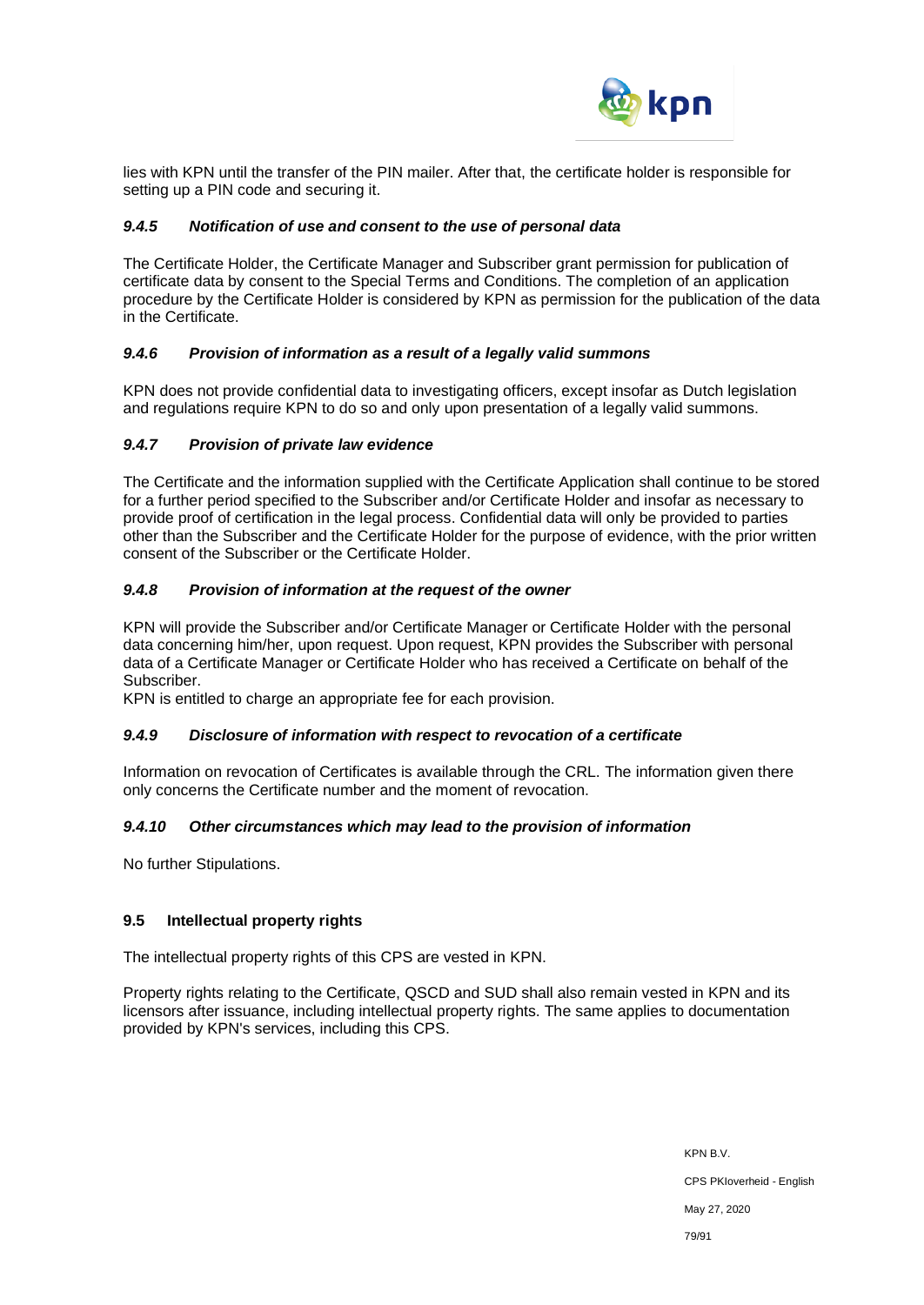

lies with KPN until the transfer of the PIN mailer. After that, the certificate holder is responsible for setting up a PIN code and securing it.

## *9.4.5 Notification of use and consent to the use of personal data*

The Certificate Holder, the Certificate Manager and Subscriber grant permission for publication of certificate data by consent to the Special Terms and Conditions. The completion of an application procedure by the Certificate Holder is considered by KPN as permission for the publication of the data in the Certificate.

#### *9.4.6 Provision of information as a result of a legally valid summons*

KPN does not provide confidential data to investigating officers, except insofar as Dutch legislation and regulations require KPN to do so and only upon presentation of a legally valid summons.

#### *9.4.7 Provision of private law evidence*

The Certificate and the information supplied with the Certificate Application shall continue to be stored for a further period specified to the Subscriber and/or Certificate Holder and insofar as necessary to provide proof of certification in the legal process. Confidential data will only be provided to parties other than the Subscriber and the Certificate Holder for the purpose of evidence, with the prior written consent of the Subscriber or the Certificate Holder.

### *9.4.8 Provision of information at the request of the owner*

KPN will provide the Subscriber and/or Certificate Manager or Certificate Holder with the personal data concerning him/her, upon request. Upon request, KPN provides the Subscriber with personal data of a Certificate Manager or Certificate Holder who has received a Certificate on behalf of the Subscriber.

KPN is entitled to charge an appropriate fee for each provision.

#### *9.4.9 Disclosure of information with respect to revocation of a certificate*

Information on revocation of Certificates is available through the CRL. The information given there only concerns the Certificate number and the moment of revocation.

## *9.4.10 Other circumstances which may lead to the provision of information*

No further Stipulations.

## **9.5 Intellectual property rights**

The intellectual property rights of this CPS are vested in KPN.

Property rights relating to the Certificate, QSCD and SUD shall also remain vested in KPN and its licensors after issuance, including intellectual property rights. The same applies to documentation provided by KPN's services, including this CPS.

> KPN B.V. CPS PKIoverheid - English May 27, 2020 79/91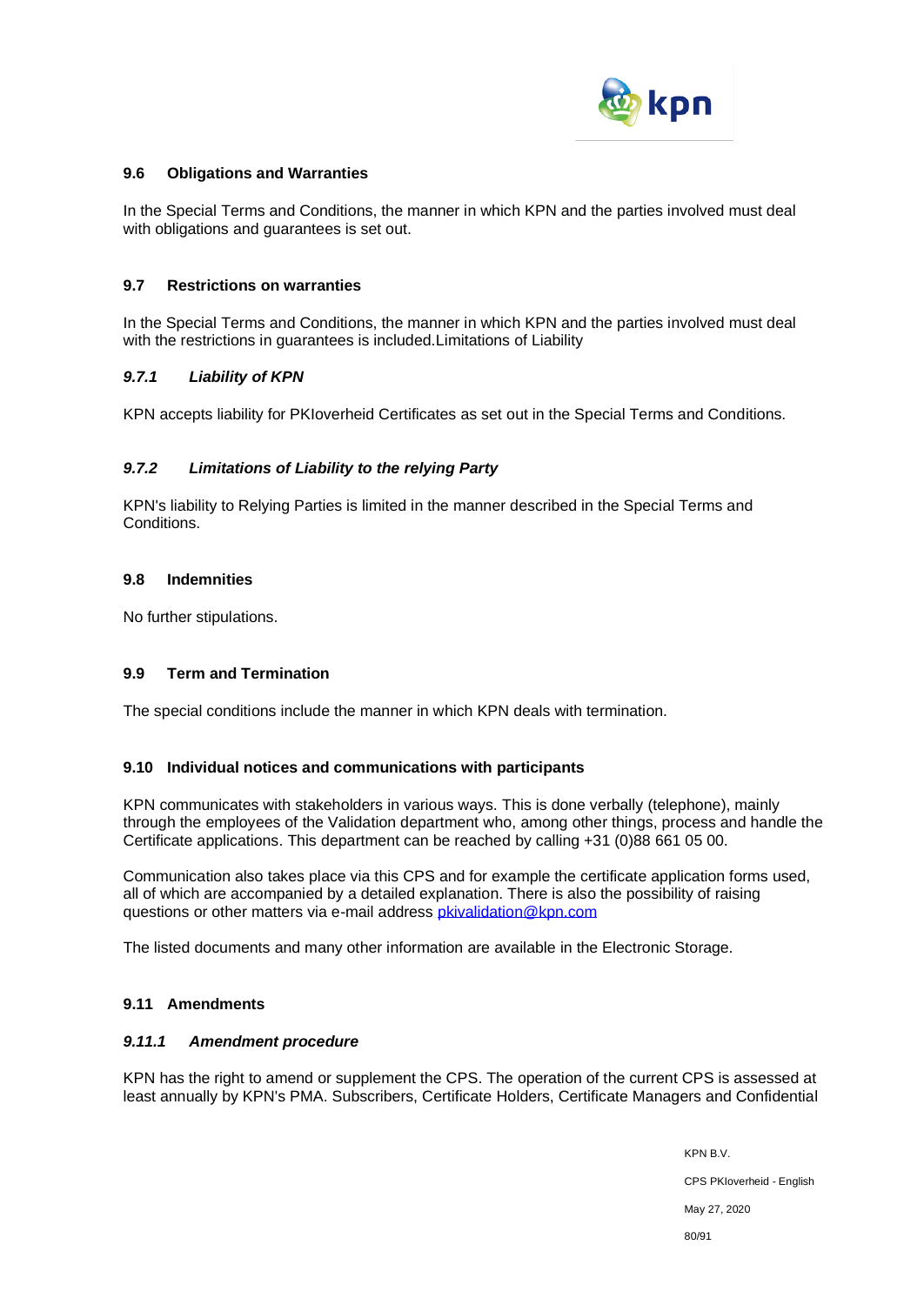

### **9.6 Obligations and Warranties**

In the Special Terms and Conditions, the manner in which KPN and the parties involved must deal with obligations and guarantees is set out.

#### **9.7 Restrictions on warranties**

In the Special Terms and Conditions, the manner in which KPN and the parties involved must deal with the restrictions in guarantees is included.Limitations of Liability

#### *9.7.1 Liability of KPN*

KPN accepts liability for PKIoverheid Certificates as set out in the Special Terms and Conditions.

## *9.7.2 Limitations of Liability to the relying Party*

KPN's liability to Relying Parties is limited in the manner described in the Special Terms and **Conditions** 

#### **9.8 Indemnities**

No further stipulations.

## **9.9 Term and Termination**

The special conditions include the manner in which KPN deals with termination.

#### **9.10 Individual notices and communications with participants**

KPN communicates with stakeholders in various ways. This is done verbally (telephone), mainly through the employees of the Validation department who, among other things, process and handle the Certificate applications. This department can be reached by calling +31 (0)88 661 05 00.

Communication also takes place via this CPS and for example the certificate application forms used, all of which are accompanied by a detailed explanation. There is also the possibility of raising questions or other matters via e-mail address *pkivalidation@kpn.com* 

The listed documents and many other information are available in the Electronic Storage.

## **9.11 Amendments**

### *9.11.1 Amendment procedure*

KPN has the right to amend or supplement the CPS. The operation of the current CPS is assessed at least annually by KPN's PMA. Subscribers, Certificate Holders, Certificate Managers and Confidential

> KPN B.V. CPS PKIoverheid - English May 27, 2020 80/91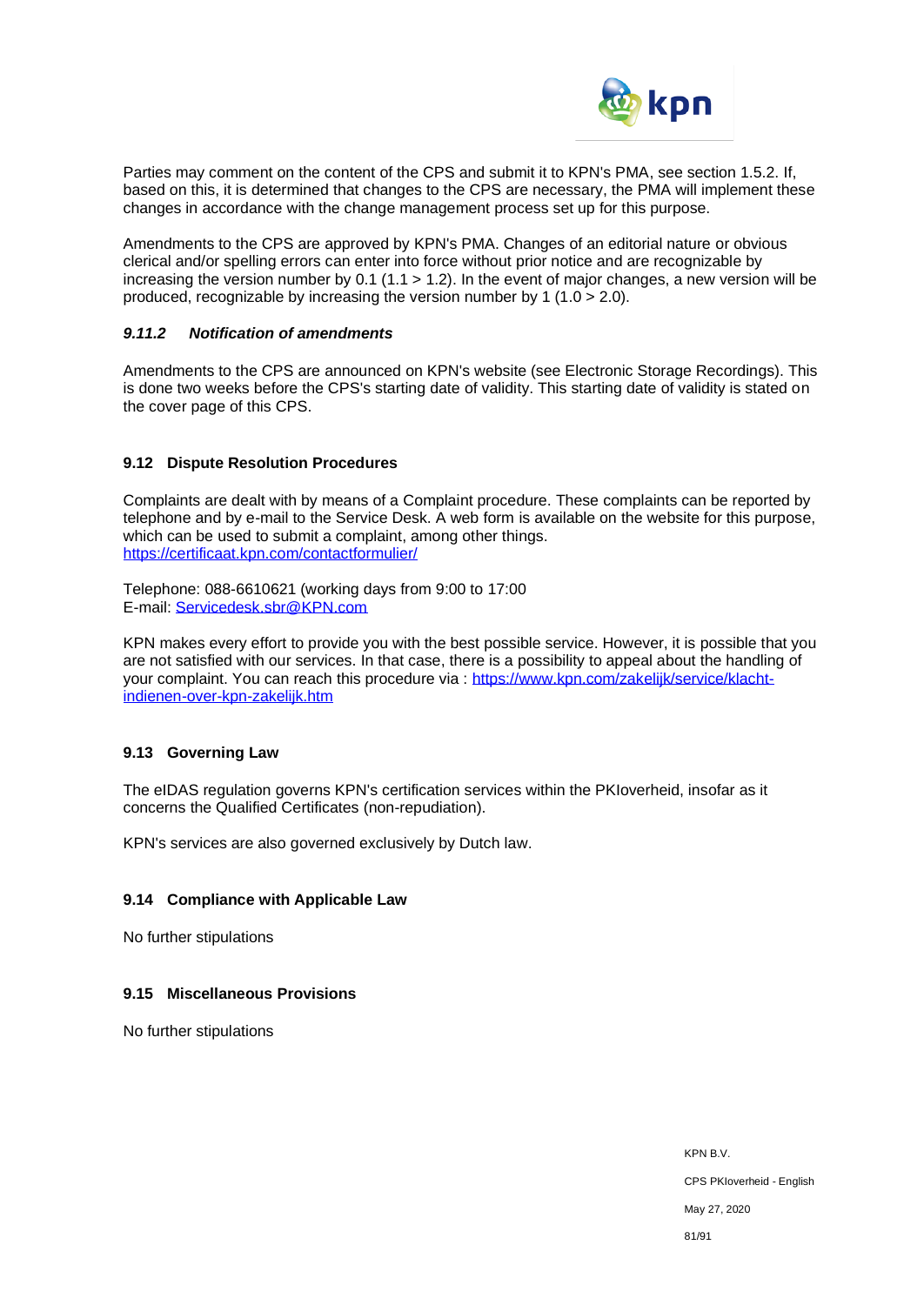

Parties may comment on the content of the CPS and submit it to KPN's PMA, see section 1.5.2. If, based on this, it is determined that changes to the CPS are necessary, the PMA will implement these changes in accordance with the change management process set up for this purpose.

Amendments to the CPS are approved by KPN's PMA. Changes of an editorial nature or obvious clerical and/or spelling errors can enter into force without prior notice and are recognizable by increasing the version number by 0.1 (1.1 > 1.2). In the event of major changes, a new version will be produced, recognizable by increasing the version number by 1 (1.0 > 2.0).

### *9.11.2 Notification of amendments*

Amendments to the CPS are announced on KPN's website (see Electronic Storage Recordings). This is done two weeks before the CPS's starting date of validity. This starting date of validity is stated on the cover page of this CPS.

## **9.12 Dispute Resolution Procedures**

Complaints are dealt with by means of a Complaint procedure. These complaints can be reported by telephone and by e-mail to the Service Desk. A web form is available on the website for this purpose, which can be used to submit a complaint, among other things. <https://certificaat.kpn.com/contactformulier/>

Telephone: 088-6610621 (working days from 9:00 to 17:00 E-mail: [Servicedesk.sbr@KPN.com](file://///129.189.145.6/sms/document%20management/CPS/CPS%20%20PKIo/Servicedesk.sbr@KPN.com)

KPN makes every effort to provide you with the best possible service. However, it is possible that you are not satisfied with our services. In that case, there is a possibility to appeal about the handling of your complaint. You can reach this procedure via : [https://www.kpn.com/zakelijk/service/klacht](https://www.kpn.com/zakelijk/service/klacht-indienen-over-kpn-zakelijk.htm)[indienen-over-kpn-zakelijk.htm](https://www.kpn.com/zakelijk/service/klacht-indienen-over-kpn-zakelijk.htm) 

## **9.13 Governing Law**

The eIDAS regulation governs KPN's certification services within the PKIoverheid, insofar as it concerns the Qualified Certificates (non-repudiation).

KPN's services are also governed exclusively by Dutch law.

#### **9.14 Compliance with Applicable Law**

No further stipulations

#### **9.15 Miscellaneous Provisions**

No further stipulations

KPN B.V. CPS PKIoverheid - English May 27, 2020 81/91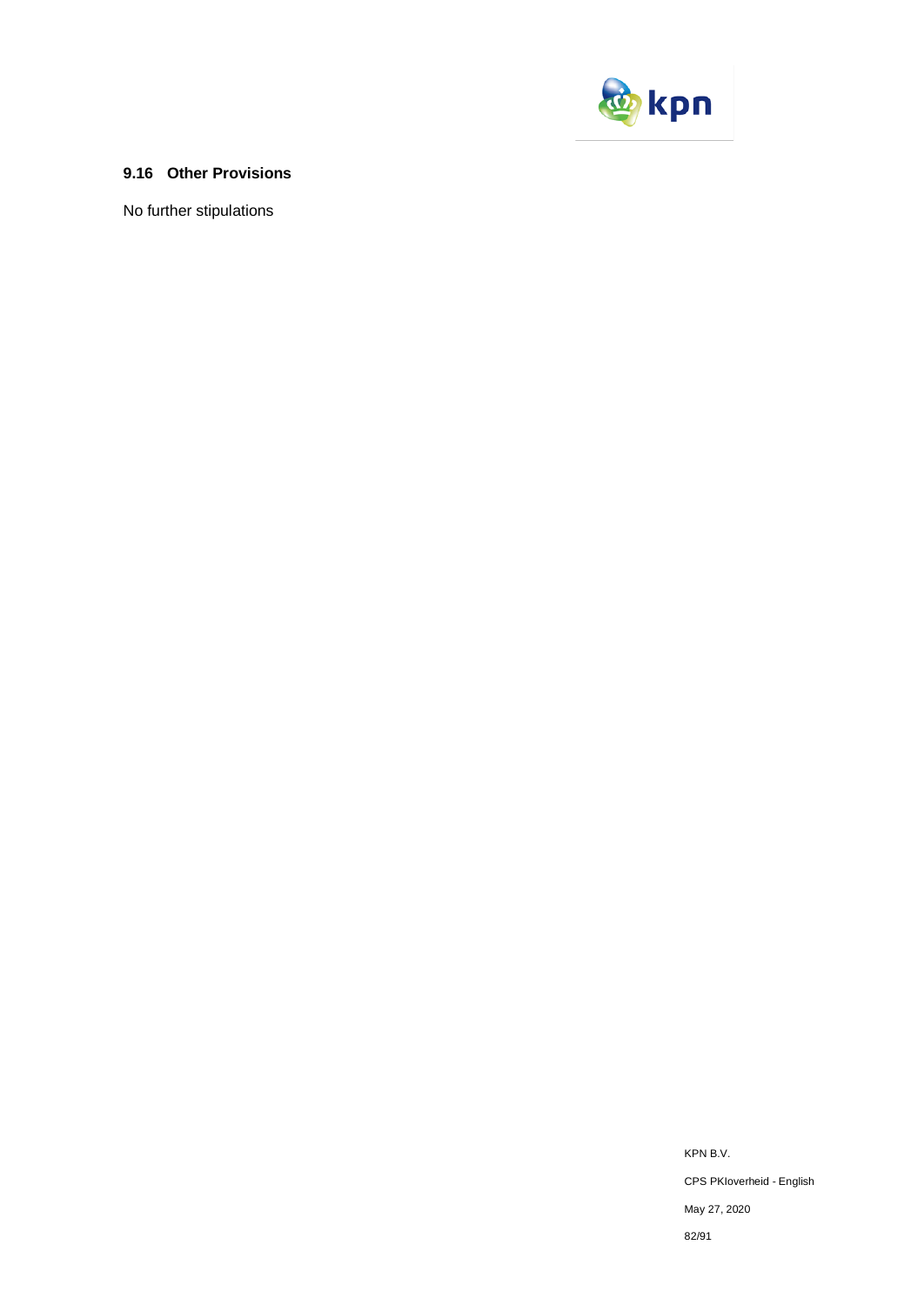

## **9.16 Other Provisions**

No further stipulations

KPN B.V. CPS PKIoverheid - English May 27, 2020 82/91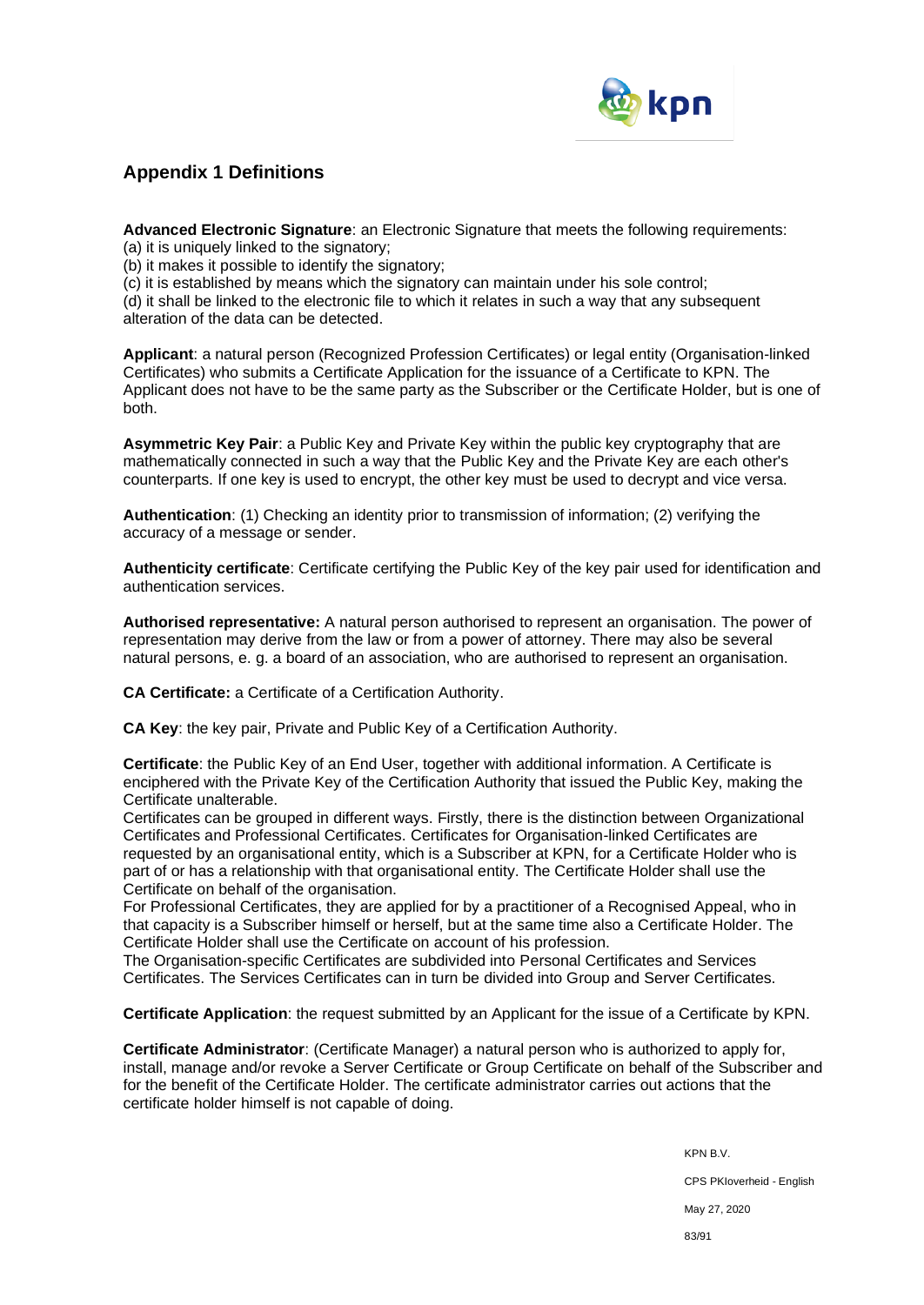

## **Appendix 1 Definitions**

**Advanced Electronic Signature**: an Electronic Signature that meets the following requirements:

(a) it is uniquely linked to the signatory;

(b) it makes it possible to identify the signatory;

(c) it is established by means which the signatory can maintain under his sole control;

(d) it shall be linked to the electronic file to which it relates in such a way that any subsequent alteration of the data can be detected.

**Applicant**: a natural person (Recognized Profession Certificates) or legal entity (Organisation-linked Certificates) who submits a Certificate Application for the issuance of a Certificate to KPN. The Applicant does not have to be the same party as the Subscriber or the Certificate Holder, but is one of both.

**Asymmetric Key Pair**: a Public Key and Private Key within the public key cryptography that are mathematically connected in such a way that the Public Key and the Private Key are each other's counterparts. If one key is used to encrypt, the other key must be used to decrypt and vice versa.

**Authentication**: (1) Checking an identity prior to transmission of information; (2) verifying the accuracy of a message or sender.

**Authenticity certificate**: Certificate certifying the Public Key of the key pair used for identification and authentication services.

**Authorised representative:** A natural person authorised to represent an organisation. The power of representation may derive from the law or from a power of attorney. There may also be several natural persons, e. g. a board of an association, who are authorised to represent an organisation.

**CA Certificate:** a Certificate of a Certification Authority.

**CA Key**: the key pair, Private and Public Key of a Certification Authority.

**Certificate**: the Public Key of an End User, together with additional information. A Certificate is enciphered with the Private Key of the Certification Authority that issued the Public Key, making the Certificate unalterable.

Certificates can be grouped in different ways. Firstly, there is the distinction between Organizational Certificates and Professional Certificates. Certificates for Organisation-linked Certificates are requested by an organisational entity, which is a Subscriber at KPN, for a Certificate Holder who is part of or has a relationship with that organisational entity. The Certificate Holder shall use the Certificate on behalf of the organisation.

For Professional Certificates, they are applied for by a practitioner of a Recognised Appeal, who in that capacity is a Subscriber himself or herself, but at the same time also a Certificate Holder. The Certificate Holder shall use the Certificate on account of his profession.

The Organisation-specific Certificates are subdivided into Personal Certificates and Services Certificates. The Services Certificates can in turn be divided into Group and Server Certificates.

**Certificate Application**: the request submitted by an Applicant for the issue of a Certificate by KPN.

**Certificate Administrator**: (Certificate Manager) a natural person who is authorized to apply for, install, manage and/or revoke a Server Certificate or Group Certificate on behalf of the Subscriber and for the benefit of the Certificate Holder. The certificate administrator carries out actions that the certificate holder himself is not capable of doing.

> KPN B.V. CPS PKIoverheid - English May 27, 2020 83/91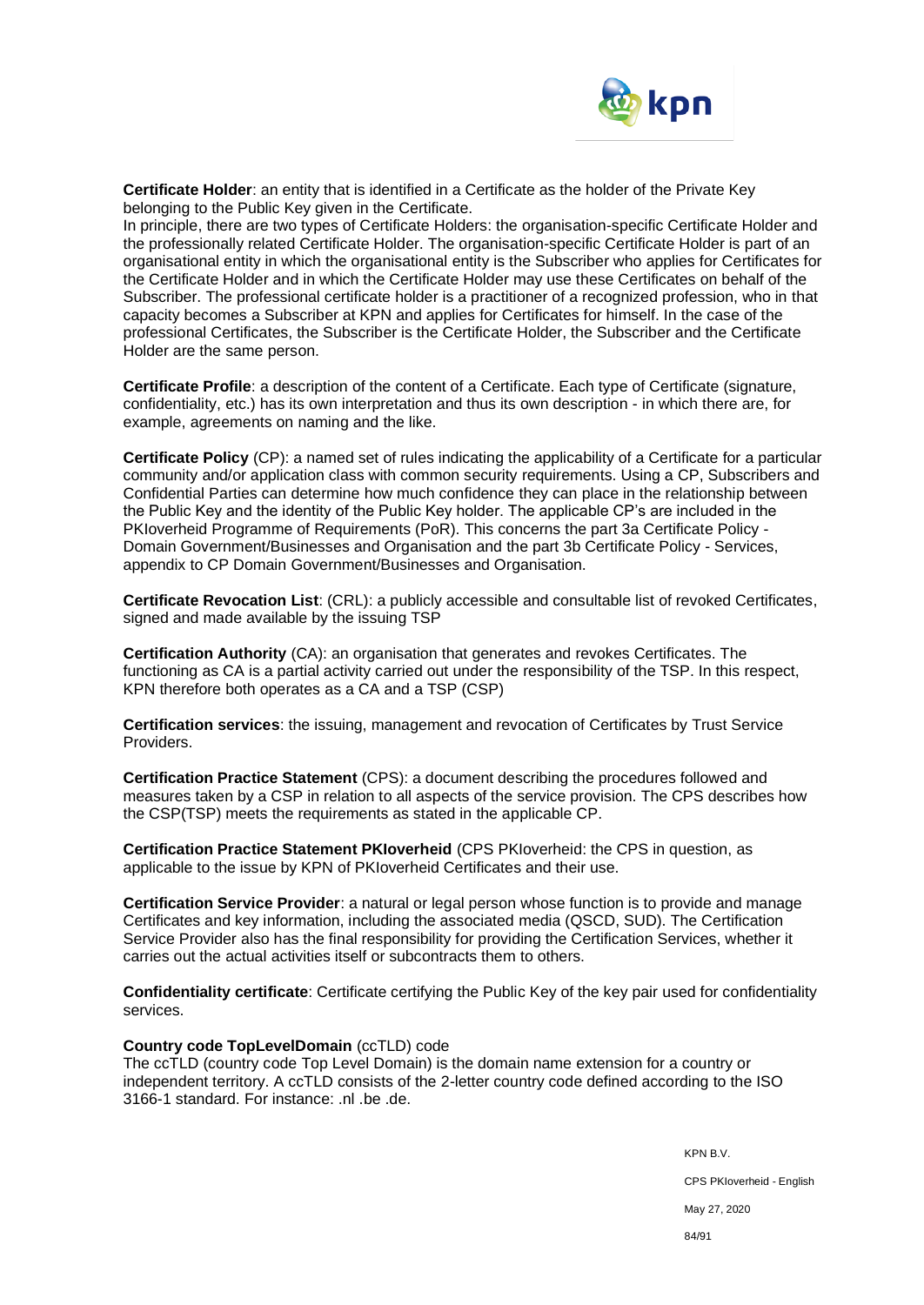

**Certificate Holder**: an entity that is identified in a Certificate as the holder of the Private Key belonging to the Public Key given in the Certificate.

In principle, there are two types of Certificate Holders: the organisation-specific Certificate Holder and the professionally related Certificate Holder. The organisation-specific Certificate Holder is part of an organisational entity in which the organisational entity is the Subscriber who applies for Certificates for the Certificate Holder and in which the Certificate Holder may use these Certificates on behalf of the Subscriber. The professional certificate holder is a practitioner of a recognized profession, who in that capacity becomes a Subscriber at KPN and applies for Certificates for himself. In the case of the professional Certificates, the Subscriber is the Certificate Holder, the Subscriber and the Certificate Holder are the same person.

**Certificate Profile**: a description of the content of a Certificate. Each type of Certificate (signature, confidentiality, etc.) has its own interpretation and thus its own description - in which there are, for example, agreements on naming and the like.

**Certificate Policy** (CP): a named set of rules indicating the applicability of a Certificate for a particular community and/or application class with common security requirements. Using a CP, Subscribers and Confidential Parties can determine how much confidence they can place in the relationship between the Public Key and the identity of the Public Key holder. The applicable CP's are included in the PKIoverheid Programme of Requirements (PoR). This concerns the part 3a Certificate Policy - Domain Government/Businesses and Organisation and the part 3b Certificate Policy - Services, appendix to CP Domain Government/Businesses and Organisation.

**Certificate Revocation List**: (CRL): a publicly accessible and consultable list of revoked Certificates, signed and made available by the issuing TSP

**Certification Authority** (CA): an organisation that generates and revokes Certificates. The functioning as CA is a partial activity carried out under the responsibility of the TSP. In this respect, KPN therefore both operates as a CA and a TSP (CSP)

**Certification services**: the issuing, management and revocation of Certificates by Trust Service Providers.

**Certification Practice Statement** (CPS): a document describing the procedures followed and measures taken by a CSP in relation to all aspects of the service provision. The CPS describes how the CSP(TSP) meets the requirements as stated in the applicable CP.

**Certification Practice Statement PKIoverheid** (CPS PKIoverheid: the CPS in question, as applicable to the issue by KPN of PKIoverheid Certificates and their use.

**Certification Service Provider**: a natural or legal person whose function is to provide and manage Certificates and key information, including the associated media (QSCD, SUD). The Certification Service Provider also has the final responsibility for providing the Certification Services, whether it carries out the actual activities itself or subcontracts them to others.

**Confidentiality certificate**: Certificate certifying the Public Key of the key pair used for confidentiality services.

#### **Country code TopLevelDomain** (ccTLD) code

The ccTLD (country code Top Level Domain) is the domain name extension for a country or independent territory. A ccTLD consists of the 2-letter country code defined according to the ISO 3166-1 standard. For instance: .nl .be .de.

> KPN B.V. CPS PKIoverheid - English May 27, 2020 84/91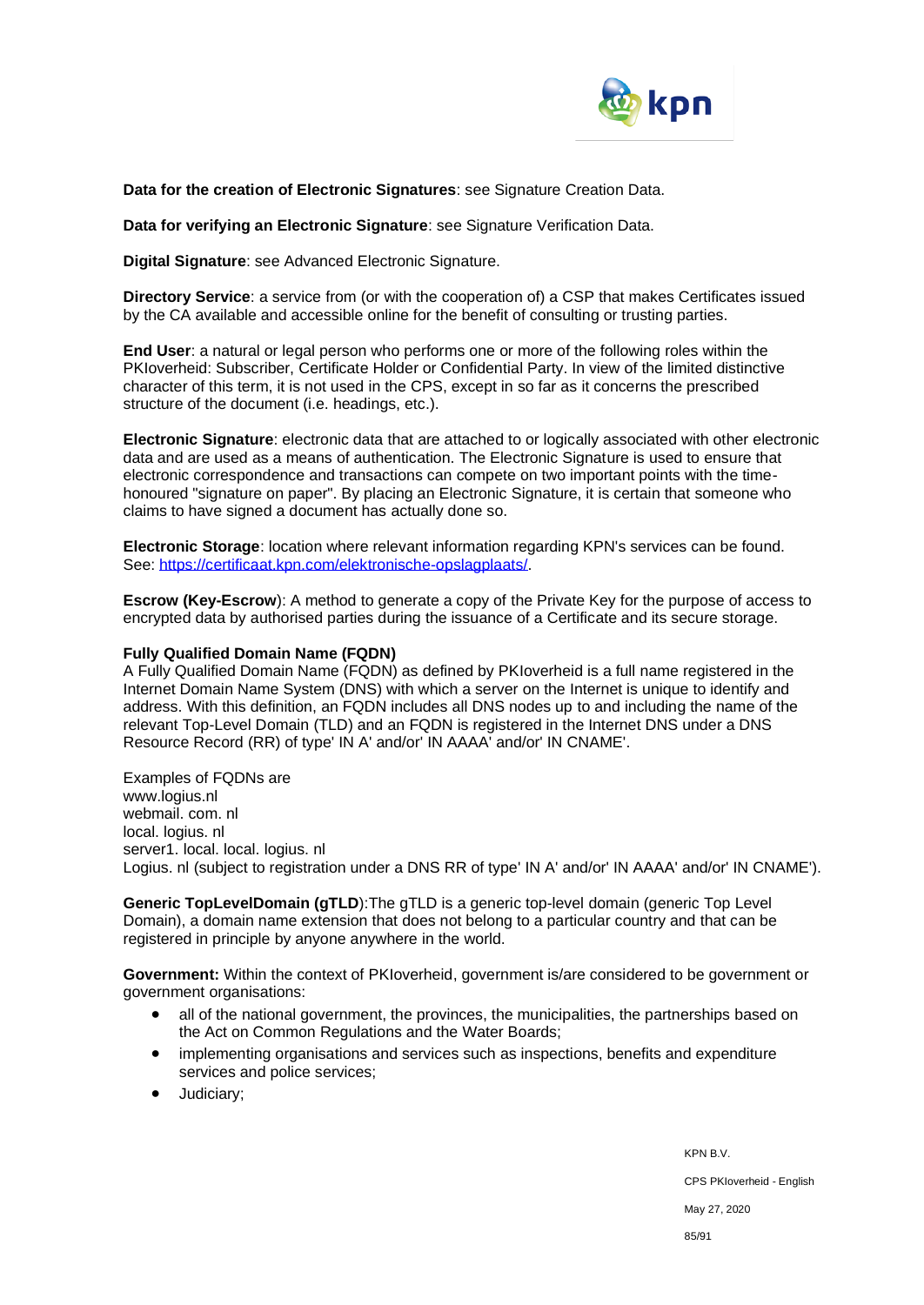

**Data for the creation of Electronic Signatures**: see Signature Creation Data.

**Data for verifying an Electronic Signature**: see Signature Verification Data.

**Digital Signature**: see Advanced Electronic Signature.

**Directory Service**: a service from (or with the cooperation of) a CSP that makes Certificates issued by the CA available and accessible online for the benefit of consulting or trusting parties.

**End User**: a natural or legal person who performs one or more of the following roles within the PKIoverheid: Subscriber, Certificate Holder or Confidential Party. In view of the limited distinctive character of this term, it is not used in the CPS, except in so far as it concerns the prescribed structure of the document (i.e. headings, etc.).

**Electronic Signature**: electronic data that are attached to or logically associated with other electronic data and are used as a means of authentication. The Electronic Signature is used to ensure that electronic correspondence and transactions can compete on two important points with the timehonoured "signature on paper". By placing an Electronic Signature, it is certain that someone who claims to have signed a document has actually done so.

**Electronic Storage**: location where relevant information regarding KPN's services can be found. See[: https://certificaat.kpn.com/elektronische-opslagplaats/.](https://certificaat.kpn.com/elektronische-opslagplaats/)

**Escrow (Key-Escrow**): A method to generate a copy of the Private Key for the purpose of access to encrypted data by authorised parties during the issuance of a Certificate and its secure storage.

#### **Fully Qualified Domain Name (FQDN)**

A Fully Qualified Domain Name (FQDN) as defined by PKIoverheid is a full name registered in the Internet Domain Name System (DNS) with which a server on the Internet is unique to identify and address. With this definition, an FQDN includes all DNS nodes up to and including the name of the relevant Top-Level Domain (TLD) and an FQDN is registered in the Internet DNS under a DNS Resource Record (RR) of type' IN A' and/or' IN AAAA' and/or' IN CNAME'.

#### Examples of FQDNs are

www.logius.nl webmail. com. nl local. logius. nl server1. local. local. logius. nl Logius. nl (subject to registration under a DNS RR of type' IN A' and/or' IN AAAA' and/or' IN CNAME').

**Generic TopLevelDomain (gTLD**):The gTLD is a generic top-level domain (generic Top Level Domain), a domain name extension that does not belong to a particular country and that can be registered in principle by anyone anywhere in the world.

**Government:** Within the context of PKIoverheid, government is/are considered to be government or government organisations:

- all of the national government, the provinces, the municipalities, the partnerships based on the Act on Common Regulations and the Water Boards;
- implementing organisations and services such as inspections, benefits and expenditure services and police services;
- Judiciary;

KPN B.V. CPS PKIoverheid - English May 27, 2020 85/91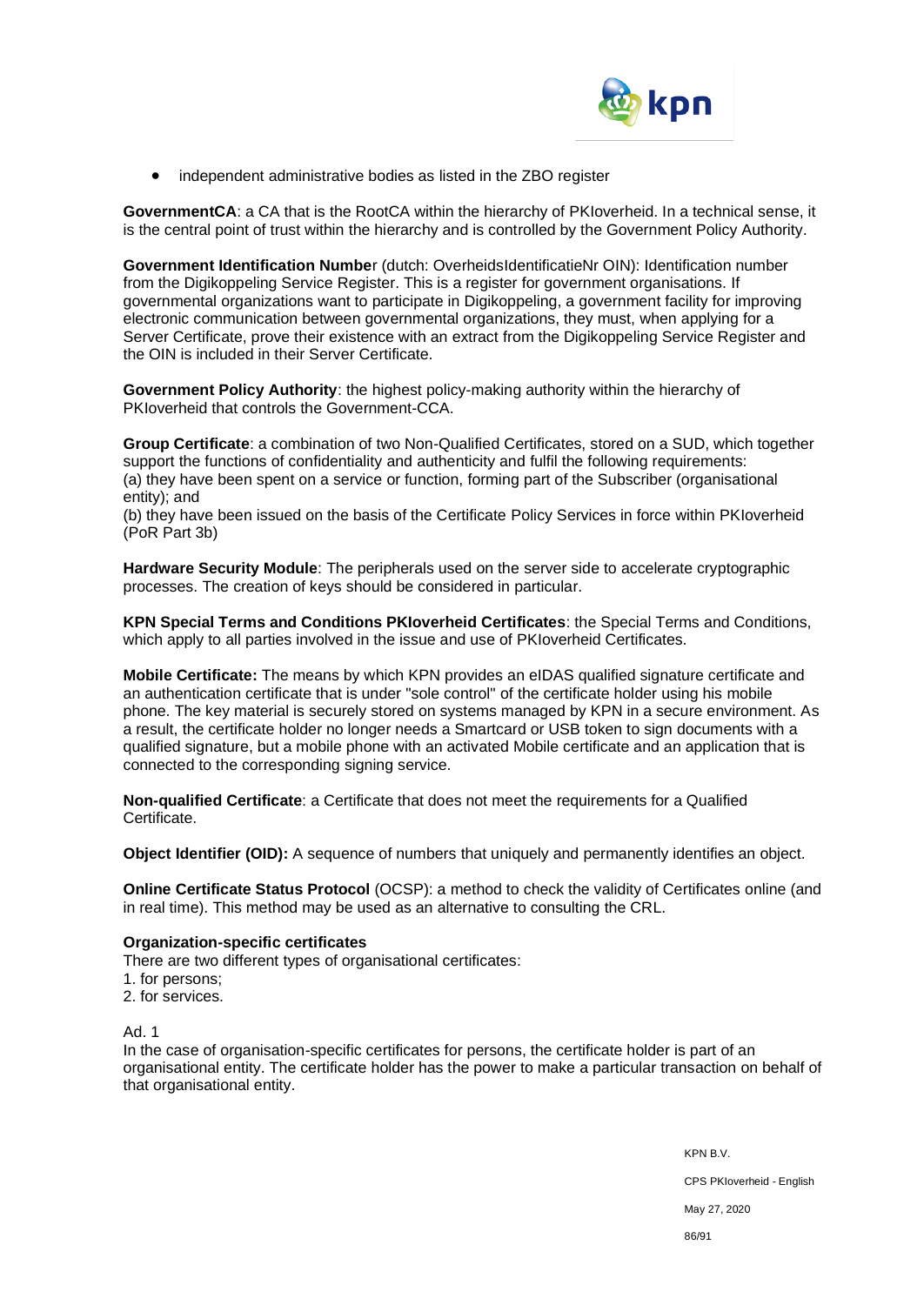

• independent administrative bodies as listed in the ZBO register

**GovernmentCA**: a CA that is the RootCA within the hierarchy of PKIoverheid. In a technical sense, it is the central point of trust within the hierarchy and is controlled by the Government Policy Authority.

**Government Identification Numbe**r (dutch: OverheidsIdentificatieNr OIN): Identification number from the Digikoppeling Service Register. This is a register for government organisations. If governmental organizations want to participate in Digikoppeling, a government facility for improving electronic communication between governmental organizations, they must, when applying for a Server Certificate, prove their existence with an extract from the Digikoppeling Service Register and the OIN is included in their Server Certificate.

**Government Policy Authority**: the highest policy-making authority within the hierarchy of PKIoverheid that controls the Government-CCA.

**Group Certificate**: a combination of two Non-Qualified Certificates, stored on a SUD, which together support the functions of confidentiality and authenticity and fulfil the following requirements: (a) they have been spent on a service or function, forming part of the Subscriber (organisational entity); and

(b) they have been issued on the basis of the Certificate Policy Services in force within PKIoverheid (PoR Part 3b)

**Hardware Security Module**: The peripherals used on the server side to accelerate cryptographic processes. The creation of keys should be considered in particular.

**KPN Special Terms and Conditions PKIoverheid Certificates**: the Special Terms and Conditions, which apply to all parties involved in the issue and use of PKIoverheid Certificates.

**Mobile Certificate:** The means by which KPN provides an eIDAS qualified signature certificate and an authentication certificate that is under "sole control" of the certificate holder using his mobile phone. The key material is securely stored on systems managed by KPN in a secure environment. As a result, the certificate holder no longer needs a Smartcard or USB token to sign documents with a qualified signature, but a mobile phone with an activated Mobile certificate and an application that is connected to the corresponding signing service.

**Non-qualified Certificate**: a Certificate that does not meet the requirements for a Qualified Certificate.

**Object Identifier (OID):** A sequence of numbers that uniquely and permanently identifies an object.

**Online Certificate Status Protocol** (OCSP): a method to check the validity of Certificates online (and in real time). This method may be used as an alternative to consulting the CRL.

#### **Organization-specific certificates**

There are two different types of organisational certificates:

- 1. for persons;
- 2. for services.

Ad. 1

In the case of organisation-specific certificates for persons, the certificate holder is part of an organisational entity. The certificate holder has the power to make a particular transaction on behalf of that organisational entity.

> KPN B.V. CPS PKIoverheid - English May 27, 2020 86/91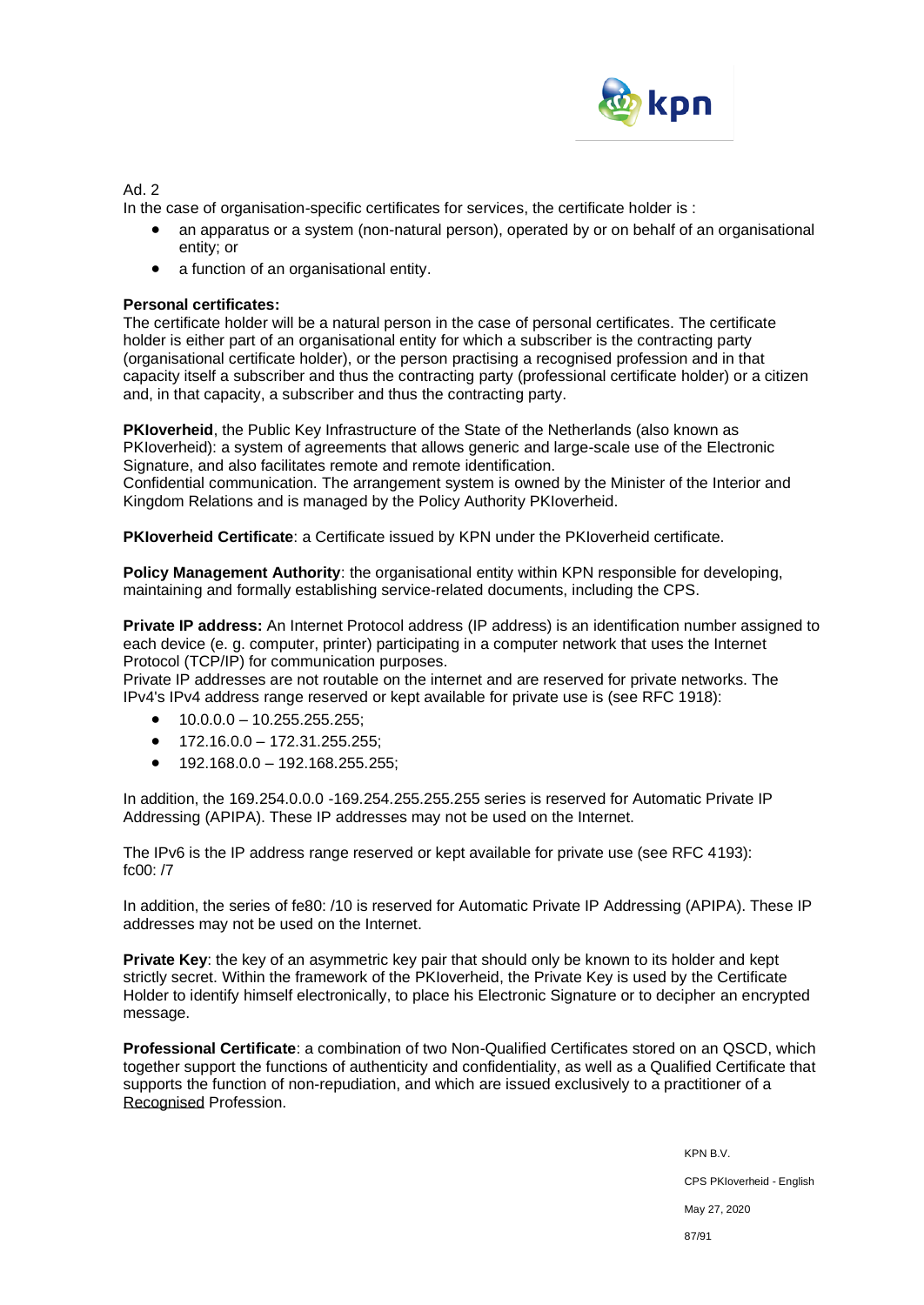

Ad. 2

In the case of organisation-specific certificates for services, the certificate holder is :

- an apparatus or a system (non-natural person), operated by or on behalf of an organisational entity; or
- a function of an organisational entity.

### **Personal certificates:**

The certificate holder will be a natural person in the case of personal certificates. The certificate holder is either part of an organisational entity for which a subscriber is the contracting party (organisational certificate holder), or the person practising a recognised profession and in that capacity itself a subscriber and thus the contracting party (professional certificate holder) or a citizen and, in that capacity, a subscriber and thus the contracting party.

**PKIoverheid**, the Public Key Infrastructure of the State of the Netherlands (also known as PKIoverheid): a system of agreements that allows generic and large-scale use of the Electronic Signature, and also facilitates remote and remote identification.

Confidential communication. The arrangement system is owned by the Minister of the Interior and Kingdom Relations and is managed by the Policy Authority PKIoverheid.

**PKIoverheid Certificate**: a Certificate issued by KPN under the PKIoverheid certificate.

**Policy Management Authority:** the organisational entity within KPN responsible for developing, maintaining and formally establishing service-related documents, including the CPS.

**Private IP address:** An Internet Protocol address (IP address) is an identification number assigned to each device (e. g. computer, printer) participating in a computer network that uses the Internet Protocol (TCP/IP) for communication purposes.

Private IP addresses are not routable on the internet and are reserved for private networks. The IPv4's IPv4 address range reserved or kept available for private use is (see RFC 1918):

- $\bullet$  10.0.0.0 10.255.255.255:
- $\bullet$  172.16.0.0 172.31.255.255:
- 192.168.0.0 192.168.255.255;

In addition, the 169.254.0.0.0 -169.254.255.255.255 series is reserved for Automatic Private IP Addressing (APIPA). These IP addresses may not be used on the Internet.

The IPv6 is the IP address range reserved or kept available for private use (see RFC 4193): fc00: /7

In addition, the series of fe80: /10 is reserved for Automatic Private IP Addressing (APIPA). These IP addresses may not be used on the Internet.

**Private Key**: the key of an asymmetric key pair that should only be known to its holder and kept strictly secret. Within the framework of the PKIoverheid, the Private Key is used by the Certificate Holder to identify himself electronically, to place his Electronic Signature or to decipher an encrypted message.

**Professional Certificate**: a combination of two Non-Qualified Certificates stored on an QSCD, which together support the functions of authenticity and confidentiality, as well as a Qualified Certificate that supports the function of non-repudiation, and which are issued exclusively to a practitioner of a Recognised Profession.

> KPN B.V. CPS PKIoverheid - English May 27, 2020 87/91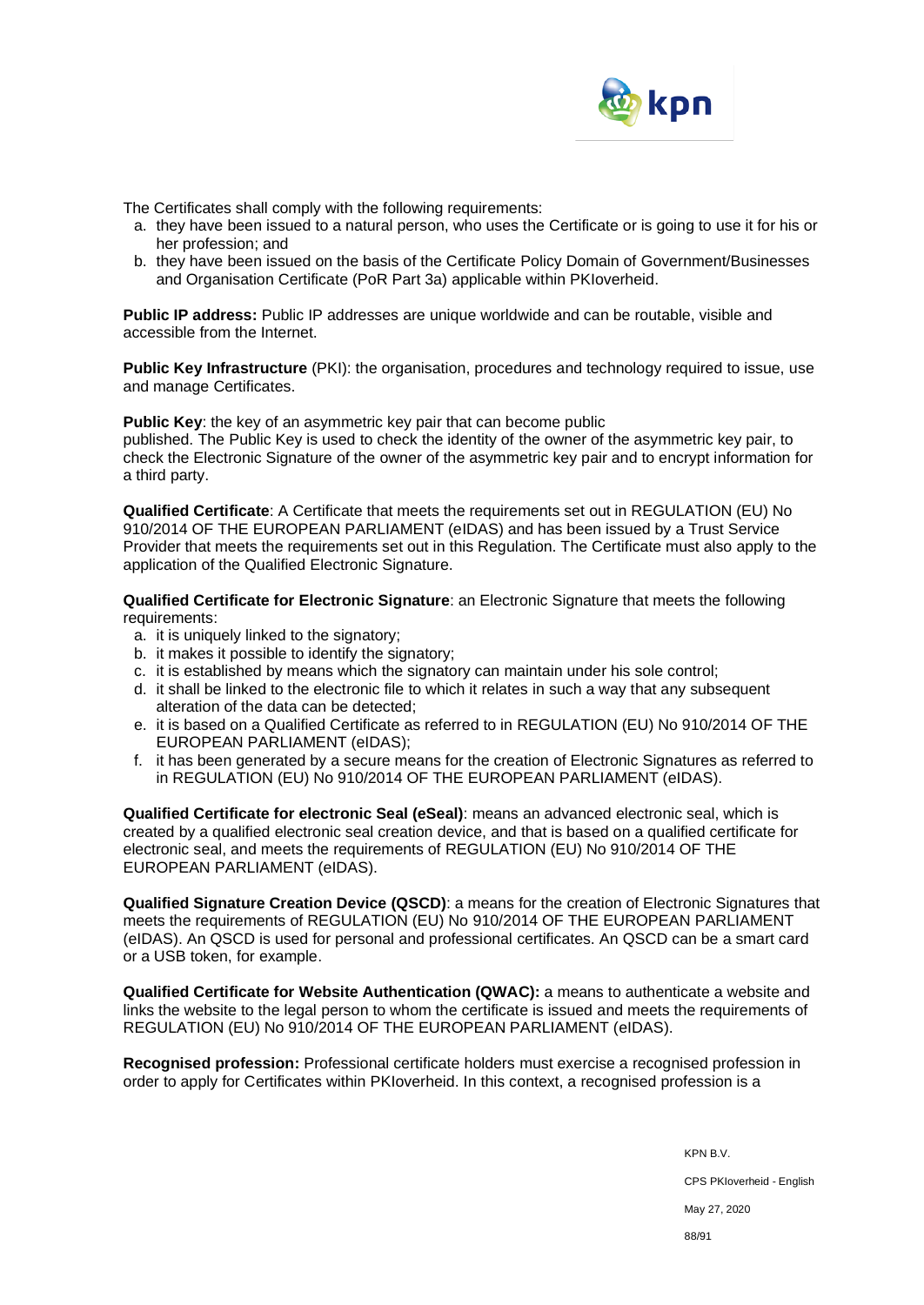

The Certificates shall comply with the following requirements:

- a. they have been issued to a natural person, who uses the Certificate or is going to use it for his or her profession; and
- b. they have been issued on the basis of the Certificate Policy Domain of Government/Businesses and Organisation Certificate (PoR Part 3a) applicable within PKIoverheid.

**Public IP address:** Public IP addresses are unique worldwide and can be routable, visible and accessible from the Internet.

**Public Key Infrastructure** (PKI): the organisation, procedures and technology required to issue, use and manage Certificates.

**Public Key:** the key of an asymmetric key pair that can become public published. The Public Key is used to check the identity of the owner of the asymmetric key pair, to check the Electronic Signature of the owner of the asymmetric key pair and to encrypt information for a third party.

**Qualified Certificate**: A Certificate that meets the requirements set out in REGULATION (EU) No 910/2014 OF THE EUROPEAN PARLIAMENT (eIDAS) and has been issued by a Trust Service Provider that meets the requirements set out in this Regulation. The Certificate must also apply to the application of the Qualified Electronic Signature.

**Qualified Certificate for Electronic Signature**: an Electronic Signature that meets the following requirements:

- a. it is uniquely linked to the signatory;
- b. it makes it possible to identify the signatory;
- c. it is established by means which the signatory can maintain under his sole control;
- d. it shall be linked to the electronic file to which it relates in such a way that any subsequent alteration of the data can be detected;
- e. it is based on a Qualified Certificate as referred to in REGULATION (EU) No 910/2014 OF THE EUROPEAN PARLIAMENT (eIDAS);
- f. it has been generated by a secure means for the creation of Electronic Signatures as referred to in REGULATION (EU) No 910/2014 OF THE EUROPEAN PARLIAMENT (eIDAS).

**Qualified Certificate for electronic Seal (eSeal)**: means an advanced electronic seal, which is created by a qualified electronic seal creation device, and that is based on a qualified certificate for electronic seal, and meets the requirements of REGULATION (EU) No 910/2014 OF THE EUROPEAN PARLIAMENT (eIDAS).

**Qualified Signature Creation Device (QSCD)**: a means for the creation of Electronic Signatures that meets the requirements of REGULATION (EU) No 910/2014 OF THE EUROPEAN PARLIAMENT (eIDAS). An QSCD is used for personal and professional certificates. An QSCD can be a smart card or a USB token, for example.

**Qualified Certificate for Website Authentication (QWAC):** a means to authenticate a website and links the website to the legal person to whom the certificate is issued and meets the requirements of REGULATION (EU) No 910/2014 OF THE EUROPEAN PARLIAMENT (eIDAS).

**Recognised profession:** Professional certificate holders must exercise a recognised profession in order to apply for Certificates within PKIoverheid. In this context, a recognised profession is a

> KPN B.V. CPS PKIoverheid - English May 27, 2020 88/91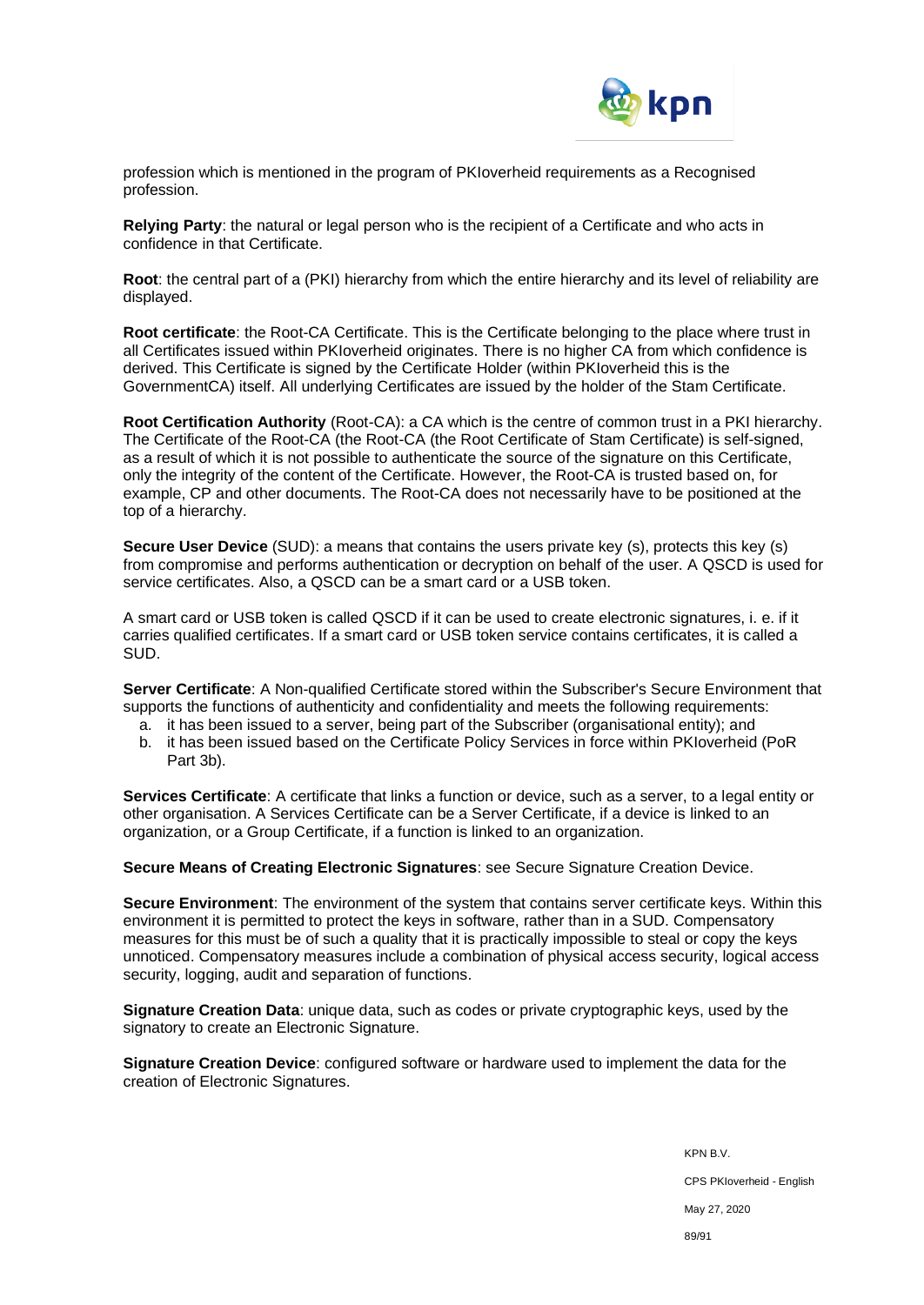

profession which is mentioned in the program of PKIoverheid requirements as a Recognised profession.

**Relying Party**: the natural or legal person who is the recipient of a Certificate and who acts in confidence in that Certificate.

**Root**: the central part of a (PKI) hierarchy from which the entire hierarchy and its level of reliability are displayed.

**Root certificate**: the Root-CA Certificate. This is the Certificate belonging to the place where trust in all Certificates issued within PKIoverheid originates. There is no higher CA from which confidence is derived. This Certificate is signed by the Certificate Holder (within PKIoverheid this is the GovernmentCA) itself. All underlying Certificates are issued by the holder of the Stam Certificate.

**Root Certification Authority** (Root-CA): a CA which is the centre of common trust in a PKI hierarchy. The Certificate of the Root-CA (the Root-CA (the Root Certificate of Stam Certificate) is self-signed, as a result of which it is not possible to authenticate the source of the signature on this Certificate, only the integrity of the content of the Certificate. However, the Root-CA is trusted based on, for example, CP and other documents. The Root-CA does not necessarily have to be positioned at the top of a hierarchy.

**Secure User Device** (SUD): a means that contains the users private key (s), protects this key (s) from compromise and performs authentication or decryption on behalf of the user. A QSCD is used for service certificates. Also, a QSCD can be a smart card or a USB token.

A smart card or USB token is called QSCD if it can be used to create electronic signatures, i. e. if it carries qualified certificates. If a smart card or USB token service contains certificates, it is called a SUD.

**Server Certificate**: A Non-qualified Certificate stored within the Subscriber's Secure Environment that supports the functions of authenticity and confidentiality and meets the following requirements:

- a. it has been issued to a server, being part of the Subscriber (organisational entity); and
- b. it has been issued based on the Certificate Policy Services in force within PKIoverheid (PoR Part 3b).

**Services Certificate**: A certificate that links a function or device, such as a server, to a legal entity or other organisation. A Services Certificate can be a Server Certificate, if a device is linked to an organization, or a Group Certificate, if a function is linked to an organization.

**Secure Means of Creating Electronic Signatures**: see Secure Signature Creation Device.

**Secure Environment**: The environment of the system that contains server certificate keys. Within this environment it is permitted to protect the keys in software, rather than in a SUD. Compensatory measures for this must be of such a quality that it is practically impossible to steal or copy the keys unnoticed. Compensatory measures include a combination of physical access security, logical access security, logging, audit and separation of functions.

**Signature Creation Data**: unique data, such as codes or private cryptographic keys, used by the signatory to create an Electronic Signature.

**Signature Creation Device**: configured software or hardware used to implement the data for the creation of Electronic Signatures.

> KPN B.V. CPS PKIoverheid - English May 27, 2020 89/91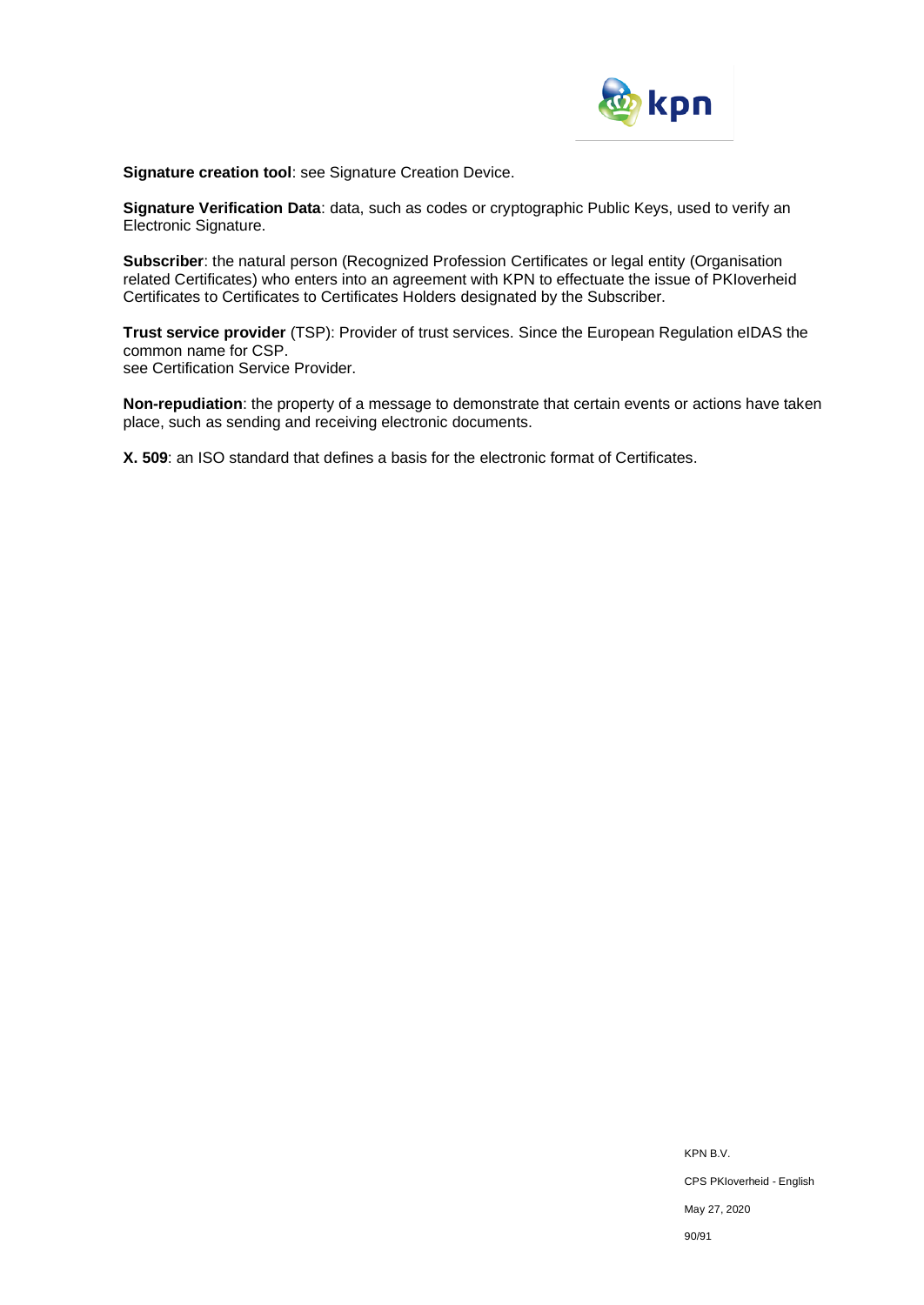

**Signature creation tool**: see Signature Creation Device.

**Signature Verification Data**: data, such as codes or cryptographic Public Keys, used to verify an Electronic Signature.

**Subscriber**: the natural person (Recognized Profession Certificates or legal entity (Organisation related Certificates) who enters into an agreement with KPN to effectuate the issue of PKIoverheid Certificates to Certificates to Certificates Holders designated by the Subscriber.

**Trust service provider** (TSP): Provider of trust services. Since the European Regulation eIDAS the common name for CSP. see Certification Service Provider.

**Non-repudiation**: the property of a message to demonstrate that certain events or actions have taken place, such as sending and receiving electronic documents.

**X. 509**: an ISO standard that defines a basis for the electronic format of Certificates.

KPN B.V. CPS PKIoverheid - English May 27, 2020 90/91